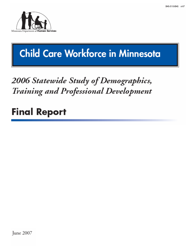

# Child Care Workforce in Minnesota

# 2006 Statewide Study of Demographics, Training and Professional Development

# **Final Report**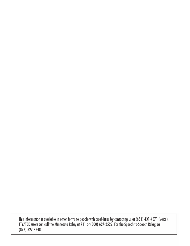This information is available in other forms to people with disabilities by contacting us at (651) 431-4671 (voice).<br>TTY/TDD users can call the Minnesota Relay at 711 or (800) 627-3529. For the Speech-to-Speech Relay, call (877) 627-3848.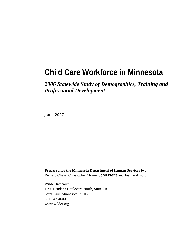# **Child Care Workforce in Minnesota**

# *2006 Statewide Study of Demographics, Training and Professional Development*

June 2007

**Prepared for the Minnesota Department of Human Services by:**  Richard Chase, Christopher Moore, Sandi Pierce and Joanne Arnold

Wilder Research 1295 Bandana Boulevard North, Suite 210 Saint Paul, Minnesota 55108 651-647-4600 www.wilder.org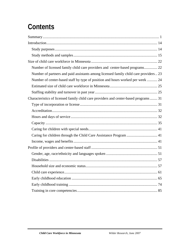# **Contents**

| Number of licensed family child care providers and center-based programs 22           |
|---------------------------------------------------------------------------------------|
| Number of partners and paid assistants among licensed family child care providers  23 |
| Number of center-based staff by type of position and hours worked per week  24        |
|                                                                                       |
|                                                                                       |
| Characteristics of licensed family child care providers and center-based programs  31 |
|                                                                                       |
|                                                                                       |
|                                                                                       |
|                                                                                       |
|                                                                                       |
| Caring for children through the Child Care Assistance Program  41                     |
|                                                                                       |
|                                                                                       |
|                                                                                       |
|                                                                                       |
|                                                                                       |
|                                                                                       |
|                                                                                       |
|                                                                                       |
|                                                                                       |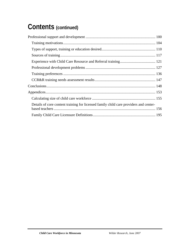# **Contents (continued)**

| Details of core content training for licensed family child care providers and center- |  |
|---------------------------------------------------------------------------------------|--|
|                                                                                       |  |
|                                                                                       |  |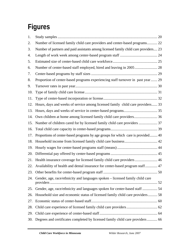# **Figures**

| 1.  |                                                                                      |  |
|-----|--------------------------------------------------------------------------------------|--|
| 2.  | Number of licensed family child care providers and center-based programs 22          |  |
| 3.  | Number of partners and paid assistants among licensed family child care providers 23 |  |
| 4.  |                                                                                      |  |
| 5.  |                                                                                      |  |
| 6.  | Number of center-based staff employed, hired and leaving in 2005  28                 |  |
| 7.  |                                                                                      |  |
| 8.  | Proportion of center-based programs experiencing staff turnover in past year  29     |  |
| 9.  |                                                                                      |  |
| 10. |                                                                                      |  |
| 11. |                                                                                      |  |
| 12. | Hours, days and weeks of service among licensed family child care providers 33       |  |
| 13. |                                                                                      |  |
| 14. | Own children at home among licensed family child care providers 36                   |  |
| 15. |                                                                                      |  |
| 16. |                                                                                      |  |
| 17. | Proportions of center-based programs by age groups for which care is provided 40     |  |
| 18. |                                                                                      |  |
| 19. |                                                                                      |  |
| 20. |                                                                                      |  |
| 21. | Health insurance coverage for licensed family child care providers 46                |  |
| 22. | Availability of health and dental insurance for center-based program staff 47        |  |
|     |                                                                                      |  |
| 24. | Gender, age, race/ethnicity and languages spoken - licensed family child care        |  |
| 25. | Gender, age, race/ethnicity and languages spoken for center-based staff  54          |  |
| 26. | Household size and economic status of licensed family child care providers 58        |  |
| 27. |                                                                                      |  |
| 28. |                                                                                      |  |
| 29. |                                                                                      |  |
| 30. | Degrees and certificates completed by licensed family child care providers  66       |  |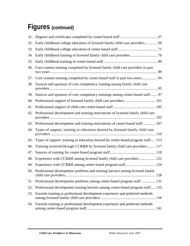# **Figures (continued)**

| 32. | Early childhood college education of licensed family child care providers  69      |
|-----|------------------------------------------------------------------------------------|
| 33. |                                                                                    |
| 34. |                                                                                    |
| 35. |                                                                                    |
| 36. | Core content training completed by licensed family child care providers in past    |
| 37. | Core content training completed by center-based staff in past two years 94         |
| 38. | Sources and sponsors of core competency training among family child care           |
| 39. | Sources and sponsors of core competency trainings among center-based staff  97     |
| 40. |                                                                                    |
| 41. |                                                                                    |
| 42. | Professional development and training motivations of licensed family child care    |
| 43. | Professional development and training motivations of center-based staff  107       |
| 44. | Types of support, training or education desired by licensed family child care      |
| 45. | Types of support, training or education desired by center-based program staff 113  |
| 46. | Training received through CCR&R by licensed family child care providers 117        |
| 47. |                                                                                    |
| 48. | Experience with CCR&R among licensed family child care providers  122              |
| 49. |                                                                                    |
|     | 50. Professional development problems and training barriers among licensed family  |
| 51. | Professional development problems among center-based program staff  131            |
| 52. | Professional development training barriers among center-based program staff 133    |
| 53. | Favorite training or professional development experience and preferred methods     |
|     | 54. Favorite training or professional development experience and preferred methods |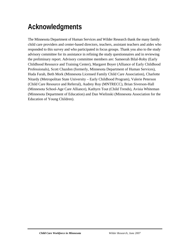# **Acknowledgments**

The Minnesota Department of Human Services and Wilder Research thank the many family child care providers and center-based directors, teachers, assistant teachers and aides who responded to this survey and who participated in focus groups. Thank you also to the study advisory committee for its assistance in refining the study questionnaires and in reviewing the preliminary report. Advisory committee members are: Sameerah Bilal-Roby (Early Childhood Resource and Training Center), Margaret Boyer (Alliance of Early Childhood Professionals), Scott Chazdon (formerly, Minnesota Department of Human Services), Huda Farah, Beth Mork (Minnesota Licensed Family Child Care Association), Charlotte Nitardy (Metropolitan State University – Early Childhood Program), Valerie Peterson (Child Care Resource and Referral), Audrey Roy (MNTRECC), Brian Siverson-Hall (Minnesota School-Age Care Alliance), Kathyrn Tout (Child Trends), Avisia Whiteman (Minnesota Department of Education) and Dan Wielinski (Minnesota Association for the Education of Young Children).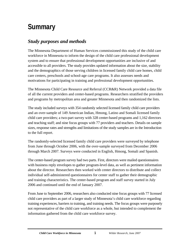# <span id="page-10-0"></span>**Summary**

# *Study purposes and methods*

The Minnesota Department of Human Services commissioned this study of the child care workforce in Minnesota to inform the design of the child care professional development system and to ensure that professional development opportunities are inclusive of and accessible to all providers. The study provides updated information about the size, stability and the demographics of those serving children in licensed family child care homes, child care centers, preschools and school-age care programs. It also assesses needs and motivations for participating in training and professional development opportunities.

The Minnesota Child Care Resource and Referral (CCR&R) Network provided a data file of all the current providers and center-based programs. Researchers stratified the providers and programs by metropolitan area and greater Minnesota and then randomized the lists.

The study included surveys with 354 randomly selected licensed family child care providers and an over-sample of 149 American Indian, Hmong, Latino and Somali licensed family child care providers; a two-part survey with 328 center-based programs and 1,162 directors and teaching staff; and nine focus groups with 77 providers and teachers. Details on sample sizes, response rates and strengths and limitations of the study samples are in the Introduction to the full report.

The randomly-selected licensed family child care providers were surveyed by telephone from June through October 2006, with the over-sample surveyed from December 2006 through March 2007. Surveys were conducted in English, Hmong, Somali and Spanish.

The center-based program survey had two parts. First, directors were mailed questionnaires with business reply envelopes to gather program-level data, as well as pertinent information about the director. Researchers then worked with center directors to distribute and collect individual self-administered questionnaires for center staff to gather their demographic and training characteristics. The center-based program and staff survey started in July 2006 and continued until the end of January 2007.

From June to September 2006, researchers also conducted nine focus groups with 77 licensed child care providers as part of a larger study of Minnesota's child care workforce regarding training experiences, barriers to training, and training needs. The focus groups were purposely not representative of the child care workforce as a whole, but intended to complement the information gathered from the child care workforce survey.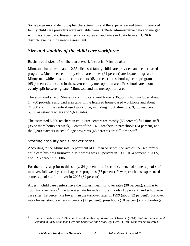Some program and demographic characteristics and the experience and training levels of family child care providers were available from CCR&R administrative data and merged with the survey data. Researchers also reviewed and analyzed data from a CCR&R district-level training needs assessment.

### *Size and stability of the child care workforce*

#### Estimated size of child care workforce in Minnesota

Minnesota has an estimated 12,334 licensed family child care providers and center-based programs. Most licensed family child care homes (61 percent) are located in greater Minnesota, while most child care centers (68 percent) and school-age care programs (65 percent) are located in the seven-county metropolitan area. Preschools are about evenly split between greater Minnesota and the metropolitan area.

The estimated size of Minnesota's child care workforce is 36,500, which includes about 14,700 providers and paid assistants in the licensed home-based workforce and about 21,800 staff in the center-based workforce, including 2,050 directors, 9,150 teachers, 5,000 assistant teachers and 5,600 aides.

The estimated 5,500 teachers in child care centers are mostly (83 percent) full-time staff (35 or more hours per week). Fewer of the 1,460 teachers in preschools (34 percent) and the 2,200 teachers in school-age programs (48 percent) are full-time staff.

#### Staffing stability and turnover rates

According to the Minnesota Department of Human Services, the rate of licensed family child care business turnover in Minnesota was 15 percent in 1999, 16.4 percent in 2005, and 12.5 percent in 2006.

For the full year prior to this study, 84 percent of child care centers had some type of staff turnover, followed by school-age care programs (66 percent). Fewer preschools experienced some type of staff turnover in 2005 (39 percent).

Aides in child care centers have the highest mean turnover rates (30 percent), similar to 1999 turnover rates.<sup>1</sup> The turnover rate for aides in preschools (18 percent) and school-age care sites (19 percent) is lower than the turnover rates in 1999 (about 32 percent). Turnover rates for assistant teachers in centers (21 percent), preschools (10 percent) and school-age

 $\overline{a}$ 1 Comparison data from 1999 cited throughout this report are from Chase, R. (2001). *Staff Recruitment and Retention in Early Childhood Care and Education and School-age Care.* St. Paul, MN: Wilder Research.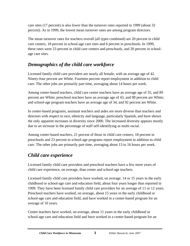care sites (17 percent) is also lower than the turnover rates reported in 1999 (about 32 percent). As in 1999, the lowest mean turnover rates are among program directors.

The mean turnover rates for teachers overall (all types combined) are 20 percent in child care centers, 18 percent in school-age care sites and 6 percent in preschools. In 1999, these rates were 23 percent in child care centers and preschools, and 20 percent in schoolage care sites.

### *Demographics of the child care workforce*

Licensed family child care providers are nearly all female, with an average age of 42. Ninety-four percent are White. Fourteen percent report employment in addition to child care. The other jobs are primarily part time, averaging about 14 hours per week.

Among center-based teachers, child care center teachers have an average age of 35, and 89 percent are White; preschool teachers have an average age of 43, and 98 percent are White; and school-age program teachers have an average age of 34, and 92 percent are White.

In center-based programs, assistant teachers and aides are more diverse than teachers and directors with respect to race, ethnicity and language, particularly Spanish, and have shown the only apparent increases in diversity since 2000. The increased diversity appears mostly due to an increase in the percentage of staff self-identifying as multi-racial.

Among center-based teachers, 21 percent of those in child care centers, 18 percent in preschools and 23 percent in school-age programs report employment in addition to child care. The other jobs are primarily part time, averaging about 13 to 16 hours per week.

# *Child care experience*

Licensed family child care providers and preschool teachers have a few more years of child care experience, on average, than center and school-age teachers.

Licensed family child care providers have worked, on average, 14 or 15 years in the early childhood or school-age care and education field, about four years longer than reported in 1999. They have been licensed family child care providers for an average of 11 or 12 years. Preschool teachers have worked, on average, about 15 years in the early childhood or school-age care and education field, and have worked in a center-based program for an average of 10 years.

Center teachers have worked, on average, about 11 years in the early childhood or school-age care and education field and have worked in a center-based program for an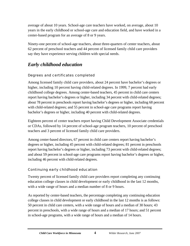average of about 10 years. School-age care teachers have worked, on average, about 10 years in the early childhood or school-age care and education field, and have worked in a center-based program for an average of 8 or 9 years.

Ninety-one percent of school-age teachers, about three-quarters of center teachers, about 62 percent of preschool teachers and 44 percent of licensed family child care providers say they have experience serving children with special needs.

## *Early childhood education*

#### Degrees and certificates completed

Among licensed family child care providers, about 24 percent have bachelor's degrees or higher, including 10 percent having child-related degrees. In 1999, 7 percent had early childhood college degrees. Among center-based teachers, 45 percent in child care centers report having bachelor's degrees or higher, including 34 percent with child-related degrees; about 78 percent in preschools report having bachelor's degrees or higher, including 68 percent with child-related degrees; and 55 percent in school-age care programs report having bachelor's degrees or higher, including 40 percent with child-related degrees.

Eighteen percent of center teachers report having Child Development Associate credentials or CDAs, followed by 14 percent of school-age program teachers, 10 percent of preschool teachers and 3 percent of licensed family child care providers.

Among center-based directors, 67 percent in child care centers report having bachelor's degrees or higher, including 45 percent with child-related degrees; 81 percent in preschools report having bachelor's degrees or higher, including 73 percent with child-related degrees; and about 59 percent in school-age care programs report having bachelor's degrees or higher, including 46 percent with child-related degrees.

#### Continuing early childhood education

Twenty percent of licensed family child care providers report completing any continuing education college classes in child development or early childhood in the last 12 months, with a wide range of hours and a median number of 8 or 9 hours.

As reported by center-based teachers, the percentage completing any continuing education college classes in child development or early childhood in the last 12 months is as follows: 50 percent in child care centers, with a wide range of hours and a median of 30 hours; 43 percent in preschools, with a wide range of hours and a median of 17 hours; and 51 percent in school-age programs, with a wide range of hours and a median of 14 hours.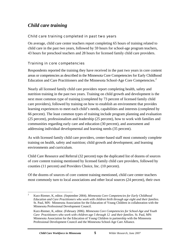### *Child care training*

#### Child care training completed in past two years

On average, child care center teachers report completing 65 hours of training related to child care in the past two years, followed by 59 hours for school-age program teachers, 43 hours for preschool teachers and 28 hours for licensed family child care providers.

#### Training in core competencies

Respondents reported the training they have received in the past two years in core content areas or competencies as described in the Minnesota Core Competencies for Early Childhood Education and Care Practitioners and the Minnesota School-Age Core Competencies.<sup>2</sup>

Nearly all licensed family child care providers report completing health, safety and nutrition training in the past two years. Training on child growth and development is the next most common type of training (completed by 73 percent of licensed family child care providers), followed by training on how to establish an environment that provides learning experiences to meet each child's needs, capabilities and interests (completed by 66 percent). The least common types of training include program planning and evaluation (25 percent), professionalism and leadership (25 percent), how to work with families and communities regarding early care and education (30 percent), and assessment and addressing individual developmental and learning needs (35 percent).

As with licensed family child care providers, center-based staff most commonly complete training on health, safety and nutrition; child growth and development; and learning environments and curriculum.

Child Care Resource and Referral (32 percent) tops the duplicated list of dozens of sources of core content training mentioned by licensed family child care providers, followed by counties (11 percent) and Providers Choice, Inc. (10 percent).

Of the dozens of sources of core content training mentioned, child care center teachers most commonly turn to local associations and other local sources (24 percent), their own

 $\frac{1}{2}$  Kurz-Riemer, K, editor. (September 2004). *Minnesota Core Competencies for Early Childhood Education and Care Practitioners who work with children birth through age eight and their families.*  St. Paul, MN: Minnesota Association for the Education of Young Children in collaboration with the Minnesota Professional Development Council.

Kurz-Riemer, K, editor. (February 2006). *Minnesota Core Competencies for School-Age and Youth Care Practitioners who work with children age 5 through 12 and their families.* St. Paul, MN: Minnesota Association for the Education of Young Children in partnership with the Minnesota Professional Development Council and the Minnesota School-Age Care Alliance.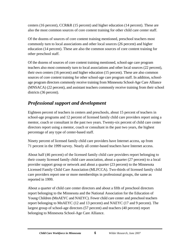centers (16 percent), CCR&R (15 percent) and higher education (14 percent). These are also the most common sources of core content training for other child care center staff.

Of the dozens of sources of core content training mentioned, preschool teachers most commonly turn to local associations and other local sources (26 percent) and higher education (14 percent). These are also the common sources of core content training for other preschool staff.

Of the dozens of sources of core content training mentioned, school-age care program teachers also most commonly turn to local associations and other local sources (22 percent), their own centers (16 percent) and higher education (15 percent). These are also common sources of core content training for other school-age care program staff. In addition, schoolage program directors commonly receive training from Minnesota School-Age Care Alliance (MNSACA) (22 percent), and assistant teachers commonly receive training from their school districts (36 percent).

## *Professional support and development*

Eighteen percent of teachers in centers and preschools, about 15 percent of teachers in school-age programs and 12 percent of licensed family child care providers report using a mentor, coach or consultant in the past two years. Twenty-six percent of child care center directors report using a mentor, coach or consultant in the past two years, the highest percentage of any type of center-based staff.

Ninety percent of licensed family child care providers have Internet access, up from 71 percent in the 1999 survey. Nearly all center-based teachers have Internet access.

About half (46 percent) of the licensed family child care providers report belonging to their county licensed family child care association, about a quarter (27 percent) to a local provider support group or network and about a quarter (23 percent) to the Minnesota Licensed Family Child Care Association (MLFCCA). Two-thirds of licensed family child care providers report one or more memberships in professional groups, the same as reported in 1999.

About a quarter of child care center directors and about a fifth of preschool directors report belonging to the Minnesota and the National Association for the Education of Young Children (MnAEYC and NAEYC). Fewer child care center and preschool teachers report belonging to MnAEYC (12 and 13 percent) and NAEYC (17 and 9 percent). The largest group of school-age directors (57 percent) and teachers (40 percent) report belonging to Minnesota School-Age Care Alliance.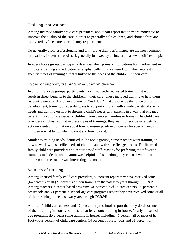#### Training motivations

Among licensed family child care providers, about half report that they are motivated to improve the quality of the care in order to generally help children, and about a third are motivated by licensure or regulatory requirements.

To generally grow professionally and to improve their performance are the most common motivations for center-based staff, generally followed by an interest in a new or different topic.

In every focus group, participants described their primary motivations for involvement in child care training and education as emphatically child centered, with their interest in specific types of training directly linked to the needs of the children in their care.

#### Types of support, training or education desired

In all of the focus groups, participants most frequently requested training that would result in direct benefits to the children in their care. These included training to help them recognize emotional and developmental "red flags" that are outside the range of normal development, training on specific ways to support children with a wide variety of special needs and training on how to discuss a child's needs with parents in a way that engages parents in solutions, especially children from troubled families or homes. The child care providers emphasized that in these types of trainings, they want to receive very detailed, action-oriented information about how to ensure positive outcomes for special needs children – what to do, when to do it and how to do it.

Similar to training needs identified in the focus groups, some teachers want training on how to work with specific needs of children and with specific age groups. For licensed family child care providers and center-based staff, reasons for preferring their favorite trainings include the information was helpful and something they can use with their children and the trainer was interesting and not boring.

#### Sources of training

Among licensed family child care providers, 85 percent report they have received some (64 percent) or all (21 percent) of their training in the past two years through CCR&R. Among teachers in center-based programs, 46 percent in child care centers, 30 percent in preschools and 41 percent in school-age care programs report they have received some or all of their training in the past two years through CCR&R.

A third of child care centers and 12 percent of preschools report that they do all or most of their training in-house, but most do at least some training in-house. Nearly all schoolage programs do at least some training in house, including 45 percent all or most of it. Forty-four percent of child care centers, 14 percent of preschools and 51 percent of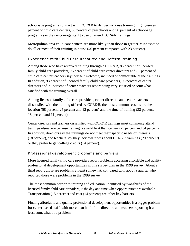school-age programs contract with CCR&R to deliver in-house training. Eighty-seven percent of child care centers, 80 percent of preschools and 90 percent of school-age programs say they encourage staff to use or attend CCR&R trainings.

Metropolitan area child care centers are more likely than those in greater Minnesota to do all or most of their training in house (40 percent compared with 23 percent).

#### Experience with Child Care Resource and Referral training

Among those who have received training through a CCR&R, 85 percent of licensed family child care providers, 75 percent of child care center directors and 51 percent of child care center teachers say they felt welcome, included or comfortable at the trainings. In addition, 93 percent of licensed family child care providers, 96 percent of center directors and 71 percent of center teachers report being very satisfied or somewhat satisfied with the training overall.

Among licensed family child care providers, center directors and center teachers dissatisfied with the training offered by CCR&R, the most common reasons are the location (58 percent, 25 percent and 12 percent) and the time of training (32 percent, 18 percent and 11 percent).

Center directors and teachers dissatisfied with CCR&R trainings most commonly attend trainings elsewhere because training is available at their centers (25 percent and 34 percent). In addition, directors say the trainings do not meet their specific needs or interests (18 percent), and teachers say they lack awareness about CCR&R trainings (29 percent) or they prefer to get college credits (14 percent).

#### Professional development problems and barriers

More licensed family child care providers report problems accessing affordable and quality professional development opportunities in this survey than in the 1999 survey. About a third report those are problems at least somewhat, compared with about a quarter who reported those were problems in the 1999 survey.

The most common barrier to training and education, identified by two-thirds of the licensed family child care providers, is the day and time when opportunities are available. Transportation (15 percent) and cost (14 percent) are other key barriers.

Finding affordable and quality professional development opportunities is a bigger problem for center-based staff, with more than half of the directors and teachers reporting it at least somewhat of a problem.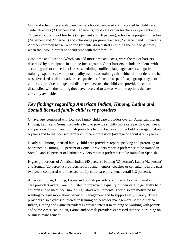Cost and scheduling are also key barriers for center-based staff reported by child care center directors (33 percent and 19 percent), child care center teachers (22 percent and 21 percent), preschool teachers (21 percent and 16 percent), school-age program directors (24 percent and 22 percent) and school-age program teachers (25 percent and 17 percent). Another common barrier reported by center-based staff is finding the time to get away when they would prefer to spend time with their families.

Cost, time and location (which can add more time and costs) were the major barriers described by participants in all nine focus groups. Other barriers include problems with accessing full or cancelled classes, scheduling conflicts, language barriers, negative training experiences with poor-quality trainers or trainings that either did not deliver what was advertised or did not advertise a particular focus on a specific age group or type of child care provider and general disinterest because the child care provider is either dissatisfied with the training they have received to date or with the options that are currently available.

# *Key findings regarding American Indian, Hmong, Latina and Somali licensed family child care providers*

On average, compared with licensed family child care providers overall, American Indian, Hmong, Latina and Somali providers tend to provide slightly more care per day, per week, and per year. Hmong and Somali providers tend to be newer to the field (average of about 6 years) and to the licensed family child care profession (average of about 4 or 5 years).

Nearly all Hmong licensed family child care providers report speaking and preferring to be trained in Hmong; 69 percent of Somali providers report a preference to be trained in Somali, and 19 percent of Latina providers report a preference to be trained in Spanish.

Higher proportions of American Indian (40 percent), Hmong (25 percent), Latina (42 percent) and Somali (20 percent) providers report using mentors, coaches or consultants in the past two years compared with licensed family child care providers overall (12 percent).

American Indian, Hmong, Latina and Somali providers, similar to licensed family child care providers overall, are motivated to improve the quality of their care to generally help children and to meet licensure or regulatory requirements. They also are motivated by wanting to learn more about behavior management and to support early literacy. These providers also expressed interest in training on behavior management; some American Indian, Hmong and Latina providers expressed interest in training on working with parents; and some American Indian, Latina and Somali providers expressed interest in training on business management.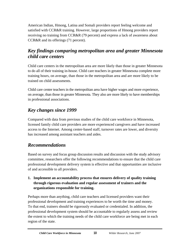American Indian, Hmong, Latina and Somali providers report feeling welcome and satisfied with CCR&R training. However, large proportions of Hmong providers report receiving no training from CCR&R (79 percent) and express a lack of awareness about CCR&R and its offerings (71 percent).

# *Key findings comparing metropolitan area and greater Minnesota child care centers*

Child care centers in the metropolitan area are more likely than those in greater Minnesota to do all of their training in-house. Child care teachers in greater Minnesota complete more training hours, on average, than those in the metropolitan area and are more likely to be trained on child assessments.

Child care center teachers in the metropolitan area have higher wages and more experience, on average, than those in greater Minnesota. They also are more likely to have memberships in professional associations.

# *Key changes since 1999*

Compared with data from previous studies of the child care workforce in Minnesota, licensed family child care providers are more experienced caregivers and have increased access to the Internet. Among center-based staff, turnover rates are lower, and diversity has increased among assistant teachers and aides.

# *Recommendations*

Based on survey and focus group discussion results and discussion with the study advisory committee, researchers offer the following recommendations to ensure that the child care professional development delivery system is effective and that opportunities are inclusive of and accessible to all providers.

#### **1. Implement an accountability process that ensures delivery of quality training through rigorous evaluation and regular assessment of trainers and the organizations responsible for training.**

Perhaps more than anything, child care teachers and licensed providers want their professional development and training experiences to be worth the time and money. To that end, trainers should be rigorously evaluated or credentialed. In addition, the professional development system should be accountable to regularly assess and review the extent to which the training needs of the child care workforce are being met in each region of the state.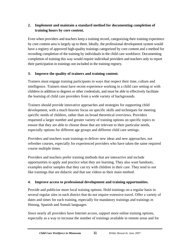#### **2. Implement and maintain a standard method for documenting completion of training hours by core content.**

Even when providers and teachers keep a training record, categorizing their training experience by core content area is largely up to them. Ideally, the professional development system would have a registry of approved high-quality trainings categorized by core content and a method for recording completion of the training by individuals in the child care workforce. Documenting completion of training this way would require individual providers and teachers only to report their participation in trainings not included in the training registry.

#### **3. Improve the quality of trainers and training content.**

Trainers must engage training participants in ways that respect their time, culture and intelligence. Trainers must have recent experience working in a child care setting or with children in addition to degrees or other credentials, and must be able to effectively facilitate the learning of child care providers from a wide variety of backgrounds.

Trainers should provide innovative approaches and strategies for supporting child development, with a much heavier focus on specific skills and techniques for meeting specific needs of children, rather than on broad theoretical overviews. Providers requested a larger number and greater variety of training options on specific topics to ensure that they are able to choose those that are relevant to their particular needs, especially options for different age groups and different child care settings.

Providers and teachers want trainings to deliver new ideas and new approaches, not refresher courses, especially for experienced providers who have taken the same required course multiple times.

Providers and teachers prefer training methods that are interactive and include opportunities to apply and practice what they are learning. They also want handouts, examples and/or samples that they can try with children in their care. They tend to not like trainings that are didactic and that use videos as their main method.

#### **4. Improve access to professional development and training opportunities.**

Provide and publicize more local training options. Hold trainings on a regular basis in several regular sites in each district that do not require extensive travel. Offer a variety of dates and times for each training, especially for mandatory trainings and trainings in Hmong, Spanish and Somali languages.

Since nearly all providers have Internet access, support more online training options, especially as a way to increase the number of trainings available in remote areas and for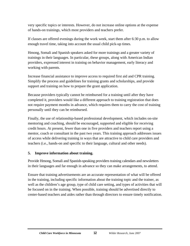very specific topics or interests. However, do not increase online options at the expense of hands-on trainings, which most providers and teachers prefer.

If classes are offered evenings during the work week, start them after 6:30 p.m. to allow enough travel time, taking into account the usual child pick-up times.

Hmong, Somali and Spanish speakers asked for more trainings and a greater variety of trainings in their languages. In particular, these groups, along with American Indian providers, expressed interest in training on behavior management, early literacy and working with parents.

Increase financial assistance to improve access to required first aid and CPR training. Simplify the process and guidelines for training grants and scholarships, and provide support and training on how to prepare the grant application.

Because providers typically cannot be reimbursed for a training until after they have completed it, providers would like a different approach to training registration that does not require payment months in advance, which requires them to carry the cost of training personally until they can be reimbursed.

Finally, the use of relationship-based professional development, which includes on-site mentoring and coaching, should be encouraged, supported and eligible for receiving credit hours. At present, fewer than one in five providers and teachers report using a mentor, coach or consultant in the past two years. This training approach addresses issues of access while delivering training in ways that are attractive to child care providers and teachers (i.e., hands-on and specific to their language, cultural and other needs).

#### **5. Improve information about training.**

Provide Hmong, Somali and Spanish-speaking providers training calendars and newsletters in their languages and far enough in advance so they can make arrangements, to attend.

Ensure that training advertisements are an accurate representation of what will be offered in the training, including specific information about the training topic and the trainer, as well as the children's age group, type of child care setting, and types of activities that will be focused on in the training. When possible, training should be advertised directly to center-based teachers and aides rather than through directors to ensure timely notification.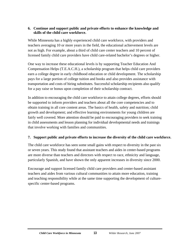#### **6. Continue and support public and private efforts to enhance the knowledge and skills of the child care workforce.**

While Minnesota has a highly experienced child care workforce, with providers and teachers averaging 10 or more years in the field, the educational achievement levels are not as high. For example, about a third of child care center teachers and 10 percent of licensed family child care providers have child care-related bachelor's degrees or higher.

One way to increase these educational levels is by supporting Teacher Education And Compensation Helps (T.E.A.C.H.), a scholarship program that helps child care providers earn a college degree in early childhood education or child development. The scholarship pays for a large portion of college tuition and books and also provides assistance with transportation and costs of hiring substitutes. Successful scholarship recipients also qualify for a pay raise or bonus upon completion of their scholarship contract.

In addition to encouraging the child care workforce to attain college degrees, efforts should be supported to inform providers and teachers about all the core competencies and to obtain training in all core content areas. The basics of health, safety and nutrition; child growth and development; and effective learning environments for young children are fairly well covered. More attention should be paid to encouraging providers to seek training in child assessments and lesson planning for individual developmental needs and trainings that involve working with families and communities.

#### **7. Support public and private efforts to increase the diversity of the child care workforce.**

The child care workforce has seen some small gains with respect to diversity in the past six or seven years. This study found that assistant teachers and aides in center-based programs are more diverse than teachers and directors with respect to race, ethnicity and language, particularly Spanish, and have shown the only apparent increases in diversity since 2000.

Encourage and support licensed family child care providers and center-based assistant teachers and aides from various cultural communities to attain more education, training and teaching responsibility while at the same time supporting the development of culturespecific center-based programs.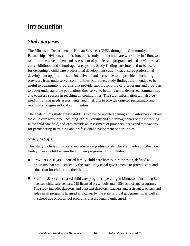# <span id="page-23-0"></span>**Introduction**

# *Study purposes*

The Minnesota Department of Human Services (DHS), through its Community Partnerships Division, commissioned this study of the child care workforce in Minnesota to inform the development and assessment of policies and programs related to Minnesota's early childhood and school-age care system. Study findings are intended to be useful for designing a child care professional development system that ensures professional development opportunities are inclusive of and accessible to all providers, including providers from underserved communities. Moreover, study findings are intended to be useful to community programs that provide support for child care programs and providers to better understand the populations they serve, to better reach underserved communities and to assess success in reaching all communities. The study information will also be used in training needs assessments, and in efforts to provide targeted recruitment and retention strategies in local communities.

The goals of this study are twofold: 1) to provide updated demographic information about the child care workforce, including its size, stability and the demographics of those working in the child care field, and 2) to provide an assessment of providers' needs and motivations for participating in training and professional development opportunities.

#### Study groups

This study includes child care and education professionals who are involved in the dayto-day lives of children enrolled in their programs. This includes:

- Providers in 10,491 licensed family child care homes in Minnesota, defined as programs that are licensed by the state or by tribal governments to provide care and education for children in their home.
- Staff in 1,843 center-based child care programs operating in Minnesota, including 829 licensed child care centers, 519 licensed preschools and 4,954 school-age programs. The study includes directors and assistant directors, teachers and assistant teachers, and aides in all programs licensed as a center by the state or tribal governments, as well as in school-age or preschool programs that are legally unlicensed.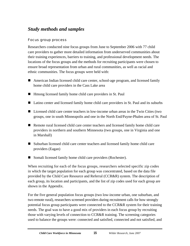# <span id="page-24-0"></span>*Study methods and samples*

#### Focus group process

Researchers conducted nine focus groups from June to September 2006 with 77 child care providers to gather more detailed information from underserved communities about their training experiences, barriers to training, and professional development needs. The locations of the focus groups and the methods for recruiting participants were chosen to ensure broad representation from urban and rural communities, as well as racial and ethnic communities. The focus groups were held with:

- American Indian licensed child care center, school-age program, and licensed family home child care providers in the Cass Lake area
- Hmong licensed family home child care providers in St. Paul
- Latino center and licensed family home child care providers in St. Paul and its suburbs
- Licensed child care center teachers in low-income urban areas in the Twin Cities (two groups, one in south Minneapolis and one in the North End/Payne-Phalen area of St. Paul
- Remote rural licensed child care center teachers and licensed family home child care providers in northern and southern Minnesota (two groups, one in Virginia and one in Marshall)
- Suburban licensed child care center teachers and licensed family home child care providers (Eagan)
- Somali licensed family home child care providers (Rochester).

When recruiting for each of the focus groups, researchers selected specific zip codes in which the target population for each group was concentrated, based on the data file provided by the Child Care Resource and Referral (CCR&R) system. The description of each group, its location and participants, and the list of zip codes used for each group are shown in the Appendix.

For the five general population focus groups (two low-income urban, one suburban, and two remote rural), researchers screened providers during recruitment calls for how strongly potential focus group participants were connected to the CCR&R system for their training needs. The goal was to have a good mix of providers in each focus group by recruiting those with varying levels of connection to CCR&R training. The screening categories used to balance the groups were: connected and satisfied, connected and not satisfied, and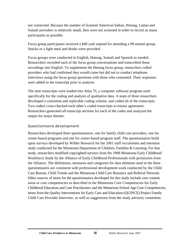not connected. Because the number of licensed American Indian, Hmong, Latino and Somali providers is relatively small, they were not screened in order to recruit as many participants as possible.

Focus group participants received a \$40 cash stipend for attending a 90-minute group. Snacks or a light meal and drinks were provided.

Focus groups were conducted in English, Hmong, Somali and Spanish as needed. Researchers recorded each of the focus group conversations and transcribed those recordings into English. To supplement the Hmong focus group, researchers called providers who had confirmed they would come but did not to conduct telephone interviews using the focus group questions with those who consented. Their responses were added to the transcript prior to analysis.

The nine transcripts were loaded into Atlas TI, a computer software program used specifically for the coding and analysis of qualitative data. A team of three researchers developed a consistent and replicable coding scheme, and coded all of the transcripts. Two coders cross-checked each other's coded transcripts to ensure agreement. Researchers generated all transcript sections for each of the codes and analyzed the output for major themes.

#### Questionnaire development

Researchers developed three questionnaires, one for family child care providers, one for center-based programs and one for center-based program staff. The questionnaires build upon surveys developed by Wilder Research for the 2001 staff recruitment and retention study conducted for the Minnesota Department of Children, Families & Learning. For that study, researchers modified copyrighted surveys from the 1998 Minnesota Early Childhood Workforce Study by the Alliance of Early Childhood Professionals with permission from the Alliance. The definitions, measures and categories for data elements used in the three questionnaires are consistent with professional development work conducted by the Child Care Bureau, Child Trends and the Minnesota Child Care Resource and Referral Network. Other sources of items for the questionnaires developed for this study include core content areas or core competencies as described in the Minnesota Core Competencies for Early Childhood Education and Care Practitioners and the Minnesota School Age Core Competencies, items from the Quality Interventions for Early Care and Education (QUINCE) Project Family Child Care Provider Interview, as well as suggestions from the study advisory committee.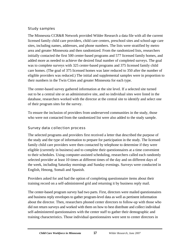#### Study samples

The Minnesota CCR&R Network provided Wilder Research a data file with all the current licensed family child care providers, child care centers, preschool sites and school-age care sites, including names, addresses, and phone numbers. The lists were stratified by metro area and greater Minnesota and then randomized. From the randomized lists, researchers initially contacted the first 500 center-based programs and 577 licensed family homes, and added more as needed to achieve the desired final number of completed surveys. The goal was to complete surveys with 325 center-based programs and 375 licensed family child care homes. (The goal of 375 licensed homes was later reduced to 350 after the number of eligible providers was reduced.) The initial and supplemental samples were in proportion to their numbers in the Twin Cities and greater Minnesota for each type.

The center-based survey gathered information at the site level. If a selected site turned out to be a central site or an administrative site, and no individual sites were listed in the database, researchers worked with the director at the central site to identify and select one of their program sites for the survey.

To ensure the inclusion of providers from underserved communities in the study, those who were not contacted from the randomized list were also added to the study sample.

#### Survey data collection process

The selected programs and providers first received a letter that described the purpose of the study and the type of information to prepare for participation in the study. The licensed family child care providers were then contacted by telephone to determine if they were eligible (currently in business) and to complete their questionnaires at a time convenient to their schedules. Using computer-assisted scheduling, researchers called each randomly selected provider at least 10 times at different times of the day and on different days of the week, including Saturday mornings and Sunday evenings. Surveys were conducted in English, Hmong, Somali and Spanish.

Providers asked for and had the option of completing questionnaire items about their training record on a self-administered grid and returning it by business reply mail.

The center-based program survey had two parts. First, directors were mailed questionnaires and business reply envelopes to gather program-level data as well as pertinent information about the director. Then, researchers phoned center directors to follow-up with those who did not return surveys and worked with them on how to best distribute and collect individual self-administered questionnaires with the center staff to gather their demographic and training characteristics. Those individual questionnaires were sent to center directors in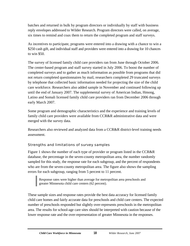batches and returned in bulk by program directors or individually by staff with business reply envelopes addressed to Wilder Research. Program directors were called, on average, six times to remind and coax them to return the completed program and staff surveys.

As incentives to participate, programs were entered into a drawing with a chance to win a \$250 cash gift, and individual staff and providers were entered into a drawing for 10 chances to win \$50.

The survey of licensed family child care providers ran from June through October 2006. The center-based program and staff survey started in July 2006. To boost the number of completed surveys and to gather as much information as possible from programs that did not return completed questionnaires by mail, researchers completed 29 truncated surveys by telephone that collected basic information needed for projecting the size of the child care workforce. Researchers also added sample in November and continued following up until the end of January 2007. The supplemental survey of American Indian, Hmong, Latino and Somali licensed family child care providers ran from December 2006 through early March 2007.

Some program and demographic characteristics and the experience and training levels of family child care providers were available from CCR&R administrative data and were merged with the survey data.

Researchers also reviewed and analyzed data from a CCR&R district-level training needs assessment.

#### Strengths and limitations of survey samples

Figure 1 shows the number of each type of provider or program listed in the CCR&R database, the percentage in the seven-county metropolitan area, the number randomly sampled for this study, the response rate for each subgroup, and the percent of respondents who are from the seven-county metropolitan area. The figure also shows the sampling errors for each subgroup, ranging from 5 percent to 11 percent.

Response rates were higher than average for metropolitan area preschools and greater Minnesota child care centers (62 percent).

These sample sizes and response rates provide the best data accuracy for licensed family child care homes and fairly accurate data for preschools and child care centers. The expected number of preschools responded but slightly over-represents preschools in the metropolitan area. The results for school-age care sites should be interpreted with caution because of the lower response rate and the over-representation of greater Minnesota in the responses.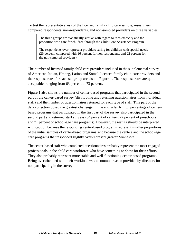To test the representativeness of the licensed family child care sample, researchers compared respondents, non-respondents, and non-sampled providers on three variables.

The three groups are statistically similar with regard to race/ethnicity and the proportion who care for children through the Child Care Assistance Program.

The respondents over-represent providers caring for children with special needs (26 percent, compared with 16 percent for non-respondents and 22 percent for the non-sampled providers).

The number of licensed family child care providers included in the supplemental survey of American Indian, Hmong, Latino and Somali licensed family child care providers and the response rates for each subgroup are also in Figure 1. The response rates are quite acceptable, ranging from 63 percent to 73 percent.

Figure 1 also shows the number of center-based programs that participated in the second part of the center-based survey (distributing and returning questionnaires from individual staff) and the number of questionnaires returned for each type of staff. This part of the data collection posed the greatest challenge. In the end, a fairly high percentage of centerbased programs that participated in the first part of the survey also participated in the second part and returned staff surveys (64 percent of centers, 72 percent of preschools and 71 percent of school-age care programs). However, the results should be interpreted with caution because the responding center-based programs represent smaller proportions of the initial samples of center-based programs, and because the centers and the school-age care programs that responded slightly over-represent greater Minnesota.

The center-based staff who completed questionnaires probably represent the most engaged professionals in the child care workforce who have something to show for their efforts. They also probably represent more stable and well-functioning center-based programs. Being overwhelmed with their workload was a common reason provided by directors for not participating in the survey.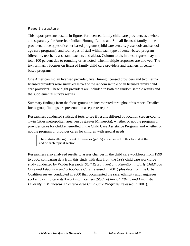#### Report structure

This report presents results in figures for licensed family child care providers as a whole and separately for American Indian, Hmong, Latino and Somali licensed family home providers; three types of center-based programs (child care centers, preschools and schoolage care programs), and four types of staff within each type of center-based program (directors, teachers, assistant teachers and aides). Column totals in these figures may not total 100 percent due to rounding or, as noted, when multiple responses are allowed. The text primarily focuses on licensed family child care providers and teachers in centerbased programs.

One American Indian licensed provider, five Hmong licensed providers and two Latina licensed providers were surveyed as part of the random sample of all licensed family child care providers. These eight providers are included in both the random sample results and the supplemental survey results.

Summary findings from the focus groups are incorporated throughout this report. Detailed focus group findings are presented in a separate report.

Researchers conducted statistical tests to see if results differed by location (seven-county Twin Cities metropolitan area versus greater Minnesota), whether or not the program or provider cares for children enrolled in the Child Care Assistance Program, and whether or not the program or provider cares for children with special needs.

The statistically significant differences  $(p<0.05)$  are indented in this format at the end of each topical section.

Researchers also analyzed results to assess changes in the child care workforce from 1999 to 2006, comparing data from this study with data from the 1999 child care workforce study conducted by Wilder Research (*Staff Recruitment and Retention in Early Childhood Care and Education and School-age Care,* released in 2001) plus data from the Urban Coalition survey conducted in 2000 that documented the race, ethnicity and languages spoken by child care staff working in centers (*Study of Racial, Ethnic and Linguistic Diversity in Minnesota's Center-Based Child Care Programs*, released in 2001).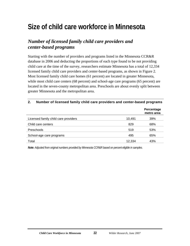# <span id="page-30-0"></span>**Size of child care workforce in Minnesota**

### *Number of licensed family child care providers and center-based programs*

Starting with the number of providers and programs listed in the Minnesota CCR&R database in 2006 and deducting the proportions of each type found to be not providing child care at the time of the survey, researchers estimate Minnesota has a total of 12,334 licensed family child care providers and center-based programs, as shown in Figure 2. Most licensed family child care homes (61 percent) are located in greater Minnesota, while most child care centers (68 percent) and school-age care programs (65 percent) are located in the seven-county metropolitan area. Preschools are about evenly split between greater Minnesota and the metropolitan area.

#### **2. Number of licensed family child care providers and center-based programs**

|                                      |        | Percentage<br>metro area |
|--------------------------------------|--------|--------------------------|
| Licensed family child care providers | 10,491 | 39%                      |
| Child care centers                   | 829    | 68%                      |
| Preschools                           | 519    | 53%                      |
| School-age care programs             | 495    | 65%                      |
| Total                                | 12.334 | 43%                      |

*Note: Adjusted from original numbers provided by Minnesota CCR&R based on percent eligible in samples.*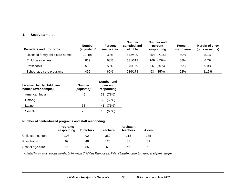#### **1. Study samples**

| <b>Providers and programs</b>    | <b>Number</b><br>(adjusted)* | <b>Percent</b><br>metro area | <b>Number</b><br>sampled and<br>eligible | Number and<br>percent<br>responding | <b>Percent</b><br>metro area | <b>Margin of error</b><br>(plus or minus) |
|----------------------------------|------------------------------|------------------------------|------------------------------------------|-------------------------------------|------------------------------|-------------------------------------------|
| Licensed family child care homes | 10.491                       | 39%                          | 572/499                                  | (71%)<br>354                        | 40%                          | 5.1%                                      |
| Child care centers               | 829                          | 68%                          | 331/318                                  | (53%)<br>169                        | 68%                          | 6.7%                                      |
| Preschools                       | 519                          | 53%                          | 176/159                                  | $(60\%)$<br>96                      | 59%                          | 9.0%                                      |
| School-age care programs         | 495                          | 65%                          | 216/178                                  | (35%)<br>63                         | 52%                          | 11.5%                                     |

| Licensed family child care<br>homes (over-sample) | <b>Number</b><br>(adjusted)* | <b>Number and</b><br>percent<br>responding |
|---------------------------------------------------|------------------------------|--------------------------------------------|
| American Indian                                   | 45                           | (73%)<br>33                                |
| Hmong                                             | 98                           | (63%)<br>62                                |
| Latino                                            | 58                           | (71%)<br>41                                |
| Somali                                            | 20                           | (65%)                                      |

#### **Number of center-based programs and staff responding**

|                    | <b>Programs</b><br>responding | <b>Directors</b> | Teachers | <b>Assistant</b><br>teachers | <b>Aides</b> |
|--------------------|-------------------------------|------------------|----------|------------------------------|--------------|
| Child care centers | 108                           | 92               | 352      | 118                          | 135          |
| <b>Preschools</b>  | 69                            | 48               | 126      | 33                           | 31           |
| School-age care    | 45                            | 55               | 65       | 45                           | 62           |

*\* Adjusted from original numbers provided by Minnesota Child Care Resource and Referral based on percent screened as eligible in sample.*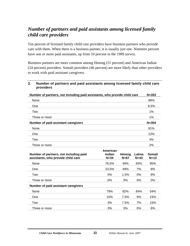### *Number of partners and paid assistants among licensed family child care providers*

Ten percent of licensed family child care providers have business partners who provide care with them. When there is a business partner, it is usually just one. Nineteen percent have one or more paid assistants, up from 10 percent in the 1999 survey.

Business partners are more common among Hmong (51 percent) and American Indian (24 percent) providers. Somali providers (46 percent) are more likely than other providers to work with paid assistant caregivers.

#### **3. Number of partners and paid assistants among licensed family child care providers**

| Number of partners, not including paid assistants, who provide child care | $N = 353$ |
|---------------------------------------------------------------------------|-----------|
| None                                                                      | 89%       |
| One                                                                       | 8.5%      |
| Two                                                                       | 1%        |
| Three or more                                                             | 1%        |
| Number of paid assistant caregivers                                       | $N = 354$ |
| None                                                                      | 81%       |
|                                                                           |           |
| One                                                                       | 13%       |
| Two                                                                       | 4%        |

**American** 

| Number of partners, not including paid<br>assistants, who provide child care | American<br>Indian<br>$N = 34$ | Hmong<br>$N=67$ | Latina<br>$N=43$ | Somali<br>$N=13$ |
|------------------------------------------------------------------------------|--------------------------------|-----------------|------------------|------------------|
| None                                                                         | 76.5%                          | 49%             | 93%              | 85%              |
| One                                                                          | 23.5%                          | 49%             | 7%               | 8%               |
| Two                                                                          | 0%                             | 1.5%            | 0%               | 8%               |
| Three or more                                                                | 0%                             | $0\%$           | 0%               | 0%               |
| Number of paid assistant caregivers                                          |                                |                 |                  |                  |
| None                                                                         | 79%                            | 82%             | 84%              | 54%              |
| One                                                                          | 15%                            | 7.5%            | 9%               | 23%              |
| Two                                                                          | 3%                             | 7.5%            | 7%               | 15%              |
| Three or more                                                                | 3%                             | 3%              | 0%               | 8%               |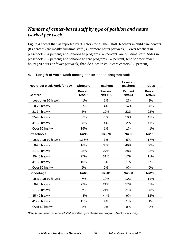### *Number of center-based staff by type of position and hours worked per week*

Figure 4 shows that, as reported by directors for all their staff, teachers in child care centers (83 percent) are mostly full-time staff (35 or more hours per week). Fewer teachers in preschools (34 percent) and school-age programs (48 percent) are full-time staff. Aides in preschools (67 percent) and school-age care programs (62 percent) tend to work fewer hours (20 hours or fewer per week) than do aides in child care centers (36 percent).

| Hours per week work for pay | <b>Directors</b>            | <b>Teachers</b>              | <b>Assistant</b><br>teachers | <b>Aides</b>                |
|-----------------------------|-----------------------------|------------------------------|------------------------------|-----------------------------|
| <b>Centers</b>              | <b>Percent</b><br>$N = 216$ | <b>Percent</b><br>$N = 1118$ | <b>Percent</b><br>$N = 444$  | <b>Percent</b><br>$N = 637$ |
| Less than 10 hrs/wk         | $< 1\%$                     | 1%                           | 2%                           | 8%                          |
| 10-20 hrs/wk                | 2%                          | 4%                           | 14%                          | 28%                         |
| 21-34 hrs/wk                | 6%                          | 12%                          | 22%                          | 22%                         |
| 35-40 hrs/wk                | 37%                         | 78%                          | 59%                          | 41%                         |
| 41-50 hrs/wk                | 38%                         | 4%                           | 2%                           | $< 1\%$                     |
| Over 50 hrs/wk              | 16%                         | 1%                           | 1%                           | $< 1\%$                     |
| <b>Preschools</b>           | $N=96$                      | $N = 270$                    | $N=86$                       | $N = 113$                   |
| Less than 10 hrs/wk         | 12.5%                       | 3%                           | 5%                           | 17%                         |
| 10-20 hrs/wk                | 16%                         | 36%                          | 49%                          | 50%                         |
| 21-34 hrs/wk                | 28%                         | 27%                          | 28%                          | 22%                         |
| 35-40 hrs/wk                | 27%                         | 31%                          | 17%                          | 11%                         |
| 41-50 hrs/wk                | 10%                         | 3%                           | 1%                           | 0%                          |
| Over 50 hrs/wk              | 6%                          | 0%                           | 0%                           | 0%                          |
| School-age                  | $N=60$                      | $N = 281$                    | $N = 300$                    | $N = 236$                   |
| Less than 10 hrs/wk         | 7%                          | 10%                          | 10%                          | 11%                         |
| 10-20 hrs/wk                | 22%                         | 21%                          | 57%                          | 51%                         |
| 21-34 hrs/wk                | 7%                          | 21%                          | 24%                          | 25%                         |
| 35-40 hrs/wk                | 48%                         | 44%                          | 9%                           | 12%                         |
| 41-50 hrs/wk                | 15%                         | 4%                           | 1%                           | 1%                          |
| Over 50 hrs/wk              | 2%                          | 0%                           | 0%                           | 0%                          |

#### **4. Length of work week among center-based program staff**

*Note: Ns represent number of staff reported by center-based program directors in survey.*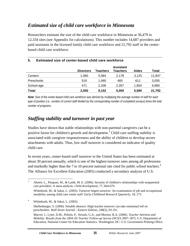# *Estimated size of child care workforce in Minnesota*

Researchers estimate the size of the child care workforce in Minnesota at 36,479 in 12,334 sites (see Appendix for calculations). This number includes 14,687 providers and paid assistants in the licensed family child care workforce and 21,792 staff in the centerbased child care workforce.

|                   | <b>Directors</b> | Teachers | <b>Assistant</b><br><b>Teachers</b> | <b>Aides</b> | Total  |
|-------------------|------------------|----------|-------------------------------------|--------------|--------|
| Centers           | 1.060            | 5.484    | 2.178                               | 3.125        | 11,847 |
| <b>Preschools</b> | 519              | 1.460    | 465                                 | 611          | 3,055  |
| School-age        | 471              | 2.208    | 2,357                               | 1.854        | 6,890  |
| Total             | 2,050            | 9,152    | 5,000                               | 5,590        | 21,792 |

#### **5. Estimated size of center-based child care workforce**

*Note: Size of the center-based child care workforce was derived by multiplying the average number of staff for each type of position (i.e., number of current staff divided by the corresponding number of completed surveys) times the total number of programs.* 

## *Staffing stability and turnover in past year*

Studies have shown that stable relationships with non-parental caregivers can be a positive factor for children's growth and development.<sup>3</sup> Child care staffing stability is associated with caregiver responsiveness and the ability of children to develop secure attachments with adults. Thus, low staff turnover is considered an indicator of quality child care.

In recent years, center-based staff turnover in the United States has been estimated at about 30 percent annually, which is one of the highest turnover rates among all professions and markedly higher than the 7 to 10 percent national rate cited for public school teachers.<sup>4</sup> The Alliance for Excellent Education (2005) conducted a secondary analysis of U.S.

 $\frac{1}{3}$  Ahnert, L., Pinquart, M., & Lamb, M. E. (2006). Security of children's relationships with nonparental care providers: A meta-analysis. *Child development, 77*, 664-679.

Whitebook, M., & Sakai, L. (2003). Turnover begets turnover: An examination of job and occupational instability among child care center staff. *Early Childhood Research Quarterly, 18*, 273.

<sup>4</sup> Whitebook, M., & Sakai, L. (2003).

Shellenbarger, S. (2006). Notable absence: High teacher turnover can take emotional toll on preschoolers. *Wall Street Journal - Eastern Edition, 248*(5), D1-D1.

Marvel, J., Lyter, D.M., Peltola, P., Strizek, G.A., and Morton, B.A. (2006). *Teacher Attrition and Mobility: Results from the 2004–05 Teacher Follow-up Survey* (NCES 2007–307). U.S. Department of Education, National Center for Education Statistics. Washington, DC: U.S. Government Printing Office.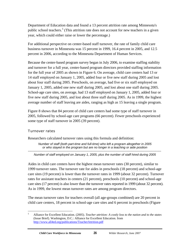Department of Education data and found a 13 percent attrition rate among Minnesota's public school teachers.<sup>5</sup> (This attrition rate does not account for new teachers in a given year, which could either raise or lower the percentage.)

For additional perspective on center-based staff turnover, the rate of family child care business turnover in Minnesota was 15 percent in 1999, 16.4 percent in 2005, and 12.5 percent in 2006, according to the Minnesota Department of Human Services.

Because the center-based program survey began in July 2006, to examine staffing stability and turnover for a full year, center-based program directors provided staffing information for the full year of 2005 as shown in Figure 6. On average, child care centers had 13 or 14 staff employed on January 1, 2005, added four or five new staff during 2005 and lost about four staff during 2005. Preschools, on average, had five or six staff employed on January 1, 2005, added one new staff during 2005, and lost about one staff during 2005. School-age care sites, on average, had 13 staff employed on January 1, 2005, added four or five new staff during 2005, and lost about three staff during 2005. As in 1999, the highest average number of staff leaving are aides, ranging as high as 15 leaving a single program.

Figure 8 shows that 84 percent of child care centers had some type of staff turnover in 2005, followed by school-age care programs (66 percent). Fewer preschools experienced some type of staff turnover in 2005 (39 percent).

#### Turnover rates

Researchers calculated turnover rates using this formula and definition:

*Number of staff (both part-time and full-time) who left a program altogether in 2005 or who stayed in the program but are no longer in a teaching or aide position* 

*--------------------------------------------------------------------------------------------------------------------------------- Number of staff employed on January 1, 2005, plus the number of staff hired during 2005* 

Aides in child care centers have the highest mean turnover rates (30 percent), similar to 1999 turnover rates. The turnover rate for aides in preschools (18 percent) and school-age care sites (19 percent) is lower than the turnover rates in 1999 (about 32 percent). Turnover rates for assistant teachers in centers (21 percent), preschools (10 percent) and school-age care sites (17 percent) is also lower than the turnover rates reported in 1999 (about 32 percent). As in 1999, the lowest mean turnover rates are among program directors.

The mean turnover rates for teachers overall (all age-groups combined) are 20 percent in child care centers, 18 percent in school-age care sites and 6 percent in preschools (Figure

 5 Alliance for Excellent Education. (2005). *Teacher attrition: A costly loss to the nation and to the states* (Issue Brief). Washington, D.C.: Alliance for Excellent Education. from http://www.all4ed.org/publications/TeacherAttrition.pdf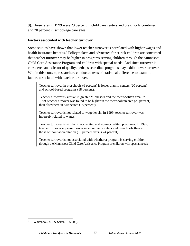9). These rates in 1999 were 23 percent in child care centers and preschools combined and 20 percent in school-age care sites.

#### **Factors associated with teacher turnover**

Some studies have shown that lower teacher turnover is correlated with higher wages and health insurance benefits.<sup>6</sup> Policymakers and advocates for at-risk children are concerned that teacher turnover may be higher in programs serving children through the Minnesota Child Care Assistance Program and children with special needs. And since turnover is considered an indicator of quality, perhaps accredited programs may exhibit lower turnover. Within this context, researchers conducted tests of statistical difference to examine factors associated with teacher turnover.

Teacher turnover in preschools (6 percent) is lower than in centers (20 percent) and school-based programs (18 percent).

Teacher turnover is similar in greater Minnesota and the metropolitan area. In 1999, teacher turnover was found to be higher in the metropolitan area (28 percent) than elsewhere in Minnesota (18 percent).

Teacher turnover is not related to wage levels. In 1999, teacher turnover was inversely related to wages.

Teacher turnover is similar in accredited and non-accredited programs. In 1999, teacher turnover appeared lower in accredited centers and preschools than in those without accreditation (16 percent versus 24 percent).

Teacher turnover is not associated with whether a program is serving children through the Minnesota Child Care Assistance Program or children with special needs.

 $\overline{a}$ 

<sup>6</sup> Whitebook, M., & Sakai, L. (2003).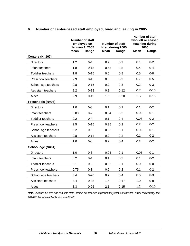|                           | <b>Number of staff</b><br>employed on<br><b>January 1, 2005</b> |          |      | Number of staff<br>hired during 2005 |             | <b>Number of staff</b><br>who left or ceased<br>teaching during<br>2005 |
|---------------------------|-----------------------------------------------------------------|----------|------|--------------------------------------|-------------|-------------------------------------------------------------------------|
|                           | Mean                                                            | Range    | Mean | Range                                | <b>Mean</b> | Range                                                                   |
| Centers (N=167)           |                                                                 |          |      |                                      |             |                                                                         |
| <b>Directors</b>          | 1.2                                                             | $0 - 4$  | 0.2  | $0 - 2$                              | 0.1         | $0 - 2$                                                                 |
| Infant teachers           | 1.8                                                             | $0 - 15$ | 0.45 | $0 - 5$                              | 0.4         | $0 - 4$                                                                 |
| <b>Toddler teachers</b>   | 1.8                                                             | $0 - 15$ | 0.6  | $0 - 8$                              | 0.5         | $0 - 8$                                                                 |
| Preschool teachers        | 2.9                                                             | $0 - 15$ | 0.8  | $0-9$                                | 0.7         | $0-5$                                                                   |
| School age teachers       | 0.8                                                             | $0 - 15$ | 0.2  | $0 - 3$                              | 0.2         | $0 - 3$                                                                 |
| <b>Assistant teachers</b> | 2.2                                                             | $0 - 18$ | 0.8  | $0 - 12$                             | 0.7         | $0 - 10$                                                                |
| Aides                     | 2.9                                                             | $0 - 19$ | 1.5  | $0 - 20$                             | 1.5         | $0 - 15$                                                                |
| Preschools (N=96)         |                                                                 |          |      |                                      |             |                                                                         |
| <b>Directors</b>          | 1.0                                                             | $0 - 3$  | 0.1  | $0 - 2$                              | 0.1         | $0 - 2$                                                                 |
| Infant teachers           | 0.03                                                            | $0 - 2$  | 0.04 | $0 - 2$                              | 0.02        | $0 - 1$                                                                 |
| <b>Toddler teachers</b>   | 0.2                                                             | $0 - 4$  | 0.1  | $0 - 4$                              | 0.03        | $0 - 2$                                                                 |
| Preschool teachers        | 2.5                                                             | $0 - 15$ | 0.25 | $0 - 2$                              | 0.2         | $0 - 2$                                                                 |
| School age teachers       | 0.2                                                             | $0 - 5$  | 0.02 | $0 - 1$                              | 0.02        | $0 - 1$                                                                 |
| Assistant teachers        | 0.8                                                             | $0 - 14$ | 0.2  | $0 - 2$                              | 0.1         | $0 - 2$                                                                 |
| Aides                     | 1.0                                                             | $0 - 8$  | 0.2  | $0 - 4$                              | 0.2         | $0 - 2$                                                                 |
| School-age (N=61)         |                                                                 |          |      |                                      |             |                                                                         |
| <b>Directors</b>          | 1.0                                                             | $0 - 3$  | 0.05 | $0 - 1$                              | 0.05        | $0 - 1$                                                                 |
| Infant teachers           | 0.2                                                             | $0 - 4$  | 0.1  | $0 - 2$                              | 0.1         | $0 - 2$                                                                 |
| <b>Toddler teachers</b>   | 0.1                                                             | $0 - 3$  | 0.02 | $0 - 1$                              | 0.0         | $0-0$                                                                   |
| Preschool teachers        | 0.75                                                            | $0 - 8$  | 0.2  | $0 - 2$                              | 0.1         | $0 - 2$                                                                 |
| School age teachers       | 3.4                                                             | $0 - 20$ | 0.7  | $0 - 4$                              | 0.6         | $0 - 3$                                                                 |
| Assistant teachers        | 4.4                                                             | $0 - 35$ | 1.4  | $0 - 17$                             | 1.0         | $0 - 8$                                                                 |
| Aides                     | 3.3                                                             | $0 - 25$ | 2.1  | $0 - 15$                             | 1.2         | $0 - 10$                                                                |

#### **6. Number of center-based staff employed, hired and leaving in 2005**

*Note: Includes full-time and part-time staff. Floaters are included in position they float to most often. Ns for centers vary from 164-167. Ns for preschools vary from 95-96.*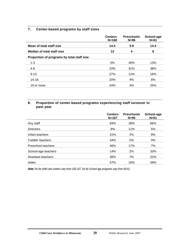#### **7. Center-based programs by staff sizes**

|                                            | <b>Centers</b><br>$N = 168$ | <b>Preschools</b><br>$N=96$ | School-age<br>$N=61$ |
|--------------------------------------------|-----------------------------|-----------------------------|----------------------|
| Mean of total staff size                   | 14.4                        | 5.9                         | 14.4                 |
| <b>Median of total staff size</b>          | 13                          | 4                           | 8                    |
| Proportion of programs by total staff size |                             |                             |                      |
| $1 - 3$                                    | 5%                          | 40%                         | 13%                  |
| $4 - 8$                                    | 23%                         | 41%                         | 38%                  |
| $9 - 13$                                   | 27%                         | 12%                         | 16%                  |
| 14-18                                      | 20%                         | 4%                          | 8%                   |
| 19 or more                                 | 24%                         | 4%                          | 25%                  |

#### **8. Proportion of center-based programs experiencing staff turnover in past year**

|                     | <b>Centers</b><br>$N = 167$ | <b>Preschools</b><br>$N=95$ | School-age<br>$N=61$ |
|---------------------|-----------------------------|-----------------------------|----------------------|
| Any staff           | 84%                         | 39%                         | 66%                  |
| <b>Directors</b>    | 8%                          | 11%                         | 5%                   |
| Infant teachers     | 31%                         | 2%                          | 8%                   |
| Toddler teachers    | 34%                         | 2%                          | $0\%$                |
| Preschool teachers  | 46%                         | 17%                         | 7%                   |
| School-age teachers | 14%                         | 2%                          | 33%                  |
| Assistant teachers  | 38%                         | 7%                          | 32%                  |
| Aides               | 57%                         | 16%                         | 39%                  |

*Note: Ns for child care centers vary from 165-167. Ns for School age programs vary from 60-61.*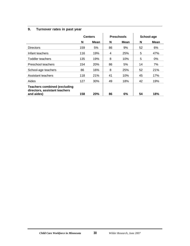#### **9. Turnover rates in past year**

|                                                                                    |     | <b>Centers</b> |    | <b>Preschools</b> |    | School-age  |
|------------------------------------------------------------------------------------|-----|----------------|----|-------------------|----|-------------|
|                                                                                    | N   | Mean           | N  | Mean              | N  | <b>Mean</b> |
| <b>Directors</b>                                                                   | 159 | 5%             | 86 | 9%                | 52 | 6%          |
| Infant teachers                                                                    | 116 | 19%            | 4  | 25%               | 5  | 47%         |
| Toddler teachers                                                                   | 135 | 19%            | 8  | 10%               | 5  | $0\%$       |
| Preschool teachers                                                                 | 154 | 20%            | 86 | 5%                | 14 | 7%          |
| School-age teachers                                                                | 86  | 16%            | 8  | 25%               | 52 | 21%         |
| Assistant teachers                                                                 | 118 | 21%            | 41 | 10%               | 45 | 17%         |
| Aides                                                                              | 127 | 30%            | 49 | 18%               | 42 | 19%         |
| <b>Teachers combined (excluding</b><br>directors, assistant teachers<br>and aides) | 158 | <b>20%</b>     | 86 | 6%                | 54 | 18%         |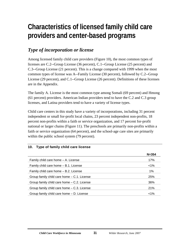# **Characteristics of licensed family child care providers and center-based programs**

# *Type of incorporation or license*

Among licensed family child care providers (Figure 10), the most common types of licenses are C.2--Group License (36 percent), C.1--Group License (25 percent) and C.3--Group License (21 percent). This is a change compared with 1999 when the most common types of license was A--Family License (30 percent), followed by C.2--Group License (29 percent), and C.1--Group License (26 percent). Definitions of these licenses are in the Appendix.

The family A. License is the most common type among Somali (69 percent) and Hmong (61 percent) providers. American Indian providers tend to have the C.2 and C.3 group licenses, and Latina providers tend to have a variety of license types.

Child care centers in this study have a variety of incorporations, including 31 percent independent or small for-profit local chains, 23 percent independent non-profits, 18 percent non-profits within a faith or service organization, and 17 percent for-profit national or larger chains (Figure 11). The preschools are primarily non-profits within a faith or service organization (64 percent), and the school-age care sites are primarily within the public school system (79 percent).

#### **10. Type of family child care license**

|                                               | $N = 354$ |
|-----------------------------------------------|-----------|
| Family child care home - A. License           | 17%       |
| Family child care home – B.1. License         | $< 1\%$   |
| Family child care home – B.2. License         | 1%        |
| Group family child care home – C.1. License   | 25%       |
| Group family child care home – C.2. License   | 36%       |
| Group family child care home $-$ C.3. License | 21%       |
| Group family child care home – D. License     | $< 1\%$   |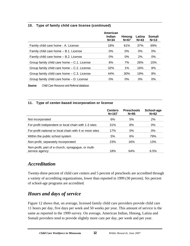#### **10. Type of family child care license (continued)**

| Somali<br>$N=13$ |
|------------------|
| 69%              |
| $0\%$            |
| $0\%$            |
| 15%              |
| 8%               |
| 8%               |
| $0\%$            |
|                  |

*Source: Child Care Resource and Referral database.* 

#### **11. Type of center-based incorporation or license**

|                                                                      | <b>Centers</b><br>$N = 167$ | <b>Preschools</b><br>$N=95$ | School-age<br>$N=62$ |
|----------------------------------------------------------------------|-----------------------------|-----------------------------|----------------------|
| Not incorporated                                                     | 6%                          | 5%                          | 2%                   |
| For-profit independent or local chain with 1-3 sites                 | 31%                         | 8%                          | $0\%$                |
| For-profit national or local chain with 4 or more sites              | 17%                         | $0\%$                       | $0\%$                |
| Within the public school system                                      | 5%                          | 6%                          | 79%                  |
| Non-profit, separately incorporated                                  | 23%                         | 16%                         | 13%                  |
| Non-profit, part of a church, synagogue, or multi-<br>service agency | 18%                         | 64%                         | 6.5%                 |

### *Accreditation*

Twenty-three percent of child care centers and 5 percent of preschools are accredited through a variety of accrediting organizations, lower than reported in 1999 (30 percent). Six percent of school-age programs are accredited.

# *Hours and days of service*

Figure 12 shows that, on average, licensed family child care providers provide child care 11 hours per day, five days per week and 50 weeks per year. This amount of service is the same as reported in the 1999 survey. On average, American Indian, Hmong, Latina and Somali providers tend to provide slightly more care per day, per week and per year.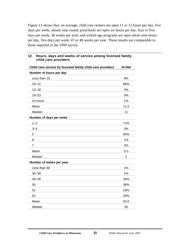Figure 13 shows that, on average, child care centers are open 11 or 12 hours per day, five days per week, almost year round; preschools are open six hours per day, four or five days per week, 38 weeks per year; and school-age programs are open about nine hours per day, five days per week, 47 or 48 weeks per year. These results are comparable to those reported in the 1999 survey.

| Child care service by licensed family child care providers | $N = 354$ |
|------------------------------------------------------------|-----------|
| Number of hours per day                                    |           |
| Less than 10                                               | 8%        |
| $10 - 12$                                                  | 86%       |
| $13 - 18$                                                  | 4%        |
| $19 - 23$                                                  | 0%        |
| 24 hours                                                   | 1%        |
| Mean                                                       | 11.0      |
| Median                                                     | 11        |
| Number of days per week                                    |           |
| $1 - 2$                                                    | $< 1\%$   |
| $3 - 4$                                                    | 3%        |
| 5                                                          | 95%       |
| 6                                                          | 1%        |
| $\overline{7}$                                             | 2%        |
| Mean                                                       | 5.0       |
| Median                                                     | 5         |
| Number of weeks per year                                   |           |
| Less than 30                                               | 1%        |
| $30 - 39$                                                  | 1%        |
| $40 - 49$                                                  | 16%       |
| 50                                                         | 36%       |
| 51                                                         | 18%       |
| 52                                                         | 29%       |
| Mean                                                       | 50.0      |
| Median                                                     | 50        |

#### **12. Hours, days and weeks of service among licensed family child care providers**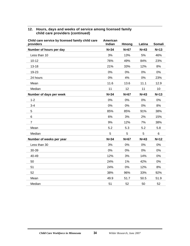#### **12. Hours, days and weeks of service among licensed family child care providers (continued)**

| Child care service by licensed family child care<br>providers | American<br>Indian | Hmong  | Latina | <b>Somali</b> |
|---------------------------------------------------------------|--------------------|--------|--------|---------------|
| Number of hours per day                                       | $N = 34$           | $N=67$ | $N=43$ | $N=13$        |
| Less than 10                                                  | 3%                 | 13%    | 5%     | 46%           |
| $10 - 12$                                                     | 76%                | 49%    | 84%    | 23%           |
| $13 - 18$                                                     | 21%                | 33%    | 12%    | 8%            |
| 19-23                                                         | 0%                 | 0%     | 0%     | 0%            |
| 24 hours                                                      | 0%                 | 4%     | 0%     | 23%           |
| Mean                                                          | 11.6               | 13.6   | 11.1   | 12.9          |
| Median                                                        | 11                 | 12     | 11     | 10            |
| Number of days per week                                       | $N=34$             | $N=67$ | $N=43$ | $N=13$        |
| $1 - 2$                                                       | 0%                 | 0%     | 0%     | 0%            |
| $3 - 4$                                                       | 0%                 | 0%     | 0%     | 8%            |
| 5                                                             | 85%                | 85%    | 91%    | 38%           |
| 6                                                             | 6%                 | 3%     | 2%     | 15%           |
| $\overline{7}$                                                | 9%                 | 12%    | 7%     | 38%           |
| Mean                                                          | 5.2                | 5.3    | 5.2    | 5.8           |
| Median                                                        | 5                  | 5      | 5      | 6             |
| Number of weeks per year                                      | $N=34$             | $N=67$ | $N=43$ | $N=12$        |
| Less than 30                                                  | 3%                 | 0%     | 0%     | 0%            |
| 30-39                                                         | 0%                 | 0%     | 0%     | 0%            |
| 40-49                                                         | 12%                | 3%     | 14%    | 0%            |
| 50                                                            | 24%                | 1%     | 42%    | 0%            |
| 51                                                            | 24%                | 0%     | 12%    | 8%            |
| 52                                                            | 38%                | 96%    | 33%    | 92%           |
| Mean                                                          | 49.9               | 51.7   | 50.5   | 51.9          |
| Median                                                        | 51                 | 52     | 50     | 52            |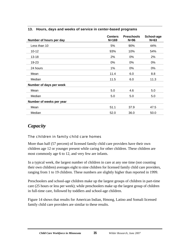| Number of hours per day  | <b>Centers</b><br>$N = 169$ | <b>Preschools</b><br>$N=96$ | School-age<br>$N=63$ |
|--------------------------|-----------------------------|-----------------------------|----------------------|
| Less than 10             | 5%                          | 90%                         | 44%                  |
| $10 - 12$                | 93%                         | 10%                         | 54%                  |
| $13 - 18$                | 2%                          | 0%                          | 2%                   |
| 19-23                    | 0%                          | 0%                          | 0%                   |
| 24 hours                 | 1%                          | 0%                          | 0%                   |
| Mean                     | 11.4                        | 6.0                         | 8.8                  |
| Median                   | 11.5                        | 6.0                         | 11.3                 |
| Number of days per week  |                             |                             |                      |
| Mean                     | 5.0                         | 4.6                         | 5.0                  |
| Median                   | 5.0                         | 5.0                         | 5.0                  |
| Number of weeks per year |                             |                             |                      |
| Mean                     | 51.1                        | 37.9                        | 47.5                 |
| Median                   | 52.0                        | 36.0                        | 50.0                 |

#### **13. Hours, days and weeks of service in center-based programs**

### *Capacity*

#### The children in family child care homes

More than half (57 percent) of licensed family child care providers have their own children age 12 or younger present while caring for other children. These children are most commonly age 6 to 12, and very few are infants.

In a typical week, the largest number of children in care at any one time (not counting their own children) averages eight to nine children for licensed family child care providers, ranging from 1 to 19 children. These numbers are slightly higher than reported in 1999.

Preschoolers and school-age children make up the largest groups of children in part-time care (25 hours or less per week); while preschoolers make up the largest group of children in full-time care, followed by toddlers and school-age children.

Figure 14 shows that results for American Indian, Hmong, Latino and Somali licensed family child care providers are similar to these results.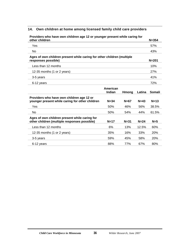#### **14. Own children at home among licensed family child care providers**

| Floviders who have own children age iz or younger present while caring for<br>other children  |                    |              |        | $N = 354$     |
|-----------------------------------------------------------------------------------------------|--------------------|--------------|--------|---------------|
| Yes                                                                                           |                    |              |        | 57%           |
| No.                                                                                           |                    |              |        | 43%           |
| Ages of own children present while caring for other children (multiple<br>responses possible) |                    |              |        | $N = 201$     |
| Less than 12 months                                                                           |                    |              |        | 10%           |
| 12-35 months (1 or 2 years)                                                                   |                    |              |        | 27%           |
| 3-5 years                                                                                     |                    |              |        | 41%           |
| 6-12 years                                                                                    |                    |              |        | 72%           |
|                                                                                               | American<br>Indian | <b>Hmong</b> | Latina | <b>Somali</b> |
| Providers who have own children age 12 or<br>younger present while caring for other children  | $N = 34$           | $N=67$       | $N=43$ | $N=13$        |
| Yes                                                                                           | 50%                | 46%          | 56%    | 38.5%         |
| <b>No</b>                                                                                     | 50%                | 54%          | 44%    | 61.5%         |
| Ages of own children present while caring for<br>other children (multiple responses possible) | $N=17$             | $N = 31$     | $N=24$ | $N=5$         |
| Less than 12 months                                                                           | 6%                 | 13%          | 12.5%  | 60%           |
| 12-35 months (1 or 2 years)                                                                   | 35%                | 16%          | 33%    | 20%           |
| 3-5 years                                                                                     | 59%                | 45%          | 58%    | 20%           |
| 6-12 years                                                                                    | 88%                | 77%          | 67%    | 80%           |

**Providers who have own children age 12 or younger present while caring for**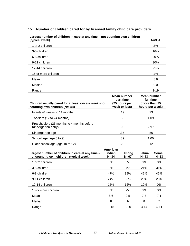#### **15. Number of children cared for by licensed family child care providers**

| (typical week)                                                                        |                                                            | $N = 354$                                                    |
|---------------------------------------------------------------------------------------|------------------------------------------------------------|--------------------------------------------------------------|
| 1 or 2 children                                                                       |                                                            | 2%                                                           |
| 3-5 children                                                                          |                                                            | 16%                                                          |
| 6-8 children                                                                          |                                                            | 30%                                                          |
| 9-11 children                                                                         |                                                            | 30%                                                          |
| 12-14 children                                                                        |                                                            | 21%                                                          |
| 15 or more children                                                                   |                                                            | 1%                                                           |
| Mean                                                                                  |                                                            | 8.6                                                          |
| Median                                                                                |                                                            | 9.0                                                          |
| Range                                                                                 |                                                            | $1 - 19$                                                     |
|                                                                                       |                                                            |                                                              |
| Children usually cared for at least once a week--not<br>counting own children (N=354) | Mean number<br>part time<br>(25 hours per<br>week or less) | Mean number<br>full time<br>(more than 25<br>hours per week) |
| Infants (6 weeks to 11 months)                                                        | .19                                                        | .73                                                          |
| Toddlers (12 to 24 months)                                                            | .38                                                        | 1.09                                                         |
| Preschoolers (25 months to 4 months before<br>Kindergarten entry)                     | .98                                                        | 2.97                                                         |
| Kindergarten age                                                                      | .35                                                        | .56                                                          |
| School age (age 6 to 9)                                                               | .89                                                        | 1.00                                                         |
| Older school age (age 10 to 12)                                                       | .20                                                        | .12                                                          |

### **Largest number of children in care at any time – not counting own children**

| Largest number of children in care at any time -<br>not counting own children (typical week) | American<br>Indian<br>$N = 34$ | Hmong<br>$N=67$ | Latina<br>$N=43$ | Somali<br>$N=13$ |
|----------------------------------------------------------------------------------------------|--------------------------------|-----------------|------------------|------------------|
| 1 or 2 children                                                                              | 3%                             | 0%              | $0\%$            | 0%               |
| 3-5 children                                                                                 | 9%                             | 7%              | 21%              | 31%              |
| 6-8 children                                                                                 | 47%                            | 39%             | 42%              | 46%              |
| 9-11 children                                                                                | 24%                            | 30%             | 26%              | 23%              |
| 12-14 children                                                                               | 15%                            | 16%             | 12%              | 0%               |
| 15 or more children                                                                          | 3%                             | 7%              | $0\%$            | $0\%$            |
| Mean                                                                                         | 8.6                            | 9.5             | 7.7              | 7.1              |
| Median                                                                                       | 8                              | 9               | 8                | 7                |
| Range                                                                                        | $1 - 18$                       | $3-20$          | $3 - 14$         | 4-11             |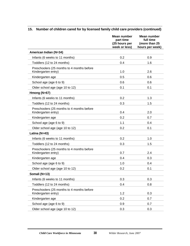|                                                                   | Mean number<br>part time<br>(25 hours per<br>week or less) | Mean number<br>full time<br>(more than 25<br>hours per week) |
|-------------------------------------------------------------------|------------------------------------------------------------|--------------------------------------------------------------|
| American Indian (N=34)                                            |                                                            |                                                              |
| Infants (6 weeks to 11 months)                                    | 0.2                                                        | 0.9                                                          |
| Toddlers (12 to 24 months)                                        | 0.4                                                        | 1.6                                                          |
| Preschoolers (25 months to 4 months before<br>Kindergarten entry) | 1.0                                                        | 2.6                                                          |
| Kindergarten age                                                  | 0.5                                                        | 0.6                                                          |
| School age (age 6 to 9)                                           | 0.6                                                        | 0.6                                                          |
| Older school age (age 10 to 12)                                   | 0.1                                                        | 0.1                                                          |
| Hmong $(N=67)$                                                    |                                                            |                                                              |
| Infants (6 weeks to 11 months)                                    | 0.2                                                        | 1.3                                                          |
| Toddlers (12 to 24 months)                                        | 0.3                                                        | 1.5                                                          |
| Preschoolers (25 months to 4 months before<br>Kindergarten entry) | 0.4                                                        | 2.0                                                          |
| Kindergarten age                                                  | 0.2                                                        | 0.7                                                          |
| School age (age 6 to 9)                                           | 1.1                                                        | 0.4                                                          |
| Older school age (age 10 to 12)                                   | 0.2                                                        | 0.1                                                          |
| Latina (N=43)                                                     |                                                            |                                                              |
| Infants (6 weeks to 11 months)                                    | 0.2                                                        | 1.0                                                          |
| Toddlers (12 to 24 months)                                        | 0.3                                                        | 1.5                                                          |
| Preschoolers (25 months to 4 months before<br>Kindergarten entry) | 0.7                                                        | 2.4                                                          |
| Kindergarten age                                                  | 0.4                                                        | 0.3                                                          |
| School age (age 6 to 9)                                           | 1.0                                                        | 0.4                                                          |
| Older school age (age 10 to 12)                                   | 0.2                                                        | 0.1                                                          |
| Somali (N=13)                                                     |                                                            |                                                              |
| Infants (6 weeks to 11 months)                                    | 0.3                                                        | 0.3                                                          |
| Toddlers (12 to 24 months)                                        | 0.4                                                        | 0.8                                                          |
| Preschoolers (25 months to 4 months before<br>Kindergarten entry) | 1.2                                                        | 0.3                                                          |
| Kindergarten age                                                  | 0.2                                                        | 0.7                                                          |
| School age (age 6 to 9)                                           | 0.9                                                        | 0.7                                                          |
| Older school age (age 10 to 12)                                   | 0.3                                                        | 0.3                                                          |

### **15. Number of children cared for by licensed family child care providers (continued)**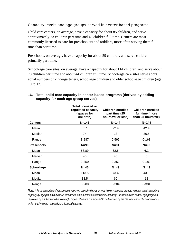#### Capacity levels and age groups served in center-based programs

Child care centers, on average, have a capacity for about 85 children, and serve approximately 23 children part time and 42 children full time. Centers are most commonly licensed to care for preschoolers and toddlers, more often serving them full time than part time.

Preschools, on average, have a capacity for about 59 children, and serve children primarily part time.

School-age care sites, on average, have a capacity for about 114 children, and serve about 73 children part time and about 44 children full time. School-age care sites serve about equal numbers of kindergarteners, school-age children and older school-age children (age 10 to 12).

|                   | <b>Total licensed or</b><br>regulated capacity<br>(spaces for<br>children) | Children enrolled<br>part time (25<br>hours/wk or less) | Children enrolled<br>full time (more<br>than 25 hours/wk) |
|-------------------|----------------------------------------------------------------------------|---------------------------------------------------------|-----------------------------------------------------------|
| Centers           | $N = 143$                                                                  | $N = 144$                                               | $N = 144$                                                 |
| Mean              | 85.1                                                                       | 22.9                                                    | 42.4                                                      |
| Median            | 74                                                                         | 13                                                      | 36.5                                                      |
| Range             | 8-287                                                                      | 0-595                                                   | $0 - 168$                                                 |
| <b>Preschools</b> | $N=90$                                                                     | $N=91$                                                  | $N=90$                                                    |
| Mean              | 58.89                                                                      | 62.5                                                    | 6.2                                                       |
| Median            | 40                                                                         | 40                                                      | 0                                                         |
| Range             | $0 - 350$                                                                  | $0 - 350$                                               | $0 - 180$                                                 |
| School-age        | $N=46$                                                                     | $N=49$                                                  | $N=49$                                                    |
| Mean              | 113.5                                                                      | 73.4                                                    | 43.9                                                      |
| Median            | 88.5                                                                       | 60                                                      | 12                                                        |
| Range             | $0 - 900$                                                                  | $0 - 304$                                               | $0 - 304$                                                 |

#### **16. Total child care capacity in center-based programs (derived by adding capacity for each age group served)**

*Note: A large proportion of respondents reported capacity figures across two or more age groups, which prevents reporting capacity by age groups but allows responses to be summed to derive total capacity. Preschools and school-age programs regulated by a school or other oversight organization are not required to be licensed by the Department of Human Services, which is why some reported zero licensed capacity.*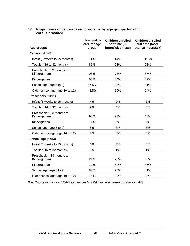| 17. Proportions of center-based programs by age groups for which |
|------------------------------------------------------------------|
| care is provided                                                 |

|                                            | <b>Licensed to</b><br>care for age | <b>Children enrolled</b><br>part time (25 | <b>Children enrolled</b><br>full time (more |
|--------------------------------------------|------------------------------------|-------------------------------------------|---------------------------------------------|
| Age groups                                 | group                              | hours/wk or less)                         | than 25 hours/wk)                           |
| Centers (N=148)                            |                                    |                                           |                                             |
| Infant (6 weeks to 15 months)              | 74%                                | 44%                                       | 68.5%                                       |
| Toddler (16 to 32 months)                  | 86%                                | 63%                                       | 78%                                         |
| Preschooler (33 months to<br>Kindergarten) | 98%                                | 73%                                       | 87%                                         |
| Kindergarten                               | 63%                                | 34%                                       | 39%                                         |
| School age (age 6 to 9)                    | 57.5%                              | 35%                                       | 31%                                         |
| Older school age (age 10 to 12)            | 43.5%                              | 19%                                       | 14%                                         |
| Preschools (N=91)                          |                                    |                                           |                                             |
| Infant (6 weeks to 15 months)              | 4%                                 | 2%                                        | 3%                                          |
| Toddler (16 to 32 months)                  | 9%                                 | 4%                                        | 4%                                          |
| Preschooler (33 months to<br>Kindergarten) | 98%                                | 93%                                       | 13%                                         |
| Kindergarten                               | 11%                                | 8%                                        | 3%                                          |
| School age (age 6 to 9)                    | 8%                                 | 3%                                        | 3%                                          |
| Older school age (age 10 to 12)            | 7%                                 | 3%                                        | 3%                                          |
| School-age (N=53)                          |                                    |                                           |                                             |
| Infant (6 weeks to 15 months)              | 6%                                 | 6%                                        | 4%                                          |
| Toddler (16 to 32 months)                  | 6%                                 | 4%                                        | 4%                                          |
| Preschooler (33 months to<br>Kindergarten) | 21%                                | 20%                                       | 18%                                         |
| Kindergarten                               | 79%                                | 84%                                       | 45%                                         |
| School age (age 6 to 9)                    | 83%                                | 90%                                       | 41%                                         |
| Older school age (age 10 to 12)            | 76%                                | 84%                                       | 35%                                         |

*Note: Ns for centers vary from 128-148, for preschools from 90-91, and for school-age programs from 46-53.*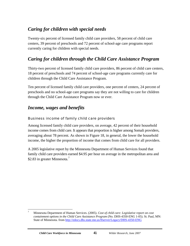# *Caring for children with special needs*

Twenty-six percent of licensed family child care providers, 58 percent of child care centers, 39 percent of preschools and 72 percent of school-age care programs report currently caring for children with special needs.

# *Caring for children through the Child Care Assistance Program*

Thirty-two percent of licensed family child care providers, 86 percent of child care centers, 18 percent of preschools and 74 percent of school-age care programs currently care for children through the Child Care Assistance Program.

Ten percent of licensed family child care providers, one percent of centers, 24 percent of preschools and no school-age care programs say they are not willing to care for children through the Child Care Assistance Program now or ever.

### *Income, wages and benefits*

#### Business income of family child care providers

Among licensed family child care providers, on average, 42 percent of their household income comes from child care. It appears that proportion is higher among Somali providers, averaging about 78 percent. As shown in Figure 18, in general, the lower the household income, the higher the proportion of income that comes from child care for all providers.

A 2005 legislative report by the Minnesota Department of Human Services found that family child care providers earned \$4.95 per hour on average in the metropolitan area and \$2.83 in greater Minnesota.<sup>7</sup>

 $\overline{a}$ 7 Minnesota Department of Human Services. (2005). *Cost of child care: Legislative report on cost containment options in the Child Care Assistance Program* (No. DHS-4350-ENG 1-05). St. Paul, MN: State of Minnesota. from http://edocs.dhs.state.mn.us/lfserver/Legacy/DHS-4350-ENG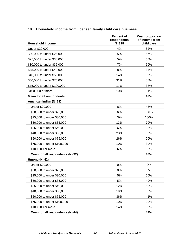|                                 | <b>Percent of</b><br>respondents | <b>Mean proportion</b><br>of income from |
|---------------------------------|----------------------------------|------------------------------------------|
| <b>Household income</b>         | $N = 318$                        | child care                               |
| Under \$20,000                  | 4%                               | 82%                                      |
| \$20,000 to under \$25,000      | 5%                               | 67%                                      |
| \$25,000 to under \$30,000      | 5%                               | 50%                                      |
| \$30,000 to under \$35,000      | 7%                               | 50%                                      |
| \$35,000 to under \$40,000      | 8%                               | 34%                                      |
| \$40,000 to under \$50,000      | 14%                              | 39%                                      |
| \$50,000 to under \$75,000      | 31%                              | 38%                                      |
| \$75,000 to under \$100,000     | 17%                              | 38%                                      |
| \$100,000 or more               | 10%                              | 31%                                      |
| <b>Mean for all respondents</b> |                                  | 42%                                      |
| American Indian (N=31)          |                                  |                                          |
| Under \$20,000                  | 6%                               | 43%                                      |
| \$20,000 to under \$25,000      | 6%                               | 100%                                     |
| \$25,000 to under \$30,000      | 3%                               | 100%                                     |
| \$30,000 to under \$35,000      | 13%                              | 70%                                      |
| \$35,000 to under \$40,000      | 6%                               | 23%                                      |
| \$40,000 to under \$50,000      | 23%                              | 63%                                      |
| \$50,000 to under \$75,000      | 26%                              | 20%                                      |
| \$75,000 to under \$100,000     | 10%                              | 39%                                      |
| \$100,000 or more               | 6%                               | 35%                                      |
| Mean for all respondents (N=32) |                                  | 48%                                      |
| Hmong (N=42)                    |                                  |                                          |
| Under \$20,000                  | 0%                               | 0%                                       |
| \$20,000 to under \$25,000      | 0%                               | 0%                                       |
| \$25,000 to under \$30,000      | 5%                               | 50%                                      |
| \$30,000 to under \$35,000      | 5%                               | 40%                                      |
| \$35,000 to under \$40,000      | 12%                              | 50%                                      |
| \$40,000 to under \$50,000      | 19%                              | 56%                                      |
| \$50,000 to under \$75,000      | 36%                              | 41%                                      |
| \$75,000 to under \$100,000     | 10%                              | 29%                                      |
| \$100,000 or more               | 14%                              | 58%                                      |
| Mean for all respondents (N=44) |                                  | 47%                                      |

#### **18. Household income from licensed family child care business**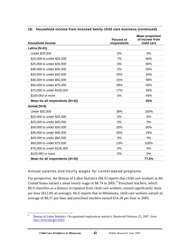| <b>Household income</b>         | <b>Percent of</b><br>respondents | <b>Mean proportion</b><br>of income from<br>child care |
|---------------------------------|----------------------------------|--------------------------------------------------------|
| Latina (N=41)                   |                                  |                                                        |
| Under \$20,000                  | 0%                               | 0%                                                     |
| \$20,000 to under \$25,000      | 7%                               | 66%                                                    |
| \$25,000 to under \$30,000      | 5%                               | 90%                                                    |
| \$30,000 to under \$35,000      | 2%                               | 50%                                                    |
| \$35,000 to under \$40,000      | 20%                              | 40%                                                    |
| \$40,000 to under \$50,000      | 15%                              | 48%                                                    |
| \$50,000 to under \$75,000      | 29%                              | 40%                                                    |
| \$75,000 to under \$100,000     | 17%                              | 35%                                                    |
| \$100,000 or more               | 5%                               | 45%                                                    |
| Mean for all respondents (N=42) |                                  | 45%                                                    |
| Somali (N=8)                    |                                  |                                                        |
| Under \$20,000                  | 38%                              | 100%                                                   |
| \$20,000 to under \$25,000      | 0%                               | 0%                                                     |
| \$25,000 to under \$30,000      | 0%                               | 0%                                                     |
| \$30,000 to under \$35,000      | 25%                              | 85%                                                    |
| \$35,000 to under \$40,000      | 25%                              | 25%                                                    |
| \$40,000 to under \$50,000      | 0%                               | 0%                                                     |
| \$50,000 to under \$75,000      | 13%                              | 100%                                                   |
| \$75,000 to under \$100,000     | 0%                               | $0\%$                                                  |
| \$100,000 or more               | 0%                               | 0%                                                     |
| Mean for all respondents (N=10) |                                  | 77.5%                                                  |

#### **18. Household income from licensed family child care business (continued)**

#### Annual salaries and hourly wages for center-based programs

For perspective, the Bureau of Labor Statistics (BLS) reports that child care workers in the United States earned a mean hourly wage of \$8.74 in 2005.<sup>8</sup> Preschool teachers, which BLS classifies as a distinct occupation from child care workers, earned significantly more per hour (\$12.09 on average). BLS reports that in Minnesota, child care workers earned an average of \$8.57 per hour and preschool teachers earned \$14.38 per hour in 2005.

 $\overline{a}$ 

<sup>8</sup> Bureau of Labor Statistics. *Occupational employment statistics.* Retrieved February 22, 2007, from http://www.bls.gov/OES/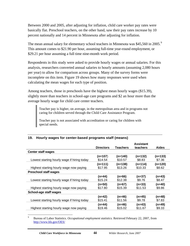Between 2000 and 2005, after adjusting for inflation, child care worker pay rates were basically flat. Preschool teachers, on the other hand, saw their pay rates increase by 10 percent nationally and 14 percent in Minnesota after adjusting for inflation.

The mean annual salary for elementary school teachers in Minnesota was \$45,560 in 2005.<sup>9</sup> This amount comes to \$21.90 per hour, assuming full-time year-round employment, or \$29.21 per hour assuming a full time nine-month work period.

Respondents in this study were asked to provide hourly wages or annual salaries. For this analysis, researchers converted annual salaries to hourly amounts (assuming 2,080 hours per year) to allow for comparison across groups. Many of the survey forms were incomplete on this item. Figure 19 shows how many responses were used when calculating the mean wages for each type of position.

Among teachers, those in preschools have the highest mean hourly wages (\$15.39), slightly more than teachers in school-age care programs and \$2 an hour more than the average hourly wage for child care center teachers.

Teacher pay is higher, on average, in the metropolitan area and in programs not caring for children served through the Child Care Assistance Program.

Teacher pay is not associated with accreditation or caring for children with special needs.

|                                             |                    |                     | <b>Assistant</b>    |                     |
|---------------------------------------------|--------------------|---------------------|---------------------|---------------------|
|                                             | <b>Directors</b>   | <b>Teachers</b>     | teachers            | <b>Aides</b>        |
| <b>Center staff wages</b>                   |                    |                     |                     |                     |
| Lowest starting hourly wage if hiring today | (n=107)<br>\$14.54 | (n=140)<br>\$10.57  | $(n=132)$<br>\$8.83 | $(n=133)$<br>\$7.36 |
|                                             | (n=111)            | $(n=138)$           | $(n=114)$           | $(n=120)$           |
| Highest starting hourly wage now paying     | \$17.95            | \$13.26             | \$10.33             | \$8.62              |
| <b>Preschool staff wages</b>                |                    |                     |                     |                     |
| Lowest starting hourly wage if hiring today | (n=44)<br>\$15.24  | (n=66)<br>\$12.38   | (n=37)<br>\$9.76    | (n=43)<br>\$8.47    |
| Highest starting hourly wage now paying     | (n=50)<br>\$17.80  | $(n=67)$<br>\$15.39 | (n=33)<br>\$11.53   | $(n=40)$<br>\$9.86  |
| School-age staff wages                      |                    |                     |                     |                     |
| Lowest starting hourly wage if hiring today | (n=42)<br>\$15.41  | (n=46)<br>\$11.56   | (n=45)<br>\$9.78    | $(n=48)$<br>\$7.83  |
| Highest starting hourly wage now paying     | (n=44)<br>\$19.46  | (n=46)<br>\$15.02   | (n=43)<br>\$11.67   | $(n=49)$<br>\$9.33  |

#### **19. Hourly wages for center-based programs staff (means)**

9 Bureau of Labor Statistics. *Occupational employment statistics.* Retrieved February 22, 2007, from http://www.bls.gov/OES/

 $\overline{a}$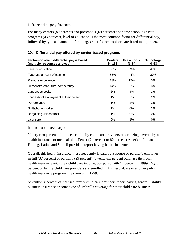#### Differential pay factors

For many centers (80 percent) and preschools (69 percent) and some school-age care programs (43 percent), level of education is the most common factor for differential pay, followed by type and amount of training. Other factors explored are listed in Figure 20.

#### **Factors on which differential pay is based (multiple responses allowed) Centers N=168 Preschools N=94 School-age N=63**  Level of education and the set of the set of education and the set of the set of education and the set of the s Type and amount of training 55% 44% 37% Previous experience and the set of the 13% 12% 12% 5% Demonstrated cultural competency and the computation of the state of the state of the state of the state of the state of the state of the state of the state of the state of the state of the state of the state of the state Languages spoken and the set of the set of the set of the set of the set of the set of the set of the set of t Longevity of employment at their center 1% 1% 3% 3% 2% Performance 1% 2% 2% Shifts/hours worked and the control of the control of the control of the control of the control of the control of the control of the control of the control of the control of the control of the control of the control of the Bargaining unit contract and the contract the contract of the contract of the contract of the contract of the contract of the contract of the contract of the contract of the contract of the contract of the contract of the Licensure 0% 1% 0%

#### **20. Differential pay offered by center-based programs**

#### Insurance coverage

Ninety-two percent of all licensed family child care providers report being covered by a health insurance or medical plan. Fewer (74 percent to 82 percent) American Indian, Hmong, Latina and Somali providers report having health insurance.

Overall, this health insurance most frequently is paid by a spouse or partner's employer in full (37 percent) or partially (29 percent). Twenty-six percent purchase their own health insurance with their child care income, compared with 14 percent in 1999. Eight percent of family child care providers are enrolled in MinnesotaCare or another public health insurance program, the same as in 1999.

Seventy-six percent of licensed family child care providers report having general liability business insurance or some type of umbrella coverage for their child care business.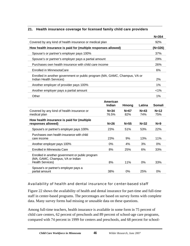#### **21. Health insurance coverage for licensed family child care providers**

|                                                                                                                 |                    |               |               | $N = 354$     |  |  |  |  |
|-----------------------------------------------------------------------------------------------------------------|--------------------|---------------|---------------|---------------|--|--|--|--|
| Covered by any kind of health insurance or medical plan                                                         |                    |               |               | 92%           |  |  |  |  |
| How health insurance is paid for (multiple responses allowed)                                                   |                    |               |               | $(N=326)$     |  |  |  |  |
| Spouse's or partner's employer pays 100%                                                                        |                    |               |               | 37%           |  |  |  |  |
| Spouse's or partner's employer pays a partial amount                                                            |                    |               |               | 29%           |  |  |  |  |
| Purchases own health insurance with child care income                                                           |                    |               |               | 26%           |  |  |  |  |
| Enrolled in MinnesotaCare                                                                                       |                    |               |               |               |  |  |  |  |
| Enrolled in another government or public program (MA, GAMC, Champus, VA or<br>Indian Health Services)           |                    |               |               |               |  |  |  |  |
| Another employer of provider pays 100%                                                                          |                    |               |               |               |  |  |  |  |
| Another employer pays a partial amount                                                                          |                    |               |               |               |  |  |  |  |
| Other                                                                                                           |                    |               |               |               |  |  |  |  |
|                                                                                                                 | American<br>Indian | Hmong         | Latina        | Somali        |  |  |  |  |
| Covered by any kind of health insurance or<br>medical plan                                                      | $N = 34$<br>76.5%  | $N=67$<br>82% | $N=43$<br>74% | $N=12$<br>75% |  |  |  |  |
| How health insurance is paid for (multiple<br>responses allowed)                                                | $N=26$             | $N=55$        | $N = 32$      | $N=9$         |  |  |  |  |
| Spouse's or partner's employer pays 100%                                                                        | 23%                | 51%           | 53%           | 22%           |  |  |  |  |
| Purchases own health insurance with child<br>care income                                                        | 23%                | 9%            | 13%           | 11%           |  |  |  |  |
| Another employer pays 100%                                                                                      | 0%                 | 4%            | 3%            | 0%            |  |  |  |  |
| Enrolled in Minnesota Care                                                                                      | 8%                 | 25%           | 6%            | 33%           |  |  |  |  |
| Enrolled in another government or public program<br>(MA, GAMC, Champus, VA or Indian<br><b>Health Services)</b> | 8%                 | 11%           | 0%            | 33%           |  |  |  |  |
| Spouse's or partner's employer pays a<br>partial amount                                                         | 38%                | 0%            | 25%           | 0%            |  |  |  |  |

#### Availability of health and dental insurance for center-based staff

Figure 22 shows the availability of health and dental insurance for part-time and full-time staff in center-based programs. The percentages are based on survey forms with complete data. Many survey forms had missing or unusable data on these questions.

Among full-time teachers, health insurance is available in some form in 75 percent of child care centers, 62 percent of preschools and 89 percent of school-age care programs, compared with 74 percent in 1999 for centers and preschools, and 68 percent for school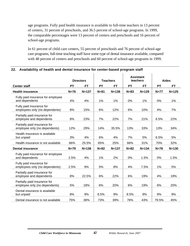age programs. Fully paid health insurance is available to full-time teachers in 13 percent of centers, 31 percent of preschools, and 36.5 percent of school-age programs. In 1999, the comparable percentages were 13 percent of centers and preschools and 16 percent of school-age programs.

In 61 percent of child care centers, 55 percent of preschools and 76 percent of school-age care programs, full-time teaching staff have some type of dental insurance available, compared with 48 percent of centers and preschools and 60 percent of school-age programs in 1999.

|                                                               |           | <b>Directors</b> |           | <b>Teachers</b> |           |           |           | <b>Assistant</b><br>teachers |  | <b>Aides</b> |  |
|---------------------------------------------------------------|-----------|------------------|-----------|-----------------|-----------|-----------|-----------|------------------------------|--|--------------|--|
| <b>Center staff</b>                                           | <b>PT</b> | <b>FT</b>        | <b>PT</b> | <b>FT</b>       | <b>PT</b> | <b>FT</b> | <b>PT</b> | <b>FT</b>                    |  |              |  |
| <b>Health insurance</b>                                       | $N=76$    | $N = 137$        | $N = 81$  | $N = 138$       | $N = 83$  | $N = 129$ | $N=77$    | $N = 125$                    |  |              |  |
| Fully paid insurance for employee<br>and dependents           | 4%        | 4%               | 1%        | 1%              | 0%        | 1%        | 0%        | 1%                           |  |              |  |
| Fully paid insurance for<br>employees only (no dependents)    | 8%        | 15%              | 6%        | 12%             | 6%        | 10%       | 4%        | 7%                           |  |              |  |
| Partially paid insurance for<br>employee and dependents       | 8%        | 23%              | 7%        | 22%             | 7%        | 21%       | 6.5%      | 22%                          |  |              |  |
| Partially paid insurance for<br>employee only (no dependents) | 12%       | 29%              | 14%       | 35.5%           | 13%       | 33%       | 13%       | 34%                          |  |              |  |
| Health insurance is available<br>but unpaid                   | 3%        | 4%               | 6%        | 4%              | 7%        | 5%        | 6.5%      | 5%                           |  |              |  |
| Health insurance is not available                             | 66%       | 25.5%            | 65%       | 25%             | 66%       | 31%       | 70%       | 32%                          |  |              |  |
| <b>Dental insurance</b>                                       | $N=79$    | $N = 138$        | $N=82$    | $N = 137$       | $N=82$    | $N = 134$ | $N=78$    | $N = 130$                    |  |              |  |
| Fully paid insurance for employee<br>and dependents           | 2.5%      | 4%               | 1%        | 2%              | 0%        | 1.5%      | 0%        | 1.5%                         |  |              |  |
| Fully paid insurance for<br>employees only (no dependents)    | 2.5%      | 9%               | 5%        | 8%              | 4%        | 7.5%      | 1%        | 5%                           |  |              |  |
| Partially paid insurance for<br>employee and dependents       | 8%        | 22.5%            | 6%        | 22%             | 6%        | 19%       | 4%        | 19%                          |  |              |  |
| Partially paid insurance for<br>employee only (no dependents) | 5%        | 18%              | 6%        | 20%             | 6%        | 19%       | 6%        | 20%                          |  |              |  |
| Dental insurance is available<br>but unpaid                   | 8%        | 9%               | 8.5%      | 9%              | 8.5%      | 9%        | 9%        | 9%                           |  |              |  |
| Dental insurance is not available                             | 75%       | 38%              | 73%       | 39%             | 76%       | 43%       | 79.5%     | 45%                          |  |              |  |

#### **22. Availability of health and dental insurance for center-based program staff**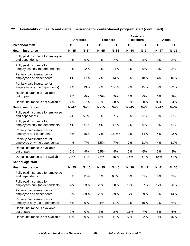#### **22. Availability of health and dental insurance for center-based program staff (continued)**

|                                                               |           | <b>Directors</b> | <b>Teachers</b> |        | <b>Assistant</b><br>teachers |           | <b>Aides</b> |           |
|---------------------------------------------------------------|-----------|------------------|-----------------|--------|------------------------------|-----------|--------------|-----------|
| <b>Preschool staff</b>                                        | <b>PT</b> | FT               | <b>PT</b>       | FT     | <b>PT</b>                    | <b>FT</b> | <b>PT</b>    | <b>FT</b> |
| <b>Health insurance</b>                                       | $N=45$    | $N=54$           | $N=55$          | $N=58$ | $N=44$                       | $N = 34$  | $N=47$       | $N=37$    |
| Fully paid insurance for employee<br>and dependents           | 2%        | 6%               | 0%              | 7%     | 0%                           | 3%        | 0%           | 3%        |
| Fully paid insurance for<br>employees only (no dependents)    | 2%        | 22%              | 2%              | 24%    | 2%                           | 9%        | 0%           | 3%        |
| Partially paid insurance for<br>employee and dependents       | 4%        | 17%              | 7%              | 14%    | 9%                           | 18%       | 4%           | 16%       |
| Partially paid insurance for<br>employee only (no dependents) | 4%        | 13%              | 7%              | 15.5%  | 7%                           | 15%       | 6%           | 22%       |
| Health insurance is available<br>but unpaid                   | 7%        | 6%               | 5.5%            | 2%     | 7%                           | 6%        | 6%           | 3%        |
| Health insurance is not available                             | 80%       | 37%              | 78%             | 38%    | 75%                          | 50%       | 83%          | 54%       |
| <b>Dental insurance</b>                                       | $N=47$    | $N=55$           | $N=55$          | $N=58$ | $N=45$                       | $N=35$    | $N=47$       | $N=37$    |
| Fully paid insurance for employee<br>and dependents           | 2%        | 5.5%             | 0%              | 7%     | 0%                           | 3%        | 0%           | 3%        |
| Fully paid insurance for<br>employees only (no dependents)    | 4%        | 14.5%            | 4%              | 17%    | 2%                           | 9%        | 0%           | 0%        |
| Partially paid insurance for<br>employee and dependents       | 4%        | 16%              | 7%              | 15.5%  | 9%                           | 14%       | 4%           | 22%       |
| Partially paid insurance for<br>employee only (no dependents) | 4%        | 7%               | 5.5%            | 7%     | 7%                           | 11%       | 4%           | 11%       |
| Dental insurance is available<br>but unpaid                   | 6%        | 9%               | 5.5%            | 9%     | 7%                           | 6%        | 6%           | 8%        |
| Dental insurance is not available                             | 79%       | 47%              | 78%             | 45%    | 76%                          | 57%       | 85%          | 57%       |
| School-age staff                                              |           |                  |                 |        |                              |           |              |           |
| <b>Health insurance</b>                                       | $N=25$    | $N=46$           | $N=35$          | $N=46$ | $N=36$                       | $N=41$    | $N=41$       | $N = 35$  |
| Fully paid insurance for employee<br>and dependents           | 0%        | 11%              | 0%              | 6.5%   | 0%                           | 5%        | 0%           | 3%        |
| Fully paid insurance for<br>employees only (no dependents)    | 32%       | 33%              | 20%             | 30%    | 19%                          | 27%       | 17%          | 26%       |
| Partially paid insurance for<br>employee and dependents       | 16%       | 39%              | 20%             | 39%    | 17%                          | 29%       | 5%           | 14%       |
| Partially paid insurance for<br>employee only (no dependents) | 4%        | 9%               | 11%             | 11%    | 3%                           | 10%       | 2%           | 6%        |
| Health insurance is available<br>but unpaid                   | $0\%$     | 0%               | 3%              | 2%     | 11%                          | 7%        | 5%           | 6%        |
| Health insurance is not available                             | 48%       | $9\%$            | 46%             | 11%    | 50%                          | 22%       | 71%          | 46%       |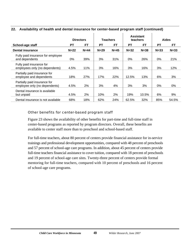#### **Directors Teachers Assistant teachers Aides**  School-age staff **PT** FT PT FT PT FT PT FT PT FT **Dental insurance N=22 N=44 N=29 N=45 N=32 N=38 N=33 N=33**  Fully paid insurance for employee and dependents 0% 39% 3% 31% 0% 26% 0% 21% Fully paid insurance for employees only (no dependents) 4.5% 11% | 3% 16% | 3% 16% | 3% 12% Partially paid insurance for employee and dependents 18% 27% | 17% 22% | 12.5% 13% | 6% 3% Partially paid insurance for employee only (no dependents) 4.5% 2% 3% 4% 3% 3% 3% 0% 0% Dental insurance is available but unpaid 4.5% 2% 10% 2% 19% 10.5% 6% 9% Dental insurance is not available 68% 18% 62% 24% 62.5% 32% 85% 54.5%

#### **22. Availability of health and dental insurance for center-based program staff (continued)**

#### Other benefits for center-based program staff

Figure 23 shows the availability of other benefits for part-time and full-time staff in center-based programs as reported by program directors. Overall, these benefits are available to center staff more than to preschool and school-based staff.

For full-time teachers, about 80 percent of centers provide financial assistance for in-service trainings and professional development opportunities, compared with 48 percent of preschools and 57 percent of school-age care programs. In addition, about 45 percent of centers provide full-time teachers financial assistance to cover tuition, compared with 18 percent of preschools and 19 percent of school-age care sites. Twenty-three percent of centers provide formal mentoring for full-time teachers, compared with 10 percent of preschools and 16 percent of school-age care programs.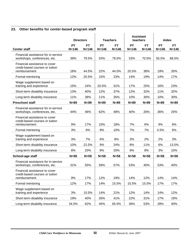#### **23. Other benefits for center-based program staff**

|                                                                                   | <b>Directors</b> |           |           | <b>Teachers</b> | <b>Assistant</b><br>teachers |           | <b>Aides</b> |           |
|-----------------------------------------------------------------------------------|------------------|-----------|-----------|-----------------|------------------------------|-----------|--------------|-----------|
|                                                                                   | <b>PT</b>        | <b>FT</b> | <b>PT</b> | <b>FT</b>       | <b>PT</b>                    | <b>FT</b> | <b>PT</b>    | <b>FT</b> |
| <b>Center staff</b>                                                               | $N = 146$        | $N = 146$ | $N = 146$ | $N = 146$       | $N = 146$                    | $N = 146$ | $N = 146$    | $N = 146$ |
| Financial assistance for in-service<br>workshops, conferences, etc.               | 39%              | 79.5%     | 53%       | 79.5%           | 53%                          | 70.5%     | 55.5%        | 68.5%     |
| Financial assistance to cover<br>credit-based courses or tuition<br>reimbursement | 18%              | 44.5%     | 22%       | 44.5%           | 20.5%                        | 38%       | 19%          | 35%       |
| Formal mentoring                                                                  | 12%              | 20.5%     | 15%       | 23%             | 14%                          | 19%       | 14%          | 17%       |
| Wage supplement based on<br>training and experience                               | 15%              | 24%       | 20.5%     | 31%             | 17%                          | 25%       | 16%          | 23%       |
| Short-term disability insurance                                                   | 13%              | 40%       | 12%       | 37%             | 12%                          | 32%       | 11%          | 32%       |
| Long-term disability insurance                                                    | 11%              | 38%       | 11%       | 35%             | 10%                          | 30%       | 10%          | 30%       |
| <b>Preschool staff</b>                                                            | $N=89$           | $N = 89$  | $N=89$    | $N = 89$        | $N = 89$                     | $N=89$    | $N = 89$     | $N = 89$  |
| Financial assistance for in-service<br>workshops, conferences, etc.               | 44%              | 46%       | 62%       | 48%             | 40%                          | 26%       | 36%          | 25%       |
| Financial assistance to cover<br>credit-based courses or tuition<br>reimbursement | 9%               | 17%       | 15%       | 18%             | 7%                           | 6%        | 9%           | 6%        |
| Formal mentoring                                                                  | 3%               | 6%        | 9%        | 10%             | 7%                           | 7%        | 4.5%         | 6%        |
| Wage supplement based on<br>training and experience                               | 3%               | 7%        | 6%        | 8%              | 3%                           | 2%        | 2%           | 3%        |
| Short-term disability insurance                                                   | 10%              | 22.5%     | 9%        | 24%             | 8%                           | 11%       | 6%           | 13.5%     |
| Long-term disability insurance                                                    | 8%               | 20%       | 8%        | 20%             | 8%                           | 8%        | 3%           | 10%       |
| School-age staff                                                                  | $N=58$           | $N=58$    | $N=58$    | $N = 58$        | $N=58$                       | $N=58$    | $N=58$       | $N=58$    |
| Financial assistance for in-service<br>workshops, conferences, etc.               | 31%              | 55%       | 59%       | 57%             | 53%                          | 45%       | 53%          | 40%       |
| Financial assistance to cover<br>credit-based courses or tuition<br>reimbursement | 9%               | 17%       | 12%       | 19%             | 14%                          | 12%       | 14%          | 14%       |
| Formal mentoring                                                                  | 12%              | 17%       | 14%       | 15.5%           | 15.5%                        | 15.5%     | 17%          | 17%       |
| Wage supplement based on<br>training and experience                               | 3%               | 15.5%     | 14%       | 21%             | 12%                          | 14%       | 14%          | 12%       |
| Short-term disability insurance                                                   | 19%              | 40%       | 26%       | 41%             | 22%                          | 31%       | 17%          | 19%       |
| Long-term disability insurance                                                    | 34.5%            | 62%       | 40%       | 65.5%           | 36%                          | 53%       | 28%          | 40%       |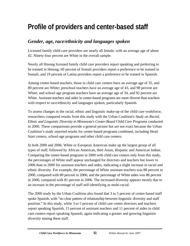# **Profile of providers and center-based staff**

## *Gender, age, race/ethnicity and languages spoken*

Licensed family child care providers are nearly all female, with an average age of about 42. Ninety-four percent are White in the overall sample.

Nearly all Hmong licensed family child care providers report speaking and preferring to be trained in Hmong; 69 percent of Somali providers report a preference to be trained in Somali, and 19 percent of Latina providers report a preference to be trained in Spanish.

Among center-based teachers, those in child care centers have an average age of 35, and 89 percent are White; preschool teachers have an average age of 43, and 98 percent are White; and school-age program teachers have an average age of 34, and 92 percent are White. Assistant teachers and aides in center-based programs are more diverse than teachers with respect to race/ethnicity and languages spoken, particularly Spanish.

To assess changes in the racial, ethnic and linguistic make-up of the child care workforce, researchers compared results from this study with the Urban Coalition's *Study on Racial, Ethnic and Linguistic Diversity in Minnesota's Center-Based Child Care Programs* conducted in 2000. These comparisons provide a general picture but are not exact because the Urban Coalition's study reported results for center-based programs combined, including Head Start centers, school-age programs and other child care centers.

In both 2000 and 2006, White or European American make up the largest group of all types of staff, followed by African American, then Asian, Hispanic and American Indian. Comparing the center-based programs in 2000 with child care centers only from this study, the percentages of White staff appear unchanged for directors and teachers but lower in 2006 than in 2000 for assistant teachers and aides, indicating a slight increase in racial and ethnic diversity. For example, the percentage of White assistant teachers was 88 percent in 2000, compared with 80 percent in 2006; and the percentage of White aides was 86 percent in 2000, compared with 81 percent in 2006. The increased diversity appears mostly due to an increase in the percentage of staff self-identifying as multi-racial.

The 2000 study by the Urban Coalition also found that 3 to 5 percent of center-based staff spoke Spanish, with "no clear pattern of relationship between linguistic diversity and staff position." In this study, while 3 to 5 percent of child care center directors and teachers report speaking Spanish, 15 percent of assistant teachers and 11 percent of aides in child care centers report speaking Spanish, again indicating a greater and growing linguistic diversity among these staff.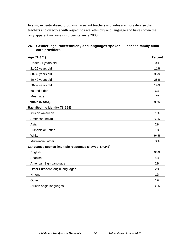In sum, in center-based programs, assistant teachers and aides are more diverse than teachers and directors with respect to race, ethnicity and language and have shown the only apparent increases in diversity since 2000.

| Age (N=351)                                          | <b>Percent</b> |
|------------------------------------------------------|----------------|
| Under 21 years old                                   | 0%             |
| 21-29 years old                                      | 11%            |
| 30-39 years old                                      | 36%            |
| 40-49 years old                                      | 28%            |
| 50-59 years old                                      | 19%            |
| 60 and older                                         | 6%             |
| Mean age                                             | 42             |
| Female (N=354)                                       | 99%            |
| Racial/ethnic identity (N=354)                       |                |
| African American                                     | 1%             |
| American Indian                                      | 1%             |
| Asian                                                | 2%             |
| Hispanic or Latina                                   | 1%             |
| White                                                | 94%            |
| Multi-racial, other                                  | 3%             |
| Languages spoken (multiple responses allowed, N=343) |                |
| English                                              | 98%            |
| Spanish                                              | 4%             |
| American Sign Language                               | 2%             |
| Other European origin languages                      | 2%             |
| Hmong                                                | 1%             |
| Other                                                | 1%             |
| African origin languages                             | 1%             |

#### **24. Gender, age, race/ethnicity and languages spoken – licensed family child care providers**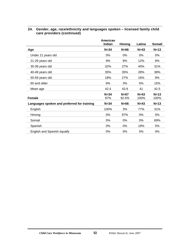| 24. Gender, age, race/ethnicity and languages spoken – licensed family child |
|------------------------------------------------------------------------------|
| care providers (continued)                                                   |

|                                             | American<br>Indian | <b>Hmong</b>    | Latina         | <b>Somali</b>  |
|---------------------------------------------|--------------------|-----------------|----------------|----------------|
| Age                                         | $N = 34$           | $N=66$          | $N=43$         | $N=13$         |
| Under 21 years old                          | $0\%$              | 0%              | 0%             | 0%             |
| 21-29 years old                             | 9%                 | 8%              | 12%            | 8%             |
| 30-39 years old                             | 32%                | 27%             | 40%            | 31%            |
| 40-49 years old                             | 35%                | 35%             | 28%            | 38%            |
| 50-59 years old                             | 18%                | 27%             | 16%            | 8%             |
| 60 and older                                | 6%                 | 3%              | 5%             | 15%            |
| Mean age                                    | 42.4               | 43.9            | 41             | 42.5           |
| Female                                      | $N = 34$<br>97%    | $N=67$<br>92.5% | $N=43$<br>100% | $N=13$<br>100% |
| Languages spoken and preferred for training | $N = 34$           | $N=66$          | $N=43$         | $N=13$         |
| English                                     | 100%               | 3%              | 77%            | 31%            |
| Hmong                                       | 0%                 | 97%             | 0%             | 0%             |
| Somali                                      | 0%                 | 0%              | 0%             | 69%            |
| Spanish                                     | 0%                 | 0%              | 19%            | 0%             |
| English and Spanish equally                 | 0%                 | 0%              | 5%             | 0%             |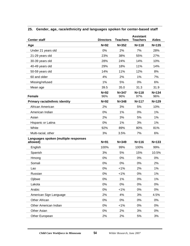| <b>Center staff</b>                   | <b>Directors</b> | <b>Teachers</b>  | <b>Assistant</b><br><b>Teachers</b> | <b>Aides</b>     |
|---------------------------------------|------------------|------------------|-------------------------------------|------------------|
| Age                                   | $N=92$           | $N = 352$        | $N = 118$                           | $N = 135$        |
| Under 21 years old                    | 0%               | 2%               | 7%                                  | 28%              |
| 21-29 years old                       | 23%              | 38%              | 55%                                 | 27%              |
| 30-39 years old                       | 28%              | 24%              | 14%                                 | 10%              |
| 40-49 years old                       | 29%              | 18%              | 11%                                 | 14%              |
| 50-59 years old                       | 14%              | 11%              | 12%                                 | 8%               |
| 60 and older                          | 4%               | 2%               | 1%                                  | 7%               |
| Missing/refused                       | 1%               | 5%               | 0%                                  | 6%               |
| Mean age                              | 39.5             | 35.0             | 31.3                                | 31.9             |
| <b>Female</b>                         | $N=92$<br>96%    | $N = 347$<br>96% | $N = 118$<br>97%                    | $N = 134$<br>96% |
| <b>Primary racial/ethnic identity</b> | $N=92$           | $N = 348$        | $N = 117$                           | $N = 129$        |
| African American                      | 2%               | 3%               | 5%                                  | 10%              |
| American Indian                       | 0%               | 1%               | 0%                                  | 1%               |
| Asian                                 | 2%               | 3%               | 5%                                  | 1%               |
| Hispanic or Latina                    | 0%               | 1%               | 3%                                  | 1%               |
| White                                 | 92%              | 89%              | 80%                                 | 81%              |
| Multi-racial, other                   | 3%               | 3.5%             | 7%                                  | 6%               |
| Languages spoken (multiple responses  |                  |                  |                                     |                  |
| allowed)                              | $N=91$           | $N = 349$        | $N = 116$                           | $N = 133$        |
| English                               | 100%             | 99%              | 100%                                | 99%              |
| Spanish                               | 3%               | 5%               | 15%                                 | 10.5%            |
| Hmong                                 | 0%               | 0%               | 0%                                  | 0%               |
| Somali                                | 0%               | 0%               | 0%                                  | 2%               |
| Lao                                   | 0%               | $< 1\%$          | 2%                                  | 1%               |
| Russian                               | 0%               | 1%               | 0%                                  | 1%               |
| Ojibwe                                | 0%               | 1%               | 0%                                  | 1%               |
| Lakota                                | 0%               | 0%               | 0%                                  | $0\%$            |
| Arabic                                | 0%               | $< 1\%$          | 0%                                  | $0\%$            |
| American Sign Language                | 2%               | 4%               | 3%                                  | 4.5%             |
| Other African                         | 0%               | 0%               | 0%                                  | $0\%$            |
| Other American Indian                 | 0%               | $< 1\%$          | 0%                                  | $0\%$            |
| Other Asian                           | 0%               | 2%               | 3%                                  | $0\%$            |
| Other European                        | 2%               | 2%               | 5%                                  | 3%               |

#### **25. Gender, age, race/ethnicity and languages spoken for center-based staff**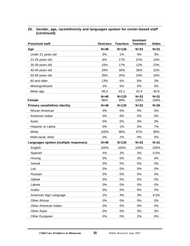| 25. Gender, age, race/ethnicity and languages spoken for center-based staff |
|-----------------------------------------------------------------------------|
| (continued)                                                                 |

| <b>Preschool staff</b>                | <b>Directors</b> | <b>Teachers</b>  | <b>Assistant</b><br><b>Teachers</b> | <b>Aides</b> |
|---------------------------------------|------------------|------------------|-------------------------------------|--------------|
| Age                                   | $N = 48$         | $N = 126$        | $N = 33$                            | $N = 31$     |
| Under 21 years old                    | 0%               | 1%               | 0%                                  | 3%           |
| 21-29 years old                       | 6%               | 17%              | 21%                                 | 16%          |
| 30-39 years old                       | 15%              | 17%              | 12%                                 | 23%          |
| 40-49 years old                       | 29%              | 30%              | 36%                                 | 32%          |
| 50-59 years old                       | 35%              | 25%              | 24%                                 | 16%          |
| 60 and older                          | 13%              | 6%               | 6%                                  | 3%           |
| Missing/refused                       | 2%               | 5%               | 0%                                  | 6%           |
| Mean age                              | 48.3             | 43.1             | 42.4                                | 40.8         |
| <b>Female</b>                         | $N=48$<br>96%    | $N = 125$<br>99% | $N = 33$                            | $N = 31$     |
|                                       |                  |                  | 100%                                | 100%         |
| <b>Primary racial/ethnic identity</b> | $N=48$           | $N = 125$        | $N = 33$                            | $N=30$       |
| African American                      | 0%               | 0%               | 0%                                  | 0%           |
| American Indian                       | 0%               | 0%               | 0%                                  | 0%           |
| Asian                                 | 0%               | 0%               | 3%                                  | 3%           |
| Hispanic or Latina                    | 0%               | 1%               | 0%                                  | 7%           |
| White                                 | 100%             | 98%              | 97%                                 | 90%          |
| Multi-racial, other                   | 0%               | 2%               | 0%                                  | 0%           |
| Languages spoken (multiple responses) | $N = 48$         | $N = 125$        | $N = 33$                            | $N = 31$     |
| English                               | 100%             | 100%             | 100%                                | 100%         |
| Spanish                               | 4%               | 3%               | 3%                                  | 6.5%         |
| Hmong                                 | 0%               | 0%               | 3%                                  | 0%           |
| Somali                                | 0%               | 0%               | 0%                                  | 0%           |
| Lao                                   | 0%               | 0%               | 0%                                  | 0%           |
| Russian                               | 0%               | 0%               | 0%                                  | 0%           |
| Ojibwe                                | 0%               | 0%               | 0%                                  | 0%           |
| Lakota                                | 0%               | 0%               | 0%                                  | 0%           |
| Arabic                                | 0%               | 0%               | 0%                                  | $0\%$        |
| American Sign Language                | 2%               | 4%               | 3%                                  | 4.5%         |
| Other African                         | 0%               | 0%               | $0\%$                               | $0\%$        |
| Other American Indian                 | 0%               | 0%               | $0\%$                               | $0\%$        |
| Other Asian                           | 0%               | 0%               | 3%                                  | 3%           |
| Other European                        | $0\%$            | 0%               | 2%                                  | $0\%$        |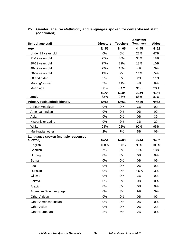| 25. Gender, age, race/ethnicity and languages spoken for center-based staff |
|-----------------------------------------------------------------------------|
| (continued)                                                                 |

| School-age staff                                 | <b>Directors</b> | <b>Teachers</b> | <b>Assistant</b><br><b>Teachers</b> | <b>Aides</b>  |
|--------------------------------------------------|------------------|-----------------|-------------------------------------|---------------|
| Age                                              | $N=55$           | $N=65$          | $N=45$                              | $N=62$        |
| Under 21 years old                               | 0%               | 0%              | 22%                                 | 47%           |
| 21-29 years old                                  | 27%              | 40%             | 38%                                 | 18%           |
| 30-39 years old                                  | 27%              | 22%             | 18%                                 | 10%           |
| 40-49 years old                                  | 22%              | 18%             | 4%                                  | 3%            |
| 50-59 years old                                  | 13%              | 9%              | 11%                                 | 5%            |
| 60 and older                                     | 5%               | 0%              | 2%                                  | 11%           |
| Missing/refused                                  | 5%               | 11%             | 4%                                  | 6%            |
| Mean age                                         | 38.4             | 34.2            | 31.0                                | 29.1          |
| <b>Female</b>                                    | $N=55$<br>82%    | $N=61$<br>93%   | $N=43$<br>88%                       | $N=61$<br>87% |
| <b>Primary racial/ethnic identity</b>            | $N=55$           | $N=61$          | $N=40$                              | $N=62$        |
| African American                                 | 0%               | 0%              | 3%                                  | 0%            |
| American Indian                                  | 0%               | 0%              | 0%                                  | 0%            |
| Asian                                            | 0%               | 0%              | 0%                                  | 3%            |
| Hispanic or Latina                               | 0%               | 2%              | 3%                                  | 2%            |
| White                                            | 98%              | 92%             | 90%                                 | 95%           |
| Multi-racial, other                              | 2%               | 7%              | 5%                                  | $0\%$         |
| Languages spoken (multiple responses<br>allowed) | $N=54$           | $N=63$          | $N=44$                              | $N=62$        |
| English                                          | 100%             | 100%            | 98%                                 | 100%          |
| Spanish                                          | 7%               | 5%              | 11%                                 | 18%           |
| Hmong                                            | 0%               | 0%              | 0%                                  | 0%            |
| Somali                                           | 0%               | 0%              | 0%                                  | 0%            |
| Lao                                              | 0%               | 0%              | 0%                                  | 0%            |
| Russian                                          | 0%               | 0%              | 4.5%                                | 3%            |
| Ojibwe                                           | 0%               | 0%              | 2%                                  | 0%            |
| Lakota                                           | 0%               | 0%              | 0%                                  | $0\%$         |
| Arabic                                           | 0%               | 0%              | 0%                                  | 0%            |
| American Sign Language                           | 6%               | 3%              | 9%                                  | 3%            |
| Other African                                    | 0%               | 0%              | $0\%$                               | $0\%$         |
| Other American Indian                            | 0%               | 0%              | 0%                                  | 0%            |
| Other Asian                                      | 0%               | 2%              | $0\%$                               | 2%            |
| Other European                                   | 2%               | 5%              | 2%                                  | $0\%$         |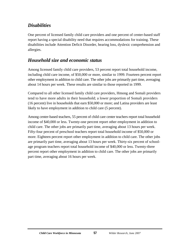# *Disabilities*

One percent of licensed family child care providers and one percent of center-based staff report having a special disability need that requires accommodations for training. These disabilities include Attention Deficit Disorder, hearing loss, dyslexic comprehension and allergies.

# *Household size and economic status*

Among licensed family child care providers, 53 percent report total household income, including child care income, of \$50,000 or more, similar to 1999. Fourteen percent report other employment in addition to child care. The other jobs are primarily part time, averaging about 14 hours per week. These results are similar to those reported in 1999.

Compared to all other licensed family child care providers, Hmong and Somali providers tend to have more adults in their household; a lower proportion of Somali providers (16 percent) live in households that earn \$50,000 or more; and Latina providers are least likely to have employment in addition to child care (5 percent).

Among center-based teachers, 55 percent of child care center teachers report total household income of \$40,000 or less. Twenty-one percent report other employment in addition to child care. The other jobs are primarily part time, averaging about 13 hours per week. Fifty-four percent of preschool teachers report total household income of \$50,000 or more. Eighteen percent report other employment in addition to child care. The other jobs are primarily part time, averaging about 13 hours per week. Thirty-six percent of schoolage program teachers report total household income of \$40,000 or less. Twenty-three percent report other employment in addition to child care. The other jobs are primarily part time, averaging about 16 hours per week.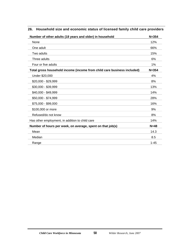| Number of other adults (18 years and older) in household                | $N = 354$ |
|-------------------------------------------------------------------------|-----------|
| None                                                                    | 12%       |
| One adult                                                               | 66%       |
| Two adults                                                              | 15%       |
| Three adults                                                            | 6%        |
| Four or five adults                                                     | $1\%$     |
| Total gross household income (income from child care business included) | $N = 354$ |
| Under \$20,000                                                          | 4%        |
| \$20,000 - \$29,999                                                     | 8%        |
| \$30,000 - \$39,999                                                     | 13%       |
| \$40,000 - \$49,999                                                     | 14%       |
| \$50,000 - \$74,999                                                     | 28%       |
| \$75,000 - \$99,000                                                     | 16%       |
| \$100,000 or more                                                       | 9%        |
| Refused/do not know                                                     | 8%        |
| Has other employment, in addition to child care                         | 14%       |
| Number of hours per week, on average, spent on that job(s)              | $N=48$    |
| Mean                                                                    | 14.3      |
| Median                                                                  | 8.5       |
| Range                                                                   | $1 - 45$  |

#### **26. Household size and economic status of licensed family child care providers**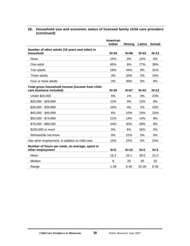|                                                 | American<br><b>Indian</b> | Hmong    | Latina | <b>Somali</b> |
|-------------------------------------------------|---------------------------|----------|--------|---------------|
| Number of other adults (18 years and older) in  |                           |          |        |               |
| household                                       | $N = 34$                  | $N=66$   | $N=43$ | $N=13$        |
| None                                            | 15%                       | 0%       | 12%    | 8%            |
| One adult                                       | 65%                       | 6%       | 77%    | 38%           |
| Two adults                                      | 18%                       | 44%      | 9%     | 31%           |
| Three adults                                    | 3%                        | 20%      | 2%     | 15%           |
| Four or more adults                             | 0%                        | 30%      | 0%     | 8%            |
| Total gross household income (income from child |                           |          |        |               |
| care business included)                         | $N = 34$                  | $N=67$   | $N=43$ | $N=13$        |
| Under \$20,000                                  | 6%                        | 1%       | $0\%$  | 23%           |
| \$20,000 - \$29,999                             | 12%                       | 3%       | 12%    | 8%            |
| \$30,000 - \$39,999                             | 15%                       | 4%       | 2%     | 23%           |
| \$40,000 - \$49,999                             | 6%                        | 10%      | 19%    | 15%           |
| \$50,000 - \$74,999                             | 21%                       | 13%      | 14%    | 8%            |
| \$75,000 - \$99,000                             | 24%                       | 30%      | 28%    | 8%            |
| \$100,000 or more                               | 9%                        | 6%       | 16%    | 0%            |
| Refused/do not know                             | 0%                        | 22%      | 5%     | 0%            |
| Has other employment, in addition to child care | 15%                       | 22%      | 5%     | 23%           |
| Number of hours per week, on average, spent in  |                           |          |        |               |
| other employment                                | $N=5$                     | $N=15$   | $N=2$  | $N = 3$       |
| Mean                                            | 16.2                      | 24.1     | 30.0   | 21.0          |
| Median                                          | 8                         | 25       | 30     | 20            |
| Range                                           | $1 - 36$                  | $6 - 40$ | 25-35  | $8 - 35$      |

#### **26. Household size and economic status of licensed family child care providers (continued)**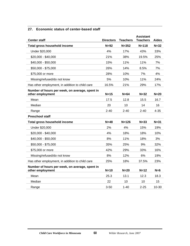#### **27. Economic status of center-based staff**

| <b>Center staff</b>                                                | <b>Directors</b> | <b>Teachers</b> | <b>Assistant</b><br><b>Teachers</b> | <b>Aides</b> |
|--------------------------------------------------------------------|------------------|-----------------|-------------------------------------|--------------|
| <b>Total gross household income</b>                                | $N=92$           | $N = 352$       | $N = 118$                           | $N = 32$     |
| Under \$20,000                                                     | 4%               | 17%             | 43%                                 | 33%          |
| \$20,000 - \$40,000                                                | 21%              | 38%             | 19.5%                               | 25%          |
| \$40,000 - \$50,000                                                | 15%              | 11%             | 11%                                 | 7%           |
| \$50,000 - \$75,000                                                | 26%              | 14%             | 8.5%                                | 7%           |
| \$75,000 or more                                                   | 28%              | 10%             | 7%                                  | 4%           |
| Missing/refused/do not know                                        | 5%               | 10%             | 11%                                 | 24%          |
| Has other employment, in addition to child care                    | 16.5%            | 21%             | 29%                                 | 17%          |
| Number of hours per week, on average, spent in<br>other employment | $N=15$           | $N=64$          | $N=32$                              | $N=20$       |
| Mean                                                               | 17.5             | 12.8            | 15.5                                | 16.7         |
| Median                                                             | 20               | 10              | 14                                  | 16           |
| Range                                                              | $2 - 40$         | $2 - 40$        | $2 - 40$                            | $4 - 35$     |
| <b>Preschool staff</b>                                             |                  |                 |                                     |              |
| Total gross household income                                       | $N = 48$         | $N = 126$       | $N = 33$                            | $N=31$       |
| Under \$20,000                                                     | 2%               | 4%              | 15%                                 | 19%          |
| \$20,000 - \$40,000                                                | 4%               | 18%             | 18%                                 | 10%          |
| \$40,000 - \$50,000                                                | 8%               | 11%             | 18%                                 | 3%           |
| \$50,000 - \$75,000                                                | 35%              | 25%             | 9%                                  | 32%          |
| \$75,000 or more                                                   | 42%              | 29%             | 33%                                 | 16%          |
| Missing/refused/do not know                                        | 8%               | 12%             | 6%                                  | 19%          |
| Has other employment, in addition to child care                    | 25%              | 18%             | 37.5%                               | 23%          |
| Number of hours per week, on average, spent in<br>other employment | $N=10$           | $N=20$          | $N=12$                              | $N=6$        |
| Mean                                                               | 25.3             | 13.1            | 12.3                                | 18.3         |
| Median                                                             | 22               | 10              | 10                                  | 15           |
| Range                                                              | $3 - 50$         | $1 - 40$        | $2 - 25$                            | 10-30        |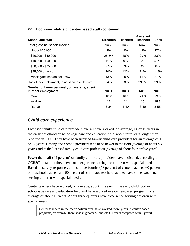|                                                 |                  |                 | <b>Assistant</b> |              |
|-------------------------------------------------|------------------|-----------------|------------------|--------------|
| School-age staff                                | <b>Directors</b> | <b>Teachers</b> | Teachers         | <b>Aides</b> |
| Total gross household income                    | $N = 55$         | $N = 65$        | $N = 45$         | $N = 62$     |
| Under \$20,000                                  | 4%               | 8%              | 42%              | 27%          |
| \$20,000 - \$40,000                             | 25.5%            | 28%             | 20%              | 23%          |
| $$40,000 - $50,000$                             | 11%              | 9%              | 7%               | 6.5%         |
| \$50,000 - \$75,000                             | 27%              | 23%             | 4%               | 8%           |
| \$75,000 or more                                | 20%              | 12%             | 11%              | 14.5%        |
| Missing/refused/do not know                     | 13%              | 20%             | 16%              | 21%          |
| Has other employment, in addition to child care | 24%              | 23%             | 29.5%            | 29%          |
| Number of hours per week, on average, spent     |                  |                 |                  |              |
| in other employment                             | $N = 11$         | $N=14$          | $N=13$           | $N=16$       |
| Mean                                            | 18.2             | 16.1            | 24.3             | 23.6         |
| Median                                          | 12               | 14              | 30               | 15.5         |
| Range                                           | $3 - 34$         | $4 - 40$        | $3-40$           | $3 - 55$     |

#### **27. Economic status of center-based staff (continued)**

### *Child care experience*

Licensed family child care providers overall have worked, on average, 14 or 15 years in the early childhood or school-age care and education field, about four years longer than reported in 1999. They have been licensed family child care providers for an average of 11 or 12 years. Hmong and Somali providers tend to be newer to the field (average of about six years) and to the licensed family child care profession (average of about four or five years).

Fewer than half (44 percent) of family child care providers have indicated, according to CCR&R data, that they have some experience caring for children with special needs. Based on survey responses, almost three-fourths (73 percent) of center teachers, 60 percent of preschool teachers and 90 percent of school-age teachers say they have some experience serving children with special needs.

Center teachers have worked, on average, about 11 years in the early childhood or school-age care and education field and have worked in a center-based program for an average of about 10 years. About three-quarters have experience serving children with special needs.

Center teachers in the metropolitan area have worked more years in center-based programs, on average, than those in greater Minnesota (11 years compared with 8 years).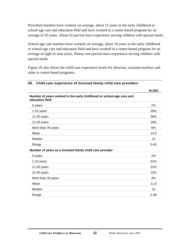Preschool teachers have worked, on average, about 15 years in the early childhood or school-age care and education field and have worked in a center-based program for an average of 10 years. About 62 percent have experience serving children with special needs.

School-age care teachers have worked, on average, about 10 years in the early childhood or school-age care and education field and have worked in a center-based program for an average of eight or nine years. Ninety-one percent have experience serving children with special needs.

Figure 29 also shows the child care experience levels for directors, assistant teachers and aides in center-based programs.

| Number of years worked in the early childhood or school-age care and<br>education field |          |
|-----------------------------------------------------------------------------------------|----------|
| 0 years                                                                                 | 2%       |
| 1-10 years                                                                              | 39%      |
| 11-20 years                                                                             | 36%      |
| 21-30 years                                                                             | 18%      |
| More than 30 years                                                                      | 6%       |
| Mean                                                                                    | 14.5     |
| Median                                                                                  | 13       |
| Range                                                                                   | $0 - 43$ |
| Number of years as a licensed family child care provider                                |          |
| 0 years                                                                                 | 2%       |
| 1-10 years                                                                              | 51%      |
| $11-20$ years                                                                           | 31%      |
| 21-30 years                                                                             | 13%      |
| More than 30 years                                                                      | 4%       |
| Mean                                                                                    | 11.6     |
| Median                                                                                  | 10       |
| Range                                                                                   | $0 - 39$ |

#### **28. Child care experience of licensed family child care providers**

**N=354**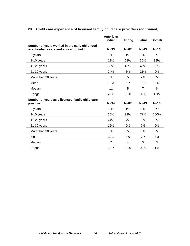|                                                 | American<br>Indian | Hmong    | Latina         | Somali   |
|-------------------------------------------------|--------------------|----------|----------------|----------|
| Number of years worked in the early childhood   |                    |          |                |          |
| or school-age care and education field          | $N = 33$           | $N=67$   | $N=43$         | $N=13$   |
| 0 years                                         | 0%                 | 1%       | 2%             | $0\%$    |
| $1-10$ years                                    | 12%                | 51%      | 35%            | 38%      |
| 11-20 years                                     | 58%                | 45%      | 40%            | 62%      |
| $21-30$ years                                   | 24%                | 3%       | 21%            | $0\%$    |
| More than 30 years                              | 6%                 | 0%       | 2%             | 0%       |
| Mean                                            | 13.3               | 5.7      | 10.1           | 6.5      |
| Median                                          | 11                 | 5        | $\overline{7}$ | 6        |
| Range                                           | $2 - 30$           | $0 - 20$ | $0 - 30$       | $1 - 15$ |
| Number of years as a licensed family child care |                    |          |                |          |
| provider                                        | $N = 34$           | $N=67$   | $N=43$         | $N=13$   |
| 0 years                                         | 0%                 | 1%       | 2%             | 0%       |
| 1-10 years                                      | 65%                | 91%      | 72%            | 100%     |
| 11-20 years                                     | 24%                | 7%       | 19%            | 0%       |
| $21-30$ years                                   | 12%                | 0%       | 7%             | 0%       |
| More than 30 years                              | 0%                 | 0%       | 0%             | 0%       |
| Mean                                            | 10.1               | 4.9      | 7.7            | 3.8      |
| Median                                          | $\overline{7}$     | 4        | 5              | 3        |
| Range                                           | $2 - 27$           | $0 - 20$ | $0 - 30$       | $1 - 8$  |
|                                                 |                    |          |                |          |

### **28. Child care experience of licensed family child care providers (continued)**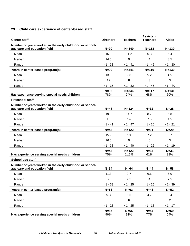### **29. Child care experience of center-based staff**

| <b>Center staff</b>                                                                      | <b>Directors</b> | <b>Teachers</b>    | <b>Assistant</b><br><b>Teachers</b> | <b>Aides</b>     |
|------------------------------------------------------------------------------------------|------------------|--------------------|-------------------------------------|------------------|
| Number of years worked in the early childhood or school-                                 |                  |                    |                                     |                  |
| age care and education field                                                             | $N=90$           | $N = 340$          | $N = 113$                           | $N = 130$        |
| Mean                                                                                     | 15.3             | 11.2               | 6.3                                 | 5.4              |
| Median                                                                                   | 14.5             | 9                  | 4                                   | 3.5              |
| Range                                                                                    | $< 1 - 38$       | $<1 - 41$          | $< 1 - 45$                          | $<$ 1 - 30       |
| Years in center-based program(s)                                                         | $N=90$           | $N = 341$          | $N = 116$                           | $N = 130$        |
| Mean                                                                                     | 13.6             | 9.8                | 5.2                                 | 4.5              |
| Median                                                                                   | 12               | 8                  | 3                                   | 3                |
| Range                                                                                    | $<$ 1 - 35       | $< 1 - 32$         | $< 1 - 45$                          | $< 1 - 30$       |
| Has experience serving special needs children                                            | $N=92$<br>78%    | $N = 346$<br>74%   | $N = 117$<br>68%                    | $N = 131$<br>50% |
| <b>Preschool staff</b>                                                                   |                  |                    |                                     |                  |
| Number of years worked in the early childhood or school-<br>age care and education field | $N=48$           | $N = 124$          | $N=32$                              | $N=28$           |
| Mean                                                                                     | 19.0             | 14.7               | 8.7                                 | 6.8              |
| Median                                                                                   | 18               | 14                 | 7.5                                 | 4.5              |
| Range                                                                                    | $<1 - 41$        | $< 1 - 47$         | $< 1 - 20$                          | $<$ 1 - 21       |
| Years in center-based program(s)                                                         | $N=48$           | $N = 122$          | $N = 31$                            | $N=29$           |
| Mean                                                                                     | 15.9             | 10                 | 7.2                                 | 5.7              |
| Median                                                                                   | 16.5             | 9                  | 5                                   | 3                |
| Range                                                                                    | $< 1 - 38$       | $< 1 - 40$         | $<1 - 22$                           | $<1 - 19$        |
| Has experience serving special needs children                                            | $N=48$<br>75%    | $N = 122$<br>61.5% | $N = 33$<br>61%                     | $N = 31$<br>39%  |
| School-age staff                                                                         |                  |                    |                                     |                  |
| Number of years worked in the early childhood or school-<br>age care and education field | $N=54$           | $N=64$             | $N=44$                              | $N=58$           |
| Mean                                                                                     | 11.3             | 9.7                | 6.6                                 | 6.0              |
| Median                                                                                   | 9                | 7.5                | $\overline{4}$                      | 2.5              |
| Range                                                                                    | $< 1 - 39$       | $< 1 - 25$         | $< 1 - 25$                          | $< 1 - 39$       |
| Years in center-based program(s)                                                         | $N=53$           | $N=63$             | $N=43$                              | $N=52$           |
| Mean                                                                                     | 9.3              | 8.5                | 4.7                                 | 3.4              |
| Median                                                                                   | 8                | $6\phantom{1}6$    | 3                                   | $\overline{2}$   |
| Range                                                                                    | $<1 - 23$        | $< 1 - 25$         | $< 1 - 18$                          | $<1 - 17$        |
| Has experience serving special needs children                                            | $N=55$<br>96%    | $N=65$<br>91%      | $N=44$<br>77%                       | $N=59$<br>64%    |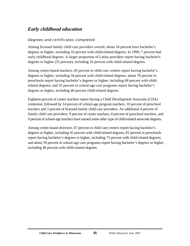# *Early childhood education*

### Degrees and certificates completed

Among licensed family child care providers overall, about 24 percent have bachelor's degrees or higher, including 10 percent with child-related degrees. In 1999, 7 percent had early childhood degrees. A larger proportion of Latina providers report having bachelor's degrees or higher (35 percent), including 16 percent with child-related degrees.

Among center-based teachers, 45 percent in child care centers report having bachelor's degrees or higher, including 34 percent with child-related degrees; about 78 percent in preschools report having bachelor's degrees or higher, including 68 percent with childrelated degrees; and 55 percent in school-age care programs report having bachelor's degrees or higher, including 40 percent child-related degrees.

Eighteen percent of center teachers report having a Child Development Associate (CDA) credential, followed by 14 percent of school-age program teachers, 10 percent of preschool teachers and 3 percent of licensed family child care providers. An additional 4 percent of family child care providers, 9 percent of center teachers, 8 percent of preschool teachers, and 9 percent of school-age teachers have earned some other type of child-related associate degrees.

Among center-based directors, 67 percent in child care centers report having bachelor's degrees or higher, including 45 percent with child-related degrees; 81 percent in preschools report having bachelor's degrees or higher, including 73 percent with child-related degrees; and about 59 percent in school-age care programs report having bachelor's degrees or higher, including 46 percent with child-related degrees.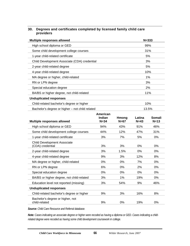| 30. Degrees and certificates completed by licensed family child care |
|----------------------------------------------------------------------|
| providers                                                            |

| Multiple responses allowed                      | $N = 333$ |
|-------------------------------------------------|-----------|
| High school diploma or GED                      | 99%       |
| Some child development college courses          | 31%       |
| 1-year child-related certificate                | 5%        |
| Child Development Associate (CDA) credential    | 3%        |
| 2-year child-related degree                     | 5%        |
| 4-year child-related degree                     | 10%       |
| MA degree or higher, child-related              | 1%        |
| RN or LPN degree                                | 3%        |
| Special education degree                        | 2%        |
| BA/BS or higher degree, not child-related       | 11%       |
| <b>Unduplicated responses</b>                   |           |
| Child-related bachelor's degree or higher       | 10%       |
| Bachelor's degree or higher - not child related | 13.5%     |

|                                                   | American |        |        |        |
|---------------------------------------------------|----------|--------|--------|--------|
|                                                   | Indian   | Hmong  | Latina | Somali |
| <b>Multiple responses allowed</b>                 | $N = 34$ | $N=67$ | $N=43$ | $N=13$ |
| High school diploma or GED                        | 94%      | 43%    | 91%    | 46%    |
| Some child development college courses            | 44%      | 12%    | 47%    | 31%    |
| 1-year child-related certificate                  | 3%       | 7%     | 5%     | $0\%$  |
| <b>Child Development Associate</b>                |          |        |        |        |
| (CDA) credential                                  | 3%       | 3%     | 0%     | 0%     |
| 2-year child-related degree                       | 3%       | 1.5%   | 0%     | 0%     |
| 4-year child-related degree                       | 9%       | 3%     | 12%    | 8%     |
| MA degree or higher, child-related                | $0\%$    | 0%     | 7%     | $0\%$  |
| RN or LPN degree                                  | 6%       | 0%     | 2%     | $0\%$  |
| Special education degree                          | $0\%$    | 0%     | 0%     | $0\%$  |
| BA/BS or higher degree, not child-related         | 3%       | 1%     | 19%    | 0%     |
| Education level not reported (missing)            | 3%       | 54%    | 9%     | 46%    |
| <b>Unduplicated responses</b>                     |          |        |        |        |
| Child-related bachelor's degree or higher         | 9%       | 3%     | 16%    | 8%     |
| Bachelor's degree or higher, not<br>child-related | 9%       | 0%     | 19%    | $0\%$  |

*Source: Child Care Resource and Referral database.* 

*Note: Cases indicating an associate degree or higher were recoded as having a diploma or GED. Cases indicating a childrelated degree were recoded as having some child development coursework in college.*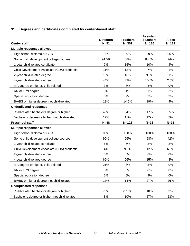### **31. Degrees and certificates completed by center-based staff**

|                                                | <b>Directors</b> | <b>Teachers</b> | <b>Assistant</b><br><b>Teachers</b> | <b>Aides</b> |
|------------------------------------------------|------------------|-----------------|-------------------------------------|--------------|
| <b>Center staff</b>                            | $N=91$           | $N = 351$       | $N = 116$                           | $N = 119$    |
| <b>Multiple responses allowed</b>              |                  |                 |                                     |              |
| High school diploma or GED                     | 100%             | 99%             | 99%                                 | 96%          |
| Some child development college courses         | 94.5%            | 88%             | 84.5%                               | 24%          |
| 1-year child-related certificate               | 7%               | 15%             | 10%                                 | 4%           |
| Child Development Associate (CDA) credential   | 11%              | 18%             | 7%                                  | 1%           |
| 2-year child-related degree                    | 18%              | 13%             | 9.5%                                | 1%           |
| 4-year child-related degree                    | 44%              | 33%             | 15.5%                               | 2.5%         |
| MA degree or higher, child-related             | 3%               | 3%              | 3%                                  | 0%           |
| RN or LPN degree                               | 0%               | 1%              | 1%                                  | 2%           |
| Special education degree                       | 3%               | 2%              | 2%                                  | 2%           |
| BA/BS or higher degree, not child-related      | 18%              | 14.5%           | 19%                                 | 4%           |
| <b>Unduplicated responses</b>                  |                  |                 |                                     |              |
| Child-related bachelor's degree or higher      | 45%              | 34%             | 17%                                 | 35%          |
| Bachelor's degree or higher, not child-related | 12%              | 11%             | 17%                                 | 5%           |
| <b>Preschool staff</b>                         | $N=48$           | $N = 126$       | $N = 33$                            | $N = 31$     |
| <b>Multiple responses allowed</b>              |                  |                 |                                     |              |
| High school diploma or GED                     | 98%              | 100%            | 100%                                | 100%         |
| Some child development college courses         | 90%              | 96%             | 58%                                 | 42%          |
| 1-year child-related certificate               | 6%               | 6%              | 3%                                  | 3%           |
| Child Development Associate (CDA) credential   | 4%               | 9.5%            | 12%                                 | 6.5%         |
| 2-year child-related degree                    | 8%               | 8%              | 6%                                  | 0%           |
| 4-year child-related degree                    | 69%              | 66%             | 15%                                 | 3%           |
| MA degree or higher, child-related             | 21%              | 3%              | 3%                                  | 0%           |
| RN or LPN degree                               | 0%               | 0%              | 0%                                  | 0%           |
| Special education degree                       | 6%               | 5%              | 9%                                  | 0%           |
| BA/BS or higher degree, not child-related      | 17%              | 14%             | 27%                                 | 26%          |
| <b>Unduplicated responses</b>                  |                  |                 |                                     |              |
| Child-related bachelor's degree or higher      | 73%              | 67.5%           | 18%                                 | 3%           |
| Bachelor's degree or higher, not child-related | 8%               | 10%             | 27%                                 | 23%          |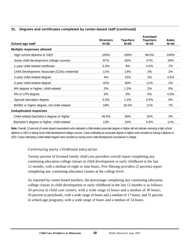#### **31. Degrees and certificates completed by center-based staff (continued)**

| School-age staff                             | <b>Directors</b><br>$N=55$ | <b>Teachers</b><br>$N=65$ | <b>Assistant</b><br><b>Teachers</b><br>$N=44$ | <b>Aides</b><br>$N=44$ |
|----------------------------------------------|----------------------------|---------------------------|-----------------------------------------------|------------------------|
| Multiple responses allowed                   |                            |                           |                                               |                        |
| High school diploma or GED                   | 100%                       | 100%                      | 96.5%                                         | 100%                   |
| Some child development college courses       | 87%                        | 83%                       | 57%                                           | 34%                    |
| 1-year child-related certificate             | 5.5%                       | 9%                        | 4.5%                                          | 7%                     |
| Child Development Associate (CDA) credential | 11%                        | 14%                       | 2%                                            | 2%                     |
| 2-year child-related degree                  | 4%                         | 15%                       | 2%                                            | 4.5%                   |
| 4-year child-related degree                  | 42%                        | 40%                       | 11%                                           | 2%                     |
| MA degree or higher, child-related           | 2%                         | 1.5%                      | 2%                                            | 0%                     |
| RN or LPN degree                             | 0%                         | 0%                        | 0%                                            | 4.5%                   |
| Special education degree                     | 5.5%                       | 1.5%                      | 4.5%                                          | $0\%$                  |
| BA/BS or higher degree, not child-related    | 18%                        | 18.5%                     | 11%                                           | 7%                     |
| <b>Unduplicated responses</b>                |                            |                           |                                               |                        |
| Child-related bachelor's degree or higher    | 45.5%                      | 40%                       | 16%                                           | 2%                     |
| Bachelor's degree or higher, child-related   | 13%                        | 15%                       | 4.5%                                          | 11%                    |

*Note: Overall, 12 percent of center-based respondents who indicated a child-related associate degree or higher did not indicate receiving a high school diploma or GED or taking some child development college courses. Cases indicating an associate degree or higher were recoded as having a diploma or GED. Cases indicating a child-related degree were recoded as having some child development coursework in college.* 

#### Continuing early childhood education

Twenty percent of licensed family child care providers overall report completing any continuing education college classes in child development or early childhood in the last 12 months, with a median of eight or nine hours. Few Hmong providers (2 percent) report completing any continuing education classes at the college level.

As reported by center-based teachers, the percentage completing any continuing education college classes in child development or early childhood in the last 12 months is as follows: 50 percent in child care centers, with a wide range of hours and a median of 30 hours; 43 percent in preschools, with a wide range of hours and a median of 17 hours; and 51 percent in school-age programs, with a wide range of hours and a median of 14 hours.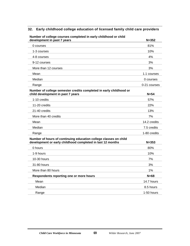#### **32. Early childhood college education of licensed family child care providers**

| $\alpha$ or conege courses completed in early childrood or child<br>development in past 7 years                                | $N = 352$    |
|--------------------------------------------------------------------------------------------------------------------------------|--------------|
| 0 courses                                                                                                                      | 81%          |
| 1-3 courses                                                                                                                    | 10%          |
| 4-8 courses                                                                                                                    | 4%           |
| 9-12 courses                                                                                                                   | 3%           |
| More than 12 courses                                                                                                           | 3%           |
| Mean                                                                                                                           | 1.1 courses  |
| Median                                                                                                                         | 0 courses    |
| Range                                                                                                                          | 0-21 courses |
| Number of college semester credits completed in early childhood or<br>child development in past 7 years                        | $N=54$       |
| 1-10 credits                                                                                                                   | 57%          |
| 11-20 credits                                                                                                                  | 22%          |
| 21-40 credits                                                                                                                  | 13%          |
| More than 40 credits                                                                                                           | 7%           |
| Mean                                                                                                                           | 14.2 credits |
| Median                                                                                                                         | 7.5 credits  |
| Range                                                                                                                          | 1-80 credits |
| Number of hours of continuing education college classes on child<br>development or early childhood completed in last 12 months | $N = 353$    |
| 0 hours                                                                                                                        | 80%          |
| 1-9 hours                                                                                                                      | 10%          |
| 10-30 hours                                                                                                                    | 7%           |
| 31-80 hours                                                                                                                    | 3%           |
| More than 80 hours                                                                                                             | 1%           |
| Respondents reporting one or more hours                                                                                        | $N=68$       |
| Mean                                                                                                                           | 14.7 hours   |
| Median                                                                                                                         | 8.5 hours    |
| Range                                                                                                                          | 1-50 hours   |

# **Number of college courses completed in early childhood or child**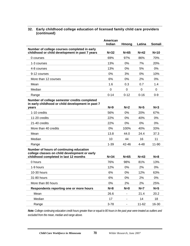|                                                                                                                                   | American<br>Indian | Hmong    | Latina    | <b>Somali</b> |
|-----------------------------------------------------------------------------------------------------------------------------------|--------------------|----------|-----------|---------------|
| Number of college courses completed in early<br>childhood or child development in past 7 years                                    | $N=32$             | $N=65$   | $N=42$    | $N=10$        |
| 0 courses                                                                                                                         | 69%                | 97%      | 86%       | 70%           |
| 1-3 courses                                                                                                                       | 13%                | 0%       | 7%        | 20%           |
| 4-8 courses                                                                                                                       | 13%                | 0%       | 5%        | 0%            |
| 9-12 courses                                                                                                                      | 0%                 | 3%       | 0%        | 10%           |
| More than 12 courses                                                                                                              | 6%                 | $0\%$    | 2%        | 0%            |
| Mean                                                                                                                              | 1.6                | 0.3      | 0.7       | 1.4           |
| Median                                                                                                                            | $\mathbf 0$        | $\Omega$ | $\Omega$  | $\Omega$      |
| Range                                                                                                                             | $0 - 14$           | $0 - 12$ | $0 - 16$  | $0-9$         |
| Number of college semester credits completed<br>in early childhood or child development in past 7                                 |                    |          |           |               |
| years                                                                                                                             | $N=9$              | $N=2$    | $N=5$     | $N=3$         |
| 1-10 credits                                                                                                                      | 56%                | $0\%$    | 20%       | 67%           |
| 11-20 credits                                                                                                                     | 22%                | 0%       | 40%       | 0%            |
| 21-40 credits                                                                                                                     | 22%                | 0%       | 0%        | 0%            |
| More than 40 credits                                                                                                              | 0%                 | 100%     | 40%       | 33%           |
| Mean                                                                                                                              | 13.8               | 44.0     | 24.4      | 37.3          |
| Median                                                                                                                            | 10                 | 44       | 16        | 11            |
| Range                                                                                                                             | $1 - 39$           | 42-46    | $4 - 48$  | 11-90         |
| Number of hours of continuing education<br>college classes on child development or early<br>childhood completed in last 12 months | $N = 34$           | $N=65$   | $N=43$    | $N=8$         |
| 0 hours                                                                                                                           | 76%                | 98%      | 81%       | 13%           |
| 1-9 hours                                                                                                                         | 12%                | 0%       | 2%        | 0%            |
| 10-30 hours                                                                                                                       | 6%                 | 0%       | 12%       | 63%           |
| 31-80 hours                                                                                                                       | 6%                 | $0\%$    | 2%        | $0\%$         |
| More than 80 hours                                                                                                                | 0%                 | 2%       | 2%        | 25%           |
| Respondents reporting one or more hours                                                                                           | $N=8$              | $N=0$    | $N=7$     | $N=5$         |
| Mean                                                                                                                              | 26.6               |          | 21.4      | 20.2          |
| Median                                                                                                                            | 17                 |          | 14        | 18            |
| Range                                                                                                                             | $3 - 78$           |          | $11 - 62$ | 16-30         |

#### **32. Early childhood college education of licensed family child care providers (continued)**

*Note: College continuing education credit hours greater than or equal to 80 hours in the past year were treated as outliers and excluded from the mean, median and range above.*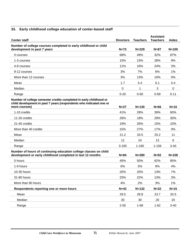### **33. Early childhood college education of center-based staff**

| <b>Center staff</b>                                                                                                                       | <b>Directors</b> | <b>Teachers</b> | <b>Assistant</b><br><b>Teachers</b> | <b>Aides</b> |
|-------------------------------------------------------------------------------------------------------------------------------------------|------------------|-----------------|-------------------------------------|--------------|
| Number of college courses completed in early childhood or child<br>development in past 7 years                                            | $N=73$           | $N = 229$       | $N=87$                              | $N = 100$    |
| 0 courses                                                                                                                                 | 68%              | 49%             | 32%                                 | 87%          |
| 1-3 courses                                                                                                                               | 15%              | 15%             | 28%                                 | 9%           |
| 4-8 courses                                                                                                                               | 11%              | 16%             | 24%                                 | 3%           |
| 9-12 courses                                                                                                                              | 3%               | 7%              | 6%                                  | 1%           |
| More than 12 courses                                                                                                                      | 3%               | 13%             | 10%                                 | 0%           |
| Mean                                                                                                                                      | 1.7              | 5.4             | 6.1                                 | 0.4          |
| Median                                                                                                                                    | 0                | 1               | 3                                   | 0            |
| Range                                                                                                                                     | $0 - 20$         | $0 - 60$        | $0 - 69$                            | $0 - 11$     |
| Number of college semester credits completed in early childhood or<br>child development in past 7 years (respondents who indicated one or |                  |                 |                                     |              |
| more courses)                                                                                                                             | $N=27$           | $N = 130$       | $N=66$                              | $N=10$       |
| 1-10 credits                                                                                                                              | 41%              | 28%             | 39%                                 | 60%          |
| 11-20 credits                                                                                                                             | 26%              | 18%             | 29%                                 | 30%          |
| 21-40 credits                                                                                                                             | 19%              | 26%             | 15%                                 | 10%          |
| More than 40 credits                                                                                                                      | 15%              | 27%             | 17%                                 | 0%           |
| Mean                                                                                                                                      | 21.2             | 33.5            | 25.2                                | 11           |
| Median                                                                                                                                    | 12               | 24              | 13                                  | 6            |
| Range                                                                                                                                     | $3 - 100$        | $1 - 160$       | $1 - 156$                           | $3 - 40$     |
| Number of hours of continuing education college classes on child<br>development or early childhood completed in last 12 months            | $N = 84$         | $N = 280$       | $N=92$                              | $N = 108$    |
| 0 hours                                                                                                                                   | 45%              | 50%             | 62%                                 | 85%          |
| 1-9 hours                                                                                                                                 | 6%               | 5%              | 9%                                  | 4%           |
| 10-30 hours                                                                                                                               | 20%              | 20%             | 13%                                 | 7%           |
| 31-80 hours                                                                                                                               | 25%              | 22%             | 13%                                 | 3%           |
| More than 80 hours                                                                                                                        | 4%               | 2%              | 3%                                  | 1%           |
| Respondents reporting one or more hours                                                                                                   | $N=43$           | $N = 132$       | $N=32$                              | $N=15$       |
| Mean                                                                                                                                      | 29.5             | 28.8            | 23.7                                | 20.5         |
| Median                                                                                                                                    | 30               | 30              | 20                                  | 20           |
| Range                                                                                                                                     | $2 - 55$         | $1 - 68$        | $1 - 62$                            | $3 - 40$     |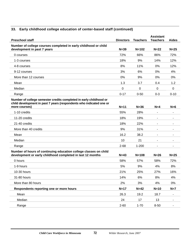### **33. Early childhood college education of center-based staff (continued)**

| <b>Preschool staff</b>                                                                                                                                     | <b>Directors</b> | <b>Teachers</b> | <b>Assistant</b><br><b>Teachers</b> | <b>Aides</b> |
|------------------------------------------------------------------------------------------------------------------------------------------------------------|------------------|-----------------|-------------------------------------|--------------|
| Number of college courses completed in early childhood or child<br>development in past 7 years                                                             | $N=39$           | $N = 102$       | $N=22$                              | $N=25$       |
| 0 courses                                                                                                                                                  | 72%              | 66%             | 86%                                 | 72%          |
| 1-3 courses                                                                                                                                                | 18%              | 9%              | 14%                                 | 12%          |
| 4-8 courses                                                                                                                                                | 8%               | 11%             | 0%                                  | 12%          |
| 9-12 courses                                                                                                                                               | 3%               | 6%              | 0%                                  | 4%           |
| More than 12 courses                                                                                                                                       | 0%               | 9%              | 0%                                  | 0%           |
| Mean                                                                                                                                                       | 1.3              | 3.7             | 0.4                                 | 1.2          |
| Median                                                                                                                                                     | 0                | 0               | 0                                   | 0            |
| Range                                                                                                                                                      | $0 - 17$         | $0 - 50$        | $0 - 3$                             | $0 - 10$     |
| Number of college semester credits completed in early childhood or<br>child development in past 7 years (respondents who indicated one or<br>more courses) | $N=11$           | $N = 36$        | $N=4$                               | $N=6$        |
| 1-10 credits                                                                                                                                               | 55%              | 28%             | $\blacksquare$                      |              |
| 11-20 credits                                                                                                                                              | 18%              | 19%             |                                     |              |
| 21-40 credits                                                                                                                                              | 18%              | 22%             |                                     |              |
| More than 40 credits                                                                                                                                       | 9%               | 31%             |                                     |              |
| Mean                                                                                                                                                       | 16.2             | 38.2            |                                     |              |
| Median                                                                                                                                                     | 10               | 21              |                                     |              |
| Range                                                                                                                                                      | $2 - 68$         | $1 - 200$       |                                     |              |
| Number of hours of continuing education college classes on child<br>development or early childhood completed in last 12 months                             | $N=43$           | $N = 108$       | $N=26$                              | $N=25$       |
| 0 hours                                                                                                                                                    | 58%              | 57%             | 58%                                 | 72%          |
| 1-9 hours                                                                                                                                                  | 5%               | 9%              | 4%                                  | 8%           |
| 10-30 hours                                                                                                                                                | 21%              | 25%             | 27%                                 | 16%          |
| 31-80 hours                                                                                                                                                | 14%              | 6%              | 8%                                  | 4%           |
| More than 80 hours                                                                                                                                         | 2%               | 3%              | 4%                                  | 0%           |
| Respondents reporting one or more hours                                                                                                                    | $N=17$           | $N=42$          | $N=10$                              | $N=7$        |
| Mean                                                                                                                                                       | 26.3             | 19.2            | 18.7                                |              |
| Median                                                                                                                                                     | 24               | 17              | 13                                  |              |
| Range                                                                                                                                                      | $2 - 60$         | $1 - 70$        | $8 - 50$                            |              |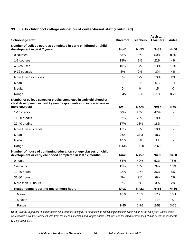#### **33. Early childhood college education of center-based staff (continued)**

| School-age staff                                                                                                                                           | <b>Directors</b> | <b>Teachers</b> | <b>Assistant</b><br><b>Teachers</b> | Aides    |
|------------------------------------------------------------------------------------------------------------------------------------------------------------|------------------|-----------------|-------------------------------------|----------|
| Number of college courses completed in early childhood or child<br>development in past 7 years                                                             | $N=40$           | $N=53$          | $N=32$                              | $N=50$   |
| 0 courses                                                                                                                                                  | 63%              | 55%             | 50%                                 | 80%      |
| 1-3 courses                                                                                                                                                | 18%              | 9%              | 22%                                 | 4%       |
| 4-8 courses                                                                                                                                                | 10%              | 17%             | 13%                                 | 10%      |
| 9-12 courses                                                                                                                                               | 5%               | 2%              | 3%                                  | 4%       |
| More than 12 courses                                                                                                                                       | 5%               | 17%             | 13%                                 | 2%       |
| Mean                                                                                                                                                       | 3.1              | 5.6             | 6.3                                 | 1.4      |
| Median                                                                                                                                                     | 0                | 0               | .5                                  | 0        |
| Range                                                                                                                                                      | $0 - 45$         | $0 - 50$        | $0 - 100$                           | $0 - 22$ |
| Number of college semester credits completed in early childhood or<br>child development in past 7 years (respondents who indicated one or<br>more courses) | $N=18$           | $N=24$          | $N=17$                              | $N=9$    |
| 1-10 credits                                                                                                                                               | 50%              | 25%             | 47%                                 |          |
| 11-20 credits                                                                                                                                              | 22%              | 25%             | 18%                                 |          |
| 21-40 credits                                                                                                                                              | 17%              | 13%             | 18%                                 |          |
| More than 40 credits                                                                                                                                       | 11%              | 38%             | 18%                                 |          |
| Mean                                                                                                                                                       | 26.4             | 33.3            | 18.7                                |          |
| Median                                                                                                                                                     | 10.5             | 18              | 12                                  |          |
| Range                                                                                                                                                      | $1 - 135$        | $1 - 100$       | $2 - 60$                            |          |
| Number of hours of continuing education college classes on child<br>development or early childhood completed in last 12 months                             | $N=46$           | $N=57$          | $N = 36$                            | $N=50$   |
| 0 hours                                                                                                                                                    | 54%              | 49%             | 53%                                 | 78%      |
| 1-9 hours                                                                                                                                                  | 15%              | 16%             | 3%                                  | 10%      |
| 10-30 hours                                                                                                                                                | 22%              | 18%             | 36%                                 | 8%       |
| 31-80 hours                                                                                                                                                | 7%               | 9%              | 6%                                  | 2%       |
| More than 80 hours                                                                                                                                         | 2%               | 9%              | 3%                                  | 2%       |
| Respondents reporting one or more hours                                                                                                                    | $N=20$           | $N=23$          | $N=16$                              | $N=10$   |
| Mean                                                                                                                                                       | 16.0             | 18.5            | 17.9                                | 15.1     |
| Median                                                                                                                                                     | 13               | 14              | 14.5                                | 9        |
| Range                                                                                                                                                      | $1 - 45$         | $1 - 76$        | $2 - 53$                            | $3 - 75$ |

*Note: Overall, 3 percent of center-based staff reported taking 80 or more college continuing education credit hours in the past year. These cases were treated as outliers and excluded from the means, medians and ranges above. Statistics are not listed for instances of nine or less respondents to a particular item.*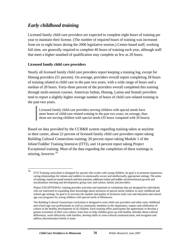# *Early childhood training*

Licensed family child care providers are expected to complete eight hours of training per year to maintain their license. (The number of required hours of training was increased from six to eight hours during the 2006 legislative session.) Center-based staff, working full time, are generally required to complete 40 hours of training each year, although staff that meet a higher standard of qualification may complete as few as 20 hours.

#### **Licensed family child care providers**

Nearly all licensed family child care providers report keeping a training log, except for Hmong providers (51 percent). On average, providers overall report completing 28 hours of training related to child care in the past two years, with a wide range of hours and a median of 20 hours. Forty-three percent of the providers overall completed this training through multi-session courses. American Indian, Hmong, Latina and Somali providers tend to report a slightly higher average number of hours of child care-related training in the past two years.

Licensed family child care providers serving children with special needs have more hours of child-care related training in the past two years, on average, than those not serving children with special needs (35 hours compared with 26 hours).

Based on data provided by the CCR&R system regarding training taken at anytime in their career, about 22 percent of licensed family child care providers report taking Building Cultural Connections training; 20 percent report taking Module 1 of the Infant/Toddler Training Intensive (ITTI), and 14 percent report taking Project Exceptional training. Most of the data regarding the completion of these trainings is missing, however. $10$ 

 $10\,$ 10 ITTI Training curriculum is designed for anyone who works with young children. Its goal is to promote responsive, caring relationships for infants and toddlers in emotionally secure and intellectually appropriate settings. The series of trainings, based on sound research and best practices, addresses infant and toddler social/emotional growth and socialization; learning and development; group care; and culture, family and providers.

Project EXCEPTIONAL training provides activities and materials in workshops that are designed for individuals who are interested in expanding their knowledge about inclusion of special needs children in early childhood and school-age settings. Its goal is to increase the number and quality of inclusive early care and education and schoolage care programs for young children with special needs in Minnesota.

The Building Cultural Connections curriculum is designed to train child care providers and other early childhood and school-age care professionals as well as community members in the importance, respect and celebration of culture in the healthy development of all children. Each training offers participants the opportunity to develop a greater awareness of their own culture, learn how to help children grow up with healthy attitudes about cultural differences, work effectively with families, develop skills in cross-cultural communication, and recognize and address discrimination before it starts.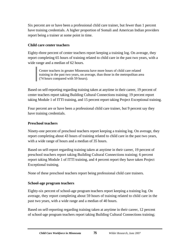Six percent are or have been a professional child care trainer, but fewer than 1 percent have training credentials. A higher proportion of Somali and American Indian providers report being a trainer at some point in time.

#### **Child care center teachers**

Eighty-three percent of center teachers report keeping a training log. On average, they report completing 65 hours of training related to child care in the past two years, with a wide range and a median of 62 hours.

Center teachers in greater Minnesota have more hours of child care related training in the past two years, on average, than those in the metropolitan area (74 hours compared with 59 hours).

Based on self-reporting regarding training taken at anytime in their career, 19 percent of center teachers report taking Building Cultural Connections training; 19 percent report taking Module 1 of ITTI training, and 15 percent report taking Project Exceptional training.

Four percent are or have been a professional child care trainer, but 9 percent say they have training credentials.

#### **Preschool teachers**

Ninety-one percent of preschool teachers report keeping a training log. On average, they report completing about 43 hours of training related to child care in the past two years, with a wide range of hours and a median of 35 hours.

Based on self-report regarding training taken at anytime in their career, 19 percent of preschool teachers report taking Building Cultural Connections training; 6 percent report taking Module 1 of ITTI training, and 4 percent report they have taken Project Exceptional training.

None of these preschool teachers report being professional child care trainers.

#### **School-age program teachers**

Eighty-six percent of school-age program teachers report keeping a training log. On average, they report completing about 59 hours of training related to child care in the past two years, with a wide range and a median of 40 hours.

Based on self-reporting regarding training taken at anytime in their career, 12 percent of school-age program teachers report taking Building Cultural Connections training;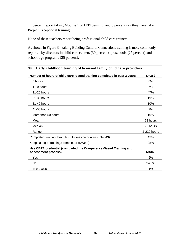14 percent report taking Module 1 of ITTI training, and 8 percent say they have taken Project Exceptional training.

None of these teachers report being professional child care trainers.

As shown in Figure 34, taking Building Cultural Connections training is more commonly reported by directors in child care centers (30 percent), preschools (27 percent) and school-age programs (25 percent).

| Number of hours of child care related training completed in past 2 years                       | $N = 352$   |
|------------------------------------------------------------------------------------------------|-------------|
| 0 hours                                                                                        | $0\%$       |
| 1-10 hours                                                                                     | 7%          |
| 11-20 hours                                                                                    | 47%         |
| 21-30 hours                                                                                    | 19%         |
| 31-40 hours                                                                                    | 10%         |
| 41-50 hours                                                                                    | 7%          |
| More than 50 hours                                                                             | 10%         |
| Mean                                                                                           | 28 hours    |
| Median                                                                                         | 20 hours    |
| Range                                                                                          | 2-220 hours |
| Completed training through multi-session courses (N=349)                                       | 43%         |
| Keeps a log of trainings completed (N=354)                                                     | 98%         |
| Has CBTA credential (completed the Competency-Based Training and<br><b>Assessment process)</b> | $N = 348$   |
| Yes                                                                                            | 5%          |
| <b>No</b>                                                                                      | 94.5%       |
| In process                                                                                     | 1%          |

#### **34. Early childhood training of licensed family child care providers**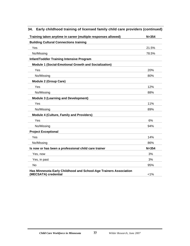| Training taken anytime in career (multiple responses allowed)                             | $N = 354$  |
|-------------------------------------------------------------------------------------------|------------|
| <b>Building Cultural Connections training</b>                                             |            |
| Yes                                                                                       | 21.5%      |
| No/Missing                                                                                | 78.5%      |
| <b>Infant/Toddler Training Intensive Program</b>                                          |            |
| <b>Module 1 (Social-Emotional Growth and Socialization)</b>                               |            |
| Yes                                                                                       | <b>20%</b> |
| No/Missing                                                                                | 80%        |
| <b>Module 2 (Group Care)</b>                                                              |            |
| Yes                                                                                       | 12%        |
| No/Missing                                                                                | 88%        |
| <b>Module 3 (Learning and Development)</b>                                                |            |
| Yes                                                                                       | 11%        |
| No/Missing                                                                                | 89%        |
| <b>Module 4 (Culture, Family and Providers)</b>                                           |            |
| Yes                                                                                       | 6%         |
| No/Missing                                                                                | 94%        |
| <b>Project Exceptional</b>                                                                |            |
| Yes                                                                                       | 14%        |
| No/Missing                                                                                | 86%        |
| Is now or has been a professional child care trainer                                      | $N = 354$  |
| Yes, now                                                                                  | 3%         |
| Yes, in past                                                                              | 3%         |
| <b>No</b>                                                                                 | 95%        |
| Has Minnesota Early Childhood and School-Age Trainers Association<br>(MECSATA) credential | $< 1\%$    |

### **34. Early childhood training of licensed family child care providers (continued)**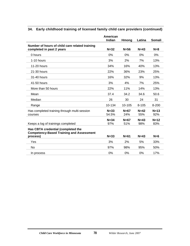|                                                                                                   | American          |               |               |               |
|---------------------------------------------------------------------------------------------------|-------------------|---------------|---------------|---------------|
|                                                                                                   | Indian            | Hmona         | Latina        | <b>Somali</b> |
| Number of hours of child care related training                                                    |                   |               |               |               |
| completed in past 2 years                                                                         | $N = 32$          | $N=56$        | $N=43$        | $N=8$         |
| 0 hours                                                                                           | 0%                | 0%            | 0%            | $0\%$         |
| 1-10 hours                                                                                        | 3%                | 2%            | 7%            | 13%           |
| 11-20 hours                                                                                       | 34%               | 16%           | 40%           | 13%           |
| 21-30 hours                                                                                       | 22%               | 36%           | 23%           | 25%           |
| 31-40 hours                                                                                       | 16%               | 32%           | 9%            | 13%           |
| 41-50 hours                                                                                       | 3%                | 4%            | 7%            | 25%           |
| More than 50 hours                                                                                | 22%               | 11%           | 14%           | 13%           |
| Mean                                                                                              | 37.4              | 34.2          | 34.6          | 50.6          |
| Median                                                                                            | 26                | 30            | 24            | 31            |
| Range                                                                                             | 10-134            | 10-105        | $8 - 105$     | $8 - 200$     |
| Has completed training through multi-session<br>courses                                           | $N = 33$<br>54.5% | $N=67$<br>24% | $N=42$<br>55% | $N=13$<br>92% |
|                                                                                                   | $N = 34$          | $N=67$        | $N=43$        | $N=12$        |
| Keeps a log of trainings completed                                                                | 97%               | 51%           | 98%           | 83%           |
| Has CBTA credential (completed the<br><b>Competency-Based Training and Assessment</b><br>process) | $N = 33$          | $N=61$        | $N=43$        | $N=6$         |
| Yes                                                                                               | 3%                | 2%            | 5%            | 33%           |
| No                                                                                                | 97%               | 98%           | 95%           | 50%           |
| In process                                                                                        | 0%                | 0%            | 0%            | 17%           |
|                                                                                                   |                   |               |               |               |

### **34. Early childhood training of licensed family child care providers (continued)**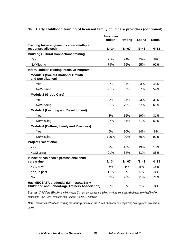|                                                                                                  | American<br>Indian | Hmong  | Latina | <b>Somali</b> |
|--------------------------------------------------------------------------------------------------|--------------------|--------|--------|---------------|
| Training taken anytime in career (multiple<br>responses allowed)                                 | $N = 34$           | $N=67$ | $N=43$ | $N=13$        |
| <b>Building Cultural Connections training</b>                                                    |                    |        |        |               |
| Yes                                                                                              | 21%                | 24%    | 35%    | 8%            |
| No/Missing                                                                                       | 79%                | 76%    | 65%    | 92%           |
| <b>Infant/Toddler Training Intensive Program</b>                                                 |                    |        |        |               |
| <b>Module 1 (Social-Emotional Growth</b><br>and Socialization)                                   |                    |        |        |               |
| Yes                                                                                              | 9%                 | 31%    | 33%    | 46%           |
| No/Missing                                                                                       | 91%                | 69%    | 67%    | 54%           |
| <b>Module 2 (Group Care)</b>                                                                     |                    |        |        |               |
| Yes                                                                                              | 9%                 | 21%    | 23%    | 31%           |
| No/Missing                                                                                       | 91%                | 79%    | 77%    | 69%           |
| <b>Module 3 (Learning and Development)</b>                                                       |                    |        |        |               |
| Yes                                                                                              | 3%                 | 16%    | 19%    | 31%           |
| No/Missing                                                                                       | 97%                | 84%    | 81%    | 69%           |
| <b>Module 4 (Culture, Family and Providers)</b>                                                  |                    |        |        |               |
| Yes                                                                                              | 0%                 | 10%    | 14%    | 8%            |
| No/Missing                                                                                       | 100%               | 90%    | 86%    | 92%           |
| <b>Project Exceptional</b>                                                                       |                    |        |        |               |
| Yes                                                                                              | 9%                 | 16%    | 19%    | 15%           |
| No/Missing                                                                                       | 91%                | 84%    | 81%    | 85%           |
| Is now or has been a professional child<br>care trainer                                          | $N = 34$           | $N=67$ | $N=43$ | $N=13$        |
| Yes, now                                                                                         | 6%                 | 1%     | 5%     | 15%           |
| Yes, in past                                                                                     | 12%                | 3%     | 5%     | 8%            |
| No                                                                                               | 82%                | 96%    | 91%    | 77%           |
| Has MECSATA credential (Minnesota Early<br><b>Childhood and School-Age Trainers Association)</b> | 0%                 | 0%     | 2%     | 8%            |

#### **34. Early childhood training of licensed family child care providers (continued)**

*Sources: Child Care Workforce in Minnesota Survey, except training taken anytime in career, which was provided by the Minnesota Child Care Resource and Referral (CCR&R) Network.* 

*Note: Responses of "no" and missing are indistinguishable in the CCR&R Network data regarding training taken any time in career.*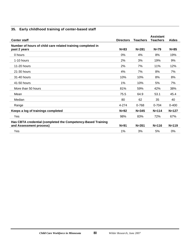### **35. Early childhood training of center-based staff**

| <b>Center staff</b>                                                                     | <b>Directors</b> | Teachers  | <b>Assistant</b><br><b>Teachers</b> | <b>Aides</b> |
|-----------------------------------------------------------------------------------------|------------------|-----------|-------------------------------------|--------------|
| Number of hours of child care related training completed in<br>past 2 years             | $N=83$           | $N = 281$ | $N=79$                              | $N = 85$     |
| 0 hours                                                                                 | 0%               | 4%        | 8%                                  | 19%          |
| 1-10 hours                                                                              | 2%               | 3%        | 19%                                 | 9%           |
| 11-20 hours                                                                             | 2%               | 7%        | 11%                                 | 12%          |
| 21-30 hours                                                                             | 4%               | 7%        | 8%                                  | 7%           |
| 31-40 hours                                                                             | 10%              | 10%       | 8%                                  | 8%           |
| 41-50 hours                                                                             | 1%               | 10%       | 5%                                  | 7%           |
| More than 50 hours                                                                      | 81%              | 59%       | 42%                                 | 38%          |
| Mean                                                                                    | 75.5             | 64.9      | 53.1                                | 45.4         |
| Median                                                                                  | 80               | 62        | 35                                  | 40           |
| Range                                                                                   | 4-274            | 0-768     | $0 - 704$                           | $0 - 400$    |
| Keeps a log of trainings completed                                                      | $N=92$           | $N = 345$ | $N = 114$                           | $N = 127$    |
| Yes                                                                                     | 98%              | 83%       | 72%                                 | 67%          |
| Has CBTA credential (completed the Competency-Based Training<br>and Assessment process) | $N = 91$         | $N = 351$ | $N = 116$                           | $N = 119$    |
| Yes                                                                                     | 1%               | 3%        | 5%                                  | 0%           |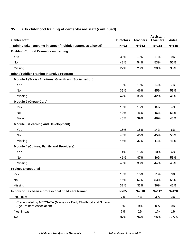| <b>Center staff</b>                                                                         | <b>Directors</b> | <b>Teachers</b> | <b>Assistant</b><br><b>Teachers</b> | <b>Aides</b> |
|---------------------------------------------------------------------------------------------|------------------|-----------------|-------------------------------------|--------------|
| Training taken anytime in career (multiple responses allowed)                               | $N=92$           | $N = 352$       | $N = 118$                           | $N = 135$    |
| <b>Building Cultural Connections training</b>                                               |                  |                 |                                     |              |
| Yes                                                                                         | 30%              | 19%             | 17%                                 | 9%           |
| No                                                                                          | 42%              | 54%             | 53%                                 | 56%          |
| Missing                                                                                     | 27%              | 28%             | 30%                                 | 35%          |
| <b>Infant/Toddler Training Intensive Program</b>                                            |                  |                 |                                     |              |
| Module 1 (Social-Emotional Growth and Socialization)                                        |                  |                 |                                     |              |
| Yes                                                                                         | 18%              | 19%             | 14%                                 | 7%           |
| No                                                                                          | 39%              | 46%             | 45%                                 | 53%          |
| Missing                                                                                     | 42%              | 36%             | 42%                                 | 41%          |
| <b>Module 2 (Group Care)</b>                                                                |                  |                 |                                     |              |
| Yes                                                                                         | 13%              | 15%             | 8%                                  | 4%           |
| No                                                                                          | 42%              | 46%             | 46%                                 | 53%          |
| Missing                                                                                     | 45%              | 39%             | 46%                                 | 43%          |
| <b>Module 3 (Learning and Development)</b>                                                  |                  |                 |                                     |              |
| Yes                                                                                         | 15%              | 18%             | 14%                                 | 6%           |
| No                                                                                          | 40%              | 46%             | 45%                                 | 53%          |
| Missing                                                                                     | 45%              | 37%             | 41%                                 | 41%          |
| <b>Module 4 (Culture, Family and Providers)</b>                                             |                  |                 |                                     |              |
| Yes                                                                                         | 14%              | 15%             | 10%                                 | 4%           |
| No                                                                                          | 41%              | 47%             | 46%                                 | 53%          |
| Missing                                                                                     | 45%              | 38%             | 44%                                 | 43%          |
| <b>Project Exceptional</b>                                                                  |                  |                 |                                     |              |
| Yes                                                                                         | 18%              | 15%             | 11%                                 | 3%           |
| No                                                                                          | 45%              | 52%             | 53%                                 | 55%          |
| Missing                                                                                     | 37%              | 33%             | 36%                                 | 42%          |
| Is now or has been a professional child care trainer                                        | $N=85$           | $N = 318$       | $N = 112$                           | $N = 120$    |
| Yes, now                                                                                    | 7%               | 4%              | 3%                                  | 2%           |
| Credentialed by MECSATA (Minnesota Early Childhood and School-<br>Age Trainers Association) | 0%               | 9%              | 0%                                  | 0%           |
| Yes, in past                                                                                | 6%               | 2%              | 1%                                  | 1%           |
| No                                                                                          | 87%              | 94%             | 96%                                 | 97.5%        |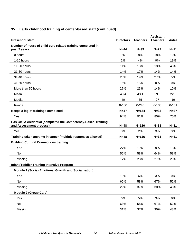| <b>Preschool staff</b>                                                                  | <b>Directors</b> | <b>Teachers</b> | <b>Assistant</b><br><b>Teachers</b> | <b>Aides</b> |
|-----------------------------------------------------------------------------------------|------------------|-----------------|-------------------------------------|--------------|
| Number of hours of child care related training completed in<br>past 2 years             | $N=44$           | $N = 99$        | $N=22$                              | $N=21$       |
| 0 hours                                                                                 | 9%               | 8%              | 18%                                 | 10%          |
| 1-10 hours                                                                              | 2%               | 4%              | 9%                                  | 19%          |
| 11-20 hours                                                                             | 11%              | 13%             | 18%                                 | 43%          |
| 21-30 hours                                                                             | 14%              | 17%             | 14%                                 | 14%          |
| 31-40 hours                                                                             | 20%              | 19%             | 27%                                 | 5%           |
| 41-50 hours                                                                             | 16%              | 15%             | 0%                                  | 0%           |
| More than 50 hours                                                                      | 27%              | 23%             | 14%                                 | 10%          |
| Mean                                                                                    | 40.4             | 43.1            | 29.6                                | 22.0         |
| Median                                                                                  | 40               | 35              | 27                                  | 19           |
| Range                                                                                   | $0 - 100$        | $0 - 240$       | $0 - 130$                           | $0 - 101$    |
| Keeps a log of trainings completed                                                      | $N=47$           | $N = 124$       | $N = 33$                            | $N=27$       |
| Yes                                                                                     | 94%              | 91%             | 85%                                 | 70%          |
| Has CBTA credential (completed the Competency-Based Training<br>and Assessment process) | $N=48$           | $N = 126$       | $N = 33$                            | $N = 31$     |
| Yes                                                                                     | 0%               | 2%              | 3%                                  | 3%           |
| Training taken anytime in career (multiple responses allowed)                           | $N = 48$         | $N = 126$       | $N = 33$                            | $N = 31$     |
| <b>Building Cultural Connections training</b>                                           |                  |                 |                                     |              |
| Yes                                                                                     | 27%              | 19%             | 9%                                  | 13%          |
| No                                                                                      | 56%              | 58%             | 64%                                 | 58%          |
| Missing                                                                                 | 17%              | 23%             | 27%                                 | 29%          |
| <b>Infant/Toddler Training Intensive Program</b>                                        |                  |                 |                                     |              |
| Module 1 (Social-Emotional Growth and Socialization)                                    |                  |                 |                                     |              |
| Yes                                                                                     | 10%              | 6%              | 3%                                  | 0%           |
| No                                                                                      | 60%              | 58%             | 67%                                 | 52%          |
| Missing                                                                                 | 29%              | 37%             | 30%                                 | 48%          |
| <b>Module 2 (Group Care)</b>                                                            |                  |                 |                                     |              |
| Yes                                                                                     | $6\%$            | 5%              | 3%                                  | 0%           |
| No                                                                                      | 63%              | 58%             | 67%                                 | 52%          |
| Missing                                                                                 | 31%              | 37%             | 30%                                 | 48%          |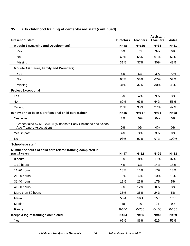| <b>Preschool staff</b>                                                                      | <b>Directors</b> | <b>Teachers</b> | <b>Assistant</b><br><b>Teachers</b> | <b>Aides</b> |
|---------------------------------------------------------------------------------------------|------------------|-----------------|-------------------------------------|--------------|
| <b>Module 3 (Learning and Development)</b>                                                  | $N = 48$         | $N = 126$       | $N = 33$                            | $N = 31$     |
| Yes                                                                                         | 8%               | 55              | 3%                                  | 0%           |
| No                                                                                          | 60%              | 58%             | 67%                                 | 52%          |
| Missing                                                                                     | 31%              | 37%             | 30%                                 | 48%          |
| <b>Module 4 (Culture, Family and Providers)</b>                                             |                  |                 |                                     |              |
| Yes                                                                                         | 8%               | 5%              | 3%                                  | 0%           |
| No                                                                                          | 60%              | 58%             | 67%                                 | 52%          |
| Missing                                                                                     | 31%              | 37%             | 30%                                 | 48%          |
| <b>Project Exceptional</b>                                                                  |                  |                 |                                     |              |
| Yes                                                                                         | 6%               | 4%              | 9%                                  | 3%           |
| No                                                                                          | 69%              | 63%             | 64%                                 | 55%          |
| Missing                                                                                     | 25%              | 33%             | 27%                                 | 42%          |
| Is now or has been a professional child care trainer                                        | $N=45$           | $N = 117$       | $N = 31$                            | $N=28$       |
| Yes, now                                                                                    | 2%               | 0%              | 0%                                  | 0%           |
| Credentialed by MECSATA (Minnesota Early Childhood and School-<br>Age Trainers Association) | 0%               | 0%              | 0%                                  | 0%           |
| Yes, in past                                                                                | 4%               | 3%              | 3%                                  | 0%           |
| No                                                                                          | 93%              | 97%             | 97%                                 | 100%         |
| School-age staff                                                                            |                  |                 |                                     |              |
| Number of hours of child care related training completed in                                 |                  |                 |                                     |              |
| past 2 years                                                                                | $N=47$           | $N=52$          | $N=29$                              | $N = 38$     |
| 0 hours                                                                                     | 9%               | 8%              | 17%                                 | 37%          |
| 1-10 hours                                                                                  | 4%               | 6%              | 14%                                 | 18%          |
| 11-20 hours                                                                                 | 13%              | 13%             | 17%                                 | 18%          |
| 21-30 hours                                                                                 | 19%              | 4%              | 10%                                 | 13%          |
| 31-40 hours                                                                                 | 11%              | 23%             | 17%                                 | 5%           |
| 41-50 hours                                                                                 | 9%               | 12%             | 0%                                  | 3%           |
| More than 50 hours                                                                          | 36%              | 35%             | 24%                                 | 5%           |
| Mean                                                                                        | 50.4             | 59.1            | 35.5                                | 17.0         |
| Median                                                                                      | 40               | 40              | 24                                  | 9.5          |
| Range                                                                                       | 0-340            | 0-750           | $0 - 150$                           | $0 - 150$    |
| Keeps a log of trainings completed                                                          | $N=54$           | $N=65$          | $N=45$                              | $N=59$       |
| Yes                                                                                         | 67%              | 86%             | 62%                                 | 56%          |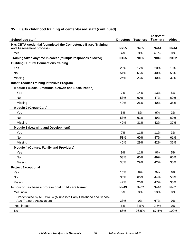| School-age staff                                               | <b>Directors</b> | <b>Teachers</b> | <b>Assistant</b><br><b>Teachers</b> | <b>Aides</b> |
|----------------------------------------------------------------|------------------|-----------------|-------------------------------------|--------------|
| Has CBTA credential (completed the Competency-Based Training   |                  |                 |                                     |              |
| and Assessment process)                                        | $N=55$           | $N=65$          | $N=44$                              | $N=44$       |
| Yes                                                            | 4%               | 3%              | 4.5%                                | 0%           |
| Training taken anytime in career (multiple responses allowed)  | $N=55$           | $N=65$          | $N=45$                              | $N=62$       |
| <b>Building Cultural Connections training</b>                  |                  |                 |                                     |              |
| Yes                                                            | 25%              | 12%             | 20%                                 | 10%          |
| No                                                             | 51%              | 65%             | 40%                                 | 58%          |
| Missing                                                        | 24%              | 23%             | 40%                                 | 32%          |
| <b>Infant/Toddler Training Intensive Program</b>               |                  |                 |                                     |              |
| Module 1 (Social-Emotional Growth and Socialization)           |                  |                 |                                     |              |
| Yes                                                            | 7%               | 14%             | 13%                                 | 5%           |
| <b>No</b>                                                      | 53%              | 60%             | 47%                                 | 60%          |
| Missing                                                        | 40%              | 26%             | 40%                                 | 35%          |
| <b>Module 2 (Group Care)</b>                                   |                  |                 |                                     |              |
| Yes                                                            | 5%               | 8%              | 9%                                  | 3%           |
| No                                                             | 53%              | 62%             | 49%                                 | 60%          |
| Missing                                                        | 42%              | 31%             | 42%                                 | 37%          |
| <b>Module 3 (Learning and Development)</b>                     |                  |                 |                                     |              |
| Yes                                                            | 7%               | 11%             | 11%                                 | 3%           |
| <b>No</b>                                                      | 53%              | 60%             | 47%                                 | 61%          |
| Missing                                                        | 40%              | 29%             | 42%                                 | 35%          |
| <b>Module 4 (Culture, Family and Providers)</b>                |                  |                 |                                     |              |
| Yes                                                            | 9%               | 11%             | 9%                                  | 5%           |
| No                                                             | 53%              | 60%             | 49%                                 | 60%          |
| Missing                                                        | 38%              | 29%             | 42%                                 | 35%          |
| <b>Project Exceptional</b>                                     |                  |                 |                                     |              |
| Yes                                                            | 16%              | $8%$            | 9%                                  | 6%           |
| <b>No</b>                                                      | 36%              | 66%             | 44%                                 | 58%          |
| Missing                                                        | 47%              | 26%             | 47%                                 | 35%          |
| Is now or has been a professional child care trainer           | $N=49$           | $N=57$          | $N=40$                              | $N=61$       |
| Yes, now                                                       | 6%               | 0%              | 10%                                 | 0%           |
| Credentialed by MECSATA (Minnesota Early Childhood and School- |                  |                 |                                     |              |
| Age Trainers Association)                                      | 33%              | 0%              | 67%                                 | 0%           |
| Yes, in past                                                   | 6%               | 3.5%            | 2.5%                                | 0%           |
| No                                                             | 88%              | 96.5%           | 87.5%                               | 100%         |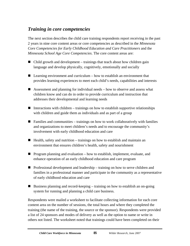# *Training in core competencies*

The next section describes the child care training respondents report receiving in the past 2 years in nine core content areas or core competencies as described in the *Minnesota Core Competencies for Early Childhood Education and Care Practitioners* and the *Minnesota School Age Core Competencies*. The core content areas are:

- Child growth and development trainings that teach about how children gain language and develop physically, cognitively, emotionally and socially
- $\blacksquare$  Learning environment and curriculum how to establish an environment that provides learning experiences to meet each child's needs, capabilities and interests
- Assessment and planning for individual needs how to observe and assess what children know and can do in order to provide curriculum and instruction that addresses their developmental and learning needs
- Interactions with children trainings on how to establish supportive relationships with children and guide them as individuals and as part of a group
- $\blacksquare$  Families and communities trainings on how to work collaboratively with families and organizations to meet children's needs and to encourage the community's involvement with early childhood education and care
- $\blacksquare$  Health, safety and nutrition trainings on how to establish and maintain an environment that ensures children's health, safety and nourishment
- **Program planning and evaluation how to establish, implement, evaluate, and** enhance operation of an early childhood education and care program
- Professional development and leadership training on how to serve children and families in a professional manner and participate in the community as a representative of early childhood education and care
- Business planning and record-keeping training on how to establish an on-going system for running and planning a child care business.

Respondents were mailed a worksheet to facilitate collecting information for each core content area on the number of sessions, the total hours and where they completed the training (the name of the training, the source or the sponsor). Respondents were provided a list of 24 sponsors and modes of delivery as well as the option to name or write in others not listed. The worksheet noted that trainings could have been completed on their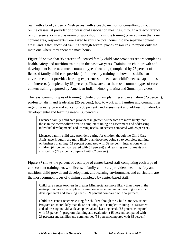own with a book, video or Web pages; with a coach, mentor, or consultant; through online classes; at provider or professional association meetings; through a teleconference or conference; or in a classroom or workshop. If a single training covered more than one content area, respondents were asked to split the total hours into the separate content areas, and if they received training through several places or sources, to report only the main one where they spent the most hours.

Figure 36 shows that 98 percent of licensed family child care providers report completing health, safety and nutrition training in the past two years. Training on child growth and development is the next most common type of training (completed by 73 percent of licensed family child care providers), followed by training on how to establish an environment that provides learning experiences to meet each child's needs, capabilities and interests (completed by 66 percent). These are also the most common types of core content training reported by American Indian, Hmong, Latina and Somali providers.

The least common types of training include program planning and evaluation (25 percent), professionalism and leadership (25 percent), how to work with families and communities regarding early care and education (30 percent) and assessment and addressing individual developmental and learning needs (35 percent).

Licensed family child care providers in greater Minnesota are more likely than those in the metropolitan area to complete training on assessment and addressing individual developmental and learning needs (40 percent compared with 28 percent).

Licensed family child care providers caring for children though the Child Care Assistance Program are more likely than those not doing so to complete training on business planning (52 percent compared with 39 percent), interactions with children (64 percent compared with 51 percent) and learning environments and curriculum (74 percent compared with 62 percent).

Figure 37 shows the percent of each type of center-based staff completing each type of core content training. As with licensed family child care providers, health, safety and nutrition; child growth and development; and learning environments and curriculum are the most common types of training completed by center-based staff.

Child care center teachers in greater Minnesota are more likely than those in the metropolitan area to complete training on assessment and addressing individual developmental and learning needs (69 percent compared with 52 percent).

Child care center teachers caring for children though the Child Care Assistance Program are more likely than those not doing so to complete training on assessment and addressing individual developmental and learning needs (63 percent compared with 38 percent), program planning and evaluation (45 percent compared with 28 percent) and families and communities (58 percent compared with 35 percent).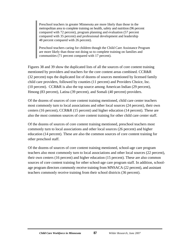Preschool teachers in greater Minnesota are more likely than those in the metropolitan area to complete training on health, safety and nutrition (96 percent compared with 72 percent), program planning and evaluation (57 percent compared with 35 percent) and professional development and leadership 48 percent compared with 26 percent).

Preschool teachers caring for children though the Child Care Assistance Program are more likely than those not doing so to complete training on families and communities (71 percent compared with 17 percent).

Figures 38 and 39 show the duplicated lists of all the sources of core content training mentioned by providers and teachers for the core content areas combined. CCR&R (32 percent) tops the duplicated list of dozens of sources mentioned by licensed family child care providers, followed by counties (11 percent) and Providers Choice, Inc. (10 percent). CCR&R is also the top source among American Indian (29 percent), Hmong (83 percent), Latina (39 percent), and Somali (40 percent) providers.

Of the dozens of sources of core content training mentioned, child care center teachers most commonly turn to local associations and other local sources (24 percent), their own centers (16 percent), CCR&R (15 percent) and higher education (14 percent). These are also the most common sources of core content training for other child care center staff.

Of the dozens of sources of core content training mentioned, preschool teachers most commonly turn to local associations and other local sources (26 percent) and higher education (14 percent). These are also the common sources of core content training for other preschool staff.

Of the dozens of sources of core content training mentioned, school-age care program teachers also most commonly turn to local associations and other local sources (22 percent), their own centers (16 percent) and higher education (15 percent). These are also common sources of core content training for other school-age care program staff. In addition, schoolage program directors commonly receive training from MNSACA (22 percent), and assistant teachers commonly receive training from their school districts (36 percent).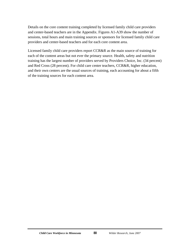Details on the core content training completed by licensed family child care providers and center-based teachers are in the Appendix. Figures A1-A39 show the number of sessions, total hours and main training sources or sponsors for licensed family child care providers and center-based teachers and for each core content area.

Licensed family child care providers report CCR&R as the main source of training for each of the content areas but not ever the primary source. Health, safety and nutrition training has the largest number of providers served by Providers Choice, Inc. (34 percent) and Red Cross (28 percent). For child care center teachers, CCR&R, higher education, and their own centers are the usual sources of training, each accounting for about a fifth of the training sources for each content area.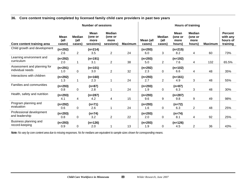#### **36. Core content training completed by licensed family child care providers in past two years**

|                                                 | <b>Number of sessions</b>     |                                 |                                      |                                               |                | <b>Hours of training</b> |                                 |                                   |                                            |                |                                                    |
|-------------------------------------------------|-------------------------------|---------------------------------|--------------------------------------|-----------------------------------------------|----------------|--------------------------|---------------------------------|-----------------------------------|--------------------------------------------|----------------|----------------------------------------------------|
| Core content training area                      | <b>Mean</b><br>(all<br>cases) | <b>Median</b><br>(all<br>cases) | Mean<br>(one or<br>more<br>sessions) | <b>Median</b><br>(one or<br>more<br>sessions) | <b>Maximum</b> | Mean (all<br>cases)      | <b>Median</b><br>(all<br>cases) | Mean<br>(one or<br>more<br>hours) | <b>Median</b><br>(one or<br>more<br>hours) | <b>Maximum</b> | <b>Percent</b><br>with any<br>hours of<br>training |
| Child growth and development                    | $(n=292)$                     |                                 | $(n=214)$                            |                                               |                | $(n=293)$                |                                 | $(n=215)$                         |                                            |                |                                                    |
|                                                 | 2.6                           | 2                               | 3.5                                  | $\overline{2}$                                | 24             | 6.0                      | 3                               | 8.2                               | 4                                          | 60             | 73%                                                |
| Learning environment and<br>curriculum          | $(n=292)$                     |                                 | $(n=191)$                            |                                               |                | $(n=293)$                |                                 | $(n=192)$                         |                                            |                |                                                    |
|                                                 | 2.0                           |                                 | 3.1                                  | $\overline{2}$                                | 38             | 5.0                      | $\overline{2}$                  | 7.6                               | 4                                          | 132            | 65.5%                                              |
| Assessment and planning for<br>individual needs | $(n=291)$                     |                                 | $(n=101)$                            |                                               |                | $(n=292)$                |                                 | $(n=102)$                         |                                            |                |                                                    |
|                                                 | 1.0                           | 0                               | 3.0                                  | $\overline{2}$                                | 32             | 2.3                      | 0                               | 6.6                               | 4                                          | 48             | 35%                                                |
| Interactions with children                      | $(n=292)$                     |                                 | $(n=160)$                            |                                               |                | $(n=293)$                |                                 | $(n=161)$                         |                                            |                |                                                    |
|                                                 | 1.3                           | 1                               | 2.3                                  | 1                                             | 24             | 2.7                      | $\overline{2}$                  | 4.9                               | 3                                          | 48             | 55%                                                |
| Families and communities                        | $(n=293)$                     |                                 | $(n=87)$                             |                                               |                | $(n=293)$                |                                 | $(n=87)$                          |                                            |                |                                                    |
|                                                 | 0.8                           | 0                               | 2.8                                  | 1                                             | 24             | 1.9                      | 0                               | 6.3                               | 3                                          | 48             | 30%                                                |
| Health, safety and nutrition                    | $(n=293)$                     |                                 | $(n=287)$                            |                                               |                | $(n=293)$                |                                 | $(n=287)$                         |                                            |                |                                                    |
|                                                 | 4.1                           | 4                               | 4.2                                  | 4                                             | 15             | 9.6                      | 9                               | 9.8                               | 9                                          | 49             | 98%                                                |
| Program planning and<br>evaluation              | $(n=292)$                     |                                 | $(n=71)$                             |                                               |                | $(n=293)$                |                                 | $(n=72)$                          |                                            |                |                                                    |
|                                                 | 0.6                           | 0                               | 2.6                                  | 1                                             | 24             | 1.6                      | 0                               | 6.3                               | $\overline{2}$                             | 48             | 25%                                                |
| Professional development<br>and leadership      | $(n=293)$                     |                                 | $(n=74)$                             |                                               |                | $(n=293)$                |                                 | $(n=74)$                          |                                            |                |                                                    |
|                                                 | 0.8                           | 0                               | 3.2                                  | $\overline{2}$                                | 22             | 2.0                      | 0                               | 8.1                               | 4                                          | 92             | 25%                                                |
| Business planning and<br>record-keeping         | $(n=293)$                     |                                 | $(n=126)$                            |                                               |                | $(n=293)$                |                                 | $(n=126)$                         |                                            |                |                                                    |
|                                                 | 0.9                           | 0                               | 2.0                                  |                                               | 13             | 1.9                      | 0                               | 4.5                               | $\mathbf{2}$                               | 36             | 43%                                                |

*Note: Ns vary by core content area due to missing responses. Ns for medians are equivalent to sample sizes shown for corresponding means.*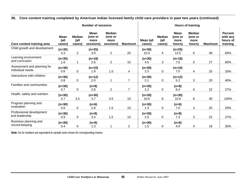#### **36. Core content training completed by American Indian licensed family child care providers in past two years (continued)**

|                                                 | <b>Number of sessions</b>     |                                 |                                             |                                               |                |                         | <b>Hours of training</b>        |                                          |                                            |                |                                                    |
|-------------------------------------------------|-------------------------------|---------------------------------|---------------------------------------------|-----------------------------------------------|----------------|-------------------------|---------------------------------|------------------------------------------|--------------------------------------------|----------------|----------------------------------------------------|
| Core content training area                      | <b>Mean</b><br>(all<br>cases) | <b>Median</b><br>(all<br>cases) | <b>Mean</b><br>(one or<br>more<br>sessions) | <b>Median</b><br>(one or<br>more<br>sessions) | <b>Maximum</b> | Mean (all<br>cases)     | <b>Median</b><br>(all<br>cases) | <b>Mean</b><br>(one or<br>more<br>hours) | <b>Median</b><br>(one or<br>more<br>hours) | <b>Maximum</b> | <b>Percent</b><br>with any<br>hours of<br>training |
| Child growth and development                    | $(n=30)$<br>3.3               |                                 | $(n=25)$<br>3.9                             | $\overline{2}$                                | 20             | $(n=30)$                |                                 | $(n=25)$                                 | 6                                          | 48             | 83%                                                |
| Learning environment<br>and curriculum          | $(n=30)$<br>1.6               | $\overline{2}$<br>1             | $(n=18)$<br>2.6                             | $\overline{2}$                                | 10             | 10.4<br>$(n=30)$<br>4.5 | 4<br>3                          | 12.5<br>$(n=18)$<br>7.6                  | 5                                          | 27             | 60%                                                |
| Assessment and planning for<br>individual needs | $(n=30)$<br>0.6               | 0                               | $(n=10)$<br>1.9                             | 1.5                                           | $\overline{4}$ | $(n=30)$<br>2.3         | 0                               | $(n=10)$<br>7.0                          | 4                                          | 25             | 33%                                                |
| Interactions with children                      | $(n=30)$<br>0.8               | $\pmb{0}$                       | $(n=12)$<br>2.0                             |                                               | $\overline{7}$ | $(n=30)$<br>2.1         | $\mathbf 0$                     | (n=12)<br>5.2                            | 3                                          | 20             | 40%                                                |
| Families and communities                        | $(n=30)$<br>0.7               | 0                               | $(n=8)$<br>2.8                              | $\overline{2}$                                | $\overline{7}$ | $(n=30)$<br>2.2         | $\mathbf 0$                     | $(n=8)$<br>8.4                           | 6                                          | 22             | 27%                                                |
| Health, safety and nutrition                    | $(n=30)$<br>3.7               | 3.5                             | $(n=30)$<br>3.7                             | 3.5                                           | 10             | $(n=30)$<br>10.6        | 8                               | $(n=30)$<br>10.6                         | 8                                          | 40             | 100%                                               |
| Program planning and<br>evaluation              | $(n=30)$<br>0.6               | 0                               | $(n=6)$<br>2.8                              | 1.5                                           | 10             | $(n=30)$<br>1.4         | 0                               | $(n=6)$<br>7.0                           | 4                                          | 20             | 20%                                                |
| Professional development<br>and leadership      | $(n=30)$<br>0.9               | 0                               | $(n=8)$<br>3.4                              | 1.5                                           | 10             | $(n=30)$<br>2.0         | $\mathbf 0$                     | $(n=8)$<br>7.4                           | 3                                          | 22             | 27%                                                |
| Business planning and<br>record-keeping         | $(n=30)$<br>0.4               | 0                               | $(n=9)$<br>1.3                              |                                               | $\overline{2}$ | $(n=30)$<br>1.5         | 0                               | $(n=9)$<br>4.9                           | 4                                          | 16             | 30%                                                |

*Note: Ns for medians are equivalent to sample sizes shown for corresponding means.*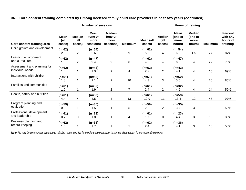#### **36. Core content training completed by Hmong licensed family child care providers in past two years (continued)**

|                                                 | <b>Number of sessions</b>     |                                 |                                             |                                               |                |                     |                                 |                                          | <b>Hours of training</b>                   |                |                                                    |  |  |
|-------------------------------------------------|-------------------------------|---------------------------------|---------------------------------------------|-----------------------------------------------|----------------|---------------------|---------------------------------|------------------------------------------|--------------------------------------------|----------------|----------------------------------------------------|--|--|
| Core content training area                      | <b>Mean</b><br>(all<br>cases) | <b>Median</b><br>(all<br>cases) | <b>Mean</b><br>(one or<br>more<br>sessions) | <b>Median</b><br>(one or<br>more<br>sessions) | <b>Maximum</b> | Mean (all<br>cases) | <b>Median</b><br>(all<br>cases) | <b>Mean</b><br>(one or<br>more<br>hours) | <b>Median</b><br>(one or<br>more<br>hours) | <b>Maximum</b> | <b>Percent</b><br>with any<br>hours of<br>training |  |  |
| Child growth and development                    | $(n=62)$<br>2.3               | $\overline{2}$                  | $(n=54)$<br>2.6                             | $\overline{2}$                                | 9              | $(n=62)$<br>5.5     | 4                               | $(n=54)$<br>6.3                          | 4.5                                        | 27             | 87%                                                |  |  |
| Learning environment<br>and curriculum          | $(n=62)$<br>1.8               | $\overline{2}$                  | $(n=47)$<br>2.4                             | $\overline{2}$                                | $\, 8$         | $(n=62)$<br>4.8     | 4                               | $(n=47)$<br>6.3                          | 4                                          | 22             | 76%                                                |  |  |
| Assessment and planning for<br>individual needs | $(n=62)$<br>1.3               | 1                               | $(n=43)$<br>1.9                             | $\overline{2}$                                | 4              | $(n=62)$<br>2.9     | $\overline{2}$                  | $(n=43)$<br>4.1                          | $\overline{4}$                             | 10             | 69%                                                |  |  |
| Interactions with children                      | $(n=61)$<br>1.8               | 1                               | $(n=52)$<br>2.1                             | $\overline{2}$                                | 10             | $(n=61)$<br>4.3     | 3                               | $(n=52)$<br>5.0                          | 4                                          | 20             | 85%                                                |  |  |
| Families and communities                        | $(n=61)$<br>1.0               | 1                               | $(n=32)$<br>1.9                             | $\overline{2}$                                | $\overline{7}$ | $(n=61)$<br>2.4     | $\overline{2}$                  | $(n=32)$<br>4.6                          | 4                                          | 14             | 52%                                                |  |  |
| Health, safety and nutrition                    | $(n=61)$<br>4.4               | 4                               | $(n=59)$<br>4.5                             | 4                                             | 13             | $(n=61)$<br>12.9    | 11                              | $(n=59)$<br>13.4                         | 12                                         | 47             | 97%                                                |  |  |
| Program planning and<br>evaluation              | $(n=59)$<br>0.9               | 1                               | $(n=35)$<br>1.5                             | 1                                             | $\overline{5}$ | $(n=59)$<br>2.0     | $\overline{2}$                  | $(n=35)$<br>3.4                          | 3                                          | 10             | 59%                                                |  |  |
| Professional development<br>and leadership      | $(n=61)$<br>0.7               | 0                               | $(n=23)$<br>1.8                             | 1                                             | 4              | $(n=61)$<br>1.7     | 0                               | $(n=23)$<br>4.4                          | 3                                          | 10             | 38%                                                |  |  |
| Business planning and<br>record-keeping         | $(n=62)$<br>1.0               |                                 | $(n=36)$<br>1.7                             |                                               | 5              | $(n=62)$<br>2.4     | $\overline{2}$                  | $(n=36)$<br>4.1                          | 3                                          | 16             | 58%                                                |  |  |

*Note: Ns vary by core content area due to missing responses. Ns for medians are equivalent to sample sizes shown for corresponding means.*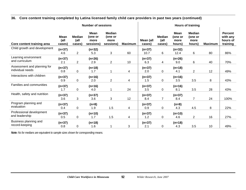#### **36. Core content training completed by Latina licensed family child care providers in past two years (continued)**

|                                                 | <b>Number of sessions</b>     |                                 |                                             |                                               | <b>Hours of training</b> |                     |                                 |                                          |                                            |                |                                                    |
|-------------------------------------------------|-------------------------------|---------------------------------|---------------------------------------------|-----------------------------------------------|--------------------------|---------------------|---------------------------------|------------------------------------------|--------------------------------------------|----------------|----------------------------------------------------|
| Core content training area                      | <b>Mean</b><br>(all<br>cases) | <b>Median</b><br>(all<br>cases) | <b>Mean</b><br>(one or<br>more<br>sessions) | <b>Median</b><br>(one or<br>more<br>sessions) | <b>Maximum</b>           | Mean (all<br>cases) | <b>Median</b><br>(all<br>cases) | <b>Mean</b><br>(one or<br>more<br>hours) | <b>Median</b><br>(one or<br>more<br>hours) | <b>Maximum</b> | <b>Percent</b><br>with any<br>hours of<br>training |
| Child growth and development                    | $(n=37)$                      |                                 | $(n=32)$                                    |                                               |                          | $(n=37)$            |                                 | $(n=32)$                                 |                                            |                |                                                    |
|                                                 | 4.6                           | $\overline{2}$                  | 5.3                                         | 3                                             | 60                       | 10.7                | 6                               | 12.4                                     | 6                                          | 80             | 86%                                                |
| Learning environment<br>and curriculum          | $(n=37)$<br>2.1               | $\overline{2}$                  | $(n=26)$<br>2.9                             | $\overline{2}$                                | 10                       | $(n=37)$<br>6.3     | 4                               | $(n=26)$<br>9.0                          | 6                                          | 40             | 70%                                                |
| Assessment and planning for<br>individual needs | $(n=37)$<br>0.8               | 0                               | $(n=18)$<br>1.7                             |                                               | 4                        | $(n=37)$<br>2.0     | 0                               | $(n=18)$<br>4.1                          | $\overline{2}$                             | 12             | 49%                                                |
| Interactions with children                      | $(n=37)$<br>0.9               | 0                               | $(n=16)$<br>2.0                             | $\overline{2}$                                | 4                        | $(n=37)$<br>1.5     | 0                               | $(n=16)$<br>3.5                          | 3.5                                        | 8              | 43%                                                |
| Families and communities                        | $(n=37)$<br>1.7               | 0                               | $(n=16)$<br>4.0                             |                                               | 24                       | $(n=37)$<br>3.5     | 0                               | $(n=16)$<br>8.1                          | 3.5                                        | 28             | 43%                                                |
| Health, safety and nutrition                    | $(n=37)$<br>3.6               | 3                               | $(n=37)$<br>3.6                             | 3                                             | 12                       | $(n=37)$<br>8.4     | $\overline{7}$                  | $(n=37)$<br>8.4                          | $\overline{7}$                             | 24             | 100%                                               |
| Program planning and<br>evaluation              | $(n=37)$<br>0.4               | 0                               | $(n=8)$<br>1.9                              | 1.5                                           | 4                        | $(n=37)$<br>0.9     | 0                               | $(n=8)$<br>4.3                           | 4.5                                        | 8              | 22%                                                |
| Professional development<br>and leadership      | $(n=37)$<br>0.5               | 0                               | $(n=10)$<br>1.7                             | 1.5                                           | 4                        | $(n=37)$<br>1.2     | 0                               | $(n=10)$<br>4.6                          | $\overline{2}$                             | 16             | 27%                                                |
| Business planning and<br>record-keeping         | $(n=37)$<br>0.8               | 0                               | $(n=18)$<br>1.6                             |                                               | 3                        | $(n=37)$<br>2.1     | 0                               | $(n=18)$<br>4.3                          | 3.5                                        | 10             | 49%                                                |

*Note: Ns for medians are equivalent to sample sizes shown for corresponding means.*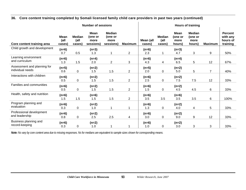#### **36. Core content training completed by Somali licensed family child care providers in past two years (continued)**

|                                                 | <b>Number of sessions</b>     |                                 |                                             |                                               | <b>Hours of training</b> |                     |                                 |                                          |                                            |                |                                                    |
|-------------------------------------------------|-------------------------------|---------------------------------|---------------------------------------------|-----------------------------------------------|--------------------------|---------------------|---------------------------------|------------------------------------------|--------------------------------------------|----------------|----------------------------------------------------|
| Core content training area                      | <b>Mean</b><br>(all<br>cases) | <b>Median</b><br>(all<br>cases) | <b>Mean</b><br>(one or<br>more<br>sessions) | <b>Median</b><br>(one or<br>more<br>sessions) | <b>Maximum</b>           | Mean (all<br>cases) | <b>Median</b><br>(all<br>cases) | <b>Mean</b><br>(one or<br>more<br>hours) | <b>Median</b><br>(one or<br>more<br>hours) | <b>Maximum</b> | <b>Percent</b><br>with any<br>hours of<br>training |
| Child growth and development                    | $(n=6)$<br>0.7                | 0.5                             | $(n=3)$<br>1.3                              | 1                                             | $\overline{2}$           | $(n=6)$<br>2.3      | 1                               | $(n=3)$<br>4.7                           | 3                                          | 9              | 50%                                                |
| Learning environment<br>and curriculum          | $(n=6)$<br>1.3                | 1.5                             | $(n=4)$<br>2.0                              | $\overline{2}$                                | 3                        | $(n=6)$<br>4.3      | 4                               | $(n=4)$<br>6.5                           | 5                                          | 12             | 67%                                                |
| Assessment and planning for<br>individual needs | $(n=5)$<br>0.6                | 0                               | $(n=2)$<br>1.5                              | 1.5                                           | $\overline{2}$           | $(n=5)$<br>2.0      | $\mathbf 0$                     | $(n=2)$<br>5.0                           | 5                                          | $\overline{7}$ | 40%                                                |
| Interactions with children                      | $(n=6)$<br>0.5                | 0                               | $(n=2)$<br>1.5                              | 1.5                                           | $\overline{c}$           | $(n=6)$<br>2.5      | 0                               | $(n=2)$<br>7.5                           | 7.5                                        | 12             | 33%                                                |
| Families and communities                        | $(n=6)$<br>0.5                | 0                               | $(n=2)$<br>1.5                              | 1.5                                           | $\overline{2}$           | $(n=6)$<br>1.5      | 0                               | $(n=2)$<br>4.5                           | 4.5                                        | 6              | 33%                                                |
| Health, safety and nutrition                    | $(n=6)$<br>1.5                | 1.5                             | $(n=6)$<br>1.5                              | 1.5                                           | $\overline{2}$           | $(n=6)$<br>3.5      | 3.5                             | $(n=6)$<br>3.5                           | 3.5                                        | 6              | 100%                                               |
| Program planning and<br>evaluation              | $(n=6)$<br>0.3                | 0                               | $(n=2)$<br>1.0                              | 1                                             | 1                        | $(n=6)$<br>1.3      | 0                               | $(n=2)$<br>4.0                           | 4                                          | 5              | 33%                                                |
| Professional development<br>and leadership      | $(n=6)$<br>0.8                | $\pmb{0}$                       | $(n=2)$<br>2.5                              | 2.5                                           | $\overline{\mathcal{A}}$ | $(n=6)$<br>3.0      | 0                               | $(n=2)$<br>9.0                           | 9                                          | 12             | 33%                                                |
| Business planning and<br>record-keeping         | $(n=6)$<br>0.3                | 0                               | $(n=2)$<br>1.0                              | 1                                             |                          | $(n=6)$<br>1.0      | 0                               | $(n=2)$<br>3.0                           | 3                                          | 3              | 33%                                                |

*Note: Ns vary by core content area due to missing responses. Ns for medians are equivalent to sample sizes shown for corresponding means.*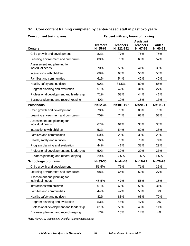#### **37. Core content training completed by center-based staff in past two years**

| Core content training area                      | Percent with any hours of training |                              |                                                      |                               |  |  |  |  |
|-------------------------------------------------|------------------------------------|------------------------------|------------------------------------------------------|-------------------------------|--|--|--|--|
| <b>Centers</b>                                  | <b>Directors</b><br>$N = 65 - 67$  | <b>Teachers</b><br>N=222-242 | <b>Assistant</b><br><b>Teachers</b><br>$N = 67 - 76$ | <b>Aides</b><br>$N = 60 - 63$ |  |  |  |  |
| Child growth and development                    | 82%                                | 77%                          | 76%                                                  | 75%                           |  |  |  |  |
| Learning environment and curriculum             | 80%                                | 76%                          | 63%                                                  | 52%                           |  |  |  |  |
| Assessment and planning for<br>individual needs | 70%                                | 59%                          | 41%                                                  | 38%                           |  |  |  |  |
| Interactions with children                      | 68%                                | 63%                          | 56%                                                  | 50%                           |  |  |  |  |
| <b>Families and communities</b>                 | 61%                                | 54%                          | 42%                                                  | 40%                           |  |  |  |  |
| Health, safety and nutrition                    | 90%                                | 81.5%                        | 80%                                                  | 85%                           |  |  |  |  |
| Program planning and evaluation                 | 51%                                | 42%                          | 31%                                                  | 27%                           |  |  |  |  |
| Professional development and leadership         | 71%                                | 53%                          | 44%                                                  | 41%                           |  |  |  |  |
| Business planning and record-keeping            | 40%                                | 12%                          | 15%                                                  | 13%                           |  |  |  |  |
| <b>Preschools</b>                               | $N = 32 - 34$                      | N=101-107                    | $N = 20 - 21$                                        | $N = 19 - 21$                 |  |  |  |  |
| Child growth and development                    | 70%                                | 78%                          | 86%                                                  | 70%                           |  |  |  |  |
| Learning environment and curriculum             | 70%                                | 74%                          | 62%                                                  | 57%                           |  |  |  |  |
| Assessment and planning for<br>individual needs | 67%                                | 61%                          | 33%                                                  | 35%                           |  |  |  |  |
| Interactions with children                      | 53%                                | 54%                          | 62%                                                  | 38%                           |  |  |  |  |
| <b>Families and communities</b>                 | 50%                                | 29%                          | 30%                                                  | 20%                           |  |  |  |  |
| Health, safety and nutrition                    | 76%                                | 78%                          | 76%                                                  | 74%                           |  |  |  |  |
| Program planning and evaluation                 | 44%                                | 41%                          | 38%                                                  | 29%                           |  |  |  |  |
| Professional development and leadership         | 50%                                | 32%                          | 29%                                                  | 33%                           |  |  |  |  |
| Business planning and record-keeping            | 29%                                | 7.5%                         | 9.5%                                                 | 4.5%                          |  |  |  |  |
| School-age programs                             | $N = 33 - 35$                      | $N = 44 - 48$                | $N = 16 - 22$                                        | $N = 26 - 28$                 |  |  |  |  |
| Child growth and development                    | 51.5%                              | 75%                          | 71%                                                  | 35%                           |  |  |  |  |
| Learning environment and curriculum             | 68%                                | 64%                          | 59%                                                  | 27%                           |  |  |  |  |
| Assessment and planning for<br>individual needs | 45.5%                              | 47%                          | 56%                                                  | 15%                           |  |  |  |  |
| Interactions with children                      | 61%                                | 63%                          | 50%                                                  | 31%                           |  |  |  |  |
| Families and communities                        | 44%                                | 47%                          | 50%                                                  | 8%                            |  |  |  |  |
| Health, safety and nutrition                    | 82%                                | 83%                          | 63%                                                  | 70%                           |  |  |  |  |
| Program planning and evaluation                 | 53%                                | 45%                          | 47%                                                  | 0%                            |  |  |  |  |
| Professional development and leadership         | 61%                                | 50%                          | 45%                                                  | 11%                           |  |  |  |  |
| Business planning and record-keeping            | 17%                                | 15%                          | 14%                                                  | 4%                            |  |  |  |  |

*Note: Ns vary by core content area due to missing responses.*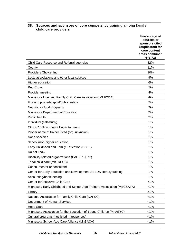#### **38. Sources and sponsors of core competency training among family child care providers**

|                                                                         | Percentage of<br>sources or<br>sponsors cited<br>(duplicated) for<br>core content<br>areas combined<br>$N=1,726$ |
|-------------------------------------------------------------------------|------------------------------------------------------------------------------------------------------------------|
| Child Care Resource and Referral agencies                               | 32%                                                                                                              |
| County                                                                  | 11%                                                                                                              |
| Providers Choice, Inc.                                                  | 10%                                                                                                              |
| Local associations and other local sources                              | 9%                                                                                                               |
| Higher education                                                        | 6%                                                                                                               |
| <b>Red Cross</b>                                                        | 5%                                                                                                               |
| Provider meeting                                                        | 4%                                                                                                               |
| Minnesota Licensed Family Child Care Association (MLFCCA)               | 4%                                                                                                               |
| Fire and police/hospital/public safety                                  | 2%                                                                                                               |
| Nutrition or food programs                                              | 2%                                                                                                               |
| Minnesota Department of Education                                       | 2%                                                                                                               |
| Public health                                                           | 2%                                                                                                               |
| Individual (self-study)                                                 | 1%                                                                                                               |
| CCR&R online course Eager to Learn                                      | 1%                                                                                                               |
| Proper name of trainer listed (org. unknown)                            | 1%                                                                                                               |
| None specified                                                          | 1%                                                                                                               |
| School (non-higher education)                                           | 1%                                                                                                               |
| Early Childhood and Family Education (ECFE)                             | 1%                                                                                                               |
| Do not know                                                             | 1%                                                                                                               |
| Disability-related organizations (PACER, ARC)                           | 1%                                                                                                               |
| Tribal child care (MnTRECC)                                             | 1%                                                                                                               |
| Coach, mentor or consultant                                             | 1%                                                                                                               |
| Center for Early Education and Development SEEDS literacy training      | 1%                                                                                                               |
| Accounting/bookkeeping                                                  | 1%                                                                                                               |
| Center for Inclusive Child Care                                         | $< 1\%$                                                                                                          |
| Minnesota Early Childhood and School-Age Trainers Association (MECSATA) | 1%                                                                                                               |
| Library                                                                 | $< 1\%$                                                                                                          |
| National Association for Family Child Care (NAFCC)                      | $< 1\%$                                                                                                          |
| Department of Human Services                                            | $< 1\%$                                                                                                          |
| <b>Head Start</b>                                                       | $< 1\%$                                                                                                          |
| Minnesota Association for the Education of Young Children (MnAEYC)      | $< 1\%$                                                                                                          |
| Cultural programs (not listed in responses)                             | $< 1\%$                                                                                                          |
| Minnesota School-Age Care Alliance (MnSACA)                             | $< 1\%$                                                                                                          |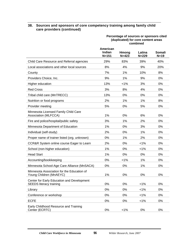#### **38. Sources and sponsors of core competency training among family child care providers (continued)**

|                                                                              | Percentage of sources or sponsors cited<br>(duplicated) for core content areas<br>combined |                    |                     |                  |  |  |  |
|------------------------------------------------------------------------------|--------------------------------------------------------------------------------------------|--------------------|---------------------|------------------|--|--|--|
|                                                                              | American<br>Indian<br>$N = 151$                                                            | Hmong<br>$N = 423$ | Latina<br>$N = 229$ | Somali<br>$N=19$ |  |  |  |
| Child Care Resource and Referral agencies                                    | 29%                                                                                        | 83%                | 39%                 | 40%              |  |  |  |
| Local associations and other local sources                                   | 8%                                                                                         | 4%                 | 9%                  | 20%              |  |  |  |
| County                                                                       | 7%                                                                                         | 1%                 | 10%                 | 8%               |  |  |  |
| Providers Choice, Inc.                                                       | 9%                                                                                         | 1%                 | 9%                  | 0%               |  |  |  |
| Higher education                                                             | 13%                                                                                        | 1%                 | 3%                  | 0%               |  |  |  |
| <b>Red Cross</b>                                                             | 3%                                                                                         | 8%                 | 4%                  | 0%               |  |  |  |
| Tribal child care (MnTRECC)                                                  | 13%                                                                                        | 0%                 | 0%                  | 0%               |  |  |  |
| Nutrition or food programs                                                   | 2%                                                                                         | 1%                 | 1%                  | 8%               |  |  |  |
| Provider meeting                                                             | 5%                                                                                         | 0%                 | 5%                  | 0%               |  |  |  |
| Minnesota Licensed Family Child Care<br>Association (MLFCCA)                 | 1%                                                                                         | 0%                 | 6%                  | 0%               |  |  |  |
| Fire and police/hospital/public safety                                       | 3%                                                                                         | 1%                 | 2%                  | 0%               |  |  |  |
| Minnesota Department of Education                                            | 1%                                                                                         | 0%                 | 3%                  | 0%               |  |  |  |
| Individual (self-study)                                                      | 2%                                                                                         | 0%                 | 1%                  | 0%               |  |  |  |
| Proper name of trainer listed (org. unknown)                                 | 0%                                                                                         | 1%                 | 2%                  | 0%               |  |  |  |
| CCR&R System online course Eager to Learn                                    | 2%                                                                                         | 0%                 | 1%                  | 0%               |  |  |  |
| School (non-higher education)                                                | 1%                                                                                         | 0%                 | $< 1\%$             | 0%               |  |  |  |
| <b>Head Start</b>                                                            | 1%                                                                                         | 0%                 | 0%                  | 0%               |  |  |  |
| Accounting/bookkeeping                                                       | 0%                                                                                         | $< 1\%$            | 1%                  | 0%               |  |  |  |
| Minnesota School-Age Care Alliance (MnSACA)                                  | 0%                                                                                         | 0%                 | 1%                  | 0%               |  |  |  |
| Minnesota Association for the Education of<br>Young Children (MnAEYC)        | 1%                                                                                         | 0%                 | 0%                  | 0%               |  |  |  |
| Center for Early Education and Development<br><b>SEEDS literacy training</b> | 0%                                                                                         | 0%                 | $< 1\%$             | 0%               |  |  |  |
| Library                                                                      | 0%                                                                                         | 0%                 | 1%                  | 0%               |  |  |  |
| Conference or workshop                                                       | 0%                                                                                         | 0%                 | $< 1\%$             | 0%               |  |  |  |
| <b>ECFE</b>                                                                  | 0%                                                                                         | 0%                 | $< 1\%$             | 0%               |  |  |  |
| Early Childhood Resource and Training<br>Center (ECRTC)                      | 0%                                                                                         | $< 1\%$            | 0%                  | $0\%$            |  |  |  |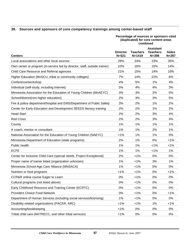#### **39. Sources and sponsors of core competency trainings among center-based staff**

#### **Percentage of sources or sponsors cited (duplicated) for core content areas combined**

| <b>Centers</b>                                                             | <b>Director</b><br>$N = 521$ | <b>Teachers</b><br>$N = 1419$ | <b>Assistant</b><br><b>Teachers</b><br>$N = 398$ | <b>Aides</b><br>$N = 287$ |
|----------------------------------------------------------------------------|------------------------------|-------------------------------|--------------------------------------------------|---------------------------|
| Local associations and other local sources                                 | 29%                          | 24%                           | 23%                                              | 35%                       |
| Own center or program (in-service led by director, staff, outside trainer) | 10%                          | 16%                           | 15%                                              | 14%                       |
| Child Care Resource and Referral agencies                                  | 21%                          | 15%                           | 14%                                              | 16%                       |
| Higher Education (MnSCU, tribal or community colleges)                     | 7%                           | 14%                           | 22%                                              | 6%                        |
| Conference/workshop                                                        | 4%                           | 5%                            | 1%                                               | 4%                        |
| Individual (self-study, including Internet)                                | 5%                           | 4%                            | 4%                                               | 3%                        |
| Minnesota Association for the Education of Young Children (MnAEYC)         | 3%                           | 3%                            | 2%                                               | 0%                        |
| School/district(non-higher education)                                      | 2%                           | 3%                            | 3%                                               | 5%                        |
| Fire & police department/hospital and EMS/Department of Public Safety      | 3%                           | 2%                            | 1%                                               | 2%                        |
| Center for Early Education and Development SEEDS literacy training         | 2%                           | 2%                            | 1%                                               | 2%                        |
| <b>Head Start</b>                                                          | 2%                           | 2%                            | 3%                                               | 4%                        |
| <b>Red Cross</b>                                                           | 2%                           | 2%                            | 3%                                               | 4%                        |
| County                                                                     | 1%                           | 1%                            | 1%                                               | 1%                        |
| A coach, mentor or consultant                                              | 1%                           | 1%                            | 2%                                               | 1%                        |
| National Association for the Education of Young Children (NAEYC)           | $< 1\%$                      | 1%                            | 1%                                               | 0%                        |
| Minnesota Department of Education (state programs)                         | 2%                           | 1%                            | 0%                                               | $< 1\%$                   |
| Public health                                                              | 1%                           | 1%                            | $< 1\%$                                          | $< 1\%$                   |
| <b>ECFE</b>                                                                | 1%                           | 1%                            | $< 1\%$                                          | 1%                        |
| Center for Inclusive Child Care (special needs, Project Exceptional)       | 2%                           | $< 1\%$                       | 0%                                               | 0%                        |
| Proper name of trainer listed (organization unknown)                       | 1%                           | $< 1\%$                       | 3%                                               | 1%                        |
| Minnesota School-Age Care Alliance (MNSACA)                                | 1%                           | $< 1\%$                       | 0%                                               | 0%                        |
| Nutrition or food programs                                                 | 1%                           | $< 1\%$                       | 0%                                               | $< 1\%$                   |
| CCR&R online course Eager to Learn                                         | 0%                           | $< 1\%$                       | 0%                                               | 0%                        |
| Cultural programs (not listed above)                                       | 0%                           | 1%                            | 0%                                               | 0%                        |
| Early Childhood Resource and Training Center (ECRTC)                       | $0\%$                        | 1%                            | 0%                                               | 0%                        |
| Providers Choice Food Network                                              | $0\%$                        | $< 1\%$                       | 0%                                               | 1%                        |
| Department of Human Services (including social services/licensing)         | 1%                           | $1\%$                         | 0%                                               | 0%                        |
| Disability-related organizations (PACER, ARC)                              | $1\%$                        | 1%                            | 1%                                               | $< 1\%$                   |
| Accounting/bookkeeping                                                     | $< 1\%$                      | 0%                            | 0%                                               | $0\%$                     |
| Tribal child care (MnTRECC, and other tribal services)                     | $<1\%$                       | 0%                            | 0%                                               | $0\%$                     |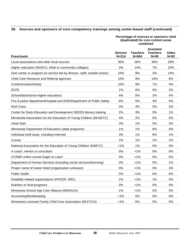#### **39. Sources and sponsors of core competency trainings among center-based staff (continued)**

#### **Percentage of sources or sponsors cited (duplicated) for core content areas combined**

| <b>Preschools</b>                                                          | <b>Director</b><br>$N = 214$ | <b>Teachers</b><br>$N = 604$ | <b>Assistant</b><br><b>Teachers</b><br>N=99 | Aides<br>$N=93$ |
|----------------------------------------------------------------------------|------------------------------|------------------------------|---------------------------------------------|-----------------|
| Local associations and other local sources                                 | 35%                          | 26%                          | 36%                                         | 29%             |
| Higher education (MnSCU, tribal or community colleges)                     | 3%                           | 14%                          | 7%                                          | 23%             |
| Own center or program (in-service led by director, staff, outside trainer) | 10%                          | 9%                           | 3%                                          | 14%             |
| Child Care Resource and Referral agencies                                  | 10%                          | 9%                           | 13%                                         | 8%              |
| Conference/workshop                                                        | 10%                          | 9%                           | 7%                                          | 4%              |
| <b>ECFE</b>                                                                | 1%                           | 6%                           | 0%                                          | 2%              |
| School/district(non-higher education)                                      | 4%                           | 5%                           | 2%                                          | 4%              |
| Fire & police department/hospital and EMS/Department of Public Safety      | 6%                           | 5%                           | 4%                                          | 4%              |
| <b>Red Cross</b>                                                           | 3%                           | 4%                           | 5%                                          | 3%              |
| Center for Early Education and Development SEEDS literacy training         | 2%                           | 3%                           | 0%                                          | 1%              |
| Minnesota Association for the Education of Young Children (MnAEYC)         | 4%                           | 2%                           | 5%                                          | 0%              |
| <b>Head Start</b>                                                          | 3%                           | 1%                           | 0%                                          | 0%              |
| Minnesota Department of Education (state programs)                         | 1%                           | 1%                           | 8%                                          | $0\%$           |
| Individual (self-study, including Internet)                                | 3%                           | 1%                           | 6%                                          | 1%              |
| County                                                                     | 2%                           | 1%                           | 2%                                          | 2%              |
| National Association for the Education of Young Children (NAEYC)           | 1%                           | 1%                           | 0%                                          | 0%              |
| A coach, mentor or consultant                                              | 0%                           | 1%                           | 0%                                          | 0%              |
| CCR&R online course Eager to Learn                                         | 0%                           | $< 1\%$                      | 0%                                          | 0%              |
| Department of Human Services (including social services/licensing)         | 0%                           | 1%                           | 0%                                          | 1%              |
| Proper name of trainer listed (organization unknown)                       | 0%                           | $< 1\%$                      | 0%                                          | 3%              |
| Public health                                                              | 0%                           | $< 1\%$                      | 0%                                          | 0%              |
| Disability-related organizations (PACER, ARC)                              | 1%                           | 1%                           | 1%                                          | 0%              |
| Nutrition or food programs                                                 | 0%                           | $< 1\%$                      | 0%                                          | 0%              |
| Minnesota School-Age Care Alliance (MNSACA)                                | 1%                           | $< 1\%$                      | 0%                                          | 0%              |
| Accounting/Bookkeeping                                                     | $< 1\%$                      | 0%                           | 0%                                          | 0%              |
| Minnesota Licensed Family Child Care Association (MLFCCA)                  | $< 1\%$                      | 0%                           | 0%                                          | 0%              |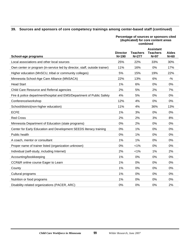#### **39. Sources and sponsors of core competency trainings among center-based staff (continued)**

#### **Percentage of sources or sponsors cited (duplicated) for core content areas combined**

|                                                                            |                              |                              | <b>Assistant</b>          |                        |
|----------------------------------------------------------------------------|------------------------------|------------------------------|---------------------------|------------------------|
| School-age programs                                                        | <b>Director</b><br>$N = 190$ | <b>Teachers</b><br>$N = 277$ | <b>Teachers</b><br>$N=97$ | <b>Aides</b><br>$N=60$ |
| Local associations and other local sources                                 | 25%                          | 22%                          | 33%                       | 30%                    |
| Own center or program (in-service led by director, staff, outside trainer) | 11%                          | 16%                          | 0%                        | 17%                    |
| Higher education (MnSCU, tribal or community colleges)                     | 5%                           | 15%                          | 19%                       | 22%                    |
| Minnesota School-Age Care Alliance (MNSACA)                                | 22%                          | 13%                          | 6%                        | $-9/6$                 |
| <b>Head Start</b>                                                          | 1%                           | 6%                           | 0%                        | 0%                     |
| Child Care Resource and Referral agencies                                  | 2%                           | 5%                           | 2%                        | 7%                     |
| Fire & police department/hospital and EMS/Department of Public Safety      | 4%                           | 5%                           | 0%                        | 0%                     |
| Conference/workshop                                                        | 12%                          | 4%                           | 0%                        | 0%                     |
| School/district(non-higher education)                                      | 11%                          | 4%                           | 36%                       | 13%                    |
| <b>ECFE</b>                                                                | 1%                           | 3%                           | 0%                        | 0%                     |
| <b>Red Cross</b>                                                           | 2%                           | 2%                           | 3%                        | 8%                     |
| Minnesota Department of Education (state programs)                         | $0\%$                        | 2%                           | 0%                        | 0%                     |
| Center for Early Education and Development SEEDS literacy training         | 0%                           | 1%                           | 0%                        | 0%                     |
| Public health                                                              | $0\%$                        | 1%                           | 0%                        | 0%                     |
| A coach, mentor or consultant                                              | 1%                           | 1%                           | 0%                        | 0%                     |
| Proper name of trainer listed (organization unknown)                       | $0\%$                        | $< 1\%$                      | 0%                        | 0%                     |
| Individual (self-study, including Internet)                                | 2%                           | $< 1\%$                      | 1%                        | 2%                     |
| Accounting/bookkeeping                                                     | 1%                           | 0%                           | 0%                        | 0%                     |
| CCR&R online course Eager to Learn                                         | 1%                           | 0%                           | 0%                        | 0%                     |
| County                                                                     | 1%                           | 0%                           | 0%                        | 0%                     |
| Cultural programs                                                          | 1%                           | 0%                           | 0%                        | 0%                     |
| Nutrition or food programs                                                 | 1%                           | 0%                           | 0%                        | 0%                     |
| Disability-related organizations (PACER, ARC)                              | 0%                           | 0%                           | $0\%$                     | 2%                     |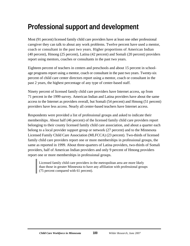# **Professional support and development**

Most (91 percent) licensed family child care providers have at least one other professional caregiver they can talk to about any work problems. Twelve percent have used a mentor, coach or consultant in the past two years. Higher proportions of American Indian (40 percent), Hmong (25 percent), Latina (42 percent) and Somali (20 percent) providers report using mentors, coaches or consultants in the past two years.

Eighteen percent of teachers in centers and preschools and about 15 percent in schoolage programs report using a mentor, coach or consultant in the past two years. Twenty-six percent of child care center directors report using a mentor, coach or consultant in the past 2 years, the highest percentage of any type of center-based staff.

Ninety percent of licensed family child care providers have Internet access, up from 71 percent in the 1999 survey. American Indian and Latina providers have about the same access to the Internet as providers overall, but Somali (54 percent) and Hmong (51 percent) providers have less access. Nearly all center-based teachers have Internet access.

Respondents were provided a list of professional groups and asked to indicate their memberships. About half (46 percent) of the licensed family child care providers report belonging to their county licensed family child care association, and about a quarter each belong to a local provider support group or network (27 percent) and to the Minnesota Licensed Family Child Care Association (MLFCCA) (23 percent). Two-thirds of licensed family child care providers report one or more memberships in professional groups, the same as reported in 1999. About three-quarters of Latina providers, two-thirds of Somali providers, half of American Indian providers and only 9 percent of Hmong providers report one or more memberships in professional groups.

Licensed family child care providers in the metropolitan area are more likely than those in greater Minnesota to have any affiliation with professional groups (75 percent compared with 61 percent).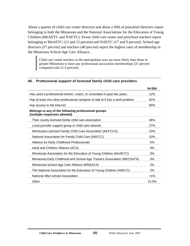About a quarter of child care center directors and about a fifth of preschool directors report belonging to both the Minnesota and the National Associations for the Education of Young Children (MnAEYC and NAEYC). Fewer child care center and preschool teachers report belonging to MnAEYC (12 and 13 percent) and NAEYC (17 and 9 percent). School-age directors (57 percent) and teachers (40 percent) report the highest rates of membership in the Minnesota School-Age Care Alliance.

Child care center teachers in the metropolitan area are more likely than those in greater Minnesota to have any professional association memberships (31 percent compared with 21.5 percent).

|                                                                                     | $N = 354$ |
|-------------------------------------------------------------------------------------|-----------|
| Has used a professional mentor, coach, or consultant in past two years              | 12%       |
| Has at least one other professional caregiver to talk to if has a work problem      | 91%       |
| Has access to the Internet                                                          | 90%       |
| Belongs to any of the following professional groups<br>(multiple responses allowed) |           |
| Their county licensed family child care association                                 | 46%       |
| Local provider support group or child care network                                  | 27%       |
| Minnesota Licensed Family Child Care Association (MLFCCA)                           | 23%       |
| National Association for Family Child Care (NAFCC)                                  | 10%       |
| Alliance for Early Childhood Professionals                                          | 5%        |
| Adult and Children Alliance (ACA)                                                   | 4%        |
| Minnesota Association for the Education of Young Children (MnAEYC)                  | 3%        |
| Minnesota Early Childhood and School-Age Trainers Association (MECSATA)             | 3%        |
| Minnesota School-Age Care Alliance (MNSACA)                                         | 2%        |
| The National Association for the Education of Young Children (NAEYC)                | 2%        |
| National After-school Association                                                   | $< 1\%$   |
| Other                                                                               | 15.5%     |

#### **40. Professional support of licensed family child care providers**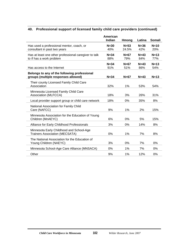# **40. Professional support of licensed family child care providers (continued)**

|                                                                                     | American<br>Indian | Hmong           | Latina          | Somali        |
|-------------------------------------------------------------------------------------|--------------------|-----------------|-----------------|---------------|
| Has used a professional mentor, coach, or<br>consultant in past two years           | $N = 30$<br>40%    | $N=53$<br>24.5% | $N = 36$<br>42% | $N=10$<br>20% |
| Has at least one other professional caregiver to talk<br>to if has a work problem   | $N = 34$<br>88%    | $N=67$<br>79%   | $N=43$<br>84%   | $N=13$<br>77% |
| Has access to the Internet                                                          | $N = 34$<br>91%    | $N=67$<br>51%   | $N=43$<br>86%   | $N=13$<br>54% |
| Belongs to any of the following professional<br>groups (multiple responses allowed) | $N = 34$           | $N=67$          | $N=43$          | $N=13$        |
| Their county Licensed Family Child Care<br>Association                              | 32%                | 1%              | 53%             | 54%           |
| Minnesota Licensed Family Child Care<br>Association (MLFCCA)                        | 18%                | 3%              | 26%             | 31%           |
| Local provider support group or child care network                                  | 18%                | 0%              | 35%             | 8%            |
| National Association for Family Child<br>Care (NAFCC)                               | 9%                 | 1%              | 2%              | 15%           |
| Minnesota Association for the Education of Young<br>Children (MnAEYC)               | 6%                 | 0%              | 5%              | 15%           |
| Alliance for Early Childhood Professionals                                          | 3%                 | 0%              | 14%             | 8%            |
| Minnesota Early Childhood and School-Age<br><b>Trainers Association (MECSATA)</b>   | 0%                 | 1%              | 7%              | 8%            |
| The National Association for the Education of<br>Young Children (NAEYC)             | 3%                 | 0%              | 7%              | 0%            |
| Minnesota School-Age Care Alliance (MNSACA)                                         | 0%                 | 1%              | 7%              | 0%            |
| Other                                                                               | 9%                 | 1%              | 12%             | 0%            |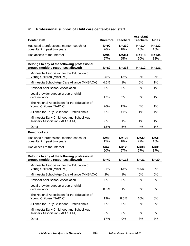| <b>Center staff</b>                                                                 | <b>Directors</b> | <b>Teachers</b>  | <b>Assistant</b><br><b>Teachers</b> | <b>Aides</b>     |
|-------------------------------------------------------------------------------------|------------------|------------------|-------------------------------------|------------------|
| Has used a professional mentor, coach, or<br>consultant in past two years           | $N=92$<br>26%    | $N = 339$<br>18% | $N = 114$<br>16%                    | $N = 132$<br>16% |
| Has access to the Internet                                                          | $N=92$<br>97%    | $N = 351$<br>95% | $N = 118$<br>90%                    | $N = 134$<br>88% |
| Belongs to any of the following professional<br>groups (multiple responses allowed) | $N = 89$         | $N = 338$        | $N = 112$                           | $N = 131$        |
| Minnesota Association for the Education of<br>Young Children (MnAEYC)               | 25%              | 12%              | 0%                                  | 2%               |
| Minnesota School-Age Care Alliance (MNSACA)                                         | 4.5%             | 1%               | 0%                                  | 1%               |
| National After-school Association                                                   | 0%               | 0%               | 0%                                  | 1%               |
| Local provider support group or child<br>care network                               | 17%              | 3%               | 3%                                  | 1%               |
| The National Association for the Education of<br>Young Children (NAEYC)             | 26%              | 17%              | 4%                                  | 1%               |
| Alliance for Early Childhood Professionals                                          | 0%               | $< 1\%$          | 1%                                  | 4%               |
| Minnesota Early Childhood and School-Age<br><b>Trainers Association (MECSATA)</b>   | 0%               | 1%               | 1%                                  | 1%               |
| Other                                                                               | 18%              | 5%               | 4%                                  | 1%               |
| <b>Preschool staff</b>                                                              |                  |                  |                                     |                  |
| Has used a professional mentor, coach, or<br>consultant in past two years           | $N=48$<br>15%    | $N = 124$<br>18% | $N = 32$<br>22%                     | $N = 31$<br>16%  |
| Has access to the Internet                                                          | $N=48$<br>90%    | $N = 126$<br>97% | $N = 33$<br>97%                     | $N = 31$<br>87%  |
| Belongs to any of the following professional<br>groups (multiple responses allowed) | $N=47$           | $N = 118$        | $N = 31$                            | $N = 30$         |
| Minnesota Association for the Education of<br>Young Children (MnAEYC)               | 21%              | 13%              | 6.5%                                | 0%               |
| Minnesota School-Age Care Alliance (MNSACA)                                         | 2%               | 1%               | 0%                                  | 0%               |
| National After-school Association                                                   | 0%               | 0%               | 0%                                  | 0%               |
| Local provider support group or child<br>care network                               | 8.5%             | 1%               | 0%                                  | 0%               |
| The National Association for the Education of<br>Young Children (NAEYC)             | 19%              | 8.5%             | 10%                                 | 0%               |
| Alliance for Early Childhood Professionals                                          | 0%               | 0%               | 0%                                  | 0%               |
| Minnesota Early Childhood and School-Age<br><b>Trainers Association (MECSATA)</b>   | 0%               | 0%               | 0%                                  | 0%               |
| Other                                                                               | 17%              | 9%               | 3%                                  | 7%               |

#### **41. Professional support of child care center-based staff**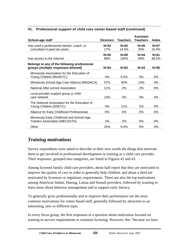| School-age staff                                                                    | <b>Directors</b> | <b>Teachers</b> | <b>Assistant</b><br>Teachers | <b>Aides</b>      |
|-------------------------------------------------------------------------------------|------------------|-----------------|------------------------------|-------------------|
| Has used a professional mentor, coach, or<br>consultant in past two years           | $N=53$<br>17%    | $N=62$<br>14.5% | $N=45$<br><b>20%</b>         | $N=57$<br>10.5%   |
| Has access to the Internet                                                          | $N=55$<br>96%    | $N=65$<br>100%  | $N=44$<br>89%                | $N = 61$<br>88.5% |
| Belongs to any of the following professional<br>groups (multiple responses allowed) | $N=54$           | $N=62$          | $N=43$                       | $N=56$            |
| Minnesota Association for the Education of<br>Young Children (MnAEYC)               | 4%               | 6.5%            | 5%                           | $0\%$             |
| Minnesota School-Age Care Alliance (MNSACA)                                         | 57%              | 40%             | 14%                          | 4%                |
| National After-school Association                                                   | 11%              | 2%              | 2%                           | 0%                |
| Local provider support group or child<br>care network                               | 13%              | 3%              | 0%                           | 4%                |
| The National Association for the Education of<br>Young Children (NAEYC)             | 4%               | 11%             | 2%                           | 0%                |
| Alliance for Early Childhood Professionals                                          | 0%               | $0\%$           | 0%                           | 0%                |
| Minnesota Early Childhood and School-Age<br><b>Trainers Association (MECSATA)</b>   | 2%               | 2%              | 0%                           | $0\%$             |
| Other                                                                               | 15%              | 6.5%            | 9%                           | 4%                |

#### **41. Professional support of child care center-based staff (continued)**

# *Training motivations*

Survey respondents were asked to describe in their own words the things that motivate them to get involved in professional development or training as a child care provider. Their responses, grouped into categories, are listed in Figures 42 and 43.

Among licensed family child care providers, about half report that they are motivated to improve the quality of care in order to generally help children, and about a third are motivated by licensure or regulatory requirements. These are also the top motivations among American Indian, Hmong, Latina and Somali providers, followed by wanting to learn more about behavior management and to support early literacy.

To generally grow professionally and to improve their performance are the most common motivations for center-based staff, generally followed by attraction to an interesting, new or different topic.

In every focus group, the first responses to a question about motivation focused on training in-service requirements to maintain licensing. However, this "because we have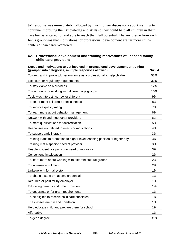to" response was immediately followed by much longer discussions about wanting to continue improving their knowledge and skills so they could help all children in their care feel safe, cared for and able to reach their full potential. The key theme from each focus group was that motivations for professional development are far more childcentered than career-centered.

| oolonal development and training motivations or hoehoed family<br>child care providers                                                 |           |
|----------------------------------------------------------------------------------------------------------------------------------------|-----------|
| Needs and motivations to get involved in professional development or training<br>(grouped into categories, multiple responses allowed) | $N = 354$ |
| To grow and improve job performance as a professional to help children                                                                 | 53%       |
| Licensure or regulatory requirements                                                                                                   | 32%       |
| To stay viable as a business                                                                                                           | 12%       |
| To gain skills for working with different age groups                                                                                   | 10%       |
| Topic was interesting, new or different                                                                                                | 9%        |
| To better meet children's special needs                                                                                                | 8%        |
| To improve quality rating                                                                                                              | 7%        |
| To learn more about behavior management                                                                                                | 6%        |
| Network with and meet other providers                                                                                                  | 6%        |
| To meet qualifications for accreditation                                                                                               | 5%        |
| Responses not related to needs or motivations                                                                                          | 4%        |
| To support early literacy                                                                                                              | 3%        |
| Training leads to promotion to higher level teaching position or higher pay                                                            | 3%        |
| Training met a specific need of provider                                                                                               | 3%        |
| Unable to identify a particular need or motivation                                                                                     | 3%        |
| Convenient time/location                                                                                                               | 2%        |
| To learn more about working with different cultural groups                                                                             | 2%        |
| To increase enrollment                                                                                                                 | 2%        |
| Linkage with formal system                                                                                                             | 1%        |
| To obtain a state or national credential                                                                                               | 1%        |
| Required or paid for by employer                                                                                                       | 1%        |
| Educating parents and other providers                                                                                                  | 1%        |
| To get grants or for grant requirements                                                                                                | 1%        |
| To be eligible to receive child care subsidies                                                                                         | 1%        |
| The classes are fun and hands-on                                                                                                       | 1%        |
| Help educate child and prepare them for school                                                                                         | 1%        |
| Affordable                                                                                                                             | $1\%$     |
| To get a degree                                                                                                                        | $< 1\%$   |

# **42. Professional development and training motivations of licensed family**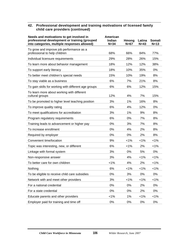#### **42. Professional development and training motivations of licensed family child care providers (continued)**

| Needs and motivations to get involved in<br>professional development or training (grouped<br>into categories, multiple responses allowed) | American<br>Indian<br>$N = 34$ | Hmong<br>$N=67$ | Latina<br>$N=43$ | Somali<br>$N=13$ |
|-------------------------------------------------------------------------------------------------------------------------------------------|--------------------------------|-----------------|------------------|------------------|
| To grow and improve job performance as a<br>professional to help children                                                                 | 68%                            | 66%             | 84%              | 77%              |
| Individual licensure requirements                                                                                                         | 29%                            | 28%             | 26%              | 15%              |
| To learn more about behavior management                                                                                                   | 18%                            | 12%             | 12%              | 38%              |
| To support early literacy                                                                                                                 | 18%                            | 10%             | 35%              | 0%               |
| To better meet children's special needs                                                                                                   | 15%                            | 10%             | 19%              | 8%               |
| To stay viable as a business                                                                                                              | 6%                             | 7%              | 21%              | 8%               |
| To gain skills for working with different age groups                                                                                      | 6%                             | 6%              | 12%              | 15%              |
| To learn more about working with different<br>cultural groups                                                                             | 12%                            | 4%              | 7%               | 15%              |
| To be promoted to higher level teaching position                                                                                          | 3%                             | 1%              | 16%              | 8%               |
| To improve quality rating                                                                                                                 | 6%                             | 4%              | 12%              | 0%               |
| To meet qualifications for accreditation                                                                                                  | 3%                             | 1%              | 9%               | 8%               |
| Program regulatory requirements                                                                                                           | 6%                             | 0%              | 7%               | 8%               |
| Training leads to advancement or higher pay                                                                                               | 0%                             | 3%              | 7%               | 8%               |
| To increase enrollment                                                                                                                    | 0%                             | 4%              | 2%               | 8%               |
| Required by employer                                                                                                                      | 0%                             | 0%              | 2%               | 8%               |
| Convenient time/location                                                                                                                  | 9%                             | 1%              | $< 1\%$          | $< 1\%$          |
| Topic was interesting, new, or different                                                                                                  | 6%                             | 1%              | 2%               | $< 1\%$          |
| Linkage with formal system                                                                                                                | 3%                             | 0%              | 5%               | 0%               |
| Non-responsive answer                                                                                                                     | 3%                             | 4%              | $< 1\%$          | $< 1\%$          |
| To better care for own children                                                                                                           | 1%                             | 4%              | 2%               | $< 1\%$          |
| Nothing                                                                                                                                   | 6%                             | 1%              | $< 1\%$          | $< 1\%$          |
| To be eligible to receive child care subsidies                                                                                            | 0%                             | 3%              | 0%               | 0%               |
| Network with and meet other providers                                                                                                     | 3%                             | 1%              | $< 1\%$          | 1%               |
| For a national credential                                                                                                                 | 0%                             | 0%              | 2%               | 0%               |
| For a state credential                                                                                                                    | 0%                             | 0%              | 2%               | 0%               |
| Educate parents and other providers                                                                                                       | 1%                             | 1%              | $< 1\%$          | 1%               |
| Employer paid for training and time off                                                                                                   | 0%                             | 0%              | 0%               | 0%               |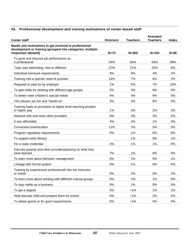# **43. Professional development and training motivations of center-based staff**

| <b>Center staff</b>                                                                                                                       | <b>Directors</b> | <b>Teachers</b> | <b>Assistant</b><br><b>Teachers</b> | <b>Aides</b> |
|-------------------------------------------------------------------------------------------------------------------------------------------|------------------|-----------------|-------------------------------------|--------------|
| Needs and motivations to get involved in professional<br>development or training (grouped into categories, multiple<br>responses allowed) | $N=74$           | $N = 300$       | $N = 104$                           | $N=96$       |
| To grow and improve job performance as<br>a professional                                                                                  | 54%              | 60%             | 63%                                 | 69%          |
| Topic was interesting, new or different                                                                                                   | 27%              | 21%             | 20%                                 | 8%           |
| Individual licensure requirements                                                                                                         | 9%               | 9%              | 4%                                  | 2%           |
| Training met a specific need of provider                                                                                                  | 12%              | 7%              | 6%                                  | 2%           |
| Required or paid for by employer                                                                                                          | 1%               | 5%              | 7%                                  | 10%          |
| To gain skills for working with different age groups                                                                                      | 0%               | 5%              | 0%                                  | 0%           |
| To better meet children's special needs                                                                                                   | 4%               | 4%              | 6%                                  | 0%           |
| The classes are fun and "hands on"                                                                                                        | 3%               | 4%              | 8%                                  | 5%           |
| Training leads to promotion to higher level teaching position<br>or higher pay                                                            | 1%               | 3%              | 2%                                  | 3%           |
| Network with and meet other providers                                                                                                     | 0%               | 3%              | 3%                                  | 2%           |
| It was affordable                                                                                                                         | 4%               | 3%              | 1%                                  | 0%           |
| Convenient time/location                                                                                                                  | 11%              | 2%              | 5%                                  | 3%           |
| Program regulatory requirements                                                                                                           | 0%               | 1%              | 0%                                  | 0%           |
| To support early literacy                                                                                                                 |                  | 1%              | 0%                                  | 1%           |
| For a state credential                                                                                                                    | 4%               | 1%              | 1%                                  | 0%           |
| Educate parents and other providers/passing on what they<br>have learned                                                                  | 7%               | 1%              | 0%                                  | 0%           |
| To learn more about behavior management                                                                                                   | 0%               | 1%              | 5%                                  | 1%           |
| Linkage with formal system                                                                                                                | 0%               | 1%              | 0%                                  | 0%           |
| Training by experienced professional/I like the instructor<br>or trainer                                                                  | $0\%$            | 1%              | $0\%$                               | 1%           |
| To learn more about working with different cultural groups                                                                                | $0\%$            | 1%              | 1%                                  | $0\%$        |
| To stay viable as a business                                                                                                              | 0%               | 1%              | 0%                                  | $0\%$        |
| To get a degree                                                                                                                           | 0%               | $< 1\%$         | 1%                                  | 1%           |
| Help educate child and prepare them for school                                                                                            | 0%               | $< 1\%$         | 2%                                  | 2%           |
| To obtain grants or for grant requirements                                                                                                | $0\%$            | $< 1\%$         | $0\%$                               | 0%           |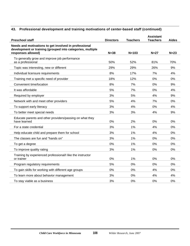# **43. Professional development and training motivations of center-based staff (continued)**

| <b>Preschool staff</b>                                                                                                                    | <b>Directors</b> | <b>Teachers</b> | <b>Assistant</b><br><b>Teachers</b> | <b>Aides</b> |
|-------------------------------------------------------------------------------------------------------------------------------------------|------------------|-----------------|-------------------------------------|--------------|
| Needs and motivations to get involved in professional<br>development or training (grouped into categories, multiple<br>responses allowed) | $N = 38$         | $N = 103$       | $N=27$                              | $N=23$       |
| To generally grow and improve job performance<br>as a professional                                                                        | 50%              | 52%             | 81%                                 | 70%          |
| Topic was interesting, new or different                                                                                                   | 29%              | 29%             | 26%                                 | 9%           |
| Individual licensure requirements                                                                                                         | 8%               | 17%             | 7%                                  | 4%           |
| Training met a specific need of provider                                                                                                  | 18%              | 12%             | 0%                                  | 0%           |
| Convenient time/location                                                                                                                  | 8%               | 7%              | 0%                                  | 9%           |
| It was affordable                                                                                                                         | 5%               | 7%              | 0%                                  | 4%           |
| Required by employer                                                                                                                      | 3%               | 5%              | 4%                                  | 9%           |
| Network with and meet other providers                                                                                                     | 5%               | 4%              | 7%                                  | 0%           |
| To support early literacy                                                                                                                 | 3%               | 4%              | 0%                                  | 4%           |
| To better meet special needs                                                                                                              | 3%               | 3%              | 4%                                  | 9%           |
| Educate parents and other providers/passing on what they<br>have learned                                                                  | 0%               | 2%              | 0%                                  | 0%           |
| For a state credential                                                                                                                    | 3%               | 1%              | 4%                                  | 0%           |
| Help educate child and prepare them for school                                                                                            | 3%               | 1%              | 4%                                  | 0%           |
| The classes are fun and "hands on"                                                                                                        | 3%               | 1%              | 0%                                  | 0%           |
| To get a degree                                                                                                                           | 0%               | 1%              | 0%                                  | 0%           |
| To improve quality rating                                                                                                                 | 3%               | 1%              | 0%                                  | 0%           |
| Training by experienced professional/I like the instructor<br>or trainer                                                                  | 0%               | 1%              | 0%                                  | 0%           |
| Program regulatory requirements                                                                                                           | 5%               | 0%              | 0%                                  | 0%           |
| To gain skills for working with different age groups                                                                                      | 0%               | 0%              | 4%                                  | 0%           |
| To learn more about behavior management                                                                                                   | 3%               | 0%              | 4%                                  | 4%           |
| To stay viable as a business                                                                                                              | 3%               | 0%              | 0%                                  | 0%           |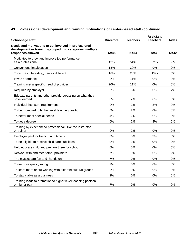# **43. Professional development and training motivations of center-based staff (continued)**

| School-age staff                                                                                                                         | <b>Directors</b> | <b>Teachers</b> | <b>Assistant</b><br><b>Teachers</b> | <b>Aides</b> |
|------------------------------------------------------------------------------------------------------------------------------------------|------------------|-----------------|-------------------------------------|--------------|
| Needs and motivations to get involved in professional<br>development or training (grouped into categories, multiple<br>responses allowed | $N=45$           | $N=54$          | $N = 33$                            | $N=42$       |
| Motivated to grow and improve job performance                                                                                            |                  |                 |                                     |              |
| as a professional                                                                                                                        | 42%              | 54%             | 82%                                 | 83%          |
| Convenient time/location                                                                                                                 | 13%              | 30%             | 9%                                  | 2%           |
| Topic was interesting, new or different                                                                                                  | 16%              | 28%             | 15%                                 | 5%           |
| It was affordable                                                                                                                        | 2%               | 11%             | 0%                                  | 2%           |
| Training met a specific need of provider                                                                                                 | 20%              | 11%             | 0%                                  | 0%           |
| Required by employer                                                                                                                     | 2%               | 6%              | 0%                                  | 7%           |
| Educate parents and other providers/passing on what they<br>have learned                                                                 | 0%               | 2%              | 0%                                  | 0%           |
| Individual licensure requirements                                                                                                        | 0%               | 2%              | 3%                                  | 0%           |
| To be promoted to higher level teaching position                                                                                         | 0%               | 2%              | $0\%$                               | 0%           |
| To better meet special needs                                                                                                             | 4%               | 2%              | 0%                                  | 0%           |
| To get a degree                                                                                                                          | 0%               | 2%              | 3%                                  | 0%           |
| Training by experienced professional/I like the instructor<br>or trainer                                                                 | 0%               | 2%              | 0%                                  | 0%           |
| Employer paid for training and time off                                                                                                  | 0%               | 0%              | 3%                                  | 0%           |
| To be eligible to receive child care subsidies                                                                                           | 0%               | 0%              | 0%                                  | 2%           |
| Help educate child and prepare them for school                                                                                           | 0%               | 0%              | 0%                                  | 5%           |
| Network with and meet other providers                                                                                                    | 7%               | 0%              | 0%                                  | 2%           |
| The classes are fun and "hands on"                                                                                                       | 7%               | 0%              | 0%                                  | 0%           |
| To improve quality rating                                                                                                                | 7%               | 0%              | 0%                                  | 0%           |
| To learn more about working with different cultural groups                                                                               | 2%               | 0%              | 0%                                  | 2%           |
| To stay viable as a business                                                                                                             | 2%               | 0%              | 0%                                  | 0%           |
| Training leads to promotion to higher level teaching position<br>or higher pay                                                           | 7%               | 0%              | 0%                                  | 0%           |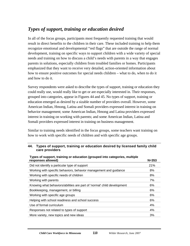# *Types of support, training or education desired*

In all of the focus groups, participants most frequently requested training that would result in direct benefits to the children in their care. These included training to help them recognize emotional and developmental "red flags" that are outside the range of normal development, training on specific ways to support children with a wide variety of special needs and training on how to discuss a child's needs with parents in a way that engages parents in solutions, especially children from troubled families or homes. Participants emphasized that they want to receive very detailed, action-oriented information about how to ensure positive outcomes for special needs children – what to do, when to do it and how to do it.

Survey respondents were asked to describe the types of support, training or education they could really use, would really like to get or are especially interested in. Their responses, grouped into categories, appear in Figures 44 and 45. No types of support, training or education emerged as desired by a sizable number of providers overall. However, some American Indian, Hmong, Latina and Somali providers expressed interest in training on behavior management; some American Indian, Hmong and Latina providers expressed interest in training on working with parents; and some American Indian, Latina and Somali providers expressed interest in training on business management.

Similar to training needs identified in the focus groups, some teachers want training on how to work with specific needs of children and with specific age groups.

#### **44. Types of support, training or education desired by licensed family child care providers**

**Types of support, training or education (grouped into categories, multiple** 

| . These or employed a multiple componion for employed the emotion intermediate<br>responses allowed) | $N = 353$ |
|------------------------------------------------------------------------------------------------------|-----------|
| Did not identify a particular type of support                                                        | 21%       |
| Working with specific behaviors, behavior management and guidance                                    | 8%        |
| Working with specific needs of children                                                              | 8%        |
| Working with parents                                                                                 | 7%        |
| Knowing what behaviors/abilities are part of 'normal' child development                              | 6%        |
| Bookkeeping, management, or billing                                                                  | 6%        |
| Working with specific age groups                                                                     | 6%        |
| Helping with school readiness and school success                                                     | 6%        |
| Use of formal curriculum                                                                             | 4%        |
| Responses not related to types of support                                                            | 4%        |
| More variety, new topics and new ideas                                                               | 3%        |
|                                                                                                      |           |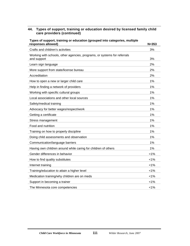| 44. Types of support, training or education desired by licensed family child |
|------------------------------------------------------------------------------|
| care providers (continued)                                                   |

| Types of support, training or education (grouped into categories, multiple<br>responses allowed) | $N = 353$ |
|--------------------------------------------------------------------------------------------------|-----------|
| Crafts and children's activities                                                                 | 3%        |
| Working with schools, other agencies, programs, or systems for referrals<br>and support          | 3%        |
| Learn sign language                                                                              | 2%        |
| More support from state/license bureau                                                           | 2%        |
| Accreditation                                                                                    | 2%        |
| How to open a new or larger child care                                                           | 1%        |
| Help in finding a network of providers                                                           | 1%        |
| Working with specific cultural groups                                                            | 1%        |
| Local associations and other local sources                                                       | 1%        |
| Safety/medical training                                                                          | 1%        |
| Advocacy for better wages/respect/work                                                           | 1%        |
| Getting a certificate                                                                            | 1%        |
| Stress management                                                                                | 1%        |
| Food and nutrition                                                                               | 1%        |
| Training on how to properly discipline                                                           | 1%        |
| Doing child assessments and observation                                                          | 1%        |
| Communication/language barriers                                                                  | 1%        |
| Having own children around while caring for children of others                                   | 1%        |
| Gender differences in behavior                                                                   | 1%        |
| How to find quality substitutes                                                                  | 1%        |
| Internet training                                                                                | 1%        |
| Training/education to attain a higher level                                                      | $< 1\%$   |
| Medication training/why children are on meds                                                     | $< 1\%$   |
| Support in becoming a trainer                                                                    | $< 1\%$   |
| The Minnesota core competencies                                                                  | <1%       |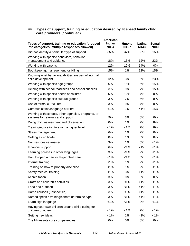#### **44. Types of support, training or education desired by licensed family child care providers (continued)**

| Types of support, training or education (grouped<br>into categories, multiple responses allowed) | American<br>Indian<br>$N = 34$ | Hmong<br>$N=67$ | Latina<br>$N=43$ | <b>Somali</b><br>$N=13$ |
|--------------------------------------------------------------------------------------------------|--------------------------------|-----------------|------------------|-------------------------|
| Did not identify a particular type of support                                                    | 35%                            | 37%             | 33%              | 15%                     |
| Working with specific behaviors, behavior<br>management and guidance                             | 18%                            | 13%             | 12%              | 23%                     |
| Working with parents                                                                             | 12%                            | 19%             | 14%              | 0%                      |
| Bookkeeping, management, or billing                                                              | 15%                            | 1%              | 12%              | 15%                     |
| Knowing what behaviors/abilities are part of 'normal'<br>child development                       | 12%                            | 3%              | 5%               | 23%                     |
| Working with specific age groups                                                                 | 6%                             | 15%             | 5%               | 15%                     |
| Helping with school readiness and school success                                                 | 3%                             | 9%              | 7%               | 15%                     |
| Working with specific needs of children                                                          | 6%                             | 12%             | 7%               | 0%                      |
| Working with specific cultural groups                                                            | 3%                             | 7%              | 5%               | 8%                      |
| Use of formal curriculum                                                                         | 3%                             | 9%              | 7%               | 0%                      |
| Communication/language barriers                                                                  | $< 1\%$                        | 1%              | $< 1\%$          | 15%                     |
| Working with schools, other agencies, programs, or<br>systems for referrals and support          | 9%                             | 3%              | 0%               | 0%                      |
| Doing child assessment and observation                                                           | 0%                             | 1%              | 2%               | 8%                      |
| Training/education to attain a higher level                                                      | $< 1\%$                        | $< 1\%$         | 2%               | 8%                      |
| Stress management                                                                                | 6%                             | 1%              | 2%               | 0%                      |
| Getting a certificate                                                                            | 0%                             | 1%              | 0%               | 8%                      |
| Non responsive answer                                                                            | 3%                             | 1%              | 5%               | $< 1\%$                 |
| Financial support                                                                                | 6%                             | $< 1\%$         | $< 1\%$          | $< 1\%$                 |
| Learning phrases in other languages                                                              | 3%                             | $< 1\%$         | 2%               | 1%                      |
| How to open a new or larger child care                                                           | $< 1\%$                        | $< 1\%$         | 5%               | 1%                      |
| Internet training                                                                                | 1%                             | 1%              | 2%               | 1%                      |
| Training on how to properly discipline                                                           | $< 1\%$                        | 1%              | 2%               | 1%                      |
| Safety/medical training                                                                          | $< 1\%$                        | 3%              | $< 1\%$          | 1%                      |
| Accreditation                                                                                    | 3%                             | 0%              | $0\%$            | 0%                      |
| Crafts and children's activities                                                                 | 3%                             | 1%              | $< 1\%$          | 1%                      |
| Food and nutrition                                                                               | 3%                             | 1%              | $< 1\%$          | 1%                      |
| Home courses (unspecified)                                                                       | 3%                             | $< 1\%$         | $< 1\%$          | 1%                      |
| Named specific training/cannot determine type                                                    | 3%                             | 1%              | 1%               | 1%                      |
| Learn sign language                                                                              | $< 1\%$                        | 1%              | 2%               | 1%                      |
| Having your own children around while caring for<br>children of others                           | 1%                             | 1%              | 2%               | 1%                      |
| Getting new ideas                                                                                | 1%                             | 1%              | $< 1\%$          | 1%                      |
| The Minnesota core competencies                                                                  | 0%                             | 0%              | 0%               | 0%                      |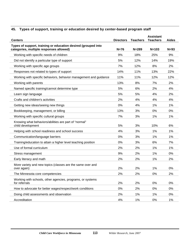# **45. Types of support, training or education desired by center-based program staff**

| <b>Centers</b>                                                                                           | <b>Directors</b> | <b>Teachers</b> | <b>Assistant</b><br><b>Teachers</b> | <b>Aides</b> |
|----------------------------------------------------------------------------------------------------------|------------------|-----------------|-------------------------------------|--------------|
| Types of support, training or education desired (grouped into<br>categories, multiple responses allowed) | $N=76$           | $N = 289$       | $N = 103$                           | $N=93$       |
| Working with specific needs of children                                                                  | 9%               | 18%             | 25%                                 | 9%           |
| Did not identify a particular type of support                                                            | 5%               | 12%             | 14%                                 | 19%          |
| Working with specific age groups                                                                         | 7%               | 12%             | 8%                                  | 2%           |
| Responses not related to types of support                                                                | 14%              | 11%             | 13%                                 | 22%          |
| Working with specific behaviors, behavior management and guidance                                        | 11%              | 11%             | 12%                                 | 12%          |
| Working with parents                                                                                     | 13%              | 8%              | 7%                                  | 2%           |
| Named specific training/cannot determine type                                                            | 5%               | 6%              | 2%                                  | 4%           |
| Learn sign language                                                                                      | 5%               | 5%              | 4%                                  | 2%           |
| Crafts and children's activities                                                                         | 2%               | 4%              | 4%                                  | 4%           |
| Getting new ideas/seeing new things                                                                      | 0%               | 4%              | 1%                                  | 1%           |
| Bookkeeping, management, or billing                                                                      | 13%              | 3%              | 0%                                  | 0%           |
| Working with specific cultural groups                                                                    | 7%               | 3%              | 1%                                  | 1%           |
| Knowing what behaviors/abilities are part of "normal"<br>child development                               | 5%               | 3%              | 10%                                 | 6%           |
| Helping with school readiness and school success                                                         | 4%               | 3%              | 1%                                  | 1%           |
| Communication/language barriers                                                                          | 0%               | 3%              | 1%                                  | 1%           |
| Training/education to attain a higher level teaching position                                            | 0%               | 3%              | 6%                                  | 7%           |
| Use of formal curriculum                                                                                 | 2%               | 2%              | 1%                                  | 1%           |
| Stress management                                                                                        | 9%               | 2%              | 1%                                  | 0%           |
| Early literacy and math                                                                                  | 2%               | 2%              | 1%                                  | 2%           |
| More variety and new topics (classes are the same over and<br>over again)                                | 2%               | 2%              | 1%                                  | 0%           |
| The Minnesota core competencies                                                                          | 2%               | 2%              | 0%                                  | 2%           |
| Working with schools, other agencies, programs, or systems<br>for referrals                              | 2%               | 2%              | 0%                                  | 0%           |
| How to advocate for better wages/respect/work conditions                                                 | 0%               | 2%              | 0%                                  | 0%           |
| Doing child assessments and observation                                                                  | 2%               | 1%              | 1%                                  | 0%           |
| Accreditation                                                                                            | 4%               | $1\%$           | 0%                                  | $1\%$        |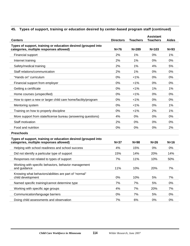# **45. Types of support, training or education desired by center-based program staff (continued)**

| <b>Centers</b>                                                                                           | <b>Directors</b> | <b>Teachers</b> | <b>Assistant</b><br><b>Teachers</b> | <b>Aides</b> |
|----------------------------------------------------------------------------------------------------------|------------------|-----------------|-------------------------------------|--------------|
| Types of support, training or education desired (grouped into<br>categories, multiple responses allowed) | $N=76$           | $N = 289$       | $N = 103$                           | $N=93$       |
| Financial support                                                                                        | 2%               | 1%              | 0%                                  | 1%           |
| Internet training                                                                                        | 2%               | 1%              | 0%                                  | 0%           |
| Safety/medical training                                                                                  | 2%               | 1%              | 4%                                  | 5%           |
| Staff relations/communication                                                                            | 2%               | 1%              | 0%                                  | 0%           |
| "Hands on" curriculum                                                                                    | 0%               | $< 1\%$         | 0%                                  | 0%           |
| Financial support from employer                                                                          | 0%               | $< 1\%$         | 0%                                  | 0%           |
| Getting a certificate                                                                                    | 0%               | $< 1\%$         | 1%                                  | 1%           |
| Home courses (unspecified)                                                                               | 0%               | $< 1\%$         | 0%                                  | 0%           |
| How to open a new or larger child care home/facility/program                                             | 0%               | $< 1\%$         | 0%                                  | 0%           |
| Mentoring system                                                                                         | 0%               | $< 1\%$         | 0%                                  | 1%           |
| Training on how to properly discipline                                                                   | 0%               | $< 1\%$         | 2%                                  | 1%           |
| More support from state/license bureau (answering questions)                                             | 4%               | 0%              | 0%                                  | 0%           |
| Staff motivation                                                                                         | 2%               | 0%              | 0%                                  | 0%           |
| Food and nutrition                                                                                       | 0%               | 0%              | 0%                                  | 2%           |
| <b>Preschools</b>                                                                                        |                  |                 |                                     |              |
| Types of support, training or education desired (grouped into<br>categories, multiple responses allowed) | $N=37$           | $N=98$          | $N=26$                              | $N=16$       |
| Helping with school readiness and school success                                                         | 4%               | 15%             | 0%                                  | 0%           |
| Did not identify a particular type of support                                                            | 15%              | 14%             | 20%                                 | 14%          |
| Responses not related to types of support                                                                | 7%               | 11%             | 10%                                 | 50%          |
| Working with specific behaviors, behavior management<br>and guidance                                     | 11%              | 10%             | 20%                                 | 7%           |
| Knowing what behaviors/abilities are part of "normal"<br>child development                               | 0%               | 10%             | 5%                                  | 7%           |
| Named specific training/cannot determine type                                                            | 7%               | 7%              | 5%                                  | $0\%$        |
| Working with specific age groups                                                                         | 4%               | 7%              | 20%                                 | 7%           |
| Communication/language barriers                                                                          | 0%               | 7%              | 5%                                  | 0%           |
| Doing child assessments and observation                                                                  | 7%               | 6%              | 0%                                  | 0%           |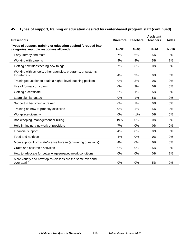# **45. Types of support, training or education desired by center-based program staff (continued)**

| <b>Preschools</b>                                                                                        | <b>Directors</b> | <b>Teachers</b> | <b>Assistant</b><br><b>Teachers</b> | <b>Aides</b> |
|----------------------------------------------------------------------------------------------------------|------------------|-----------------|-------------------------------------|--------------|
| Types of support, training or education desired (grouped into<br>categories, multiple responses allowed) | $N=37$           | $N=98$          | $N=26$                              | $N=16$       |
| Early literacy and math                                                                                  | 7%               | 6%              | 5%                                  | 0%           |
| Working with parents                                                                                     | 4%               | 4%              | 5%                                  | 7%           |
| Getting new ideas/seeing new things                                                                      | 7%               | 3%              | 0%                                  | 0%           |
| Working with schools, other agencies, programs, or systems<br>for referrals                              | 4%               | 3%              | 0%                                  | 0%           |
| Training/education to attain a higher level teaching position                                            | 0%               | 3%              | 0%                                  | 0%           |
| Use of formal curriculum                                                                                 | 0%               | 3%              | 0%                                  | 0%           |
| Getting a certificate                                                                                    | 0%               | 1%              | 5%                                  | 0%           |
| Learn sign language                                                                                      | 0%               | 1%              | 5%                                  | 0%           |
| Support in becoming a trainer                                                                            | 0%               | 1%              | 0%                                  | 0%           |
| Training on how to properly discipline                                                                   | 0%               | 1%              | 5%                                  | 0%           |
| Workplace diversity                                                                                      | 0%               | $< 1\%$         | 0%                                  | $0\%$        |
| Bookkeeping, management or billing                                                                       | 19%              | 0%              | 0%                                  | 0%           |
| Help in finding a network of providers                                                                   | 7%               | 0%              | 0%                                  | 0%           |
| Financial support                                                                                        | 4%               | 0%              | 0%                                  | 0%           |
| Food and nutrition                                                                                       | 4%               | 0%              | 0%                                  | 0%           |
| More support from state/license bureau (answering questions)                                             | 4%               | 0%              | 0%                                  | 0%           |
| Crafts and children's activities                                                                         | 0%               | 0%              | 5%                                  | 0%           |
| How to advocate for better wages/respect/work conditions                                                 | 0%               | 0%              | 0%                                  | 7%           |
| More variety and new topics (classes are the same over and<br>over again)                                | 0%               | 0%              | 5%                                  | 0%           |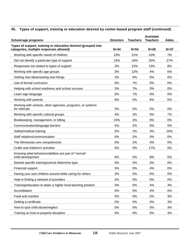# **45. Types of support, training or education desired by center-based program staff (continued)**

| <b>School-age programs</b>                                                                               | <b>Directors</b> | <b>Teachers</b> | <b>Assistant</b><br><b>Teachers</b> | <b>Aides</b> |
|----------------------------------------------------------------------------------------------------------|------------------|-----------------|-------------------------------------|--------------|
| Types of support, training or education desired (grouped into<br>categories, multiple responses allowed) | $N=44$           | $N = 54$        | $N=28$                              | $N=47$       |
| Working with specific needs of children                                                                  | 19%              | 21%             | 10%                                 | 7%           |
| Did not identify a particular type of support                                                            | 15%              | 16%             | 25%                                 | 27%          |
| Responses not related to types of support                                                                | 3%               | 12%             | 13%                                 | 8%           |
| Working with specific age groups                                                                         | 3%               | 12%             | 4%                                  | 0%           |
| Getting new ideas/seeing new things                                                                      | 3%               | 9%              | $0\%$                               | $0\%$        |
| Use of formal curriculum                                                                                 | 6%               | 7%              | 0%                                  | 0%           |
| Helping with school readiness and school success                                                         | 3%               | 7%              | $0\%$                               | 0%           |
| Learn sign language                                                                                      | 0%               | 7%              | 0%                                  | 0%           |
| Working with parents                                                                                     | 6%               | 5%              | 8%                                  | 5%           |
| Working with schools, other agencies, programs, or systems<br>for referrals                              | 3%               | 5%              | 0%                                  | 0%           |
| Working with specific cultural groups                                                                    | 4%               | 3%              | $0\%$                               | 7%           |
| Bookkeeping, management, or billing                                                                      | 15%              | 2%              | 0%                                  | 0%           |
| Communication/language barriers                                                                          | 0%               | 2%              | $0\%$                               | 0%           |
| Safety/medical training                                                                                  | 0%               | 2%              | 4%                                  | 16%          |
| Staff relations/communication                                                                            | 0%               | 2%              | $0\%$                               | 0%           |
| The Minnesota core competencies                                                                          | 0%               | 2%              | $0\%$                               | 0%           |
| Crafts and children's activities                                                                         | 6%               | 0%              | 17%                                 | 5%           |
| Knowing what behaviors/abilities are part of "normal"<br>child development                               | 6%               | 0%              | 8%                                  | 5%           |
| Named specific training/cannot determine type                                                            | 6%               | 0%              | 0%                                  | 0%           |
| Financial support                                                                                        | 3%               | 0%              | 4%                                  | 0%           |
| Having your own children around while caring for others                                                  | 3%               | 0%              | 0%                                  | 0%           |
| Help in finding a network of providers                                                                   | 3%               | 0%              | 0%                                  | 0%           |
| Training/education to attain a higher level teaching position                                            | 3%               | 0%              | 4%                                  | 3%           |
| Accreditation                                                                                            | 0%               | 0%              | 4%                                  | 0%           |
| Food and nutrition                                                                                       | 0%               | 0%              | 0%                                  | 3%           |
| Getting a certificate                                                                                    | 0%               | 0%              | 0%                                  | 3%           |
| How to spot child abuse/neglect                                                                          | 0%               | 0%              | 0%                                  | 3%           |
| Training on how to properly discipline                                                                   | $0\%$            | 0%              | 0%                                  | 3%           |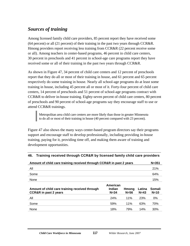# *Sources of training*

Among licensed family child care providers, 85 percent report they have received some (64 percent) or all (21 percent) of their training in the past two years through CCR&R. Hmong providers report receiving less training from CCR&R (22 percent receive some or all). Among teachers in center-based programs, 46 percent in child care centers, 30 percent in preschools and 41 percent in school-age care programs report they have received some or all of their training in the past two years through CCR&R.

As shown in Figure 47, 34 percent of child care centers and 12 percent of preschools report that they do all or most of their training in house, and 61 percent and 65 percent respectively do some training in house. Nearly all school-age programs do at least some training in house, including 45 percent all or most of it. Forty-four percent of child care centers, 14 percent of preschools and 51 percent of school-age programs contract with CCR&R to deliver in-house training. Eighty-seven percent of child care centers, 80 percent of preschools and 90 percent of school-age programs say they encourage staff to use or attend CCR&R trainings.

Metropolitan area child care centers are more likely than those in greater Minnesota to do all or most of their training in house (40 percent compared with 23 percent).

Figure 47 also shows the many ways center-based program directors say their programs support and encourage staff to develop professionally, including providing in-house training, paying for it, providing time off, and making them aware of training and development opportunities.

| Amount of child care training received through CCR&R in past 2 years               |                                       |                 |                  |                  |  |
|------------------------------------------------------------------------------------|---------------------------------------|-----------------|------------------|------------------|--|
| All                                                                                |                                       |                 |                  | 21%              |  |
| Some                                                                               |                                       |                 |                  | 64%              |  |
| None                                                                               |                                       |                 |                  | 15%              |  |
| Amount of child care training received through<br><b>CCR&amp;R</b> in past 2 years | American<br><b>Indian</b><br>$N = 34$ | Hmona<br>$N=56$ | Latina<br>$N=43$ | Somali<br>$N=10$ |  |
| All                                                                                | 24%                                   | 11%             | 23%              | 0%               |  |
| Some                                                                               | 59%                                   | 11%             | 63%              | 70%              |  |
| None                                                                               | 18%                                   | 79%             | 14%              | 30%              |  |

#### **46. Training received through CCR&R by licensed family child care providers**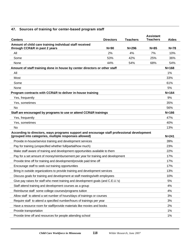# **47. Sources of training for center-based program staff**

| <b>Centers</b>                                                                                                                                      | <b>Directors</b> | <b>Teachers</b> | <b>Assistant</b><br><b>Teachers</b> | <b>Aides</b> |
|-----------------------------------------------------------------------------------------------------------------------------------------------------|------------------|-----------------|-------------------------------------|--------------|
| Amount of child care training individual staff received                                                                                             |                  |                 |                                     |              |
| through CCR&R in past 2 years                                                                                                                       | $N = 90$         | $N = 296$       | $N=85$                              | $N=78$       |
| All                                                                                                                                                 | 2%               | 4%              | 7%                                  | 10%          |
| Some                                                                                                                                                | 53%              | 42%             | 25%                                 | 36%          |
| None                                                                                                                                                | 44%              | 54%             | 68%                                 | 54%          |
| Amount of staff training done in house by center directors or other staff                                                                           |                  |                 |                                     | $N = 168$    |
| All                                                                                                                                                 |                  |                 |                                     | 1%           |
| Most                                                                                                                                                |                  |                 |                                     | 33%          |
| Some                                                                                                                                                |                  |                 |                                     | 61%          |
| None                                                                                                                                                |                  |                 |                                     | 5%           |
| Program contracts with CCR&R to deliver in-house training                                                                                           |                  |                 |                                     | $N = 164$    |
| Yes, frequently                                                                                                                                     |                  |                 |                                     | 9%           |
| Yes, sometimes                                                                                                                                      |                  |                 |                                     | 35%          |
| No                                                                                                                                                  |                  |                 |                                     | 56%          |
| Staff are encouraged by programs to use or attend CCR&R trainings                                                                                   |                  |                 |                                     | $N = 166$    |
| Yes, frequently                                                                                                                                     |                  |                 |                                     | 47%          |
| Yes, sometimes                                                                                                                                      |                  |                 |                                     | 40%          |
| <b>No</b>                                                                                                                                           |                  |                 |                                     | 13%          |
| According to directors, ways programs support and encourage staff professional development<br>(grouped into categories, multiple responses allowed) |                  |                 |                                     | $N = 241$    |
| Provide in-house/service training and development services                                                                                          |                  |                 |                                     | 39%          |
| Pay for training (unspecified whether full/partial/how much)                                                                                        |                  |                 |                                     | 23%          |
| Make staff aware of training and development opportunities available to them                                                                        |                  |                 |                                     | 22%          |
| Pay for a set amount of money/reimbursement per year for training and development                                                                   |                  |                 |                                     | 17%          |
| Provide time off for training and development/provide paid time off                                                                                 |                  |                 |                                     | 17%          |
| Encourage staff to seek out training opportunities                                                                                                  |                  |                 |                                     | 17%          |
| Bring in outside organizations to provide training and development services                                                                         |                  |                 |                                     | 13%          |
| Discuss goals for training and development at staff meetings/with employees                                                                         |                  |                 |                                     | 10%          |
| Give pay raises for staff who meet training and development goals (and C.E.U.'s)                                                                    |                  |                 |                                     | 5%           |
| Staff attend training and development courses as a group                                                                                            |                  |                 |                                     | 4%           |
| Reimburse staff some college courses/programs tuition                                                                                               |                  |                 |                                     | 4%           |
| Allow staff to attend a set number of hours/days of trainings or courses                                                                            |                  |                 |                                     | 3%           |
| Require staff to attend a specified number/hours of trainings per year                                                                              |                  |                 |                                     | 3%           |
| Have a resource room for staff/provide materials like movies and books                                                                              |                  |                 |                                     | 2%           |
| Provide transportation                                                                                                                              |                  |                 |                                     | 1%           |
| Provide time off and resources for people attending school                                                                                          |                  |                 |                                     | 1%           |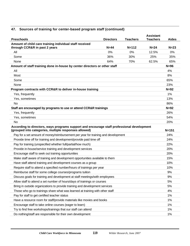# **47. Sources of training for center-based program staff (continued)**

| <b>Preschools</b>                                                                                                                                   | <b>Directors</b> | <b>Teachers</b> | <b>Assistant</b><br><b>Teachers</b> | Aides     |
|-----------------------------------------------------------------------------------------------------------------------------------------------------|------------------|-----------------|-------------------------------------|-----------|
| Amount of child care training individual staff received                                                                                             |                  |                 |                                     |           |
| through CCR&R in past 2 years                                                                                                                       | $N=44$           | $N = 112$       | $N=24$                              | $N=23$    |
| All                                                                                                                                                 | 0%               | 0%              | 12.5%                               | 0%        |
| Some                                                                                                                                                | 36%              | 30%             | 25%                                 | 35%       |
| None                                                                                                                                                | 64%              | 70%             | 62.5%                               | 65%       |
| Amount of staff training done in-house by center directors or other staff                                                                           |                  |                 |                                     | $N=96$    |
| All                                                                                                                                                 |                  |                 |                                     | 4%        |
| Most                                                                                                                                                |                  |                 |                                     | 8%        |
| Some                                                                                                                                                |                  |                 |                                     | 65%       |
| None                                                                                                                                                |                  |                 |                                     | 23%       |
| Program contracts with CCR&R to deliver in-house training                                                                                           |                  |                 |                                     | $N=92$    |
| Yes, frequently                                                                                                                                     |                  |                 |                                     | 1%        |
| Yes, sometimes                                                                                                                                      |                  |                 |                                     | 13%       |
| No                                                                                                                                                  |                  |                 |                                     | 86%       |
| Staff are encouraged by programs to use or attend CCR&R trainings                                                                                   |                  |                 |                                     | $N=92$    |
| Yes, frequently                                                                                                                                     |                  |                 |                                     | 26%       |
| Yes, sometimes                                                                                                                                      |                  |                 |                                     | 54%       |
| No                                                                                                                                                  |                  |                 |                                     | 20%       |
| According to directors, ways programs support and encourage staff professional development<br>(grouped into categories, multiple responses allowed) |                  |                 |                                     | $N = 151$ |
| Pay for a set amount of money/reimbursement per year for training and development                                                                   |                  |                 |                                     | 24%       |
| Provide time off for training and development/provide paid time off                                                                                 |                  |                 |                                     | 24%       |
| Pay for training (unspecified whether full/partial/how much)                                                                                        |                  |                 |                                     | 22%       |
| Provide in-house/service training and development services                                                                                          |                  |                 |                                     | 20%       |
| Encourage staff to seek out training opportunities                                                                                                  |                  |                 |                                     | 20%       |
| Make staff aware of training and development opportunities available to them                                                                        |                  |                 |                                     | 15%       |
| Have staff attend training and development courses as a group                                                                                       |                  |                 |                                     | 10%       |
| Require staff to attend a specified number/hours of trainings per year                                                                              |                  |                 |                                     | 10%       |
| Reimburse staff for some college courses/programs tuition                                                                                           |                  |                 |                                     | 9%        |
| Discuss goals for training and development at staff meetings/with employees                                                                         |                  |                 |                                     | 9%        |
| Allow staff to attend a set number of hours/days of trainings or courses                                                                            |                  |                 |                                     | 5%        |
| Bring in outside organizations to provide training and development services                                                                         |                  |                 |                                     | 5%        |
| Those who go to trainings share what was learned at training with other staff                                                                       |                  |                 |                                     | 4%        |
| Pay for staff to get certified teacher status                                                                                                       |                  |                 |                                     | 1%        |
| Have a resource room for staff/provide materials like movies and books                                                                              |                  |                 |                                     | 1%        |
|                                                                                                                                                     |                  |                 |                                     |           |
| Encourage staff to take online courses (eager to learn)                                                                                             |                  |                 |                                     | 1%        |
| Try to find free workshops/trainings that our staff can attend                                                                                      |                  |                 |                                     | 1%        |
| Do nothing/staff are responsible for their own development                                                                                          |                  |                 |                                     | 1%        |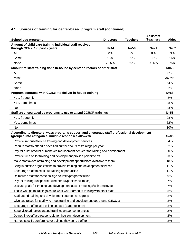# **47. Sources of training for center-based program staff (continued)**

| School-age programs<br><b>Directors</b>                                                                                                             | <b>Teachers</b> | <b>Assistant</b><br><b>Teachers</b> | <b>Aides</b> |
|-----------------------------------------------------------------------------------------------------------------------------------------------------|-----------------|-------------------------------------|--------------|
| Amount of child care training individual staff received                                                                                             |                 |                                     |              |
| through CCR&R in past 2 years<br>$N = 44$                                                                                                           | $N=56$          | $N=21$                              | $N = 32$     |
| All<br>2%                                                                                                                                           | 2%              | $0\%$                               | 9%           |
| 18%<br>Some                                                                                                                                         | 39%             | 9.5%                                | 16%          |
| 79.5%<br>None                                                                                                                                       | 59%             | 90.5%                               | 75%          |
| Amount of staff training done in-house by center directors or other staff                                                                           |                 |                                     | $N=63$       |
| All                                                                                                                                                 |                 |                                     | 8%           |
| Most                                                                                                                                                |                 |                                     | 36.5%        |
| Some                                                                                                                                                |                 |                                     | 54%          |
| None                                                                                                                                                |                 |                                     | 2%           |
| Program contracts with CCR&R to deliver in-house training                                                                                           |                 |                                     | $N = 58$     |
| Yes, frequently                                                                                                                                     |                 |                                     | 3%           |
| Yes, sometimes                                                                                                                                      |                 |                                     | 48%          |
| No                                                                                                                                                  |                 |                                     | 48%          |
| Staff are encouraged by programs to use or attend CCR&R trainings                                                                                   |                 |                                     | $N=58$       |
| Yes, frequently                                                                                                                                     |                 |                                     | 28%          |
| Yes, sometimes                                                                                                                                      |                 |                                     | 62%          |
| No                                                                                                                                                  |                 |                                     | 10%          |
| According to directors, ways programs support and encourage staff professional development<br>(grouped into categories, multiple responses allowed) |                 |                                     | $N = 88$     |
| Provide in-house/service training and development services                                                                                          |                 |                                     | 34%          |
| Require staff to attend a specified number/hours of trainings per year                                                                              |                 |                                     | 32%          |
| Pay for a set amount of money/reimbursement per year for training and development                                                                   |                 |                                     | 30%          |
| Provide time off for training and development/provide paid time off                                                                                 |                 |                                     | 23%          |
| Make staff aware of training and development opportunities available to them                                                                        |                 |                                     | 18%          |
| Bring in outside organizations to provide training and development services                                                                         |                 |                                     | 11%          |
| Encourage staff to seek out training opportunities                                                                                                  |                 |                                     | 11%          |
| Reimburse staff for some college courses/programs tuition                                                                                           |                 |                                     | 9%           |
| Pay for training (unspecified whether full/partial/how much)                                                                                        |                 |                                     | 7%           |
| Discuss goals for training and development at staff meetings/with employees                                                                         |                 |                                     | 7%           |
| Those who go to trainings share what was learned at training with other staff                                                                       |                 |                                     | 5%           |
| Staff attend training and development courses as a group                                                                                            |                 |                                     | 2%           |
| Give pay raises for staff who meet training and development goals (and C.E.U.'s)                                                                    |                 |                                     | 2%           |
| Encourage staff to take online courses (eager to learn)                                                                                             |                 |                                     | 2%           |
| Supervisors/directors attend trainings and/or conferences                                                                                           |                 |                                     | 2%           |
|                                                                                                                                                     |                 |                                     |              |
| Do nothing/staff are responsible for their own development                                                                                          |                 |                                     | 2%           |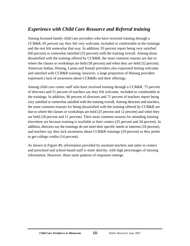# *Experience with Child Care Resource and Referral training*

Among licensed family child care providers who have received training through a CCR&R, 85 percent say they felt very welcome, included or comfortable at the trainings and the rest felt somewhat that way. In addition, 93 percent report being very satisfied (60 percent) or somewhat satisfied (33 percent) with the training overall. Among those dissatisfied with the training offered by CCR&R, the most common reasons are due to where the classes or workshops are held (58 percent) and when they are held (32 percent). American Indian, Hmong, Latina and Somali providers also expressed feeling welcome and satisfied with CCR&R training; however, a large proportion of Hmong providers expressed a lack of awareness about CCR&Rs and their offerings.

Among child care center staff who have received training through a CCR&R, 75 percent of directors and 51 percent of teachers say they felt welcome, included or comfortable at the trainings. In addition, 96 percent of directors and 71 percent of teachers report being very satisfied or somewhat satisfied with the training overall. Among directors and teachers, the most common reasons for being dissatisfied with the training offered by CCR&R are due to where the classes or workshops are held (25 percent and 12 percent) and when they are held (18 percent and 11 percent). Their most common reasons for attending training elsewhere are because training is available at their centers (25 percent and 34 percent). In addition, directors say the trainings do not meet their specific needs or interests (18 percent), and teachers say they lack awareness about CCR&R trainings (29 percent) or they prefer to get college credits (14 percent).

As shown in Figure 49, information provided by assistant teachers and aides in centers and preschool and school-based staff is more sketchy, with high percentages of missing information. However, these same patterns of responses emerge.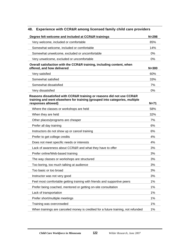| Degree felt welcome and included at CCR&R trainings                                                                                                                        | $N = 298$ |
|----------------------------------------------------------------------------------------------------------------------------------------------------------------------------|-----------|
| Very welcome, included or comfortable                                                                                                                                      | 85%       |
| Somewhat welcome, included or comfortable                                                                                                                                  | 14%       |
| Somewhat unwelcome, excluded or uncomfortable                                                                                                                              | $0\%$     |
| Very unwelcome, excluded or uncomfortable                                                                                                                                  | 0%        |
| Overall satisfaction with the CCR&R training, including content, when<br>offered, and how delivered                                                                        | $N = 300$ |
| Very satisfied                                                                                                                                                             | 60%       |
| Somewhat satisfied                                                                                                                                                         | 33%       |
| Somewhat dissatisfied                                                                                                                                                      | 7%        |
| Very dissatisfied                                                                                                                                                          | 0%        |
| Reasons dissatisfied with CCR&R training or reasons did not use CCR&R<br>training and went elsewhere for training (grouped into categories, multiple<br>responses allowed) | $N=71$    |
| Where the classes or workshops are held                                                                                                                                    | 58%       |
| When they are held                                                                                                                                                         | 32%       |
| Other places/programs are cheaper                                                                                                                                          | 7%        |
| Prefer all day training                                                                                                                                                    | 6%        |
| Instructors do not show up or cancel training                                                                                                                              | 6%        |
| Prefer to get college credits                                                                                                                                              | 4%        |
| Does not meet specific needs or interests                                                                                                                                  | 4%        |
| Lack of awareness about CCR&R and what they have to offer                                                                                                                  | 3%        |
| Prefer online/Web-based training                                                                                                                                           | 3%        |
| The way classes or workshops are structured                                                                                                                                | 3%        |
| Too boring, too much talking at audience                                                                                                                                   | 3%        |
| Too basic or too broad                                                                                                                                                     | 3%        |
| Instructor was not very good                                                                                                                                               | 3%        |
| Feel most comfortable getting training with friends and supportive peers                                                                                                   | 1%        |
| Prefer being coached, mentored or getting on-site consultation                                                                                                             | 1%        |
| Lack of transportation                                                                                                                                                     | 1%        |
| Prefer short/multiple meetings                                                                                                                                             | 1%        |
| Training was overcrowded                                                                                                                                                   | 1%        |
| When trainings are canceled money is credited for a future training, not refunded                                                                                          | 1%        |

#### **48. Experience with CCR&R among licensed family child care providers**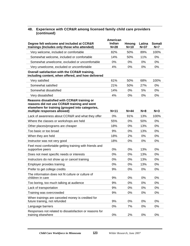#### **48. Experience with CCR&R among licensed family child care providers (continued)**

|                                                                                                                                                                               | American         |                 |                  |                        |
|-------------------------------------------------------------------------------------------------------------------------------------------------------------------------------|------------------|-----------------|------------------|------------------------|
| Degree felt welcome and included at CCR&R<br>trainings (Includes only those who attended)                                                                                     | Indian<br>$N=28$ | Hmong<br>$N=10$ | Latina<br>$N=37$ | <b>Somali</b><br>$N=7$ |
| Very welcome, included or comfortable                                                                                                                                         | 82%              | 50%             | 89%              | 100%                   |
| Somewhat welcome, included or comfortable                                                                                                                                     | 14%              | 50%             | 11%              | $0\%$                  |
| Somewhat unwelcome, excluded or uncomfortable                                                                                                                                 | 0%               | 0%              | 0%               | 0%                     |
| Very unwelcome, excluded or uncomfortable                                                                                                                                     | 4%               | 0%              | 0%               | 0%                     |
| Overall satisfaction with the CCR&R training,<br>including content, when offered, and how delivered                                                                           |                  |                 |                  |                        |
| Very satisfied                                                                                                                                                                | 61%              | 50%             | 68%              | 100%                   |
| Somewhat satisfied                                                                                                                                                            | 21%              | 50%             | 27%              | $0\%$                  |
| Somewhat dissatisfied                                                                                                                                                         | 14%              | 0%              | 5%               | 0%                     |
| Very dissatisfied                                                                                                                                                             | 4%               | 0%              | 0%               | 0%                     |
| Reasons dissatisfied with CCR&R training or<br>reasons did not use CCR&R training and went<br>elsewhere for training (grouped into categories,<br>multiple responses allowed) | $N=11$           | $N=44$          | $N=8$            | $N=3$                  |
| Lack of awareness about CCR&R and what they offer                                                                                                                             | 0%               | 91%             | 13%              | 100%                   |
| Where the classes or workshops are held                                                                                                                                       | 55%              | 0%              | 50%              | $0\%$                  |
| Other places/programs are cheaper                                                                                                                                             | 18%              | 0%              | 13%              | $0\%$                  |
| Too basic or too broad                                                                                                                                                        | 9%               | 0%              | 13%              | 0%                     |
| When they are held                                                                                                                                                            | 18%              | 2%              | 0%               | 0%                     |
| Instructor was not very good                                                                                                                                                  | 18%              | 0%              | 0%               | 0%                     |
| Feel most comfortable getting training with friends and<br>supportive peers                                                                                                   | $0\%$            | 0%              | 13%              | $0\%$                  |
| Does not meet specific needs or interests                                                                                                                                     | 0%               | 0%              | 13%              | 0%                     |
| Instructors do not show up or cancel training                                                                                                                                 | 0%               | 0%              | 13%              | 0%                     |
| Employer provides training                                                                                                                                                    | $0\%$            | 0%              | 13%              | $0\%$                  |
| Prefer to get college credits                                                                                                                                                 | 9%               | 0%              | 0%               | 0%                     |
| The information does not fit culture or culture of<br>children in care                                                                                                        | 9%               | 0%              | 0%               | $0\%$                  |
| Too boring, too much talking at audience                                                                                                                                      | 9%               | 0%              | 0%               | 0%                     |
| Lack of transportation                                                                                                                                                        | 9%               | 0%              | 0%               | 0%                     |
| Training was overcrowded                                                                                                                                                      | 9%               | 0%              | 0%               | 0%                     |
| When trainings are canceled money is credited for<br>future training, not refunded                                                                                            | 9%               | 0%              | 0%               | 0%                     |
| Language barriers                                                                                                                                                             | 0%               | 7%              | 0%               | 0%                     |
| Responses not related to dissatisfaction or reasons for<br>training elsewhere                                                                                                 | $0\%$            | 2%              | 0%               | 0%                     |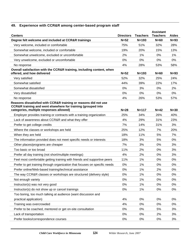# **49. Experience with CCR&R among center-based program staff**

| <b>Centers</b>                                                                                                                                                             | <b>Directors</b> | <b>Teachers</b> | <b>Assistant</b><br><b>Teachers</b> | <b>Aides</b> |
|----------------------------------------------------------------------------------------------------------------------------------------------------------------------------|------------------|-----------------|-------------------------------------|--------------|
| Degree felt welcome and included at CCR&R trainings                                                                                                                        | $N=52$           | $N = 193$       | $N=60$                              | $N=93$       |
| Very welcome, included or comfortable                                                                                                                                      | 75%              | 51%             | 32%                                 | 28%          |
| Somewhat welcome, included or comfortable                                                                                                                                  | 19%              | 20%             | 15%                                 | 13%          |
| Somewhat unwelcome, excluded or uncomfortable                                                                                                                              | 2%               | 1%              | 0%                                  | 1%           |
| Very unwelcome, excluded or uncomfortable                                                                                                                                  | 0%               | 0%              | 0%                                  | 0%           |
| No response                                                                                                                                                                | 4%               | 28%             | 53%                                 | 58%          |
| Overall satisfaction with the CCR&R training, including content, when<br>offered, and how delivered                                                                        | $N=52$           | $N = 193$       | $N=60$                              | $N=93$       |
| Very satisfied                                                                                                                                                             | 52%              | 32%             | 25%                                 | 24%          |
| Somewhat satisfied                                                                                                                                                         | 44%              | 39%             | 22%                                 | 17%          |
| Somewhat dissatisfied                                                                                                                                                      | 0%               | 3%              | 0%                                  | 2%           |
| Very dissatisfied                                                                                                                                                          | 0%               | 0%              | 0%                                  | 0%           |
| No response                                                                                                                                                                | 4%               | 26%             | 53%                                 | 57%          |
| Reasons dissatisfied with CCR&R training or reasons did not use<br>CCR&R training and went elsewhere for training (grouped into<br>categories, multiple responses allowed) | $N=28$           | $N = 117$       | $N=42$                              | $N=30$       |
| Employer provides training or contracts with a training organization                                                                                                       | 25%              | 34%             | 26%                                 | 40%          |
| Lack of awareness about CCR&R and what they offer                                                                                                                          | 4%               | 29%             | 31%                                 | 23%          |
| Prefer to get college credits                                                                                                                                              | 7%               | 14%             | 31%                                 | 3%           |
| Where the classes or workshops are held                                                                                                                                    | 25%              | 12%             | 7%                                  | 20%          |
| When they are held                                                                                                                                                         | 18%              | 11%             | 5%                                  | 7%           |
| The information provided does not meet specific needs or interests                                                                                                         | 18%              | 3%              | 5%                                  | 0%           |
| Other places/programs are cheaper                                                                                                                                          | 7%               | 3%              | 0%                                  | 3%           |
| Too basic or too broad                                                                                                                                                     | 11%              | 2%              | 0%                                  | 3%           |
| Prefer all day training (not short/multiple meetings)                                                                                                                      | 4%               | 2%              | 0%                                  | 3%           |
| Feel most comfortable getting training with friends and supportive peers                                                                                                   | 11%              | 1%              | 0%                                  | 0%           |
| Prefer to get training through organization that focuses on specific needs                                                                                                 | 0%               | 1%              | 0%                                  | 0%           |
| Prefer online/Web-based training/technical assistance                                                                                                                      | 0%               | 1%              | 2%                                  | 0%           |
| The way CCR&R classes or workshops are structured (delivery style)                                                                                                         | 0%               | 1%              | 0%                                  | 0%           |
| Not enough variety                                                                                                                                                         | 0%               | 1%              | 0%                                  | 0%           |
| Instructor(s) was not very good                                                                                                                                            | 0%               | 1%              | 0%                                  | 0%           |
| Instructor(s) do not show up or cancel trainings                                                                                                                           | 0%               | 1%              | 0%                                  | 0%           |
| Too boring, too much talking at audience (want discussion and                                                                                                              |                  |                 |                                     |              |
| practical application)                                                                                                                                                     | 4%               | 0%              | 0%                                  | 0%           |
| Training was overcrowded                                                                                                                                                   | 4%               | 0%              | 0%                                  | 0%           |
| Prefer to be coached, mentored or get on-site consultation                                                                                                                 | 0%               | 0%              | 5%                                  | 3%           |
| Lack of transportation                                                                                                                                                     | 0%               | 0%              | 2%                                  | 3%           |
| Prefer books/correspondence courses                                                                                                                                        | 0%               | 0%              | $0\%$                               | 3%           |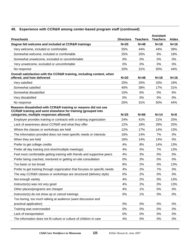# **49. Experience with CCR&R among center-based program staff (continued)**

| <b>Preschools</b>                                                                                                                                                          | <b>Directors</b> | <b>Teachers</b> | <b>Assistant</b><br><b>Teachers</b> | <b>Aides</b> |
|----------------------------------------------------------------------------------------------------------------------------------------------------------------------------|------------------|-----------------|-------------------------------------|--------------|
| Degree felt welcome and included at CCR&R trainings                                                                                                                        | $N=20$           | $N=48$          | $N=18$                              | $N=16$       |
| Very welcome, included or comfortable                                                                                                                                      | 55%              | 44%             | 44%                                 | 38%          |
| Somewhat welcome, included or comfortable                                                                                                                                  | 25%              | 25%             | 6%                                  | 19%          |
| Somewhat unwelcome, excluded or uncomfortable                                                                                                                              | 0%               | $0\%$           | 0%                                  | $0\%$        |
| Very unwelcome, excluded or uncomfortable                                                                                                                                  | 0%               | 0%              | 0%                                  | 0%           |
| No response                                                                                                                                                                | 20%              | 31%             | 50%                                 | 44%          |
| Overall satisfaction with the CCR&R training, including content, when<br>offered, and how delivered                                                                        | $N=20$           | $N=48$          | $N=18$                              | $N=16$       |
| Very satisfied                                                                                                                                                             | 25%              | 25%             | 33%                                 | 19%          |
| Somewhat satisfied                                                                                                                                                         | 40%              | 38%             | 17%                                 | 31%          |
| Somewhat dissatisfied                                                                                                                                                      | 15%              | 6%              | 0%                                  | 6%           |
| Very dissatisfied                                                                                                                                                          | 0%               | 0%              | 0%                                  | 0%           |
| No response                                                                                                                                                                | 20%              | 31%             | 50%                                 | 44%          |
| Reasons dissatisfied with CCR&R training or reasons did not use<br>CCR&R training and went elsewhere for training (grouped into<br>categories, multiple responses allowed) | $N=25$           | $N=66$          | $N=14$                              | $N=8$        |
| Employer provides training or contracts with a training organization                                                                                                       | 24%              | 41%             | 21%                                 | 25%          |
| Lack of awareness about CCR&R and what they offer                                                                                                                          | 12%              | 18%             | 29%                                 | 25%          |
| Where the classes or workshops are held                                                                                                                                    | 12%              | 17%             | 14%                                 | 13%          |
| The information provided does not meet specific needs or interests                                                                                                         | 16%              | 14%             | 7%                                  | 0%           |
| When they are held                                                                                                                                                         | 16%              | 14%             | 14%                                 | $0\%$        |
| Prefer to get college credits                                                                                                                                              | 4%               | 8%              | 14%                                 | 13%          |
| Prefer all day training (not short/multiple meetings)                                                                                                                      | 4%               | 5%              | 7%                                  | 13%          |
| Feel most comfortable getting training with friends and supportive peers                                                                                                   | 4%               | 3%              | 0%                                  | $0\%$        |
| Prefer being coached, mentored or getting on-site consultation                                                                                                             | 0%               | 3%              | 0%                                  | 0%           |
| Too basic or too broad                                                                                                                                                     | 8%               | 2%              | $0\%$                               | 13%          |
| Prefer to get training through organization that focuses on specific needs                                                                                                 | 4%               | 2%              | 7%                                  | 0%           |
| The way CCR&R classes or workshops are structured (delivery style)                                                                                                         | 0%               | 2%              | 0%                                  | 0%           |
| Not enough variety                                                                                                                                                         | 4%               | 2%              | 0%                                  | 13%          |
| Instructor(s) was not very good                                                                                                                                            | 4%               | 2%              | 0%                                  | 13%          |
| Other places/programs are cheaper                                                                                                                                          | 4%               | 1%              | 0%                                  | $0\%$        |
| Instructor(s) do not show up or cancel trainings                                                                                                                           | $0\%$            | 1%              | 0%                                  | 0%           |
| Too boring, too much talking at audience (want discussion and                                                                                                              |                  |                 |                                     |              |
| practical application)                                                                                                                                                     | $0\%$            | 0%              | 0%                                  | 0%           |
| Training was overcrowded                                                                                                                                                   | 0%               | 0%              | 0%                                  | 0%           |
| Lack of transportation                                                                                                                                                     | 0%               | 0%              | 0%                                  | 0%           |
| The information does not fit culture or culture of children in care                                                                                                        | 4%               | 0%              | 0%                                  | $0\%$        |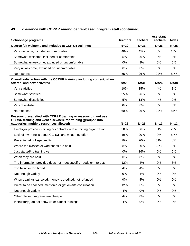# **49. Experience with CCR&R among center-based program staff (continued)**

| School-age programs                                                                                                                                                        | <b>Directors</b> | <b>Teachers</b> | <b>Assistant</b><br><b>Teachers</b> | <b>Aides</b> |
|----------------------------------------------------------------------------------------------------------------------------------------------------------------------------|------------------|-----------------|-------------------------------------|--------------|
| Degree felt welcome and included at CCR&R trainings                                                                                                                        | $N=20$           | $N = 31$        | $N=26$                              | $N = 38$     |
| Very welcome, included or comfortable                                                                                                                                      | 40%              | 45%             | 8%                                  | 13%          |
| Somewhat welcome, included or comfortable                                                                                                                                  | 5%               | 26%             | 0%                                  | 3%           |
| Somewhat unwelcome, excluded or uncomfortable                                                                                                                              | 0%               | 3%              | 0%                                  | 0%           |
| Very unwelcome, excluded or uncomfortable                                                                                                                                  | 0%               | 0%              | 0%                                  | 0%           |
| No response                                                                                                                                                                | 55%              | 26%             | 92%                                 | 84%          |
| Overall satisfaction with the CCR&R training, including content, when<br>offered, and how delivered                                                                        | $N=20$           | $N = 31$        | $N=26$                              | $N = 38$     |
| Very satisfied                                                                                                                                                             | 10%              | 35%             | 4%                                  | 8%           |
| Somewhat satisfied                                                                                                                                                         | 25%              | 26%             | 0%                                  | 5%           |
| Somewhat dissatisfied                                                                                                                                                      | 5%               | 13%             | 4%                                  | 0%           |
| Very dissatisfied                                                                                                                                                          | 0%               | 0%              | 0%                                  | 0%           |
| No response                                                                                                                                                                | 60%              | 26%             | 92%                                 | 87%          |
| Reasons dissatisfied with CCR&R training or reasons did not use<br>CCR&R training and went elsewhere for training (grouped into<br>categories, multiple responses allowed) | $N=26$           | $N=25$          | $N=13$                              | $N=13$       |
| Employer provides training or contracts with a training organization                                                                                                       | 38%              | 36%             | 31%                                 | 23%          |
| Lack of awareness about CCR&R and what they offer                                                                                                                          | 19%              | 20%             | 0%                                  | 54%          |
| Prefer to get college credits                                                                                                                                              | 8%               | 20%             | 31%                                 | 8%           |
| Where the classes or workshops are held                                                                                                                                    | 8%               | 20%             | 23%                                 | 8%           |
| Just started/no training yet                                                                                                                                               | 0%               | 16%             | 0%                                  | 0%           |
| When they are held                                                                                                                                                         | 0%               | 8%              | 8%                                  | 8%           |
| The information provided does not meet specific needs or interests                                                                                                         | 12%              | 4%              | 0%                                  | 8%           |
| Too basic or too broad                                                                                                                                                     | 4%               | 4%              | 0%                                  | 0%           |
| Not enough variety                                                                                                                                                         | 0%               | 4%              | $0\%$                               | 0%           |
| When trainings canceled, money is credited, not refunded                                                                                                                   | 0%               | 4%              | $0\%$                               | 0%           |
| Prefer to be coached, mentored or get on-site consultation                                                                                                                 | 12%              | 0%              | 0%                                  | 0%           |
| Not enough variety                                                                                                                                                         | 4%               | $0\%$           | 0%                                  | 0%           |
| Other places/programs are cheaper                                                                                                                                          | 4%               | 0%              | 8%                                  | 0%           |
| Instructor(s) do not show up or cancel trainings                                                                                                                           | 4%               | 0%              | $0\%$                               | $0\%$        |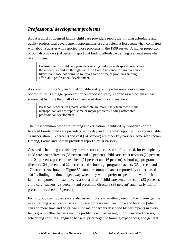# *Professional development problems*

About a third of licensed family child care providers report that finding affordable and quality professional development opportunities are a problem at least somewhat, compared with about a quarter who reported those problems in the 1999 survey. A higher proportion of Somali providers (54 percent) report that finding affordable training is at least somewhat of a problem.

Licensed family child care providers serving children with special needs and those serving children through the Child Care Assistance Program are more likely than those not doing so to report some or major problems finding affordable professional development.

As shown in Figure 51, finding affordable and quality professional development opportunities is a bigger problem for center-based staff, reported as a problem at least somewhat by more than half of center-based directors and teachers.

Preschool teachers in greater Minnesota are more likely than those in the metropolitan area to report some or major problems finding affordable professional development.

The most common barrier to training and education, identified by two-thirds of the licensed family child care providers, is the day and time when opportunities are available. Transportation (15 percent) and cost (14 percent) are other key barriers. American Indian, Hmong, Latina and Somali providers report similar barriers.

Cost and scheduling are also key barriers for center-based staff reported, for example, by child care center directors (33 percent and 19 percent), child care center teachers (22 percent and 21 percent), preschool teachers (21 percent and 16 percent), school-age program directors (24 percent and 22 percent) and school-age program teachers (25 percent and 17 percent). As shown in Figure 52, another common barrier reported by center-based staff is finding the time to get away when they would prefer to spend time with their families, reported, for example, by about a third of child care center directors (33 percent), child care teachers (29 percent) and preschool directors (38 percent) and nearly half of preschool teachers (45 percent).

Focus groups participants were also asked if there is anything keeping them from getting more training or education as a child care professional. Cost, time and location (which can add more time and costs) were the major barriers described by participants in every focus group. Other barriers include problems with accessing full or cancelled classes, scheduling conflicts, language barriers, prior negative training experiences, and general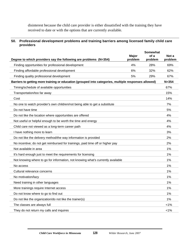disinterest because the child care provider is either dissatisfied with the training they have received to date or with the options that are currently available.

#### **50. Professional development problems and training barriers among licensed family child care providers**

|                                                                                                      |                  | <b>Somewhat</b> |                  |
|------------------------------------------------------------------------------------------------------|------------------|-----------------|------------------|
| Degree to which providers say the following are problems (N=354)                                     | Major<br>problem | of a<br>problem | Not a<br>problem |
| Finding opportunities for professional development                                                   | 4%               | 28%             | 69%              |
| Finding affordable professional development                                                          | 6%               | 32%             | 62%              |
| Finding quality professional development                                                             | 5%               | 29%             | 67%              |
| Barriers to getting more training or education (grouped into categories, multiple responses allowed) |                  |                 | $N = 354$        |
| Timing/schedule of available opportunities                                                           |                  |                 | 67%              |
| Transportation/too far away                                                                          |                  |                 | 15%              |
| Cost                                                                                                 |                  |                 | 14%              |
| No one to watch provider's own children/not being able to get a substitute                           |                  |                 | 7%               |
| Do not have time                                                                                     |                  |                 | 5%               |
| Do not like the location where opportunities are offered                                             |                  |                 | 4%               |
| Not useful or helpful enough to be worth the time and energy                                         |                  |                 | 4%               |
| Child care not viewed as a long-term career path                                                     |                  |                 | 4%               |
| I have nothing more to learn                                                                         |                  |                 | 3%               |
| Do not like the delivery method/the way information is provided                                      |                  |                 | 2%               |
| No incentive; do not get reimbursed for trainings, paid time off or higher pay                       |                  |                 | 2%               |
| Not available in area                                                                                |                  |                 | 1%               |
| It's hard enough just to meet the requirements for licensing                                         |                  |                 | 1%               |
| Not knowing where to go for information, not knowing what's currently available                      |                  |                 | 1%               |
| No access                                                                                            |                  |                 | 1%               |
| Cultural relevance concerns                                                                          |                  |                 | 1%               |
| No motivation/lazy                                                                                   |                  |                 | 1%               |
| Need training in other languages                                                                     |                  |                 | 1%               |
| More trainings require Internet access                                                               |                  |                 | 1%               |
| Do not know where to go to find out                                                                  |                  |                 | 1%               |
| Do not like the organization/do not like the trainer(s)                                              |                  |                 | 1%               |
| The classes are always full                                                                          |                  |                 | 1%               |
| They do not return my calls and inquires                                                             |                  |                 | $< 1\%$          |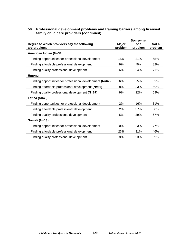#### **50. Professional development problems and training barriers among licensed family child care providers (continued)**

|                                                             |                  | <b>Somewhat</b> |                  |
|-------------------------------------------------------------|------------------|-----------------|------------------|
| Degree to which providers say the following<br>are problems | Major<br>problem | of a<br>problem | Not a<br>problem |
| American Indian (N=34)                                      |                  |                 |                  |
| Finding opportunities for professional development          | 15%              | 21%             | 65%              |
| Finding affordable professional development                 | 9%               | 9%              | 82%              |
| Finding quality professional development                    | 6%               | 24%             | 71%              |
| <b>Hmong</b>                                                |                  |                 |                  |
| Finding opportunities for professional development (N=67)   | 6%               | 25%             | 69%              |
| Finding affordable professional development (N=66)          | 8%               | 33%             | 59%              |
| Finding quality professional development (N=67)             | 9%               | 22%             | 69%              |
| Latina (N=43)                                               |                  |                 |                  |
| Finding opportunities for professional development          | 2%               | 16%             | 81%              |
| Finding affordable professional development                 | 2%               | 37%             | 60%              |
| Finding quality professional development                    | 5%               | 29%             | 67%              |
| Somali (N=13)                                               |                  |                 |                  |
| Finding opportunities for professional development          | 0%               | 23%             | 77%              |
| Finding affordable professional development                 | 23%              | 31%             | 46%              |
| Finding quality professional development                    | 8%               | 23%             | 69%              |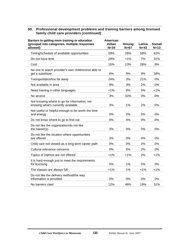#### **50. Professional development problems and training barriers among licensed family child care providers (continued)**

| Barriers to getting more training or education<br>(grouped into categories, multiple responses<br>allowed) | American<br><b>Indian</b><br>$N = 34$ | <b>Hmong</b><br>$N=67$ | Latina<br>$N=43$ | Somali<br>$N=13$ |
|------------------------------------------------------------------------------------------------------------|---------------------------------------|------------------------|------------------|------------------|
| Timing/schedule of available opportunities                                                                 | 59%                                   | 28%                    | 58%              | 62%              |
| Do not have time                                                                                           | 29%                                   | $< 1\%$                | 7%               | 31%              |
| Cost                                                                                                       | 15%                                   | 13%                    | 28%              | 8%               |
| No one to watch provider's own children/not able to<br>get a substitute                                    | 6%                                    | 9%                     | 9%               | 38%              |
| Transportation/too far away                                                                                | 24%                                   | 3%                     | 21%              | 0%               |
| Not available in area                                                                                      | 9%                                    | 3%                     | 2%               | 0%               |
| Need training in other languages                                                                           | 1%                                    | 9%                     | 5%               | 1%               |
| No access                                                                                                  | 3%                                    | 10%                    | 0%               | 0%               |
| Not knowing where to go for information, not<br>knowing what's currently available                         | 3%                                    | 1%                     | 2%               | 0%               |
| Not useful or helpful enough to be worth the time<br>and energy                                            | 0%                                    | 0%                     | 5%               | 0%               |
| Do not know where to go to find out                                                                        | 0%                                    | 4%                     | 0%               | 0%               |
| Do not like the organization/do not like<br>the trainer(s)                                                 | 3%                                    | 0%                     | 0%               | 0%               |
| Do not like the location where opportunities<br>are offered                                                | 3%                                    | 0%                     | 0%               | 0%               |
| Child care not viewed as a long-term career path                                                           | 0%                                    | 0%                     | 2%               | 0%               |
| Cultural relevance concerns                                                                                | 0%                                    | 0%                     | 2%               | 0%               |
| Topics of interest are not offered                                                                         | 1%                                    | $< 1\%$                | 2%               | $< 1\%$          |
| It is hard enough just to meet the requirements<br>for licensing                                           | 0%                                    | 1%                     | 0%               | 0%               |
| The classes are always full                                                                                | 1%                                    | 1%                     | 1%               | 1%               |
| Do not like the delivery method/the way<br>information is provided                                         | 0%                                    | 0%                     | 0%               | 0%               |
| No barriers cited                                                                                          | 12%                                   | 48%                    | 19%              | 31%              |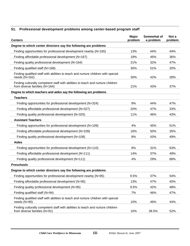# **51. Professional development problems among center-based program staff**

| <b>Centers</b>                                                                                                   | Major<br>problem | Somewhat of<br>a problem | Not a<br>problem |
|------------------------------------------------------------------------------------------------------------------|------------------|--------------------------|------------------|
| Degree to which center directors say the following are problems                                                  |                  |                          |                  |
| Finding opportunities for professional development nearby (N=165)                                                | 13%              | 44%                      | 44%              |
| Finding affordable professional development (N=167)                                                              | 19%              | 45%                      | 36%              |
| Finding quality professional development (N=164)                                                                 | 21%              | 32%                      | 47%              |
| Finding qualified staff (N=168)                                                                                  | 30%              | 51%                      | 20%              |
| Finding qualified staff with abilities to teach and nurture children with special<br>needs $(N=162)$             | 30%              | 42%                      | 28%              |
| Finding culturally competent staff with abilities to teach and nurture children<br>from diverse families (N=164) | 21%              | 43%                      | 37%              |
| Degree to which teachers and aides say the following are problems                                                |                  |                          |                  |
| <b>Teachers</b>                                                                                                  |                  |                          |                  |
| Finding opportunities for professional development (N=324)                                                       | 9%               | 44%                      | 47%              |
| Finding affordable professional development (N=327)                                                              | 20%              | 47%                      | 33%              |
| Finding quality professional development (N=325)                                                                 | 11%              | 46%                      | 43%              |
| <b>Assistant Teachers</b>                                                                                        |                  |                          |                  |
| Finding opportunities for professional development (N=109)                                                       | 4%               | 45%                      | 51%              |
| Finding affordable professional development (N=109)                                                              | 16%              | 50%                      | 35%              |
| Finding quality professional development (N=108)                                                                 | 8%               | 43%                      | 49%              |
| <b>Aides</b>                                                                                                     |                  |                          |                  |
| Finding opportunities for professional development (N=110)                                                       | 6%               | 31%                      | 63%              |
| Finding affordable professional development (N=111)                                                              | 14%              | 37%                      | 49%              |
| Finding quality professional development (N=111)                                                                 | 4%               | 29%                      | 68%              |
| <b>Preschools</b>                                                                                                |                  |                          |                  |
| Degree to which center directors say the following are problems                                                  |                  |                          |                  |
| Finding opportunities for professional development nearby (N=95)                                                 | 9.5%             | 37%                      | 54%              |
| Finding affordable professional development (N=95)                                                               | 13%              | 47%                      | 40%              |
| Finding quality professional development (N=95)                                                                  | 9.5%             | 42%                      | 48%              |
| Finding qualified staff (N=94)                                                                                   | 7%               | 46%                      | 47%              |
| Finding qualified staff with abilities to teach and nurture children with special<br>needs (N=90)                | 10%              | 46%                      | 44%              |
| Finding culturally competent staff with abilities to teach and nurture children<br>from diverse families (N=91)  | 10%              | 38.5%                    | 52%              |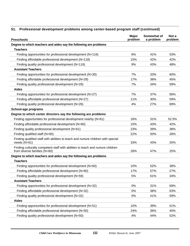| <b>Preschools</b>                                                                                               | Major<br>problem | Somewhat of<br>a problem | Not a<br>problem |
|-----------------------------------------------------------------------------------------------------------------|------------------|--------------------------|------------------|
| Degree to which teachers and aides say the following are problems                                               |                  |                          |                  |
| <b>Teachers</b>                                                                                                 |                  |                          |                  |
| Finding opportunities for professional development (N=116)                                                      | 6%               | 41%                      | 53%              |
| Finding affordable professional development (N=118)                                                             | 15%              | 42%                      | 42%              |
| Finding quality professional development (N=116)                                                                | 9%               | 43%                      | 48%              |
| <b>Assistant Teachers</b>                                                                                       |                  |                          |                  |
| Finding opportunities for professional development (N=30)                                                       | 7%               | 33%                      | 60%              |
| Finding affordable professional development (N=29)                                                              | 17%              | 38%                      | 45%              |
| Finding quality professional development (N=29)                                                                 | 7%               | 34%                      | 59%              |
| <b>Aides</b>                                                                                                    |                  |                          |                  |
| Finding opportunities for professional development (N=27)                                                       | 7%               | 37%                      | 56%              |
| Finding affordable professional development (N=27)                                                              | 11%              | 30%                      | 59%              |
| Finding quality professional development (N=26)                                                                 | 4%               | 27%                      | 69%              |
| School-age programs                                                                                             |                  |                          |                  |
| Degree to which center directors say the following are problems                                                 |                  |                          |                  |
| Finding opportunities for professional development nearby (N=61)                                                | 16%              | 31%                      | 52.5%            |
| Finding affordable professional development (N=60)                                                              | 15%              | 43%                      | 42%              |
| Finding quality professional development (N=61)                                                                 | 23%              | 39%                      | 38%              |
| Finding qualified staff (N=60)                                                                                  | 22%              | 50%                      | 28%              |
| Finding qualified staff with abilities to teach and nurture children with special<br>needs (N=61)               | 33%              | 43%                      | 25%              |
| Finding culturally competent staff with abilities to teach and nurture children<br>from diverse families (N=60) | 28%              | 47%                      | 25%              |
| Degree to which teachers and aides say the following are problems                                               |                  |                          |                  |
| <b>Teachers</b>                                                                                                 |                  |                          |                  |
| Finding opportunities for professional development (N=60)                                                       | 10%              | 52%                      | 38%              |
| Finding affordable professional development (N=60)                                                              | 17%              | 57%                      | 27%              |
| Finding quality professional development (N=59)                                                                 | 5%               | 61%                      | 34%              |
| <b>Assistant Teachers</b>                                                                                       |                  |                          |                  |
| Finding opportunities for professional development (N=32)                                                       | 0%               | 31%                      | 69%              |
| Finding affordable professional development (N=32)                                                              | 0%               | 38%                      | 63%              |
| Finding quality professional development (N=32)                                                                 | 0%               | 41%                      | 59%              |
| <b>Aides</b>                                                                                                    |                  |                          |                  |
| Finding opportunities for professional development (N=51)                                                       | 10%              | 39%                      | 51%              |
| Finding affordable professional development (N=50)                                                              | 24%              | 36%                      | 40%              |
| Finding quality professional development (N=50)                                                                 | 4%               | 44%                      | 52%              |

#### **51. Professional development problems among center-based program staff (continued)**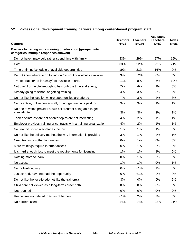# **52. Professional development training barriers among center-based program staff**

| <b>Centers</b>                                                                                          | <b>Directors</b><br>$N=72$ | <b>Teachers</b><br>$N = 276$ | <b>Assistant</b><br><b>Teachers</b><br>$N=89$ | <b>Aides</b><br>$N=86$ |
|---------------------------------------------------------------------------------------------------------|----------------------------|------------------------------|-----------------------------------------------|------------------------|
| Barriers to getting more training or education (grouped into<br>categories, multiple responses allowed) |                            |                              |                                               |                        |
| Do not have time/would rather spend time with family                                                    | 33%                        | 29%                          | 27%                                           | 19%                    |
| Cost                                                                                                    | 33%                        | 22%                          | 22%                                           | 21%                    |
| Time or timing/schedule of available opportunities                                                      | 19%                        | 21%                          | 16%                                           | 9%                     |
| Do not know where to go to find out/do not know what's available                                        | 3%                         | 12%                          | 6%                                            | 5%                     |
| Transportation/too far away/not available in area                                                       | 11%                        | 8%                           | 6%                                            | 10%                    |
| Not useful or helpful enough to be worth the time and energy                                            | 7%                         | 4%                           | 1%                                            | 0%                     |
| Already going to school or getting training                                                             | 4%                         | 3%                           | 3%                                            | 2%                     |
| Do not like the location where opportunities are offered                                                | 7%                         | 3%                           | 2%                                            | 3%                     |
| No incentive, unlike center staff, do not get trainings paid for                                        | 3%                         | 3%                           | 1%                                            | 1%                     |
| No one to watch provider's own children/not being able to get<br>a substitute                           | 3%                         | 3%                           | 2%                                            | 1%                     |
| Topics of interest are not offered/topics are not interesting                                           | 4%                         | 2%                           | 1%                                            | 1%                     |
| Employer provides training or contracts with a training organization                                    | 4%                         | 2%                           | 1%                                            | 1%                     |
| No financial incentive/salaries too low                                                                 | 1%                         | 1%                           | 1%                                            | 0%                     |
| Do not like the delivery method/the way information is provided                                         | 3%                         | 1%                           | 2%                                            | 1%                     |
| Need training in other languages                                                                        | 0%                         | 1%                           | 0%                                            | 0%                     |
| More trainings require Internet access                                                                  | 0%                         | 1%                           | 0%                                            | 0%                     |
| It is hard enough just to meet the requirements for licensing                                           | 1%                         | 1%                           | 1%                                            | 0%                     |
| Nothing more to learn                                                                                   | 0%                         | 1%                           | 0%                                            | 0%                     |
| No access                                                                                               | 1%                         | 1%                           | 0%                                            | 1%                     |
| No motivation, lazy                                                                                     | 0%                         | $< 1\%$                      | 1%                                            | 0%                     |
| Just started, have not had the opportunity                                                              | 0%                         | $< 1\%$                      | 0%                                            | $0\%$                  |
| Do not like the location/do not like the trainer(s)                                                     | 3%                         | $0\%$                        | $0\%$                                         | 2%                     |
| Child care not viewed as a long-term career path                                                        | 0%                         | 0%                           | 3%                                            | 6%                     |
| Not required                                                                                            | 0%                         | 0%                           | 0%                                            | 2%                     |
| Responses not related to types of barriers                                                              | 1%                         | 2%                           | 3%                                            | 6%                     |
| No barriers cited                                                                                       | 14%                        | 14%                          | 22%                                           | 21%                    |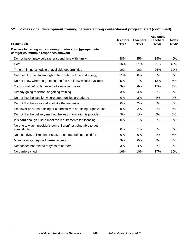# **52. Professional development training barriers among center-based program staff (continued)**

| <b>Preschools</b>                                                                                       | <b>Directors</b><br>$N = 37$ | <b>Teachers</b><br>$N=96$ | <b>Assistant</b><br><b>Teachers</b><br>$N=23$ | <b>Aides</b><br>$N=20$ |
|---------------------------------------------------------------------------------------------------------|------------------------------|---------------------------|-----------------------------------------------|------------------------|
| Barriers to getting more training or education (grouped into<br>categories, multiple responses allowed) |                              |                           |                                               |                        |
| Do not have time/would rather spend time with family                                                    | 38%                          | 45%                       | 35%                                           | 45%                    |
| Cost                                                                                                    | 16%                          | 21%                       | 22%                                           | 40%                    |
| Time or timing/schedule of available opportunities                                                      | 16%                          | 16%                       | 26%                                           | 10%                    |
| Not useful or helpful enough to be worth the time and energy                                            | 11%                          | 8%                        | 0%                                            | 0%                     |
| Do not know where to go to find out/do not know what's available                                        | 5%                           | 7%                        | 13%                                           | 5%                     |
| Transportation/too far away/not available in area                                                       | 3%                           | 6%                        | 17%                                           | 5%                     |
| Already going to school or getting training                                                             | 3%                           | 4%                        | $0\%$                                         | 5%                     |
| Do not like the location where opportunities are offered                                                | 0%                           | 3%                        | 4%                                            | 0%                     |
| Do not like the location/do not like the trainer(s)                                                     | 0%                           | 2%                        | $0\%$                                         | 0%                     |
| Employer provides training or contracts with a training organization                                    | 0%                           | 2%                        | $0\%$                                         | 5%                     |
| Do not like the delivery method/the way information is provided                                         | 3%                           | 1%                        | $0\%$                                         | 0%                     |
| It is hard enough just to meet the requirements for licensing                                           | 0%                           | 1%                        | 0%                                            | 0%                     |
| No one to watch provider's own children/not being able to get<br>a substitute                           | 0%                           | 1%                        | $0\%$                                         | 0%                     |
| No incentive, unlike center staff, do not get trainings paid for                                        | 0%                           | 0%                        | $0\%$                                         | 5%                     |
| More trainings require Internet access                                                                  | 3%                           | 0%                        | 0%                                            | 0%                     |
| Responses not related to types of barriers                                                              | 3%                           | 4%                        | $0\%$                                         | 0%                     |
| No barriers cited                                                                                       | 16%                          | 10%                       | 17%                                           | 15%                    |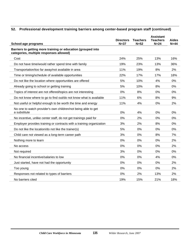# **52. Professional development training barriers among center-based program staff (continued)**

| School-age programs                                                                                     | <b>Directors</b><br>$N = 37$ | <b>Teachers</b><br>$N=52$ | <b>Assistant</b><br><b>Teachers</b><br>$N=24$ | <b>Aides</b><br>$N=44$ |
|---------------------------------------------------------------------------------------------------------|------------------------------|---------------------------|-----------------------------------------------|------------------------|
| Barriers to getting more training or education (grouped into<br>categories, multiple responses allowed) |                              |                           |                                               |                        |
| Cost                                                                                                    | 24%                          | 25%                       | 13%                                           | 16%                    |
| Do not have time/would rather spend time with family                                                    | 19%                          | 23%                       | 13%                                           | 36%                    |
| Transportation/too far away/not available in area                                                       | 11%                          | 19%                       | 8%                                            | 2%                     |
| Time or timing/schedule of available opportunities                                                      | 22%                          | 17%                       | 17%                                           | 18%                    |
| Do not like the location where opportunities are offered                                                | 5%                           | 10%                       | 4%                                            | 0%                     |
| Already going to school or getting training                                                             | 5%                           | 10%                       | 8%                                            | 0%                     |
| Topics of interest are not offered/topics are not interesting                                           | 0%                           | 8%                        | 0%                                            | 0%                     |
| Do not know where to go to find out/do not know what is available                                       | 11%                          | 6%                        | 8%                                            | 9%                     |
| Not useful or helpful enough to be worth the time and energy                                            | 11%                          | 4%                        | 0%                                            | 2%                     |
| No one to watch provider's own children/not being able to get<br>a substitute                           | 0%                           | 4%                        | 0%                                            | 0%                     |
| No incentive, unlike center staff, do not get trainings paid for                                        | 0%                           | 2%                        | 0%                                            | 0%                     |
| Employer provides training or contracts with a training organization                                    | 3%                           | 2%                        | 8%                                            | 0%                     |
| Do not like the location/do not like the trainer(s)                                                     | 5%                           | 0%                        | 0%                                            | 0%                     |
| Child care not viewed as a long-term career path                                                        | 3%                           | 0%                        | 8%                                            | 7%                     |
| Nothing more to learn                                                                                   | 0%                           | 0%                        | 0%                                            | 2%                     |
| No access                                                                                               | 0%                           | 0%                        | 0%                                            | 2%                     |
| Not required                                                                                            | 3%                           | $0\%$                     | 0%                                            | 0%                     |
| No financial incentive/salaries to low                                                                  | 0%                           | 0%                        | 4%                                            | 0%                     |
| Just started, have not had the opportunity                                                              | 0%                           | $0\%$                     | 0%                                            | 2%                     |
| Too young                                                                                               | 0%                           | 0%                        | 0%                                            | 2%                     |
| Responses not related to types of barriers                                                              | 0%                           | 2%                        | 13%                                           | 2%                     |
| No barriers cited                                                                                       | 19%                          | 15%                       | 21%                                           | 18%                    |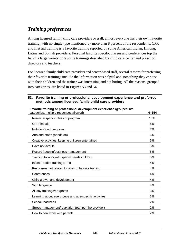# *Training preferences*

Among licensed family child care providers overall, almost everyone has their own favorite training, with no single type mentioned by more than 8 percent of the respondents. CPR and first aid training is a favorite training reported by some American Indian, Hmong, Latina and Somali providers. Personal favorite specific classes and conferences top the list of a large variety of favorite trainings described by child care center and preschool directors and teachers.

For licensed family child care providers and center-based staff, several reasons for preferring their favorite trainings include the information was helpful and something they can use with their children and the trainer was interesting and not boring. All the reasons, grouped into categories, are listed in Figures 53 and 54.

# **53. Favorite training or professional development experience and preferred methods among licensed family child care providers**

| categories, multiple responses allowed)               | $N = 354$ |
|-------------------------------------------------------|-----------|
| Named a specific class or program                     | 10%       |
| CPR/first aid                                         | 8%        |
| Nutrition/food programs                               | 7%        |
| Arts and crafts (hands on)                            | 6%        |
| Creative activities, keeping children entertained     | 5%        |
| Have no favorite                                      | 5%        |
| Record keeping/business management                    | 5%        |
| Training to work with special needs children          | 5%        |
| Infant-Toddler training (ITTI)                        | 4%        |
| Responses not related to types of favorite training   | 4%        |
| Conferences                                           | 4%        |
| Child growth and development                          | 4%        |
| Sign language                                         | 4%        |
| All day trainings/programs                            | 3%        |
| Learning about age groups and age-specific activities | 3%        |
| School readiness                                      | 2%        |
| Stress management/relaxation (pamper the provider)    | 2%        |
| How to deal/work with parents                         | 2%        |
|                                                       |           |

**Favorite training or professional development experience** (grouped into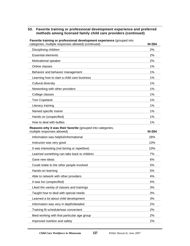| Favorite training or professional development experience (grouped into<br>categories, multiple responses allowed) (continued) | $N = 354$ |
|-------------------------------------------------------------------------------------------------------------------------------|-----------|
| Disciplining children                                                                                                         | 2%        |
| <b>Essential elements</b>                                                                                                     | 2%        |
| Motivational speaker                                                                                                          | 2%        |
| Online classes                                                                                                                | 1%        |
| Behavior and behavior management                                                                                              | 1%        |
| Learning how to start a child care business                                                                                   | 1%        |
| <b>Cultural diversity</b>                                                                                                     | 1%        |
| Networking with other providers                                                                                               | 1%        |
| College classes                                                                                                               | 1%        |
| <b>Tom Copeland</b>                                                                                                           | 1%        |
| Literacy training                                                                                                             | 1%        |
| Named specific trainer                                                                                                        | 1%        |
| Hands on (unspecified)                                                                                                        | 1%        |
| How to deal with bullies                                                                                                      | 1%        |
| Reasons why it was their favorite (grouped into categories,<br>multiple responses allowed)                                    | $N = 354$ |
| Information was helpful/informational                                                                                         | 28%       |
| Instructor was very good                                                                                                      | 10%       |
| It was interesting (not boring or repetitive)                                                                                 | 10%       |
| Learned something can take back to children                                                                                   | 7%        |
| Gave new ideas                                                                                                                | 6%        |
| Could relate to the other people involved                                                                                     | 5%        |
| Hands-on learning                                                                                                             | 5%        |
| Able to network with other providers                                                                                          | 4%        |
| It was fun (unspecified)                                                                                                      | 4%        |
| Liked the variety of classes and trainings                                                                                    | 3%        |
| Taught how to deal with special needs                                                                                         | 3%        |
| Learned a lot about child development                                                                                         | 3%        |
| Information was very in depth/detailed                                                                                        | 2%        |
| Training fit schedule/was convenient                                                                                          | 2%        |
| liked working with that particular age group                                                                                  | 2%        |
| Improved nutrition and safety                                                                                                 | 2%        |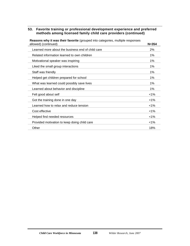| <b>Reasons why it was their favorite</b> (grouped into categories, multiple responses |           |
|---------------------------------------------------------------------------------------|-----------|
| allowed) (continued)                                                                  | $N = 354$ |
| Learned more about the business end of child care                                     | 2%        |
| Related information learned to own children                                           | $1\%$     |
| Motivational speaker was inspiring                                                    | 1%        |
| Liked the small group interactions                                                    | 1%        |
| Staff was friendly                                                                    | 1%        |
| Helped get children prepared for school                                               | 1%        |
| What was learned could possibly save lives                                            | 1%        |
| Learned about behavior and discipline                                                 | 1%        |
| Felt good about self                                                                  | $< 1\%$   |
| Got the training done in one day                                                      | $< 1\%$   |
| Learned how to relax and reduce tension                                               | $< 1\%$   |
| Cost effective                                                                        | $< 1\%$   |
| Helped find needed resources                                                          | $< 1\%$   |
| Provided motivation to keep doing child care                                          | $< 1\%$   |
| Other                                                                                 | 18%       |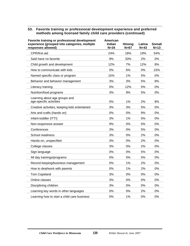| Favorite training or professional development<br>experience (grouped into categories, multiple<br>responses allowed) | American<br><b>Indian</b><br>$N = 34$ | <b>Hmong</b><br>$N=67$ | Latina<br>$N = 43$ | <b>Somali</b><br>$N=13$ |
|----------------------------------------------------------------------------------------------------------------------|---------------------------------------|------------------------|--------------------|-------------------------|
| CPR/first aid                                                                                                        | 24%                                   | 18%                    | 19%                | 54%                     |
| Said have no favorite                                                                                                | 9%                                    | 33%                    | 2%                 | 0%                      |
| Child growth and development                                                                                         | 12%                                   | 7%                     | 12%                | 8%                      |
| How to communicate with kids                                                                                         | 0%                                    | 6%                     | 0%                 | 23%                     |
| Named specific class or program                                                                                      | 15%                                   | 1%                     | 5%                 | 0%                      |
| Behavior and behavior management                                                                                     | 3%                                    | 3%                     | 5%                 | 8%                      |
| Literacy training                                                                                                    | 0%                                    | 12%                    | 5%                 | 0%                      |
| Nutrition/food programs                                                                                              | 3%                                    | 9%                     | 5%                 | 0%                      |
| Learning about age groups and<br>age-specific activities                                                             | 0%                                    | 1%                     | 2%                 | 8%                      |
| Creative activities, keeping kids entertained                                                                        | 3%                                    | 3%                     | 5%                 | 0%                      |
| Arts and crafts (hands on)                                                                                           | 0%                                    | 0%                     | 9%                 | 0%                      |
| Infant-toddler (ITTI)                                                                                                | 3%                                    | 1%                     | 5%                 | 0%                      |
| Non-responsive answer                                                                                                | 9%                                    | 0%                     | 0%                 | 0%                      |
| Conferences                                                                                                          | 3%                                    | 0%                     | 5%                 | 0%                      |
| School readiness                                                                                                     | 3%                                    | 0%                     | 2%                 | 0%                      |
| Hands-on, unspecified                                                                                                | 3%                                    | 0%                     | 2%                 | 0%                      |
| College classes                                                                                                      | 3%                                    | 0%                     | 2%                 | 0%                      |
| Sign language                                                                                                        | 0%                                    | 0%                     | 5%                 | 0%                      |
| All day trainings/programs                                                                                           | 0%                                    | 0%                     | 5%                 | 0%                      |
| Record keeping/business management                                                                                   | 0%                                    | 1%                     | 2%                 | 0%                      |
| How to deal/work with parents                                                                                        | 0%                                    | 1%                     | 2%                 | 0%                      |
| <b>Tom Copeland</b>                                                                                                  | 3%                                    | 0%                     | 0%                 | 0%                      |
| Online classes                                                                                                       | 3%                                    | 0%                     | 0%                 | $0\%$                   |
| Disciplining children                                                                                                | 3%                                    | 0%                     | 0%                 | 0%                      |
| Learning key words in other languages                                                                                | 0%                                    | 0%                     | 2%                 | 0%                      |
| Learning how to start a child care business                                                                          | 0%                                    | 1%                     | 0%                 | 0%                      |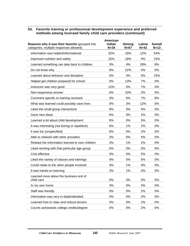| Reasons why it was their favorite (grouped into      | American<br><b>Indian</b> | <b>Hmong</b> | Latina | Somali |
|------------------------------------------------------|---------------------------|--------------|--------|--------|
| categories, multiple responses allowed)              | $N = 34$                  | $N=67$       | $N=43$ | $N=13$ |
| Information was helpful/informational                | 32%                       | 18%          | 12%    | 54%    |
| Improved nutrition and safety                        | 15%                       | 18%          | 5%     | 15%    |
| Learned something can take back to children          | 3%                        | 4%           | 28%    | 8%     |
| Do not know why                                      | 6%                        | 22%          | 0%     | 0%     |
| Learned about behavior and discipline                | 0%                        | 4%           | 5%     | 15%    |
| Helped get children prepared for school              | 0%                        | 13%          | 7%     | 0%     |
| Instructor was very good                             | 12%                       | 0%           | 7%     | 0%     |
| Non-responsive answer                                | 6%                        | 10%          | 2%     | 0%     |
| Comment specific to training received                | 3%                        | 0%           | 7%     | 8%     |
| What was learned could possibly save lives           | 0%                        | 3%           | 12%    | 0%     |
| Liked the small group interactions                   | 9%                        | 0%           | 5%     | 0%     |
| Gave new ideas                                       | 6%                        | 3%           | 2%     | 0%     |
| Learned a lot about child development                | 6%                        | 0%           | 5%     | 0%     |
| It was interesting (not boring or repetitive)        | 6%                        | 1%           | 2%     | 0%     |
| It was fun (unspecified)                             | 6%                        | 0%           | 2%     | 0%     |
| Able to network with other providers                 | 3%                        | 0%           | 5%     | 0%     |
| Related the information learned to own children      | 3%                        | 1%           | 2%     | 0%     |
| Liked working with that particular age group         | 6%                        | 0%           | 0%     | 0%     |
| Cost effective                                       | 0%                        | 0%           | 5%     | 0%     |
| Liked the variety of classes and trainings           | 0%                        | 0%           | 5%     | 0%     |
| Could relate to the other people involved            | 3%                        | 1%           | 0%     | 0%     |
| It was hands-on learning                             | 3%                        | 1%           | 0%     | 0%     |
| Learned more about the business end of<br>child care | 0%                        | 3%           | 0%     | 0%     |
| In my own home                                       | 3%                        | 0%           | 0%     | 0%     |
| Staff was friendly                                   | 0%                        | 0%           | 2%     | 0%     |
| Information was very in-depth/detailed               | 0%                        | 0%           | 2%     | 0%     |
| Learned how to relax and reduce tension              | 0%                        | 0%           | 2%     | 0%     |
| Counts as/towards college credits/degree             | 0%                        | 0%           | 2%     | 0%     |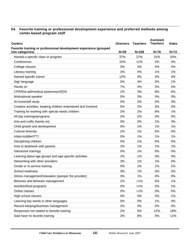| <b>Centers</b>                                                                        | <b>Directors</b> | <b>Teachers</b> | <b>Assistant</b><br><b>Teachers</b> | <b>Aides</b> |
|---------------------------------------------------------------------------------------|------------------|-----------------|-------------------------------------|--------------|
| Favorite training or professional development experience (grouped<br>into categories) | $N=59$           | $N = 228$       | $N=78$                              | $N=72$       |
| Named a specific class or program                                                     | 37%              | 27%             | 31%                                 | 33%          |
| Conferences                                                                           | 15%              | 11%             | 5%                                  | 4%           |
| College classes                                                                       | 0%               | 4%              | 0%                                  | 0%           |
| Literacy training                                                                     | 3%               | 4%              | 1%                                  | 1%           |
| Named specific trainer                                                                | 12%              | 4%              | 3%                                  | 4%           |
| Sign language                                                                         | 0%               | 4%              | 0%                                  | 1%           |
| Hands on                                                                              | 7%               | 4%              | 3%                                  | 4%           |
| CPR/first aid/medical awareness/SIDS                                                  | 2%               | 3%              | 8%                                  | 6%           |
| Motivational speaker                                                                  | 0%               | 3%              | 0%                                  | 0%           |
| At home/self study                                                                    | 0%               | 2%              | 0%                                  | 3%           |
| Creative activities, keeping children entertained and involved                        | 0%               | 2%              | 3%                                  | 0%           |
| Training for working with special needs children                                      | 2%               | 2%              | 8%                                  | 1%           |
| All day trainings/programs                                                            | 2%               | 2%              | 0%                                  | 0%           |
| Arts and crafts (hands on)                                                            | 0%               | 2%              | 1%                                  | 3%           |
| Child growth and development                                                          | 0%               | 1%              | 1%                                  | 1%           |
| Cultural diversity                                                                    | 2%               | 1%              | 6%                                  | 0%           |
| Infant-toddler/ITTI                                                                   | 0%               | 1%              | 1%                                  | 1%           |
| Disciplining children                                                                 | 0%               | 1%              | 0%                                  | 0%           |
| How to deal/work with parents                                                         | 2%               | 1%              | 1%                                  | 1%           |
| Interactive trainings                                                                 | 0%               | 1%              | 0%                                  | 0%           |
| Learning about age groups and age-specific activities                                 | 2%               | 1%              | 0%                                  | 0%           |
| Networking with other providers                                                       | 3%               | 1%              | 1%                                  | 0%           |
| Onsite or in-service training                                                         | 0%               | 1%              | 1%                                  | 1%           |
| School readiness                                                                      | 3%               | 1%              | 0%                                  | 0%           |
| Stress management/relaxation (pamper the provider)                                    | 0%               | 1%              | 0%                                  | 0%           |
| Behavior and behavior management                                                      | 2%               | $< 1\%$         | 5%                                  | 1%           |
| Nutrition/food programs                                                               | 0%               | $< 1\%$         | 0%                                  | 1%           |
| Online classes                                                                        | $0\%$            | $< 1\%$         | 3%                                  | 0%           |
| High school classes                                                                   | 0%               | $0\%$           | 0%                                  | 1%           |
| Learning key words in other languages                                                 | 0%               | 0%              | 1%                                  | 0%           |
| Record keeping/business management                                                    | 2%               | 0%              | 0%                                  | 0%           |
| Responses not related to favorite training                                            | 2%               | 6%              | 12%                                 | 18%          |
| Said have no favorite training                                                        | 3%               | 8%              | 5%                                  | 11%          |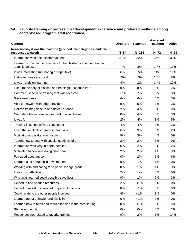| <b>Centers</b>                                                                        | <b>Directors</b> | <b>Teachers</b> | <b>Assistant</b><br><b>Teachers</b> | <b>Aides</b> |
|---------------------------------------------------------------------------------------|------------------|-----------------|-------------------------------------|--------------|
| Reasons why it was their favorite (grouped into categories, multiple                  |                  |                 |                                     |              |
| responses allowed)                                                                    | $N=54$           | $N = 213$       | $N = 72$                            | $N=63$       |
| Information was helpful/informational                                                 | 37%              | 32%             | 35%                                 | 33%          |
| Learned something to take back to the children/something that can<br>actually be used | 7%               | 19%             | 14%                                 | 13%          |
| It was interesting (not boring or repetitive)                                         | 6%               | 15%             | 14%                                 | 11%          |
| Instructor was very good                                                              | 13%              | 13%             | 10%                                 | 8%           |
| It was hands on learning                                                              | 4%               | 12%             | 14%                                 | 10%          |
|                                                                                       |                  |                 |                                     | 2%           |
| Liked the variety of classes and trainings to choose from                             | 9%               | 8%              | 3%                                  |              |
| Comment specific to training that was received                                        | 17%              | 7%              | 10%                                 | 3%           |
| Gave new ideas                                                                        | 4%               | 6%              | 6%                                  | 3%           |
| Able to network with other providers                                                  | 9%               | 5%              | 0%                                  | 3%           |
| Got the training done in one day/all at once                                          | 2%               | 4%              | 0%                                  | 0%           |
| Can relate the information learned to own children                                    | 0%               | 4%              | 3%                                  | 3%           |
| It was fun                                                                            | 2%               | 4%              | 3%                                  | 5%           |
| Training fit schedule/was convenient                                                  | 4%               | 4%              | 3%                                  | 2%           |
| Liked the small class/group interactions                                              | 6%               | 3%              | 3%                                  | 2%           |
| Motivational speaker was inspiring                                                    | 9%               | 3%              | 4%                                  | 0%           |
| Taught how to deal with special needs children                                        | 2%               | 2%              | 3%                                  | 0%           |
| Information was very in-depth/detailed                                                | 0%               | 2%              | 3%                                  | 2%           |
| Motivated to continue doing child care                                                | 2%               | 2%              | 4%                                  | 3%           |
| Felt good about myself                                                                | 0%               | 2%              | 1%                                  | 6%           |
| Learned a lot about child development                                                 | 0%               | 1%              | 1%                                  | 0%           |
| Working with and caring for a particular age group                                    | 0%               | 1%              | 1%                                  | 3%           |
| It was cost effective                                                                 | 2%               | 1%              | 0%                                  | 0%           |
| What was learned could possibly save lives                                            | 0%               | 1%              | 6%                                  | 3%           |
| Helped to find needed resources                                                       | 2%               | 1%              | 0%                                  | 0%           |
| Helped to assist children get prepared for school                                     | 0%               | $< 1\%$         | 0%                                  | 0%           |
| Could relate to the other people involved                                             | 4%               | $< 1\%$         | 3%                                  | 0%           |
| Learned about behavior and discipline                                                 | 0%               | $< 1\%$         | 1%                                  | 0%           |
| Learned how to relax and reduce tension in the care setting                           | 0%               | $1\%$           | 0%                                  | 0%           |
| Staff was friendly                                                                    | 0%               | 0%              | 0%                                  | 2%           |
| Responses not related to favorite training                                            | 0%               | 2%              | 3%                                  | 14%          |
|                                                                                       |                  |                 |                                     |              |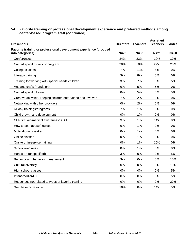| <b>Preschools</b>                                                                     | <b>Directors</b> | <b>Teachers</b> | <b>Assistant</b><br><b>Teachers</b> | <b>Aides</b> |
|---------------------------------------------------------------------------------------|------------------|-----------------|-------------------------------------|--------------|
| Favorite training or professional development experience (grouped<br>into categories) | $N=29$           | $N=83$          | $N=21$                              | $N=20$       |
| Conferences                                                                           | 24%              | 23%             | 19%                                 | 10%          |
| Named specific class or program                                                       | 28%              | 18%             | 29%                                 | 20%          |
| College classes                                                                       | 7%               | 11%             | 5%                                  | 0%           |
| Literacy training                                                                     | 3%               | 8%              | 0%                                  | 0%           |
| Training for working with special needs children                                      | 3%               | 7%              | 0%                                  | 5%           |
| Arts and crafts (hands on)                                                            | 0%               | 5%              | 5%                                  | 0%           |
| Named specific trainer                                                                | 0%               | 5%              | 0%                                  | 5%           |
| Creative activities, keeping children entertained and involved                        | 7%               | 2%              | 0%                                  | 0%           |
| Networking with other providers                                                       | 0%               | 2%              | 0%                                  | 0%           |
| All day trainings/programs                                                            | 7%               | 1%              | 0%                                  | 0%           |
| Child growth and development                                                          | 0%               | 1%              | 0%                                  | 0%           |
| CPR/first aid/medical awareness/SIDS                                                  | 3%               | 1%              | 14%                                 | 0%           |
| How to spot abuse/neglect                                                             | 0%               | 1%              | 0%                                  | 0%           |
| Motivational speaker                                                                  | 0%               | 1%              | 0%                                  | 0%           |
| Online classes                                                                        | 0%               | 1%              | $0\%$                               | 0%           |
| Onsite or in-service training                                                         | 0%               | 1%              | 10%                                 | 0%           |
| School readiness                                                                      | 0%               | 1%              | 5%                                  | 0%           |
| Hands on (unspecified)                                                                | 3%               | 0%              | 0%                                  | 5%           |
| Behavior and behavior management                                                      | 3%               | 0%              | 0%                                  | 10%          |
| Cultural diversity                                                                    | 0%               | 0%              | 0%                                  | 10%          |
| High school classes                                                                   | 0%               | 0%              | 0%                                  | 5%           |
| Infant-toddler/ITTI                                                                   | 0%               | 0%              | 0%                                  | 5%           |
| Responses not related to types of favorite training                                   | 0%               | 0%              | 0%                                  | 20%          |
| Said have no favorite                                                                 | 10%              | 8%              | 14%                                 | 5%           |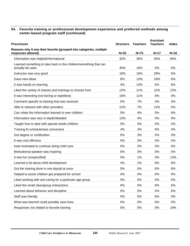| <b>Preschools</b>                                                                          | <b>Directors</b> | <b>Teachers</b> | <b>Assistant</b><br><b>Teachers</b> | <b>Aides</b> |
|--------------------------------------------------------------------------------------------|------------------|-----------------|-------------------------------------|--------------|
| Reasons why it was their favorite (grouped into categories, multiple<br>responses allowed) | $N=25$           | $N=75$          | $N=17$                              | $N=16$       |
| Information was helpful/informational                                                      | 32%              | 35%             | 35%                                 | 56%          |
| Learned something to take back to the children/something that can<br>actually be used      | 40%              | 16%             | 0%                                  | 6%           |
| Instructor was very good                                                                   | 16%              | 15%             | 29%                                 | 6%           |
| Gave new ideas                                                                             | 8%               | 13%             | 18%                                 | 6%           |
| It was hands on learning                                                                   | 4%               | 13%             | 6%                                  | 6%           |
| Liked the variety of classes and trainings to choose from                                  | 12%              | 11%             | 12%                                 | 13%          |
| It was interesting (not boring or repetitive)                                              | 16%              | 11%             | 6%                                  | 0%           |
| Comment specific to training that was received                                             | 0%               | 7%              | 0%                                  | 0%           |
| Able to network with other providers                                                       | 12%              | 7%              | 12%                                 | 0%           |
| Can relate the information learned to own children                                         | 0%               | 4%              | 0%                                  | 6%           |
| Information was very in-depth/detailed                                                     | 12%              | 4%              | 0%                                  | 0%           |
| Taught how to deal with special needs children                                             | $0\%$            | 4%              | 0%                                  | $0\%$        |
| Training fit schedule/was convenient                                                       | 4%               | 4%              | 6%                                  | 0%           |
| Got degree or certification                                                                | 0%               | 3%              | 0%                                  | 0%           |
| It was cost effective                                                                      | 0%               | 3%              | 0%                                  | 0%           |
| Kept motivated to continue doing child care                                                | 0%               | 3%              | 0%                                  | 6%           |
| Motivational speaker was inspiring                                                         | 0%               | 3%              | 0%                                  | 0%           |
| It was fun (unspecified)                                                                   | $0\%$            | 1%              | 0%                                  | 13%          |
| Learned a lot about child development                                                      | 4%               | 1%              | 6%                                  | 6%           |
| Got the training done in one day/all at once                                               | 0%               | 0%              | 6%                                  | 6%           |
| Helped to assist children get prepared for school                                          | 4%               | 0%              | 0%                                  | 0%           |
| Liked working with and caring for a particular age group                                   | 0%               | 0%              | 0%                                  | 6%           |
| Liked the small class/group interactions                                                   | 0%               | 0%              | 6%                                  | 6%           |
| Learned about behavior and discipline                                                      | 0%               | 0%              | 0%                                  | 6%           |
| Staff was friendly                                                                         | 0%               | 0%              | 6%                                  | 0%           |
| What was learned could possibly save lives                                                 | 0%               | $0\%$           | 6%                                  | $0\%$        |
| Responses not related to favorite training                                                 | 0%               | 0%              | 0%                                  | 19%          |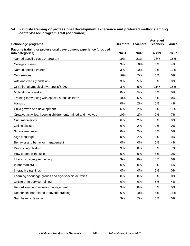| School-age programs                                                                   | <b>Directors</b> | <b>Teachers</b> | <b>Assistant</b><br><b>Teachers</b> | <b>Aides</b> |
|---------------------------------------------------------------------------------------|------------------|-----------------|-------------------------------------|--------------|
| Favorite training or professional development experience (grouped<br>into categories) | $N = 31$         | $N=42$          | $N=19$                              | $N=27$       |
| Named specific class or program                                                       | 19%              | 21%             | 26%                                 | 15%          |
| College classes                                                                       | 3%               | 10%             | 0%                                  | 4%           |
| Named specific trainer                                                                | 3%               | 10%             | 0%                                  | 11%          |
| Conferences                                                                           | 16%              | 7%              | 5%                                  | 0%           |
| Arts and crafts (hands on)                                                            | 3%               | 5%              | 0%                                  | 0%           |
| CPR/first aid/medical awareness/SIDS                                                  | 3%               | 5%              | 21%                                 | 15%          |
| Motivational speaker                                                                  | 0%               | 5%              | 0%                                  | 0%           |
| Training for working with special needs children                                      | 10%              | 5%              | 5%                                  | 0%           |
| Hands on                                                                              | 0%               | 2%              | 0%                                  | 4%           |
| Child growth and development                                                          | 6%               | 2%              | 5%                                  | 11%          |
| Creative activities, keeping children entertained and involved                        | 10%              | 2%              | 0%                                  | 7%           |
| Cultural diversity                                                                    | 6%               | 2%              | 0%                                  | 0%           |
| Online classes                                                                        | 0%               | 2%              | 0%                                  | 0%           |
| School readiness                                                                      | 0%               | 2%              | 0%                                  | 0%           |
| Sign language                                                                         | 0%               | 2%              | 5%                                  | 0%           |
| Behavior and behavior management                                                      | 0%               | 0%              | 0%                                  | 4%           |
| Disciplining children                                                                 | 3%               | 0%              | 0%                                  | 7%           |
| How to deal with bullies                                                              | 0%               | 0%              | 5%                                  | 0%           |
| Like to provide/give training                                                         | 3%               | 0%              | 0%                                  | 0%           |
| Infant-toddler/ITTI                                                                   | 0%               | 0%              | 0%                                  | 4%           |
| Interactive trainings                                                                 | 0%               | 0%              | 5%                                  | 0%           |
| Learning about age groups and age-specific activities                                 | 0%               | 0%              | 5%                                  | 0%           |
| Onsite or in-service training                                                         | 0%               | 0%              | 5%                                  | 4%           |
| Record keeping/business management                                                    | 3%               | 0%              | 0%                                  | 0%           |
| Responses not related to favorite training                                            | 6%               | 10%             | 5%                                  | 15%          |
| Said have no favorite                                                                 | 3%               | 7%              | 5%                                  | 0%           |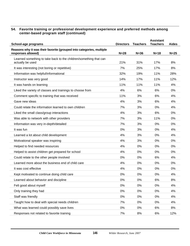| School-age programs                                                  | <b>Directors</b> | <b>Teachers</b> | <b>Assistant</b><br><b>Teachers</b> | <b>Aides</b> |
|----------------------------------------------------------------------|------------------|-----------------|-------------------------------------|--------------|
| Reasons why it was their favorite (grouped into categories, multiple |                  |                 |                                     |              |
| responses allowed)                                                   | $N=28$           | $N=36$          | $N = 18$                            | $N=25$       |
| Learned something to take back to the children/something that can    |                  |                 |                                     |              |
| actually be used                                                     | 21%              | 31%             | 17%                                 | 8%           |
| It was interesting (not boring or repetitive)                        | 7%               | 25%             | 17%                                 | 8%           |
| Information was helpful/informational                                | 32%              | 19%             | 11%                                 | 28%          |
| Instructor was very good                                             | 14%              | 17%             | 11%                                 | 12%          |
| It was hands on learning                                             | 11%              | 11%             | 11%                                 | 4%           |
| Liked the variety of classes and trainings to choose from            | 4%               | 6%              | 6%                                  | 0%           |
| Comment specific to training that was received                       | 11%              | 3%              | 6%                                  | 4%           |
| Gave new ideas                                                       | 4%               | 3%              | 6%                                  | 4%           |
| Could relate the information learned to own children                 | 7%               | 3%              | 0%                                  | 4%           |
| Liked the small class/group interactions                             | 4%               | 3%              | 6%                                  | 0%           |
| Was able to network with other providers                             | 7%               | 3%              | 11%                                 | 0%           |
| Information was very in-depth/detailed                               | 7%               | 3%              | $0\%$                               | 0%           |
| It was fun                                                           | 0%               | 3%              | 0%                                  | 4%           |
| Learned a lot about child development                                | 4%               | 3%              | 0%                                  | 4%           |
| Motivational speaker was inspiring                                   | 4%               | 3%              | 0%                                  | 0%           |
| Helped to find needed resources                                      | 4%               | 0%              | 0%                                  | 0%           |
| Helped to assist children get prepared for school                    | 4%               | 0%              | 0%                                  | 0%           |
| Could relate to the other people involved                            | 0%               | 0%              | 6%                                  | 4%           |
| Learned more about the business end of child care                    | 4%               | 0%              | 0%                                  | 0%           |
| It was cost effective                                                | 4%               | 0%              | 0%                                  | 0%           |
| Kept motivated to continue doing child care                          | 0%               | 0%              | 0%                                  | 4%           |
| Learned about behavior and discipline                                | 0%               | 0%              | 6%                                  | 8%           |
| Felt good about myself                                               | $0\%$            | 0%              | 0%                                  | 4%           |
| Only training they had                                               | 0%               | 0%              | 0%                                  | 4%           |
| Staff was friendly                                                   | 0%               | 0%              | 0%                                  | 4%           |
| Taught how to deal with special needs children                       | 7%               | 0%              | 0%                                  | 4%           |
| What was learned could possibly save lives                           | 0%               | 0%              | 6%                                  | 8%           |
|                                                                      |                  |                 |                                     |              |
| Responses not related to favorite training                           | 7%               | 8%              | 6%                                  | 12%          |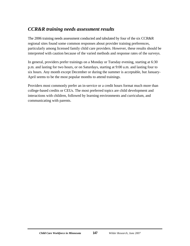# *CCR&R training needs assessment results*

The 2006 training needs assessment conducted and tabulated by four of the six CCR&R regional sites found some common responses about provider training preferences, particularly among licensed family child care providers. However, these results should be interpreted with caution because of the varied methods and response rates of the surveys.

In general, providers prefer trainings on a Monday or Tuesday evening, starting at 6:30 p.m. and lasting for two hours, or on Saturdays, starting at 9:00 a.m. and lasting four to six hours. Any month except December or during the summer is acceptable, but January-April seems to be the most popular months to attend trainings.

Providers most commonly prefer an in-service or a credit hours format much more than college-based credits or CEUs. The most preferred topics are child development and interactions with children, followed by learning environments and curriculum, and communicating with parents.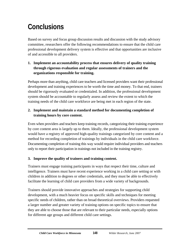# **Conclusions**

Based on survey and focus group discussion results and discussion with the study advisory committee, researchers offer the following recommendations to ensure that the child care professional development delivery system is effective and that opportunities are inclusive of and accessible to all providers.

# **1. Implement an accountability process that ensures delivery of quality training through rigorous evaluation and regular assessments of trainers and the organizations responsible for training.**

Perhaps more than anything, child care teachers and licensed providers want their professional development and training experiences to be worth the time and money. To that end, trainers should be rigorously evaluated or credentialed. In addition, the professional development system should be accountable to regularly assess and review the extent to which the training needs of the child care workforce are being met in each region of the state.

# **2. Implement and maintain a standard method for documenting completion of training hours by core content.**

Even when providers and teachers keep training records, categorizing their training experience by core content area is largely up to them. Ideally, the professional development system would have a registry of approved high-quality trainings categorized by core content and a method for recording completion of trainings by individuals in the child care workforce. Documenting completion of training this way would require individual providers and teachers only to report their participation in trainings not included in the training registry.

# **3. Improve the quality of trainers and training content.**

Trainers must engage training participants in ways that respect their time, culture and intelligence. Trainers must have recent experience working in a child care setting or with children in addition to degrees or other credentials, and they must be able to effectively facilitate the learning of child care providers from a wide variety of backgrounds.

Trainers should provide innovative approaches and strategies for supporting child development, with a much heavier focus on specific skills and techniques for meeting specific needs of children, rather than on broad theoretical overviews. Providers requested a larger number and greater variety of training options on specific topics to ensure that they are able to choose those that are relevant to their particular needs, especially options for different age groups and different child care settings.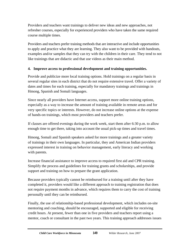Providers and teachers want trainings to deliver new ideas and new approaches, not refresher courses, especially for experienced providers who have taken the same required course multiple times.

Providers and teachers prefer training methods that are interactive and include opportunities to apply and practice what they are learning. They also want to be provided with handouts, examples and/or samples that they can try with the children in their care. They tend to not like trainings that are didactic and that use videos as their main method.

# **4. Improve access to professional development and training opportunities.**

Provide and publicize more local training options. Hold trainings on a regular basis in several regular sites in each district that do not require extensive travel. Offer a variety of dates and times for each training, especially for mandatory trainings and trainings in Hmong, Spanish and Somali languages.

Since nearly all providers have Internet access, support more online training options, especially as a way to increase the amount of training available in remote areas and for very specific topics or interests. However, do not increase online options at the expense of hands-on trainings, which most providers and teachers prefer.

If classes are offered evenings during the work week, start them after 6:30 p.m. to allow enough time to get there, taking into account the usual pick-up times and travel times.

Hmong, Somali and Spanish speakers asked for more trainings and a greater variety of trainings in their own languages. In particular, they and American Indian providers expressed interest in training on behavior management, early literacy and working with parents.

Increase financial assistance to improve access to required first aid and CPR training. Simplify the process and guidelines for training grants and scholarships, and provide support and training on how to prepare the grant application.

Because providers typically cannot be reimbursed for a training until after they have completed it, providers would like a different approach to training registration that does not require payment months in advance, which requires them to carry the cost of training personally until they can be reimbursed.

Finally, the use of relationship-based professional development, which includes on-site mentoring and coaching, should be encouraged, supported and eligible for receiving credit hours. At present, fewer than one in five providers and teachers report using a mentor, coach or consultant in the past two years. This training approach addresses issues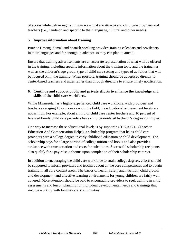of access while delivering training in ways that are attractive to child care providers and teachers (i.e., hands-on and specific to their language, cultural and other needs).

# **5. Improve information about training.**

Provide Hmong, Somali and Spanish-speaking providers training calendars and newsletters in their languages and far enough in advance so they can plan to attend.

Ensure that training advertisements are an accurate representation of what will be offered in the training, including specific information about the training topic and the trainer, as well as the children's age group, type of child care setting and types of activities that will be focused on in the training. When possible, training should be advertised directly to center-based teachers and aides rather than through directors to ensure timely notification.

# **6. Continue and support public and private efforts to enhance the knowledge and skills of the child care workforce.**

While Minnesota has a highly experienced child care workforce, with providers and teachers averaging 10 or more years in the field, the educational achievement levels are not as high. For example, about a third of child care center teachers and 10 percent of licensed family child care providers have child care-related bachelor's degrees or higher.

One way to increase these educational levels is by supporting T.E.A.C.H. (Teacher Education And Compensation Helps), a scholarship program that helps child care providers earn a college degree in early childhood education or child development. The scholarship pays for a large portion of college tuition and books and also provides assistance with transportation and costs for substitutes. Successful scholarship recipients also qualify for a pay raise or bonus upon completion of their scholarship contract.

In addition to encouraging the child care workforce to attain college degrees, efforts should be supported to inform providers and teachers about all the core competencies and to obtain training in all core content areas. The basics of health, safety and nutrition; child growth and development; and effective learning environments for young children are fairly well covered. More attention should be paid to encouraging providers to seek training in child assessments and lesson planning for individual developmental needs and trainings that involve working with families and communities.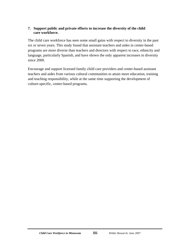# **7. Support public and private efforts to increase the diversity of the child care workforce.**

The child care workforce has seen some small gains with respect to diversity in the past six or seven years. This study found that assistant teachers and aides in center-based programs are more diverse than teachers and directors with respect to race, ethnicity and language, particularly Spanish, and have shown the only apparent increases in diversity since 2000.

Encourage and support licensed family child care providers and center-based assistant teachers and aides from various cultural communities to attain more education, training and teaching responsibility, while at the same time supporting the development of culture-specific, center-based programs.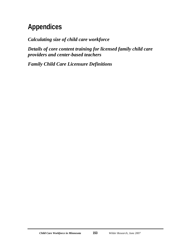# **Appendices**

*Calculating size of child care workforce* 

*Details of core content training for licensed family child care providers and center-based teachers* 

*Family Child Care Licensure Definitions*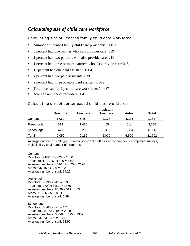# *Calculating size of child care workforce*

# Calculating size of licensed family child care workforce

- Number of licensed family child care providers: 10,491
- 8 percent had one partner who also provides care: 839
- 1 percent had two partners who also provide care: 210
- <sup>1</sup> percent had three or more partners who also provide care: 315
- <sup>1</sup> 13 percent had one paid assistant: 1364
- 4 percent had two paid assistants: 839
- 2 percent had three or more paid assistants: 629
- Total licensed family child care workforce: 14,687
- Average number of providers: 1.4

# Calculating size of center-based child care workforce

|            | <b>Assistant</b> |                 |                 |       |              |  |  |  |
|------------|------------------|-----------------|-----------------|-------|--------------|--|--|--|
|            | <b>Directors</b> | <b>Teachers</b> | <b>Teachers</b> | Aides | <b>Total</b> |  |  |  |
| Centers    | 1,060            | 5.484           | 2.178           | 3.125 | 11,847       |  |  |  |
| Preschools | 519              | 1,460           | 465             | 611   | 3,055        |  |  |  |
| School-age | 471              | 2.208           | 2.357           | 1.854 | 6,890        |  |  |  |
| Total      | 2,050            | 9,152           | 5,000           | 5,590 | 21,792       |  |  |  |

Average number of staff type (number of current staff divided by number of completed surveys) multiplied by total number of programs

# **Centers**

Directors: 216/169 x 829 = 1060 Teachers: 1118/169 x 829 = 5484 Assistant teachers: 444/169 x 829 = 2178 Aides: 637/169 x 829 = 3125 Average number of staff: 14.29

#### Preschools

Directors: 96/96 x 519 = 519 Teachers: 270/96 x 519 = 1460 Assistant teachers: 86/96 x 519 = 465 Aides: 113/96 x 519 = 611 Average number of staff: 5.89

#### School-age

Directors:  $60/63 \times 495 = 471$ Teachers: 281/63 x 495 = 2208 Assistant teachers: 300/63 x 495 = 2357 Aides: 236/63 x 495 = 1854 Average number of staff: 13.92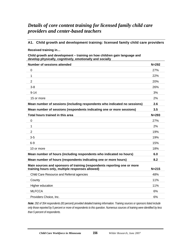# *Details of core content training for licensed family child care providers and center-based teachers*

# **A1. Child growth and development training: licensed family child care providers**

**Received training in…** 

**Child growth and development – training on how children gain language and develop physically, cognitively, emotionally and socially** 

| <b>Number of sessions attended</b>                                                                                           | $N = 292$ |
|------------------------------------------------------------------------------------------------------------------------------|-----------|
| 0                                                                                                                            | 27%       |
| 1                                                                                                                            | 22%       |
| $\overline{2}$                                                                                                               | 20%       |
| $3-8$                                                                                                                        | 26%       |
| $9 - 14$                                                                                                                     | 3%        |
| 15 or more                                                                                                                   | 2%        |
| Mean number of sessions (including respondents who indicated no sessions)                                                    | 2.6       |
| Mean number of sessions (respondents indicating one or more sessions)                                                        | 3.5       |
| Total hours trained in this area                                                                                             | $N = 293$ |
| $\mathbf 0$                                                                                                                  | 27%       |
| 1                                                                                                                            | 2%        |
| $\overline{2}$                                                                                                               | 19%       |
| $3-5$                                                                                                                        | 19%       |
| $6 - 9$                                                                                                                      | 15%       |
| 10 or more                                                                                                                   | 18%       |
| Mean number of hours (including respondents who indicated no hours)                                                          | 6.0       |
| Mean number of hours (respondents indicating one or more hours)                                                              | 8.2       |
| Main sources and sponsors of training (respondents reporting one or more<br>training hours only, multiple responses allowed) | $N = 215$ |
| Child Care Resource and Referral agencies                                                                                    | 48%       |
| County                                                                                                                       | 11%       |
| Higher education                                                                                                             | 11%       |
| <b>MLFCCA</b>                                                                                                                | 6%        |
| Providers Choice, Inc.                                                                                                       | 6%        |

*Note: 292 of 354 respondents (83 percent) provided detailed training information. Training sources or sponsors listed include only those reported by 5 percent or more of respondents to this question. Numerous sources of training were identified by less than 5 percent of respondents.*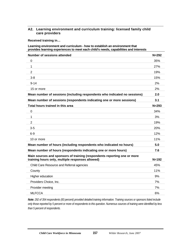# **A2. Learning environment and curriculum training: licensed family child care providers**

**Received training in…** 

#### **Learning environment and curriculum - how to establish an environment that provides learning experiences to meet each child's needs, capabilities and interests**

| <b>Number of sessions attended</b>                                                                                           | $N = 292$ |
|------------------------------------------------------------------------------------------------------------------------------|-----------|
| 0                                                                                                                            | 35%       |
| $\mathbf 1$                                                                                                                  | 27%       |
| $\overline{2}$                                                                                                               | 19%       |
| $3-8$                                                                                                                        | 15%       |
| $9 - 14$                                                                                                                     | 2%        |
| 15 or more                                                                                                                   | 2%        |
| Mean number of sessions (including respondents who indicated no sessions)                                                    | 2.0       |
| Mean number of sessions (respondents indicating one or more sessions)                                                        | 3.1       |
| Total hours trained in this area                                                                                             | $N = 293$ |
| $\mathbf 0$                                                                                                                  | 34%       |
| 1                                                                                                                            | 3%        |
| 2                                                                                                                            | 19%       |
| $3 - 5$                                                                                                                      | 20%       |
| $6-9$                                                                                                                        | 12%       |
| 10 or more                                                                                                                   | 11%       |
| Mean number of hours (including respondents who indicated no hours)                                                          | 5.0       |
| Mean number of hours (respondents indicating one or more hours)                                                              | 7.6       |
| Main sources and sponsors of training (respondents reporting one or more<br>training hours only, multiple responses allowed) | $N = 192$ |
| Child Care Resource and Referral agencies                                                                                    | 45%       |
| County                                                                                                                       | 11%       |
| Higher education                                                                                                             | 9%        |
| Providers Choice, Inc.                                                                                                       | 7%        |
| Provider meeting                                                                                                             | 7%        |
| <b>MLFCCA</b>                                                                                                                | 6%        |

*Note: 292 of 354 respondents (83 percent) provided detailed training information. Training sources or sponsors listed include only those reported by 5 percent or more of respondents to this question. Numerous sources of training were identified by less than 5 percent of respondents.*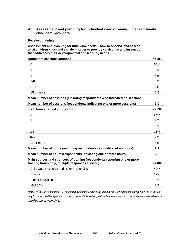# **A3. Assessment and planning for individual needs training: licensed family child care providers**

**Received training in…** 

#### **Assessment and planning for individual needs – how to observe and assess what children know and can do in order to provide curriculum and instruction that addresses their developmental and learning needs**

| <b>Number of sessions attended</b>                                                                                           | $N = 291$ |
|------------------------------------------------------------------------------------------------------------------------------|-----------|
| $\mathbf 0$                                                                                                                  | 65%       |
| 1                                                                                                                            | 16%       |
| $\overline{2}$                                                                                                               | 8%        |
| $3-8$                                                                                                                        | 8%        |
| $9 - 14$                                                                                                                     | 1%        |
| 15 or more                                                                                                                   | 1%        |
| Mean number of sessions (including respondents who indicated no sessions)                                                    | 1.0       |
| Mean number of sessions (respondents indicating one or more sessions)                                                        | 3.0       |
| Total hours trained in this area                                                                                             | $N = 292$ |
| 0                                                                                                                            | 65%       |
| 1                                                                                                                            | 2%        |
| $\overline{2}$                                                                                                               | 10%       |
| $3-5$                                                                                                                        | 11%       |
| $6-9$                                                                                                                        | 7%        |
| 10 or more                                                                                                                   | 5%        |
| Mean number of hours (including respondents who indicated no hours)                                                          | 2.3       |
| Mean number of hours (respondents indicating one or more hours)                                                              | 6.6       |
| Main sources and sponsors of training (respondents reporting one or more<br>training hours only, multiple responses allowed) | $N = 102$ |
|                                                                                                                              | 42%       |
| Child Care Resource and Referral agencies                                                                                    |           |
| County                                                                                                                       | 17%       |
| Higher education                                                                                                             | 10%       |
| <b>MLFCCA</b>                                                                                                                | 6%        |

*Note: 291 of 354 respondents (82 percent) provided detailed training information. Training sources or sponsors listed include only those reported by 5 percent or more of respondents to this question. Numerous sources of training were identified by less than 5 percent of respondents.*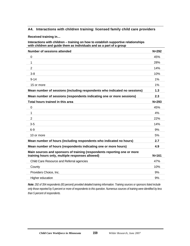# **A4. Interactions with children training: licensed family child care providers**

**Received training in…** 

**Interactions with children – training on how to establish supportive relationships with children and guide them as individuals and as a part of a group** 

| <b>Number of sessions attended</b>                                                                                           | $N = 292$ |
|------------------------------------------------------------------------------------------------------------------------------|-----------|
| $\mathbf 0$                                                                                                                  | 45%       |
| 1                                                                                                                            | 28%       |
| 2                                                                                                                            | 14%       |
| $3-8$                                                                                                                        | 10%       |
| $9 - 14$                                                                                                                     | 1%        |
| 15 or more                                                                                                                   | 1%        |
| Mean number of sessions (including respondents who indicated no sessions)                                                    | 1.3       |
| Mean number of sessions (respondents indicating one or more sessions)                                                        | 2.3       |
| Total hours trained in this area                                                                                             | $N = 293$ |
| $\Omega$                                                                                                                     | 45%       |
| 1                                                                                                                            | 4%        |
| $\overline{2}$                                                                                                               | 22%       |
| $3-5$                                                                                                                        | 14%       |
| $6-9$                                                                                                                        | 9%        |
| 10 or more                                                                                                                   | 5%        |
| Mean number of hours (including respondents who indicated no hours)                                                          | 2.7       |
| Mean number of hours (respondents indicating one or more hours)                                                              | 4.9       |
| Main sources and sponsors of training (respondents reporting one or more<br>training hours only, multiple responses allowed) | $N = 161$ |
| Child Care Resource and Referral agencies                                                                                    | 47%       |
| County                                                                                                                       | 10%       |
| Providers Choice, Inc.                                                                                                       | 9%        |
| Higher education                                                                                                             | 9%        |
|                                                                                                                              |           |

*Note: 292 of 354 respondents (83 percent) provided detailed training information. Training sources or sponsors listed include only those reported by 5 percent or more of respondents to this question. Numerous sources of training were identified by less than 5 percent of respondents.*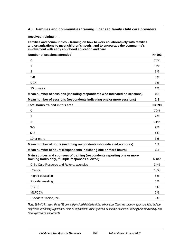# **A5. Families and communities training: licensed family child care providers**

**Received training in…** 

**Families and communities – training on how to work collaboratively with families and organizations to meet children's needs, and to encourage the community's involvement with early childhood education and care** 

| <b>Number of sessions attended</b>                                                                                           | $N = 293$ |
|------------------------------------------------------------------------------------------------------------------------------|-----------|
| 0                                                                                                                            | 70%       |
| 1                                                                                                                            | 15%       |
| $\overline{2}$                                                                                                               | 8%        |
| $3-8$                                                                                                                        | 5%        |
| $9 - 14$                                                                                                                     | $1\%$     |
| 15 or more                                                                                                                   | 1%        |
| Mean number of sessions (including respondents who indicated no sessions)                                                    | 0.8       |
| Mean number of sessions (respondents indicating one or more sessions)                                                        | 2.8       |
| Total hours trained in this area                                                                                             | $N = 293$ |
| $\mathbf 0$                                                                                                                  | 70%       |
| 1                                                                                                                            | 2%        |
| 2                                                                                                                            | 11%       |
| $3-5$                                                                                                                        | 9%        |
| $6-9$                                                                                                                        | 4%        |
| 10 or more                                                                                                                   | 3%        |
| Mean number of hours (including respondents who indicated no hours)                                                          | 1.9       |
| Mean number of hours (respondents indicating one or more hours)                                                              | 6.3       |
| Main sources and sponsors of training (respondents reporting one or more<br>training hours only, multiple responses allowed) | $N=87$    |
| Child Care Resource and Referral agencies                                                                                    | 34%       |
| County                                                                                                                       | 13%       |
| Higher education                                                                                                             | 6%        |
| Provider meeting                                                                                                             | 6%        |
| <b>ECFE</b>                                                                                                                  | 5%        |
| <b>MLFCCA</b>                                                                                                                | 5%        |
| Providers Choice, Inc.                                                                                                       | 5%        |

*Note: 293 of 354 respondents (83 percent) provided detailed training information. Training sources or sponsors listed include only those reported by 5 percent or more of respondents to this question. Numerous sources of training were identified by less than 5 percent of respondents.*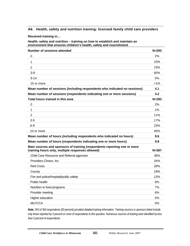### **A6. Health, safety and nutrition training: licensed family child care providers**

**Received training in…** 

**Health, safety and nutrition – training on how to establish and maintain an environment that ensures children's health, safety and nourishment** 

| <b>Number of sessions attended</b>                                                                                           | $N = 293$ |
|------------------------------------------------------------------------------------------------------------------------------|-----------|
| $\Omega$                                                                                                                     | 2%        |
| 1                                                                                                                            | 10%       |
| 2                                                                                                                            | 23%       |
| $3 - 8$                                                                                                                      | 60%       |
| $9 - 14$                                                                                                                     | 5%        |
| 15 or more                                                                                                                   | $< 1\%$   |
| Mean number of sessions (including respondents who indicated no sessions)                                                    | 4.1       |
| Mean number of sessions (respondents indicating one or more sessions)                                                        | 4.2       |
| Total hours trained in this area                                                                                             | $N = 293$ |
| $\mathbf 0$                                                                                                                  | 2%        |
| 1                                                                                                                            | 1%        |
| $\overline{2}$                                                                                                               | 11%       |
| $3-5$                                                                                                                        | 17%       |
| $6-9$                                                                                                                        | 23%       |
| 10 or more                                                                                                                   | 45%       |
| Mean number of hours (including respondents who indicated no hours)                                                          | 9.6       |
| Mean number of hours (respondents indicating one or more hours)                                                              | 9.8       |
| Main sources and sponsors of training (respondents reporting one or more<br>training hours only, multiple responses allowed) | $N = 287$ |
| Child Care Resource and Referral agencies                                                                                    | 38%       |
|                                                                                                                              |           |
| Providers Choice, Inc.                                                                                                       | 34%       |
| <b>Red Cross</b>                                                                                                             | 28%       |
| County                                                                                                                       | 18%       |
| Fire and police/hospital/public safety                                                                                       | 13%       |
| Public health                                                                                                                | 8%        |
| Nutrition or food programs                                                                                                   | 7%        |
| Provider meeting                                                                                                             | 6%        |
| Higher education                                                                                                             | 5%        |

*Note: 293 of 354 respondents (83 percent) provided detailed training information. Training sources or sponsors listed include only those reported by 5 percent or more of respondents to this question. Numerous sources of training were identified by less than 5 percent of respondents.*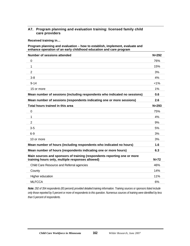# **A7. Program planning and evaluation training: licensed family child care providers**

**Received training in…** 

#### **Program planning and evaluation – how to establish, implement, evaluate and enhance operation of an early childhood education and care program**

| <b>Number of sessions attended</b>                                                                                           | $N = 292$ |
|------------------------------------------------------------------------------------------------------------------------------|-----------|
| 0                                                                                                                            | 76%       |
| 1                                                                                                                            | 15%       |
| $\overline{2}$                                                                                                               | 3%        |
| $3 - 8$                                                                                                                      | 4%        |
| $9 - 14$                                                                                                                     | $< 1\%$   |
| 15 or more                                                                                                                   | 1%        |
| Mean number of sessions (including respondents who indicated no sessions)                                                    | 0.6       |
| Mean number of sessions (respondents indicating one or more sessions)                                                        | 2.6       |
| Total hours trained in this area                                                                                             | $N = 293$ |
| 0                                                                                                                            | 75%       |
| 1                                                                                                                            | 4%        |
| $\overline{2}$                                                                                                               | 9%        |
| $3-5$                                                                                                                        | 5%        |
| $6-9$                                                                                                                        | 3%        |
| 10 or more                                                                                                                   | 3%        |
| Mean number of hours (including respondents who indicated no hours)                                                          | 1.6       |
| Mean number of hours (respondents indicating one or more hours)                                                              | 6.3       |
| Main sources and sponsors of training (respondents reporting one or more<br>training hours only, multiple responses allowed) | $N=72$    |
| Child Care Resource and Referral agencies                                                                                    | 46%       |
| County                                                                                                                       | 14%       |
| Higher education                                                                                                             | 11%       |
| <b>MLFCCA</b>                                                                                                                | 6%        |

*Note: 292 of 354 respondents (83 percent) provided detailed training information. Training sources or sponsors listed include only those reported by 5 percent or more of respondents to this question. Numerous sources of training were identified by less than 5 percent of respondents.*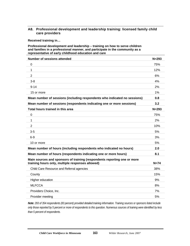# **A8. Professional development and leadership training: licensed family child care providers**

**Received training in…** 

#### **Professional development and leadership – training on how to serve children and families in a professional manner, and participate in the community as a representative of early childhood education and care**

| <b>Number of sessions attended</b>                                                                                           | $N = 293$ |
|------------------------------------------------------------------------------------------------------------------------------|-----------|
| 0                                                                                                                            | 75%       |
| 1                                                                                                                            | 12%       |
| 2                                                                                                                            | 6%        |
| $3-8$                                                                                                                        | 4%        |
| $9 - 14$                                                                                                                     | 2%        |
| 15 or more                                                                                                                   | 1%        |
| Mean number of sessions (including respondents who indicated no sessions)                                                    | 0.8       |
| Mean number of sessions (respondents indicating one or more sessions)                                                        | 3.2       |
| Total hours trained in this area                                                                                             | $N = 293$ |
| $\mathbf 0$                                                                                                                  | 75%       |
| 1                                                                                                                            | 2%        |
| 2                                                                                                                            | 10%       |
| $3-5$                                                                                                                        | 5%        |
| $6-9$                                                                                                                        | 3%        |
| 10 or more                                                                                                                   | 5%        |
| Mean number of hours (including respondents who indicated no hours)                                                          | 2.0       |
| Mean number of hours (respondents indicating one or more hours)                                                              | 8.1       |
| Main sources and sponsors of training (respondents reporting one or more<br>training hours only, multiple responses allowed) | $N=74$    |
| Child Care Resource and Referral agencies                                                                                    | 38%       |
| County                                                                                                                       | 15%       |
| Higher education                                                                                                             | 9%        |
| <b>MLFCCA</b>                                                                                                                | 8%        |
| Providers Choice, Inc.                                                                                                       | 7%        |
| Provider meeting                                                                                                             | 5%        |

*Note: 293 of 354 respondents (83 percent) provided detailed training information. Training sources or sponsors listed include only those reported by 5 percent or more of respondents to this question. Numerous sources of training were identified by less than 5 percent of respondents.*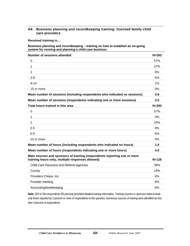# **A9. Business planning and recordkeeping training: licensed family child care providers**

**Received training in…** 

#### **Business planning and recordkeeping – training on how to establish an on-going system for running and planning a child care business**

| <b>Number of sessions attended</b>                                                                                           | $N = 293$ |
|------------------------------------------------------------------------------------------------------------------------------|-----------|
| $\mathbf 0$                                                                                                                  | 57%       |
| 1                                                                                                                            | 27%       |
| $\overline{2}$                                                                                                               | 9%        |
| $3 - 8$                                                                                                                      | 6%        |
| $9 - 14$                                                                                                                     | 1%        |
| 15 or more                                                                                                                   | 0%        |
| Mean number of sessions (including respondents who indicated no sessions)                                                    | 0.9       |
| Mean number of sessions (respondents indicating one or more sessions)                                                        | 2.0       |
| Total hours trained in this area                                                                                             | $N = 293$ |
| $\mathbf 0$                                                                                                                  | 57%       |
| 1                                                                                                                            | 4%        |
| $\overline{2}$                                                                                                               | 19%       |
| $3-5$                                                                                                                        | 9%        |
| $6-9$                                                                                                                        | 6%        |
| 10 or more                                                                                                                   | 4%        |
| Mean number of hours (including respondents who indicated no hours)                                                          | 1.9       |
| Mean number of hours (respondents indicating one or more hours)                                                              | 4.5       |
| Main sources and sponsors of training (respondents reporting one or more<br>training hours only, multiple responses allowed) | $N = 126$ |
| Child Care Resource and Referral agencies                                                                                    | 39%       |
| County                                                                                                                       | 19%       |
| Providers Choice, Inc.                                                                                                       | 9%        |
| Provider meeting                                                                                                             | 8%        |
| Accounting/bookkeeping                                                                                                       | 6%        |

*Note: 293 of 354 respondents (83 percent) provided detailed training information. Training sources or sponsors listed include only those reported by 5 percent or more of respondents to this question. Numerous sources of training were identified by less than 5 percent of respondents.*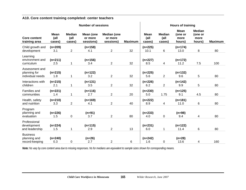| <b>Number of sessions</b>                          |                               |                                  |                                   | <b>Hours of training</b>                   |                |                               |                                 |                                          |                                            |                |
|----------------------------------------------------|-------------------------------|----------------------------------|-----------------------------------|--------------------------------------------|----------------|-------------------------------|---------------------------------|------------------------------------------|--------------------------------------------|----------------|
| <b>Core content</b><br>training area               | <b>Mean</b><br>(all<br>cases) | <b>Median</b><br>(all)<br>cases) | Mean (one<br>or more<br>sessions) | <b>Median (one</b><br>or more<br>sessions) | <b>Maximum</b> | <b>Mean</b><br>(all<br>cases) | <b>Median</b><br>(all<br>cases) | <b>Mean</b><br>(one or<br>more<br>hours) | <b>Median</b><br>(one or<br>more<br>hours) | <b>Maximum</b> |
| Child growth and<br>development                    | $(n=209)$<br>3.1              | $\overline{c}$                   | $(n=158)$<br>4.1                  | $\overline{2}$                             | 32             | $(n=225)$<br>10.1             | 6                               | $(n=174)$<br>13.0                        | 8                                          | 80             |
| Learning<br>environment and<br>curriculum          | $(n=211)$<br>2.5              | 1                                | $(n=156)$<br>3.4                  | $\overline{2}$                             | 32             | $(n=227)$<br>8.5              | 4                               | $(n=172)$<br>11.2                        | 7.5                                        | 100            |
| Assessment and<br>planning for<br>individual needs | $(n=215)$<br>1.8              | 1                                | $(n=122)$<br>3.2                  | $\overline{2}$                             | 32             | $(n=225)$<br>5.6              | $\overline{2}$                  | $(n=132)$<br>9.6                         | 5                                          | 80             |
| Interactions with<br>children                      | $(n=215)$<br>2.1              | 1                                | $(n=131)$<br>3.5                  | $\overline{2}$                             | 32             | $(n=226)$<br>6.2              | $\overline{c}$                  | $(n=142)$<br>9.9                         | 5                                          | 80             |
| Families and<br>communities                        | $(n=221)$<br>1.4              | 1                                | $(n=116)$<br>2.7                  | $\overline{2}$                             | 20             | $(n=230)$<br>5.0              | 1.75                            | $(n=125)$<br>9.1                         | 4.5                                        | 80             |
| Health, safety<br>and nutrition                    | $(n=210)$<br>3.3              | $\overline{2}$                   | $(n=169)$<br>4.1                  | $\overline{2}$                             | 40             | $(n=222)$<br>8.9              | 4                               | $(n=181)$<br>11.0                        | 6                                          | 80             |
| Program<br>planning and<br>evaluation              | $(n=226)$<br>1.5              | 0                                | $(n=91)$<br>3.7                   | $\overline{2}$                             | 80             | $(n=233)$<br>4.0              | 0                               | $(n=98)$<br>9.4                          | $\overline{4}$                             | 80             |
| Professional<br>development<br>and leadership      | $(n=224)$<br>1.5              | 1                                | $(n=115)$<br>2.9                  | $\overline{2}$                             | 13             | $(n=231)$<br>6.0              | 1                               | $(n=122)$<br>11.4                        | 6                                          | 80             |
| <b>Business</b><br>planning and<br>record-keeping  | $(n=240)$<br>0.3              | 0                                | $(n=26)$<br>2.7                   | $\overline{2}$                             | 6              | $(n=242)$<br>1.6              | 0                               | $(n=28)$<br>13.6                         | 4                                          | 160            |

# **A10. Core content training completed: center teachers**

*Note: Ns vary by core content area due to missing responses. Ns for medians are equivalent to sample sizes shown for corresponding means.*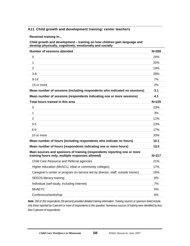# **A11. Child growth and development training: center teachers**

**Received training in…** 

#### **Child growth and development – training on how children gain language and develop physically, cognitively, emotionally and socially**

| <b>Number of sessions attended</b>                                                                                           | $N = 209$  |
|------------------------------------------------------------------------------------------------------------------------------|------------|
| 0                                                                                                                            | 24%        |
| 1                                                                                                                            | <b>20%</b> |
| 2                                                                                                                            | 19%        |
| $3 - 8$                                                                                                                      | 28%        |
| $9 - 14$                                                                                                                     | 7%         |
| 15 or more                                                                                                                   | 2%         |
| Mean number of sessions (including respondents who indicated no sessions)                                                    | 3.1        |
| Mean number of sessions (respondents indicating one or more sessions)                                                        | 4.1        |
| Total hours trained in this area                                                                                             | $N = 225$  |
| 0                                                                                                                            | 23%        |
| 1                                                                                                                            | 3%         |
| 2                                                                                                                            | 11%        |
| $3 - 5$                                                                                                                      | 13%        |
| $6-9$                                                                                                                        | 17%        |
| 10 or more                                                                                                                   | 33%        |
| Mean number of hours (including respondents who indicate no hours)                                                           | 10.1       |
| Mean number of hours (respondents indicating one or more hours)                                                              | 13.0       |
| Main sources and sponsors of training (respondents reporting one or more<br>training hours only, multiple responses allowed) | $N = 217$  |
| Child Care Resource and Referral agencies                                                                                    | 21%        |
| Higher education (MnSCU, tribal or community colleges)                                                                       | 17%        |
| Caregiver's center or program (in-service led by director, staff, outside trainer)                                           | 16%        |
| <b>SEEDS literacy training</b>                                                                                               | 8%         |
| Individual (self-study, including Internet)                                                                                  | 7%         |
| <b>MnAEYC</b>                                                                                                                | 6%         |
| Conference/workshop                                                                                                          | 6%         |

*Note: 209 of 352 respondents (59 percent) provided detailed training information. Training sources or sponsors listed include only those reported by 5 percent or more of respondents to this question. Numerous sources of training were identified by less than 5 percent of respondents.*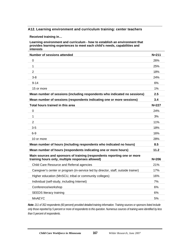# **A12. Learning environment and curriculum training: center teachers**

**Received training in…** 

**Learning environment and curriculum - how to establish an environment that provides learning experiences to meet each child's needs, capabilities and interests** 

| <b>Number of sessions attended</b>                                                                                           | $N = 211$ |
|------------------------------------------------------------------------------------------------------------------------------|-----------|
| 0                                                                                                                            | 26%       |
| 1                                                                                                                            | 25%       |
| 2                                                                                                                            | 18%       |
| $3-8$                                                                                                                        | 24%       |
| $9 - 14$                                                                                                                     | 6%        |
| 15 or more                                                                                                                   | 1%        |
| Mean number of sessions (including respondents who indicated no sessions)                                                    | 2.5       |
| Mean number of sessions (respondents indicating one or more sessions)                                                        | 3.4       |
| Total hours trained in this area                                                                                             | $N = 227$ |
| 0                                                                                                                            | 24%       |
| 1                                                                                                                            | 3%        |
| 2                                                                                                                            | 11%       |
| $3-5$                                                                                                                        | 18%       |
| $6-9$                                                                                                                        | 16%       |
| 10 or more                                                                                                                   | 28%       |
| Mean number of hours (including respondents who indicated no hours)                                                          | 8.5       |
| Mean number of hours (respondents indicating one or more hours)                                                              | 11.2      |
| Main sources and sponsors of training (respondents reporting one or more<br>training hours only, multiple responses allowed) | $N = 206$ |
| Child Care Resource and Referral agencies                                                                                    | 21%       |
| Caregiver's center or program (in-service led by director, staff, outside trainer)                                           | 17%       |
| Higher education (MnSCU, tribal or community colleges)                                                                       | 16%       |
| Individual (self-study, including Internet)                                                                                  | 7%        |
| Conference/workshop                                                                                                          | 6%        |
| <b>SEEDS literacy training</b>                                                                                               | 6%        |
| <b>MnAEYC</b>                                                                                                                | 5%        |

*Note: 211 of 352 respondents (60 percent) provided detailed training information. Training sources or sponsors listed include only those reported by 5 percent or more of respondents to this question. Numerous sources of training were identified by less than 5 percent of respondents.*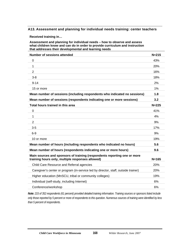## **A13. Assessment and planning for individual needs training: center teachers**

**Received training in…** 

**Assessment and planning for individual needs – how to observe and assess what children know and can do in order to provide curriculum and instruction that addresses their developmental and learning needs** 

| <b>Number of sessions attended</b>                                                                                           | $N = 215$ |
|------------------------------------------------------------------------------------------------------------------------------|-----------|
| 0                                                                                                                            | 43%       |
| 1                                                                                                                            | 20%       |
| $\overline{2}$                                                                                                               | 16%       |
| $3-8$                                                                                                                        | 18%       |
| $9 - 14$                                                                                                                     | 2%        |
| 15 or more                                                                                                                   | 1%        |
| Mean number of sessions (including respondents who indicated no sessions)                                                    | 1.8       |
| Mean number of sessions (respondents indicating one or more sessions)                                                        | 3.2       |
| Total hours trained in this area                                                                                             | $N = 225$ |
| $\mathbf 0$                                                                                                                  | 41%       |
| 1                                                                                                                            | 4%        |
| $\overline{2}$                                                                                                               | 9%        |
| $3-5$                                                                                                                        | 17%       |
| $6-9$                                                                                                                        | 9%        |
| 10 or more                                                                                                                   | 19%       |
| Mean number of hours (including respondents who indicated no hours)                                                          | 5.6       |
| Mean number of hours (respondents indicating one or more hours)                                                              | 9.6       |
| Main sources and sponsors of training (respondents reporting one or more<br>training hours only, multiple responses allowed) | $N = 165$ |
| Child Care Resource and Referral agencies                                                                                    | 20%       |
| Caregiver's center or program (in-service led by director, staff, outside trainer)                                           | 20%       |
| Higher education (MnSCU, tribal or community colleges)                                                                       | 19%       |
| Individual (self-study, including Internet)                                                                                  | 6%        |
| Conference/workshop                                                                                                          | 6%        |

*Note: 215 of 352 respondents (61 percent) provided detailed training information. Training sources or sponsors listed include only those reported by 5 percent or more of respondents to this question. Numerous sources of training were identified by less than 5 percent of respondents.*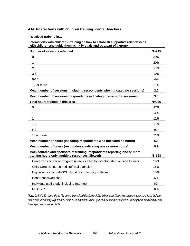# **A14. Interactions with children training: center teachers**

**Received training in…** 

**Interactions with children – training on how to establish supportive relationships with children and guide them as individuals and as a part of a group** 

| Number of sessions attended                                                                                                  | $N = 215$ |
|------------------------------------------------------------------------------------------------------------------------------|-----------|
| 0                                                                                                                            | 39%       |
| 1                                                                                                                            | 20%       |
| $\overline{2}$                                                                                                               | 17%       |
| $3 - 8$                                                                                                                      | 19%       |
| $9 - 14$                                                                                                                     | 4%        |
| 15 or more                                                                                                                   | 1%        |
| Mean number of sessions (including respondents who indicated no sessions)                                                    | 2.1       |
| Mean number of sessions (respondents indicating one or more sessions)                                                        | 3.5       |
| Total hours trained in this area                                                                                             | N=226     |
| $\mathbf 0$                                                                                                                  | 37%       |
| 1                                                                                                                            | 4%        |
| $\overline{2}$                                                                                                               | 12%       |
| $3 - 5$                                                                                                                      | 17%       |
| $6-9$                                                                                                                        | 9%        |
| 10 or more                                                                                                                   | 21%       |
| Mean number of hours (including respondents who indicated no hours)                                                          | 6.2       |
| Mean number of hours (respondents indicating one or more hours)                                                              | 9.9       |
| Main sources and sponsors of training (respondents reporting one or more<br>training hours only, multiple responses allowed) | $N = 168$ |
| Caregiver's center or program (in-service led by director, staff, outside trainer)                                           | 19%       |
| Child Care Resource and Referral agencies                                                                                    | 18%       |
| Higher education (MnSCU, tribal or community colleges)                                                                       | 15%       |
| Conference/workshop                                                                                                          | 6%        |
| Individual (self-study, including Internet)                                                                                  | 6%        |
| <b>MnAEYC</b>                                                                                                                | 6%        |

*Note: 215 of 352 respondents (61 percent) provided detailed training information. Training sources or sponsors listed include only those reported by 5 percent or more of respondents to this question. Numerous sources of training were identified by less than 5 percent of respondents.*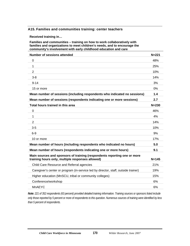## **A15. Families and communities training: center teachers**

**Received training in…** 

**Families and communities – training on how to work collaboratively with families and organizations to meet children's needs, and to encourage the community's involvement with early childhood education and care** 

| <b>Number of sessions attended</b>                                                                                           | $N = 221$ |
|------------------------------------------------------------------------------------------------------------------------------|-----------|
| 0                                                                                                                            | 48%       |
| 1                                                                                                                            | 25%       |
| $\overline{2}$                                                                                                               | 10%       |
| $3 - 8$                                                                                                                      | 14%       |
| $9 - 14$                                                                                                                     | 3%        |
| 15 or more                                                                                                                   | 0%        |
| Mean number of sessions (including respondents who indicated no sessions)                                                    | 1.4       |
| Mean number of sessions (respondents indicating one or more sessions)                                                        | 2.7       |
| Total hours trained in this area                                                                                             | $N = 230$ |
| 0                                                                                                                            | 46%       |
| 1                                                                                                                            | 4%        |
| $\overline{2}$                                                                                                               | 14%       |
| $3-5$                                                                                                                        | 10%       |
| $6-9$                                                                                                                        | 9%        |
| 10 or more                                                                                                                   | 17%       |
| Mean number of hours (including respondents who indicated no hours)                                                          | 5.0       |
| Mean number of hours (respondents indicating one or more hours)                                                              | 9.1       |
| Main sources and sponsors of training (respondents reporting one or more<br>training hours only, multiple responses allowed) | $N = 145$ |
| Child Care Resource and Referral agencies                                                                                    | 21%       |
| Caregiver's center or program (in-service led by director, staff, outside trainer)                                           | 19%       |
| Higher education (MnSCU, tribal or community colleges)                                                                       | 15%       |
| Conference/workshop                                                                                                          | 6%        |
| <b>MnAEYC</b>                                                                                                                | 6%        |

*Note: 221 of 352 respondents (63 percent) provided detailed training information. Training sources or sponsors listed include only those reported by 5 percent or more of respondents to this question. Numerous sources of training were identified by less than 5 percent of respondents.*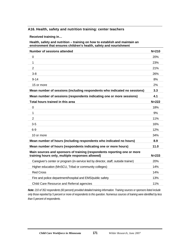#### **A16. Health, safety and nutrition training: center teachers**

**Received training in…** 

**Health, safety and nutrition – training on how to establish and maintain an environment that ensures children's health, safety and nourishment** 

| <b>Number of sessions attended</b>                                                                                           | $N = 210$ |
|------------------------------------------------------------------------------------------------------------------------------|-----------|
| 0                                                                                                                            | 20%       |
| 1                                                                                                                            | 23%       |
| 2                                                                                                                            | 21%       |
| $3 - 8$                                                                                                                      | 26%       |
| $9 - 14$                                                                                                                     | 8%        |
| 15 or more                                                                                                                   | 2%        |
| Mean number of sessions (including respondents who indicated no sessions)                                                    | 3.3       |
| Mean number of sessions (respondents indicating one or more sessions)                                                        | 4.1       |
| Total hours trained in this area                                                                                             | $N = 222$ |
| 0                                                                                                                            | 18%       |
| $\mathbf{1}$                                                                                                                 | 9%        |
| $\overline{2}$                                                                                                               | 11%       |
| $3-5$                                                                                                                        | 16%       |
| $6-9$                                                                                                                        | 12%       |
| 10 or more                                                                                                                   | 34%       |
| Mean number of hours (including respondents who indicated no hours)                                                          | 8.9       |
| Mean number of hours (respondents indicating one or more hours)                                                              | 11.0      |
| Main sources and sponsors of training (respondents reporting one or more<br>training hours only, multiple responses allowed) | $N = 233$ |
| Caregiver's center or program (in-service led by director, staff, outside trainer)                                           | 20%       |
| Higher education (MnSCU, Tribal or community colleges)                                                                       | 14%       |
| <b>Red Cross</b>                                                                                                             | 14%       |
| Fire and police department/hospital and EMS/public safety                                                                    | 13%       |
| Child Care Resource and Referral agencies                                                                                    | 11%       |
|                                                                                                                              |           |

*Note: 210 of 352 respondents (60 percent) provided detailed training information. Training sources or sponsors listed include only those reported by 5 percent or more of respondents to this question. Numerous sources of training were identified by less than 5 percent of respondents.*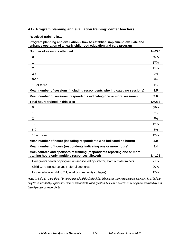### **A17. Program planning and evaluation training: center teachers**

**Received training in…** 

**Program planning and evaluation – how to establish, implement, evaluate and enhance operation of an early childhood education and care program** 

| Number of sessions attended                                                                                                  | $N = 226$ |
|------------------------------------------------------------------------------------------------------------------------------|-----------|
| $\mathbf 0$                                                                                                                  | 60%       |
| 1                                                                                                                            | 17%       |
| $\overline{2}$                                                                                                               | 11%       |
| $3 - 8$                                                                                                                      | 9%        |
| $9 - 14$                                                                                                                     | 2%        |
| 15 or more                                                                                                                   | 1%        |
| Mean number of sessions (including respondents who indicated no sessions)                                                    | 1.5       |
| Mean number of sessions (respondents indicating one or more sessions)                                                        | 3.6       |
| Total hours trained in this area                                                                                             | $N = 233$ |
| $\mathbf 0$                                                                                                                  | 58%       |
| 1                                                                                                                            | 6%        |
| $\overline{2}$                                                                                                               | 7%        |
| $3-5$                                                                                                                        | 12%       |
| $6 - 9$                                                                                                                      | 6%        |
| 10 or more                                                                                                                   | 12%       |
| Mean number of hours (including respondents who indicated no hours)                                                          | 4.0       |
| Mean number of hours (respondents indicating one or more hours)                                                              | 9.4       |
| Main sources and sponsors of training (respondents reporting one or more<br>training hours only, multiple responses allowed) | $N = 106$ |
| Caregiver's center or program (in-service led by director, staff, outside trainer)                                           | 21%       |
| Child Care Resource and Referral agencies                                                                                    | 20%       |
| Higher education (MnSCU, tribal or community colleges)                                                                       | 17%       |

*Note: 226 of 352 respondents (64 percent) provided detailed training information. Training sources or sponsors listed include only those reported by 5 percent or more of respondents to this question. Numerous sources of training were identified by less than 5 percent of respondents.*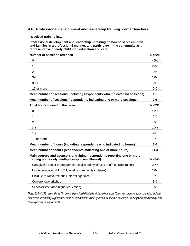#### **A18. Professional development and leadership training: center teachers**

**Received training in…** 

**Professional development and leadership – training on how to serve children and families in a professional manner, and participate in the community as a representative of early childhood education and care** 

| Number of sessions attended                                                                                                  | $N = 224$ |
|------------------------------------------------------------------------------------------------------------------------------|-----------|
| 0                                                                                                                            | 49%       |
| $\mathbf{1}$                                                                                                                 | 22%       |
| $\overline{2}$                                                                                                               | 9%        |
| $3 - 8$                                                                                                                      | 17%       |
| $9 - 14$                                                                                                                     | 2%        |
| 15 or more                                                                                                                   | 0%        |
| Mean number of sessions (including respondents who indicated no sessions)                                                    | 1.5       |
| Mean number of sessions (respondents indicating one or more sessions)                                                        | 2.9       |
| Total hours trained in this area                                                                                             | $N = 231$ |
| $\overline{0}$                                                                                                               | 47%       |
| 1                                                                                                                            | 6%        |
| $\overline{2}$                                                                                                               | 8%        |
| $3-5$                                                                                                                        | 10%       |
| $6-9$                                                                                                                        | 9%        |
| 10 or more                                                                                                                   | 19%       |
| Mean number of hours (including respondents who indicated no hours)                                                          | 6.0       |
| Mean number of hours (respondents indicating one or more hours)                                                              | 11.4      |
| Main sources and sponsors of training (respondents reporting one or more<br>training hours only, multiple responses allowed) | $N = 149$ |
| Caregiver's center or program (in-service led by director, staff, outside trainer)                                           | 24%       |
| Higher education (MnSCU, tribal or community colleges)                                                                       | 17%       |
| Child Care Resource and Referral agencies                                                                                    | 15%       |
| Conference/workshop                                                                                                          | 8%        |
| School/district (non-higher education)                                                                                       | 5%        |

*Note: 224 of 352 respondents (64 percent) provided detailed training information. Training sources or sponsors listed include only those reported by 5 percent or more of respondents to this question. Numerous sources of training were identified by less than 5 percent of respondents.*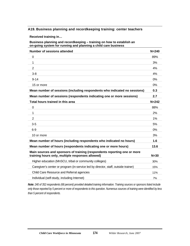#### **A19. Business planning and recordkeeping training: center teachers**

**Received training in…** 

**Business planning and recordkeeping – training on how to establish an on-going system for running and planning a child care business** 

| Number of sessions attended                                                                                                  | $N = 240$ |
|------------------------------------------------------------------------------------------------------------------------------|-----------|
| $\mathbf 0$                                                                                                                  | 89%       |
| 1                                                                                                                            | 3%        |
| $\overline{2}$                                                                                                               | 4%        |
| $3-8$                                                                                                                        | 4%        |
| $9 - 14$                                                                                                                     | $0\%$     |
| 15 or more                                                                                                                   | 0%        |
| Mean number of sessions (including respondents who indicated no sessions)                                                    | 0.3       |
| Mean number of sessions (respondents indicating one or more sessions)                                                        | 2.7       |
| Total hours trained in this area                                                                                             | $N = 242$ |
| $\mathbf 0$                                                                                                                  | 88%       |
| 1                                                                                                                            | 2%        |
| 2                                                                                                                            | 1%        |
| $3-5$                                                                                                                        | 5%        |
| $6-9$                                                                                                                        | 0%        |
| 10 or more                                                                                                                   | 3%        |
| Mean number of hours (including respondents who indicated no hours)                                                          | 1.6       |
| Mean number of hours (respondents indicating one or more hours)                                                              | 13.6      |
| Main sources and sponsors of training (respondents reporting one or more<br>training hours only, multiple responses allowed) | $N=30$    |
| Higher education (MnSCU, tribal or community colleges)                                                                       | 30%       |
| Caregiver's center or program (in-service led by director, staff, outside trainer)                                           | 15%       |
| Child Care Resource and Referral agencies                                                                                    | 11%       |
| Individual (self-study, including Internet)                                                                                  | 7%        |

*Note: 240 of 352 respondents (68 percent) provided detailed training information. Training sources or sponsors listed include only those reported by 5 percent or more of respondents to this question. Numerous sources of training were identified by less than 5 percent of respondents.*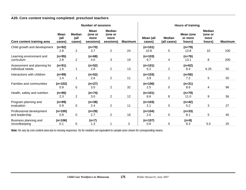#### **A20. Core content training completed: preschool teachers**

|                                                 | <b>Number of sessions</b>     |                                 |                                      |                                               |                | <b>Hours of training</b> |                              |                                |                                            |                |
|-------------------------------------------------|-------------------------------|---------------------------------|--------------------------------------|-----------------------------------------------|----------------|--------------------------|------------------------------|--------------------------------|--------------------------------------------|----------------|
| Core content training area                      | <b>Mean</b><br>(all<br>cases) | <b>Median</b><br>(all<br>cases) | Mean<br>(one or<br>more<br>sessions) | <b>Median</b><br>(one or<br>more<br>sessions) | <b>Maximum</b> | Mean (all<br>cases)      | <b>Median</b><br>(all cases) | Mean (one<br>or more<br>hours) | <b>Median</b><br>(one or<br>more<br>hours) | <b>Maximum</b> |
| Child growth and development                    | $(n=92)$<br>2.8               | $\overline{2}$                  | $(n=70)$<br>3.7                      | $\overline{2}$                                | 24             | $(n=101)$<br>10.8        | 5                            | $(n=79)$<br>13.8               | 10                                         | 100            |
| Learning environment and<br>curriculum          | $(n=95)$<br>2.8               | $\overline{2}$                  | $(n=68)$<br>4.0                      | 3                                             | 19             | $(n=103)$<br>9.7         | 4                            | $(n=76)$<br>13.1               | 8                                          | 200            |
| Assessment and planning for<br>individual needs | $(n=91)$<br>1.6               |                                 | $(n=52)$<br>2.8                      | $\overline{2}$                                | 13             | $(n=101)$<br>5.2         | $\overline{2}$               | $(n=62)$<br>8.4                | 6.25                                       | 50             |
| Interactions with children                      | $(n=99)$<br>1.4               |                                 | $(n=52)$<br>2.6                      | $\overline{2}$                                | 11             | $(n=103)$<br>3.9         | $\overline{2}$               | $(n=56)$<br>7.2                | 5                                          | 50             |
| Families and communities                        | $(n=102)$<br>0.9              | 0                               | $(n=27)$<br>3.5                      | 2                                             | 32             | $(n=106)$<br>2.5         | 0                            | $(n=31)$<br>8.6                | 4                                          | 96             |
| Health, safety and nutrition                    | $(n=96)$<br>2.3               | $\overline{2}$                  | $(n=74)$<br>3.0                      | $\overline{2}$                                | 12             | $(n=101)$<br>8.6         | 8                            | $(n=79)$<br>11.0               | 9                                          | 56             |
| Program planning and<br>evaluation              | $(n=99)$<br>0.9               | 0                               | $(n=38)$<br>2.4                      | $\overline{2}$                                | 11             | $(n=103)$<br>2.1         | 0                            | $(n=42)$<br>5.2                | 3                                          | 27             |
| Professional development<br>and leadership      | $(n=100)$<br>0.8              | 0                               | $(n=29)$<br>2.7                      | $\overline{2}$                                | 16             | $(n=104)$<br>2.6         | 0                            | $(n=33)$<br>8.1                | 5                                          | 40             |
| Business planning and<br>recordkeeping          | $(n=106)$<br>0.1              | 0                               | $(n=7)$<br>1.3                       |                                               | 3              | $(n=107)$<br>0.6         | 0                            | $(n=8)$<br>8.3                 | 5.5                                        | 25             |

*Note: Ns vary by core content area due to missing responses. Ns for medians are equivalent to sample sizes shown for corresponding means.*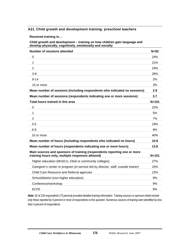#### **A21. Child growth and development training: preschool teachers**

**Received training in…** 

**Child growth and development – training on how children gain language and develop physically, cognitively, emotionally and socially** 

| <b>Number of sessions attended</b>                                                                                           | $N = 92$  |
|------------------------------------------------------------------------------------------------------------------------------|-----------|
| $\Omega$                                                                                                                     | 24%       |
| $\mathbf{1}$                                                                                                                 | 21%       |
| $\overline{2}$                                                                                                               | 24%       |
| $3 - 8$                                                                                                                      | 26%       |
| $9 - 14$                                                                                                                     | 2%        |
| 15 or more                                                                                                                   | 3%        |
| Mean number of sessions (including respondents who indicated no sessions)                                                    | 2.8       |
| Mean number of sessions (respondents indicating one or more sessions)                                                        | 3.7       |
| Total hours trained in this area                                                                                             | $N = 101$ |
| $\mathbf 0$                                                                                                                  | 22%       |
| $\mathbf{1}$                                                                                                                 | 5%        |
| $\overline{2}$                                                                                                               | 7%        |
| $3 - 5$                                                                                                                      | 19%       |
| $6-9$                                                                                                                        | 8%        |
| 10 or more                                                                                                                   | 40%       |
| Mean number of hours (including respondents who indicated no hours)                                                          | 10.8      |
| Mean number of hours (respondents indicating one or more hours)                                                              | 13.8      |
| Main sources and sponsors of training (respondents reporting one or more<br>training hours only, multiple responses allowed) | $N = 101$ |
| Higher education (MnSCU, tribal or community colleges)                                                                       | 27%       |
| Caregiver's center or program (in-service led by director, staff, outside trainer)                                           | 15%       |
| Child Care Resource and Referral agencies                                                                                    | 12%       |
| School/district (non-higher education)                                                                                       | 9%        |
| Conference/workshop                                                                                                          | 9%        |
| <b>ECFE</b>                                                                                                                  | 6%        |

*Note: 92 of 126 respondents (73 percent) provided detailed training information. Training sources or sponsors listed include only those reported by 5 percent or more of respondents to this question. Numerous sources of training were identified by less than 5 percent of respondents.*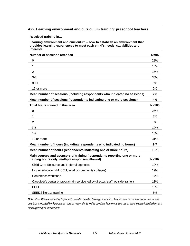#### **A22. Learning environment and curriculum training: preschool teachers**

**Received training in…** 

**Learning environment and curriculum – how to establish an environment that provides learning experiences to meet each child's needs, capabilities and interests** 

| <b>Number of sessions attended</b>                                                                                           | $N=95$    |
|------------------------------------------------------------------------------------------------------------------------------|-----------|
| 0                                                                                                                            | 28%       |
| 1                                                                                                                            | 15%       |
| $\overline{2}$                                                                                                               | 15%       |
| $3-8$                                                                                                                        | 35%       |
| $9 - 14$                                                                                                                     | 5%        |
| 15 or more                                                                                                                   | 2%        |
| Mean number of sessions (including respondents who indicated no sessions)                                                    | 2.8       |
| Mean number of sessions (respondents indicating one or more sessions)                                                        | 4.0       |
| Total hours trained in this area                                                                                             | $N = 103$ |
| $\overline{0}$                                                                                                               | 26%       |
| 1                                                                                                                            | 3%        |
| $\overline{2}$                                                                                                               | 5%        |
| $3-5$                                                                                                                        | 19%       |
| $6 - 9$                                                                                                                      | 16%       |
| 10 or more                                                                                                                   | 31%       |
| Mean number of hours (including respondents who indicated no hours)                                                          | 9.7       |
| Mean number of hours (respondents indicating one or more hours)                                                              | 13.1      |
| Main sources and sponsors of training (respondents reporting one or more<br>training hours only, multiple responses allowed) | $N = 102$ |
| Child Care Resource and Referral agencies                                                                                    | 19%       |
| Higher education (MnSCU, tribal or community colleges)                                                                       | 19%       |
| Conference/workshop                                                                                                          | 17%       |
| Caregiver's center or program (in-service led by director, staff, outside trainer)                                           | 13%       |
| <b>ECFE</b>                                                                                                                  | 13%       |
| <b>SEEDS literacy training</b>                                                                                               | 5%        |

*Note: 95 of 126 respondents (75 percent) provided detailed training information. Training sources or sponsors listed include only those reported by 5 percent or more of respondents to this question. Numerous sources of training were identified by less than 5 percent of respondents.*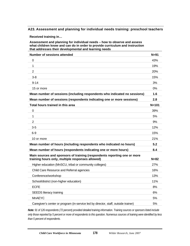#### **A23. Assessment and planning for individual needs training: preschool teachers**

**Received training in…** 

**Assessment and planning for individual needs – how to observe and assess what children know and can do in order to provide curriculum and instruction that addresses their developmental and learning needs** 

| <b>Number of sessions attended</b>                                                                                           | $N = 91$  |
|------------------------------------------------------------------------------------------------------------------------------|-----------|
| 0                                                                                                                            | 43%       |
| $\mathbf{1}$                                                                                                                 | 19%       |
| $\overline{2}$                                                                                                               | 20%       |
| $3-8$                                                                                                                        | 15%       |
| $9 - 14$                                                                                                                     | 3%        |
| 15 or more                                                                                                                   | 0%        |
| Mean number of sessions (including respondents who indicated no sessions)                                                    | 1.6       |
| Mean number of sessions (respondents indicating one or more sessions)                                                        | 2.8       |
| Total hours trained in this area                                                                                             | $N = 101$ |
| 0                                                                                                                            | 39%       |
| 1                                                                                                                            | 5%        |
| 2                                                                                                                            | 9%        |
| $3-5$                                                                                                                        | 12%       |
| $6-9$                                                                                                                        | 15%       |
| 10 or more                                                                                                                   | 21%       |
| Mean number of hours (including respondents who indicated no hours)                                                          | 5.2       |
| Mean number of hours (respondents indicating one or more hours)                                                              | 8.4       |
| Main sources and sponsors of training (respondents reporting one or more<br>training hours only, multiple responses allowed) | $N = 82$  |
| Higher education (MnSCU, tribal or community colleges)                                                                       | 27%       |
| Child Care Resource and Referral agencies                                                                                    | 16%       |
| Conference/workshop                                                                                                          | 13%       |
| School/district (non-higher education)                                                                                       | 11%       |
| <b>ECFE</b>                                                                                                                  | 8%        |
| <b>SEEDS literacy training</b>                                                                                               | 6%        |
| <b>MnAEYC</b>                                                                                                                | 5%        |
| Caregiver's center or program (in-service led by director, staff, outside trainer)                                           | 5%        |

*Note: 91 of 126 respondents (72 percent) provided detailed training information. Training sources or sponsors listed include only those reported by 5 percent or more of respondents to this question. Numerous sources of training were identified by less than 5 percent of respondents.*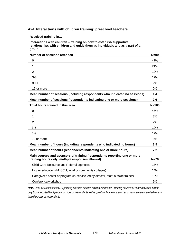#### **A24. Interactions with children training: preschool teachers**

**Received training in…** 

**Interactions with children – training on how to establish supportive relationships with children and guide them as individuals and as a part of a group** 

| <b>Number of sessions attended</b>                                                                                           | $N=99$    |
|------------------------------------------------------------------------------------------------------------------------------|-----------|
| $\Omega$                                                                                                                     | 47%       |
| 1                                                                                                                            | 21%       |
| 2                                                                                                                            | 12%       |
| $3-8$                                                                                                                        | 17%       |
| $9 - 14$                                                                                                                     | 2%        |
| 15 or more                                                                                                                   | 0%        |
| Mean number of sessions (including respondents who indicated no sessions)                                                    | 1.4       |
| Mean number of sessions (respondents indicating one or more sessions)                                                        | 2.6       |
| Total hours trained in this area                                                                                             | $N = 103$ |
| $\Omega$                                                                                                                     | 46%       |
| $\mathbf{1}$                                                                                                                 | 3%        |
| 2                                                                                                                            | 7%        |
| $3-5$                                                                                                                        | 19%       |
| $6-9$                                                                                                                        | 17%       |
| 10 or more                                                                                                                   | 8%        |
| Mean number of hours (including respondents who indicated no hours)                                                          | 3.9       |
| Mean number of hours (respondents indicating one or more hours)                                                              | 7.2       |
| Main sources and sponsors of training (respondents reporting one or more<br>training hours only, multiple responses allowed) | $N=70$    |
| Child Care Resource and Referral agencies                                                                                    | 17%       |
| Higher education (MnSCU, tribal or community colleges)                                                                       | 14%       |
| Caregiver's center or program (in-service led by director, staff, outside trainer)                                           | 10%       |
| Conference/workshop                                                                                                          | 9%        |

*Note: 99 of 126 respondents (79 percent) provided detailed training information. Training sources or sponsors listed include only those reported by 5 percent or more of respondents to this question. Numerous sources of training were identified by less than 5 percent of respondents.*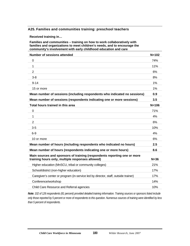#### **A25. Families and communities training: preschool teachers**

**Received training in…** 

**Families and communities – training on how to work collaboratively with families and organizations to meet children's needs, and to encourage the community's involvement with early childhood education and care** 

| <b>Number of sessions attended</b>                                                                                           | $N = 102$ |
|------------------------------------------------------------------------------------------------------------------------------|-----------|
| 0                                                                                                                            | 74%       |
| 1                                                                                                                            | 11%       |
| $\overline{2}$                                                                                                               | 6%        |
| $3-8$                                                                                                                        | 8%        |
| $9 - 14$                                                                                                                     | 1%        |
| 15 or more                                                                                                                   | 1%        |
| Mean number of sessions (including respondents who indicated no sessions)                                                    | 0.9       |
| Mean number of sessions (respondents indicating one or more sessions)                                                        | 3.5       |
| Total hours trained in this area                                                                                             | $N = 106$ |
| $\Omega$                                                                                                                     | 71%       |
| $\mathbf{1}$                                                                                                                 | 4%        |
| 2                                                                                                                            | 6%        |
| $3-5$                                                                                                                        | 10%       |
| $6-9$                                                                                                                        | 4%        |
| 10 or more                                                                                                                   | 6%        |
| Mean number of hours (including respondents who indicated no hours)                                                          | 2.5       |
| Mean number of hours (respondents indicating one or more hours)                                                              | 8.6       |
| Main sources and sponsors of training (respondents reporting one or more<br>training hours only, multiple responses allowed) | $N = 36$  |
| Higher education (MnSCU, tribal or community colleges)                                                                       | 21%       |
| School/district (non-higher education)                                                                                       | 17%       |
| Caregiver's center or program (in-service led by director, staff, outside trainer)                                           | 17%       |
| Conference/workshop                                                                                                          | 14%       |
| Child Care Resource and Referral agencies                                                                                    | 10%       |

*Note: 102 of 126 respondents (81 percent) provided detailed training information. Training sources or sponsors listed include only those reported by 5 percent or more of respondents to this question. Numerous sources of training were identified by less than 5 percent of respondents.*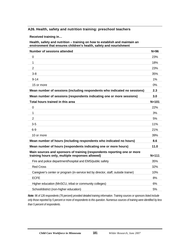#### **A26. Health, safety and nutrition training: preschool teachers**

**Received training in…** 

**Health, safety and nutrition – training on how to establish and maintain an environment that ensures children's health, safety and nourishment** 

| Number of sessions attended                                                                                                  | $N = 96$  |
|------------------------------------------------------------------------------------------------------------------------------|-----------|
| 0                                                                                                                            | 23%       |
| 1                                                                                                                            | 18%       |
| $\overline{2}$                                                                                                               | 23%       |
| $3 - 8$                                                                                                                      | 35%       |
| $9 - 14$                                                                                                                     | 1%        |
| 15 or more                                                                                                                   | 0%        |
| Mean number of sessions (including respondents who indicated no sessions)                                                    | 2.3       |
| Mean number of sessions (respondents indicating one or more sessions)                                                        | 3.0       |
| Total hours trained in this area                                                                                             | $N = 101$ |
| $\mathbf 0$                                                                                                                  | 22%       |
| 1                                                                                                                            | 3%        |
| $\overline{2}$                                                                                                               | 5%        |
| $3-5$                                                                                                                        | 11%       |
| $6-9$                                                                                                                        | 21%       |
| 10 or more                                                                                                                   | 39%       |
| Mean number of hours (including respondents who indicated no hours)                                                          | 8.6       |
| Mean number of hours (respondents indicating one or more hours)                                                              | 11.0      |
| Main sources and sponsors of training (respondents reporting one or more<br>training hours only, multiple responses allowed) | $N = 111$ |
| Fire and police department/hospital and EMS/public safety                                                                    | 35%       |
| <b>Red Cross</b>                                                                                                             | 32%       |
| Caregiver's center or program (in-service led by director, staff, outside trainer)                                           | 10%       |
| <b>ECFE</b>                                                                                                                  | 8%        |
| Higher education (MnSCU, tribal or community colleges)                                                                       | 6%        |
| School/district (non-higher education)                                                                                       | 5%        |
|                                                                                                                              |           |

*Note: 96 of 126 respondents (76 percent) provided detailed training information. Training sources or sponsors listed include only those reported by 5 percent or more of respondents to this question. Numerous sources of training were identified by less than 5 percent of respondents.*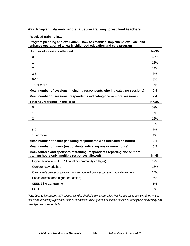#### **A27. Program planning and evaluation training: preschool teachers**

**Received training in…** 

**Program planning and evaluation – how to establish, implement, evaluate, and enhance operation of an early childhood education and care program** 

| <b>Number of sessions attended</b>                                                                                           | $N = 99$  |
|------------------------------------------------------------------------------------------------------------------------------|-----------|
| 0                                                                                                                            | 62%       |
| 1                                                                                                                            | 18%       |
| $\overline{2}$                                                                                                               | 14%       |
| $3-8$                                                                                                                        | 3%        |
| $9 - 14$                                                                                                                     | 3%        |
| 15 or more                                                                                                                   | 0%        |
| Mean number of sessions (including respondents who indicated no sessions)                                                    | 0.9       |
| Mean number of sessions (respondents indicating one or more sessions)                                                        | 2.4       |
| Total hours trained in this area                                                                                             | $N = 103$ |
| 0                                                                                                                            | 59%       |
| 1                                                                                                                            | 5%        |
| $\overline{2}$                                                                                                               | 12%       |
| $3-5$                                                                                                                        | 13%       |
| $6-9$                                                                                                                        | 8%        |
| 10 or more                                                                                                                   | 4%        |
| Mean number of hours (including respondents who indicated no hours)                                                          | 2.1       |
| Mean number of hours (respondents indicating one or more hours)                                                              | 5.2       |
| Main sources and sponsors of training (respondents reporting one or more<br>training hours only, multiple responses allowed) | $N=48$    |
| Higher education (MnSCU, tribal or community colleges)                                                                       | 19%       |
| Conference/workshop                                                                                                          | 16%       |
| Caregiver's center or program (in-service led by director, staff, outside trainer)                                           | 14%       |
| School/district (non-higher education)                                                                                       | 5%        |
| <b>SEEDS literacy training</b>                                                                                               | 5%        |
| <b>ECFE</b>                                                                                                                  | 5%        |

*Note: 99 of 126 respondents (77 percent) provided detailed training information. Training sources or sponsors listed include only those reported by 5 percent or more of respondents to this question. Numerous sources of training were identified by less than 5 percent of respondents.*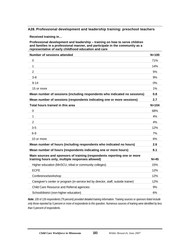#### **A28. Professional development and leadership training: preschool teachers**

**Received training in…** 

**Professional development and leadership – training on how to serve children and families in a professional manner, and participate in the community as a representative of early childhood education and care** 

| Number of sessions attended                                                                                                  | $N = 100$ |
|------------------------------------------------------------------------------------------------------------------------------|-----------|
| 0                                                                                                                            | 71%       |
| 1                                                                                                                            | 14%       |
| 2                                                                                                                            | 5%        |
| $3-8$                                                                                                                        | 9%        |
| $9 - 14$                                                                                                                     | 0%        |
| 15 or more                                                                                                                   | 1%        |
| Mean number of sessions (including respondents who indicated no sessions)                                                    | 0.8       |
| Mean number of sessions (respondents indicating one or more sessions)                                                        | 2.7       |
| Total hours trained in this area                                                                                             | $N = 104$ |
| $\mathbf 0$                                                                                                                  | 68%       |
| 1                                                                                                                            | 4%        |
| $\overline{2}$                                                                                                               | 4%        |
| $3-5$                                                                                                                        | 12%       |
| $6-9$                                                                                                                        | 7%        |
| 10 or more                                                                                                                   | 6%        |
| Mean number of hours (including respondents who indicated no hours)                                                          | 2.6       |
| Mean number of hours (respondents indicating one or more hours)                                                              | 8.1       |
| Main sources and sponsors of training (respondents reporting one or more<br>training hours only, multiple responses allowed) | $N=45$    |
| Higher education (MnSCU, tribal or community colleges)                                                                       | 15%       |
| <b>ECFE</b>                                                                                                                  | 12%       |
| Conference/workshop                                                                                                          | 12%       |
| Caregiver's center or program (in-service led by director, staff, outside trainer)                                           | 12%       |
| Child Care Resource and Referral agencies                                                                                    | 9%        |
| School/district (non-higher education)                                                                                       | 6%        |

*Note: 100 of 126 respondents (79 percent) provided detailed training information. Training sources or sponsors listed include only those reported by 5 percent or more of respondents to this question. Numerous sources of training were identified by less than 5 percent of respondents.*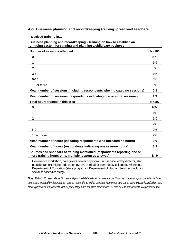#### **A29. Business planning and recordkeeping training: preschool teachers**

**Received training in…** 

**Business planning and recordkeeping – training on how to establish an on-going system for running and planning a child care business** 

| Number of sessions attended                                                                                                                                                                                                                                                                      | $N = 106$ |
|--------------------------------------------------------------------------------------------------------------------------------------------------------------------------------------------------------------------------------------------------------------------------------------------------|-----------|
| $\mathbf 0$                                                                                                                                                                                                                                                                                      | 93%       |
| 1                                                                                                                                                                                                                                                                                                | 6%        |
| $\overline{2}$                                                                                                                                                                                                                                                                                   | $0\%$     |
| $3-8$                                                                                                                                                                                                                                                                                            | 1%        |
| $9 - 14$                                                                                                                                                                                                                                                                                         | 0%        |
| 15 or more                                                                                                                                                                                                                                                                                       | $0\%$     |
| Mean number of sessions (including respondents who indicated no sessions)                                                                                                                                                                                                                        | 0.1       |
| Mean number of sessions (respondents indicating one or more sessions)                                                                                                                                                                                                                            | 1.3       |
| Total hours trained in this area                                                                                                                                                                                                                                                                 | $N = 107$ |
| 0                                                                                                                                                                                                                                                                                                | 93%       |
| 1                                                                                                                                                                                                                                                                                                | $1\%$     |
| $\overline{2}$                                                                                                                                                                                                                                                                                   | 1%        |
| $3-5$                                                                                                                                                                                                                                                                                            | 2%        |
| $6-9$                                                                                                                                                                                                                                                                                            | 2%        |
| 10 or more                                                                                                                                                                                                                                                                                       | 2%        |
| Mean number of hours (including respondents who indicated no hours)                                                                                                                                                                                                                              | 0.6       |
| Mean number of hours (respondents indicating one or more hours)                                                                                                                                                                                                                                  | 8.3       |
| Sources and sponsors of training mentioned (respondents reporting one or<br>more training hours only, multiple responses allowed)                                                                                                                                                                | $N=9$     |
| Conference/workshop, caregiver's center or program (in-service led by director, staff,<br>outside trainer), higher education (MnSCU, tribal or community colleges), Minnesota<br>Department of Education (state programs), Department of Human Services (including<br>social services/licensing) |           |

*Note: 106 of 126 respondents (84 percent) provided detailed training information. Training sources or sponsors listed include only those reported by 5 percent or more of respondents to this question. Numerous sources of training were identified by less than 5 percent of respondents. Actual percentages are not listed for instances of nine or less respondents to a particular item.*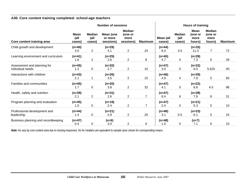#### **A30. Core content training completed: school-age teachers**

|                                     |                        | <b>Number of sessions</b>       |                                   |                                               |                 | Hours of training   |                                 |                                   |                                            |                |
|-------------------------------------|------------------------|---------------------------------|-----------------------------------|-----------------------------------------------|-----------------|---------------------|---------------------------------|-----------------------------------|--------------------------------------------|----------------|
| Core content training area          | Mean<br>(all<br>cases) | <b>Median</b><br>(all<br>cases) | Mean (one<br>or more<br>sessions) | <b>Median</b><br>(one or<br>more<br>sessions) | <b>Maximum</b>  | Mean (all<br>cases) | <b>Median</b><br>(all<br>cases) | Mean<br>(one or<br>more<br>hours) | <b>Median</b><br>(one or<br>more<br>hours) | <b>Maximum</b> |
| Child growth and development        | $(n=40)$               |                                 | $(n=29)$                          |                                               |                 | $(n=44)$            |                                 | $(n=33)$                          |                                            |                |
|                                     | 3.0                    | $\overline{2}$                  | 4.1                               | $\overline{2}$                                | 24              | 8.4                 | 4.5                             | 11.3                              | $\overline{7}$                             | 72             |
| Learning environment and curriculum | $(n=41)$               |                                 | $(n=25)$                          |                                               |                 | $(n=45)$            |                                 | $(n=29)$                          |                                            |                |
|                                     | 1.6                    | $\overline{2}$                  | 2.6                               | $\overline{2}$                                | 8               | 4.7                 | 4                               | 7.3                               | 6                                          | 28             |
| Assessment and planning for         | $(n=45)$               |                                 | $(n=20)$                          |                                               |                 | $(n=47)$            |                                 | $(n=22)$                          |                                            |                |
| individual needs                    | 1.2                    | $\mathbf 0$                     | 2.7                               | $\overline{2}$                                | 10 <sup>°</sup> | 3.0                 | 0                               | 6.5                               | 5.625                                      | 40             |
| Interactions with children          | $(n=43)$               |                                 | $(n=26)$                          |                                               |                 | $(n=46)$            |                                 | $(n=29)$                          |                                            |                |
|                                     | 2.1                    | 1                               | 3.5                               | $\overline{2}$                                | 15              | 4.9                 | 4                               | 7.9                               | 5                                          | 60             |
| Families and communities            | $(n=45)$               |                                 | $(n=20)$                          |                                               |                 | $(n=47)$            |                                 | $(n=22)$                          |                                            |                |
|                                     | 1.7                    | $\mathbf{0}$                    | 3.8                               | $\overline{2}$                                | 32              | 4.1                 | 0                               | 8.8                               | 4.5                                        | 96             |
| Health, safety and nutrition        | $(n=39)$               |                                 | $(n=31)$                          |                                               |                 | $(n=47)$            |                                 | $(n=39)$                          |                                            |                |
|                                     | 2.1                    | $\overline{2}$                  | 2.6                               | $\overline{2}$                                | $\overline{7}$  | 6.4                 | 6                               | 7.8                               | 8                                          | 31             |
| Program planning and evaluation     | $(n=45)$               |                                 | $(n=19)$                          |                                               |                 | $(n=47)$            |                                 | $(n=21)$                          |                                            |                |
|                                     | 1.0                    | $\mathbf{0}$                    | 2.4                               | $\overline{2}$                                | $\overline{7}$  | 2.4                 | 0                               | 5.3                               | 5                                          | 10             |
| Professional development and        | $(n=44)$               |                                 | $(n=21)$                          |                                               |                 | $(n=46)$            |                                 | $(n=23)$                          |                                            |                |
| leadership                          | 1.4                    | 0                               | 2.9                               | $\overline{2}$                                | 20              | 3.1                 | 0.5                             | 6.1                               | 5                                          | 24             |
| Business planning and recordkeeping | $(n=47)$               |                                 | $(n=6)$                           |                                               |                 | $(n=48)$            |                                 | $(n=7)$                           |                                            |                |
|                                     | 0.4                    | 0                               | 3.0                               | $\overline{2}$                                | 6               | 1.0                 | 0                               | 7.1                               | 6                                          | 10             |

*Note: Ns vary by core content area due to missing responses. Ns for medians are equivalent to sample sizes shown for corresponding means.*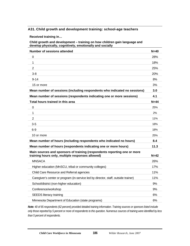#### **A31. Child growth and development training: school-age teachers**

**Received training in…** 

**Child growth and development – training on how children gain language and develop physically, cognitively, emotionally and socially** 

| <b>Number of sessions attended</b>                                                                                           | $N=40$   |
|------------------------------------------------------------------------------------------------------------------------------|----------|
| 0                                                                                                                            | 28%      |
| 1                                                                                                                            | 18%      |
| $\overline{2}$                                                                                                               | 25%      |
| $3 - 8$                                                                                                                      | 20%      |
| $9 - 14$                                                                                                                     | 8%       |
| 15 or more                                                                                                                   | 3%       |
| Mean number of sessions (including respondents who indicated no sessions)                                                    | 3.0      |
| Mean number of sessions (respondents indicating one or more sessions)                                                        | 4.1      |
| Total hours trained in this area                                                                                             | $N = 44$ |
| $\mathbf 0$                                                                                                                  | 25%      |
| 1                                                                                                                            | 2%       |
| $\overline{2}$                                                                                                               | 11%      |
| $3-5$                                                                                                                        | 18%      |
| $6-9$                                                                                                                        | 18%      |
| 10 or more                                                                                                                   | 25%      |
| Mean number of hours (including respondents who indicated no hours)                                                          | 8.4      |
| Mean number of hours (respondents indicating one or more hours)                                                              | 11.3     |
| Main sources and sponsors of training (respondents reporting one or more<br>training hours only, multiple responses allowed) | $N=42$   |
| <b>MNSACA</b>                                                                                                                | 26%      |
| Higher education (MnSCU, tribal or community colleges)                                                                       | 17%      |
| Child Care Resource and Referral agencies                                                                                    | 11%      |
| Caregiver's center or program (in-service led by director, staff, outside trainer)                                           | 11%      |
| School/district (non-higher education)                                                                                       | 9%       |
| Conference/workshop                                                                                                          | 9%       |
| <b>SEEDS literacy training</b>                                                                                               | 6%       |
| Minnesota Department of Education (state programs)                                                                           | 6%       |

*Note: 40 of 65 respondents (62 percent) provided detailed training information. Training sources or sponsors listed include only those reported by 5 percent or more of respondents to this question. Numerous sources of training were identified by less than 5 percent of respondents.*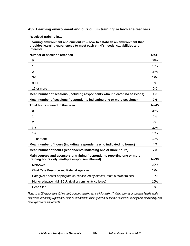#### **A32. Learning environment and curriculum training: school-age teachers**

**Received training in…** 

**Learning environment and curriculum – how to establish an environment that provides learning experiences to meet each child's needs, capabilities and interests** 

| <b>Number of sessions attended</b>                                                                                           | $N=41$   |
|------------------------------------------------------------------------------------------------------------------------------|----------|
| $\Omega$                                                                                                                     | 39%      |
| 1                                                                                                                            | 10%      |
| $\overline{2}$                                                                                                               | 34%      |
| $3 - 8$                                                                                                                      | 17%      |
| $9 - 14$                                                                                                                     | 0%       |
| 15 or more                                                                                                                   | 0%       |
| Mean number of sessions (including respondents who indicated no sessions)                                                    | 1.6      |
| Mean number of sessions (respondents indicating one or more sessions)                                                        | 2.6      |
| Total hours trained in this area                                                                                             | $N=45$   |
| $\Omega$                                                                                                                     | 36%      |
| 1                                                                                                                            | 2%       |
| $\overline{2}$                                                                                                               | 7%       |
| $3 - 5$                                                                                                                      | 20%      |
| $6-9$                                                                                                                        | 18%      |
| 10 or more                                                                                                                   | 18%      |
| Mean number of hours (including respondents who indicated no hours)                                                          | 4.7      |
| Mean number of hours (respondents indicating one or more hours)                                                              | 7.3      |
| Main sources and sponsors of training (respondents reporting one or more<br>training hours only, multiple responses allowed) | $N = 39$ |
| <b>MNSACA</b>                                                                                                                | 22%      |
| Child Care Resource and Referral agencies                                                                                    | 19%      |
| Caregiver's center or program (in-service led by director, staff, outside trainer)                                           | 19%      |
| Higher education (MnSCU, tribal or community colleges)                                                                       | 16%      |
| <b>Head Start</b>                                                                                                            | 6%       |

*Note: 41 of 65 respondents (63 percent) provided detailed training information. Training sources or sponsors listed include only those reported by 5 percent or more of respondents to this question. Numerous sources of training were identified by less than 5 percent of respondents.*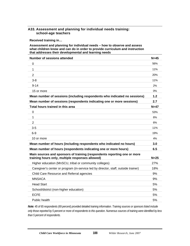#### **A33. Assessment and planning for individual needs training: school-age teachers**

**Received training in…** 

#### **Assessment and planning for individual needs – how to observe and assess what children know and can do in order to provide curriculum and instruction that addresses their developmental and learning needs**

| <b>Number of sessions attended</b>                                                                                           | $N=45$ |
|------------------------------------------------------------------------------------------------------------------------------|--------|
| 0                                                                                                                            | 56%    |
| 1                                                                                                                            | 11%    |
| $\overline{2}$                                                                                                               | 20%    |
| $3-8$                                                                                                                        | 11%    |
| $9 - 14$                                                                                                                     | 2%     |
| 15 or more                                                                                                                   | $0\%$  |
| Mean number of sessions (including respondents who indicated no sessions)                                                    | 1.2    |
| Mean number of sessions (respondents indicating one or more sessions)                                                        | 2.7    |
| Total hours trained in this area                                                                                             | $N=47$ |
| $\mathbf 0$                                                                                                                  | 53%    |
| 1                                                                                                                            | 6%     |
| 2                                                                                                                            | 6%     |
| $3-5$                                                                                                                        | 11%    |
| $6-9$                                                                                                                        | 19%    |
| 10 or more                                                                                                                   | 4%     |
| Mean number of hours (including respondents who indicated no hours)                                                          | 3.0    |
| Mean number of hours (respondents indicating one or more hours)                                                              | 6.5    |
| Main sources and sponsors of training (respondents reporting one or more<br>training hours only, multiple responses allowed) | $N=25$ |
| Higher education (MnSCU, tribal or community colleges)                                                                       | 27%    |
| Caregiver's center or program (in-service led by director, staff, outside trainer)                                           | 18%    |
| Child Care Resource and Referral agencies                                                                                    | 9%     |
| <b>MNSACA</b>                                                                                                                | 9%     |
| <b>Head Start</b>                                                                                                            | 5%     |
| School/district (non-higher education)                                                                                       | 5%     |
| <b>ECFE</b>                                                                                                                  | 5%     |
| Public health                                                                                                                | 5%     |

*Note: 45 of 65 respondents (69 percent) provided detailed training information. Training sources or sponsors listed include only those reported by 5 percent or more of respondents to this question. Numerous sources of training were identified by less than 5 percent of respondents.*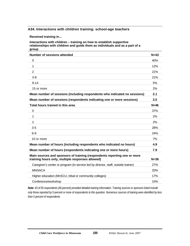#### **A34. Interactions with children training: school-age teachers**

**Received training in…** 

**Interactions with children – training on how to establish supportive relationships with children and guide them as individuals and as a part of a group** 

| <b>Number of sessions attended</b>                                                                                           | $N=43$ |
|------------------------------------------------------------------------------------------------------------------------------|--------|
| $\Omega$                                                                                                                     | 40%    |
| 1                                                                                                                            | 12%    |
| $\overline{2}$                                                                                                               | 21%    |
| $3 - 8$                                                                                                                      | 21%    |
| $9 - 14$                                                                                                                     | 5%     |
| 15 or more                                                                                                                   | 2%     |
| Mean number of sessions (including respondents who indicated no sessions)                                                    | 2.1    |
| Mean number of sessions (respondents indicating one or more sessions)                                                        | 3.5    |
| Total hours trained in this area                                                                                             | $N=46$ |
| $\mathbf 0$                                                                                                                  | 37%    |
| 1                                                                                                                            | 2%     |
| $\overline{2}$                                                                                                               | 2%     |
| $3-5$                                                                                                                        | 28%    |
| $6-9$                                                                                                                        | 24%    |
| 10 or more                                                                                                                   | 7%     |
| Mean number of hours (including respondents who indicated no hours)                                                          | 4.9    |
| Mean number of hours (respondents indicating one or more hours)                                                              | 7.9    |
| Main sources and sponsors of training (respondents reporting one or more<br>training hours only, multiple responses allowed) | $N=36$ |
| Caregiver's center or program (in-service led by director, staff, outside trainer)                                           | 27%    |
| <b>MNSACA</b>                                                                                                                | 20%    |
| Higher education (MnSCU, tribal or community colleges)                                                                       | 17%    |
| Conference/workshop                                                                                                          | 10%    |

*Note: 43 of 65 respondents (66 percent) provided detailed training information. Training sources or sponsors listed include only those reported by 5 percent or more of respondents to this question. Numerous sources of training were identified by less than 5 percent of respondents.*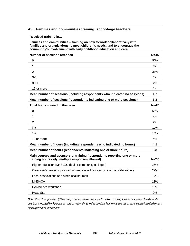#### **A35. Families and communities training: school-age teachers**

**Received training in…** 

**Families and communities – training on how to work collaboratively with families and organizations to meet children's needs, and to encourage the community's involvement with early childhood education and care** 

| <b>Number of sessions attended</b>                                                                                           | $N=45$ |
|------------------------------------------------------------------------------------------------------------------------------|--------|
| $\mathbf 0$                                                                                                                  | 56%    |
| 1                                                                                                                            | 9%     |
| 2                                                                                                                            | 27%    |
| $3-8$                                                                                                                        | 7%     |
| $9 - 14$                                                                                                                     | 0%     |
| 15 or more                                                                                                                   | 2%     |
| Mean number of sessions (including respondents who indicated no sessions)                                                    | 1.7    |
| Mean number of sessions (respondents indicating one or more sessions)                                                        | 3.8    |
| Total hours trained in this area                                                                                             | $N=47$ |
| $\mathbf 0$                                                                                                                  | 55%    |
| 1                                                                                                                            | 4%     |
| 2                                                                                                                            | 2%     |
| $3-5$                                                                                                                        | 19%    |
| $6-9$                                                                                                                        | 15%    |
| 10 or more                                                                                                                   | 4%     |
| Mean number of hours (including respondents who indicated no hours)                                                          | 4.1    |
| Mean number of hours (respondents indicating one or more hours)                                                              | 8.8    |
| Main sources and sponsors of training (respondents reporting one or more<br>training hours only, multiple responses allowed) | $N=27$ |
| Higher education (MnSCU, tribal or community colleges)                                                                       | 26%    |
| Caregiver's center or program (in-service led by director, staff, outside trainer)                                           | 22%    |
| Local associations and other local sources                                                                                   | 17%    |
| <b>MNSACA</b>                                                                                                                | 13%    |
| Conference/workshop                                                                                                          | 13%    |
| <b>Head Start</b>                                                                                                            | 9%     |

*Note: 45 of 65 respondents (69 percent) provided detailed training information. Training sources or sponsors listed include only those reported by 5 percent or more of respondents to this question. Numerous sources of training were identified by less than 5 percent of respondents.*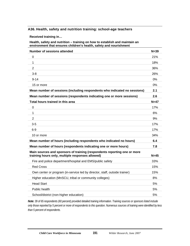#### **A36. Health, safety and nutrition training: school-age teachers**

**Received training in…** 

**Health, safety and nutrition – training on how to establish and maintain an environment that ensures children's health, safety and nourishment** 

| <b>Number of sessions attended</b>                                                                                           | $N = 39$ |
|------------------------------------------------------------------------------------------------------------------------------|----------|
| 0                                                                                                                            | 21%      |
| $\mathbf{1}$                                                                                                                 | 18%      |
| $\overline{2}$                                                                                                               | 36%      |
| $3 - 8$                                                                                                                      | 26%      |
| $9 - 14$                                                                                                                     | 0%       |
| 15 or more                                                                                                                   | 0%       |
| Mean number of sessions (including respondents who indicated no sessions)                                                    | 2.1      |
| Mean number of sessions (respondents indicating one or more sessions)                                                        | 2.6      |
| Total hours trained in this area                                                                                             | $N=47$   |
| $\overline{0}$                                                                                                               | 17%      |
| 1                                                                                                                            | 6%       |
| 2                                                                                                                            | 9%       |
| $3 - 5$                                                                                                                      | 17%      |
| $6-9$                                                                                                                        | 17%      |
| 10 or more                                                                                                                   | 34%      |
| Mean number of hours (including respondents who indicated no hours)                                                          | 6.4      |
| Mean number of hours (respondents indicating one or more hours)                                                              | 7.8      |
| Main sources and sponsors of training (respondents reporting one or more<br>training hours only, multiple responses allowed) | $N=45$   |
| Fire and police department/hospital and EMS/public safety                                                                    | 33%      |
| <b>Red Cross</b>                                                                                                             | 15%      |
| Own center or program (in-service led by director, staff, outside trainer)                                                   | 15%      |
| Higher education (MnSCU, tribal or community colleges)                                                                       | 8%       |
| <b>Head Start</b>                                                                                                            | 5%       |
| Public health                                                                                                                | 5%       |
| School/district (non-higher education)                                                                                       | 5%       |

*Note: 39 of 65 respondents (60 percent) provided detailed training information. Training sources or sponsors listed include only those reported by 5 percent or more of respondents to this question. Numerous sources of training were identified by less than 5 percent of respondents.*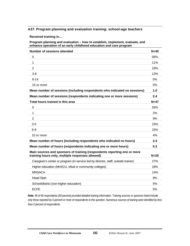#### **A37. Program planning and evaluation training: school-age teachers**

**Received training in…** 

**Program planning and evaluation – how to establish, implement, evaluate, and enhance operation of an early childhood education and care program** 

| <b>Number of sessions attended</b>                                                                                           | $N=45$ |
|------------------------------------------------------------------------------------------------------------------------------|--------|
| 0                                                                                                                            | 58%    |
| 1                                                                                                                            | 11%    |
| $\overline{2}$                                                                                                               | 18%    |
| $3-8$                                                                                                                        | 13%    |
| $9 - 14$                                                                                                                     | 0%     |
| 15 or more                                                                                                                   | 0%     |
| Mean number of sessions (including respondents who indicated no sessions)                                                    | 1.0    |
| Mean number of sessions (respondents indicating one or more sessions)                                                        | 2.4    |
| Total hours trained in this area                                                                                             | $N=47$ |
| 0                                                                                                                            | 55%    |
| 1                                                                                                                            | 2%     |
| $\overline{2}$                                                                                                               | 9%     |
| $3-5$                                                                                                                        | 15%    |
| $6-9$                                                                                                                        | 15%    |
| 10 or more                                                                                                                   | 4%     |
| Mean number of hours (including respondents who indicated no hours)                                                          | 2.4    |
| Mean number of hours (respondents indicating one or more hours)                                                              | 5.3    |
| Main sources and sponsors of training (respondents reporting one or more<br>training hours only, multiple responses allowed) | $N=25$ |
| Caregiver's center or program (in-service led by director, staff, outside trainer)                                           | 27%    |
| Higher education (MnSCU, tribal or community colleges)                                                                       | 18%    |
| <b>MNSACA</b>                                                                                                                | 14%    |
| <b>Head Start</b>                                                                                                            | 9%     |
| School/district (non-higher education)                                                                                       | 5%     |
| <b>ECFE</b>                                                                                                                  | 5%     |

*Note: 45 of 65 respondents (69 percent) provided detailed training information. Training sources or sponsors listed include only those reported by 5 percent or more of respondents to this question. Numerous sources of training were identified by less than 5 percent of respondents.*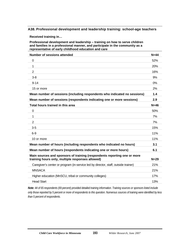#### **A38. Professional development and leadership training: school-age teachers**

**Received training in…** 

**Professional development and leadership – training on how to serve children and families in a professional manner, and participate in the community as a representative of early childhood education and care** 

| Number of sessions attended                                                                                                  | $N = 44$ |
|------------------------------------------------------------------------------------------------------------------------------|----------|
| $\Omega$                                                                                                                     | 52%      |
| 1                                                                                                                            | 20%      |
| $\overline{2}$                                                                                                               | 16%      |
| $3-8$                                                                                                                        | 9%       |
| $9 - 14$                                                                                                                     | 0%       |
| 15 or more                                                                                                                   | 2%       |
| Mean number of sessions (including respondents who indicated no sessions)                                                    | 1.4      |
| Mean number of sessions (respondents indicating one or more sessions)                                                        | 2.9      |
| Total hours trained in this area                                                                                             | $N=46$   |
| $\Omega$                                                                                                                     | 50%      |
| 1                                                                                                                            | 7%       |
| $\overline{2}$                                                                                                               | 7%       |
| $3-5$                                                                                                                        | 15%      |
| $6-9$                                                                                                                        | 11%      |
| 10 or more                                                                                                                   | 11%      |
| Mean number of hours (including respondents who indicated no hours)                                                          | 3.1      |
| Mean number of hours (respondents indicating one or more hours)                                                              | 6.1      |
| Main sources and sponsors of training (respondents reporting one or more<br>training hours only, multiple responses allowed) | $N=29$   |
| Caregiver's center or program (in-service led by director, staff, outside trainer)                                           | 21%      |
| <b>MNSACA</b>                                                                                                                | 21%      |
| Higher education (MnSCU, tribal or community colleges)                                                                       | 17%      |
| <b>Head Start</b>                                                                                                            | 13%      |

*Note: 44 of 65 respondents (69 percent) provided detailed training information. Training sources or sponsors listed include only those reported by 5 percent or more of respondents to this question. Numerous sources of training were identified by less than 5 percent of respondents.*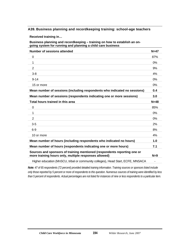#### **A39. Business planning and recordkeeping training: school-age teachers**

**Received training in…** 

**Business planning and recordkeeping – training on how to establish an ongoing system for running and planning a child care business** 

| <b>Number of sessions attended</b>                                                                                                | $N=47$ |
|-----------------------------------------------------------------------------------------------------------------------------------|--------|
| $\Omega$                                                                                                                          | 87%    |
| 1                                                                                                                                 | $0\%$  |
| $\overline{2}$                                                                                                                    | 9%     |
| $3 - 8$                                                                                                                           | 4%     |
| $9 - 14$                                                                                                                          | 0%     |
| 15 or more                                                                                                                        | $0\%$  |
| Mean number of sessions (including respondents who indicated no sessions)                                                         | 0.4    |
| Mean number of sessions (respondents indicating one or more sessions)                                                             | 3.0    |
| Total hours trained in this area                                                                                                  | $N=48$ |
| $\overline{0}$                                                                                                                    | 85%    |
| 1                                                                                                                                 | $0\%$  |
| 2                                                                                                                                 | $0\%$  |
| $3-5$                                                                                                                             | 2%     |
| $6-9$                                                                                                                             | 8%     |
| 10 or more                                                                                                                        | 4%     |
| Mean number of hours (including respondents who indicated no hours)                                                               | 1.0    |
| Mean number of hours (respondents indicating one or more hours)                                                                   | 7.1    |
| Sources and sponsors of training mentioned (respondents reporting one or<br>more training hours only, multiple responses allowed) | $N=9$  |
| Higher education (MnSCU, tribal or community colleges), Head Start, ECFE, MNSACA                                                  |        |
|                                                                                                                                   |        |

*Note: 47 of 65 respondents (72 percent) provided detailed training information. Training sources or sponsors listed include only those reported by 5 percent or more of respondents to this question. Numerous sources of training were identified by less than 5 percent of respondents. Actual percentages are not listed for instances of nine or less respondents to a particular item.*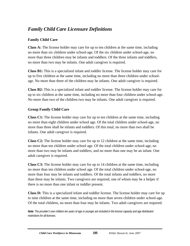# *Family Child Care Licensure Definitions*

## **Family Child Care**

**Class A:** The license holder may care for up to ten children at the same time, including no more than six children under school-age. Of the six children under school-age, no more than three children may be infants and toddlers. Of the three infants and toddlers, no more than two may be infants. One adult caregiver is required.

**Class B1:** This is a specialized infant and toddler license. The license holder may care for up to five children at the same time, including no more than three children under schoolage. No more than three of the children may be infants. One adult caregiver is required.

**Class B2:** This is a specialized infant and toddler license. The license holder may care for up to six children at the same time, including no more than four children under school-age. No more than two of the children two may be infants. One adult caregiver is required.

## **Group Family Child Care**

**Class C1:** The license holder may care for up to ten children at the same time, including no more than eight children under school age. Of the total children under school-age, no more than three shall be infants and toddlers. Of this total, no more than two shall be infants. One adult caregiver is required.

**Class C2:** The license holder may care for up to 12 children at the same time, including no more than ten children under school age. Of the total children under school-age, no more than two may be infants and toddlers, and no more than one may be an infant. One adult caregiver is required.

**Class C3:** The license holder may care for up to 14 children at the same time, including no more than ten children under school age. Of the total children under school-age, no more than four may be infants and toddlers. Of the total infants and toddlers, no more than three may be infants. Two caregivers are required, one of whom may be a helper if there is no more than one infant or toddler present.

**Class D:** This is a specialized infant and toddler license. The license holder may care for up to nine children at the same time, including no more than seven children under school-age. Of the total children, no more than four may be infants. Two adult caregivers are required.

*Note: The provider's own children ten years of age or younger are included in the license capacity and age distribution restrictions for all licenses.*